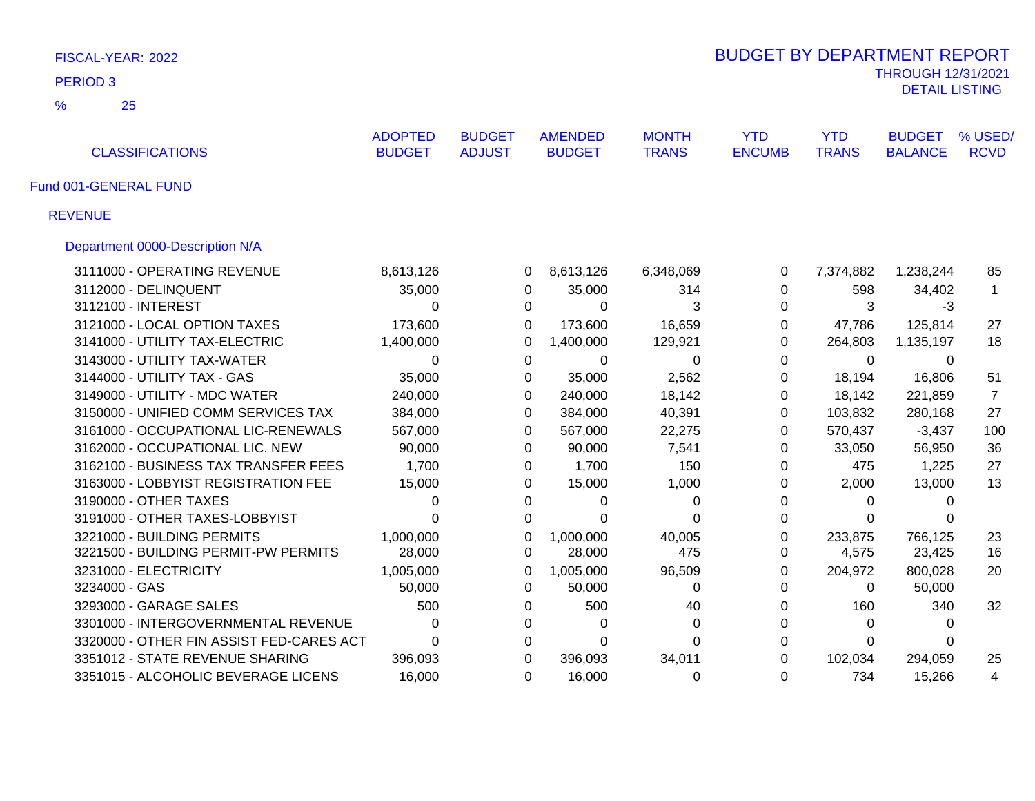| FISCAL-YEAR: 2022                        |                                 |                                |                                 |                              | <b>BUDGET BY DEPARTMENT REPORT</b> |                            |                                 |                        |
|------------------------------------------|---------------------------------|--------------------------------|---------------------------------|------------------------------|------------------------------------|----------------------------|---------------------------------|------------------------|
| PERIOD <sub>3</sub>                      |                                 |                                |                                 |                              |                                    |                            | <b>THROUGH 12/31/2021</b>       |                        |
| $\frac{9}{6}$<br>25                      |                                 |                                |                                 |                              |                                    |                            | <b>DETAIL LISTING</b>           |                        |
|                                          |                                 |                                |                                 |                              |                                    |                            |                                 |                        |
| <b>CLASSIFICATIONS</b>                   | <b>ADOPTED</b><br><b>BUDGET</b> | <b>BUDGET</b><br><b>ADJUST</b> | <b>AMENDED</b><br><b>BUDGET</b> | <b>MONTH</b><br><b>TRANS</b> | <b>YTD</b><br><b>ENCUMB</b>        | <b>YTD</b><br><b>TRANS</b> | <b>BUDGET</b><br><b>BALANCE</b> | % USED/<br><b>RCVD</b> |
| Fund 001-GENERAL FUND                    |                                 |                                |                                 |                              |                                    |                            |                                 |                        |
| <b>REVENUE</b>                           |                                 |                                |                                 |                              |                                    |                            |                                 |                        |
| Department 0000-Description N/A          |                                 |                                |                                 |                              |                                    |                            |                                 |                        |
| 3111000 - OPERATING REVENUE              | 8,613,126                       |                                | 8,613,126<br>0                  | 6,348,069                    | 0                                  | 7,374,882                  | 1,238,244                       | 85                     |
| 3112000 - DELINQUENT                     | 35,000                          |                                | 0<br>35,000                     | 314                          | $\mathbf 0$                        | 598                        | 34,402                          | $\mathbf{1}$           |
| 3112100 - INTEREST                       | 0                               |                                | $\Omega$                        | 3<br>$\Omega$                | 0                                  | 3                          | $-3$                            |                        |
| 3121000 - LOCAL OPTION TAXES             | 173,600                         |                                | $\Omega$<br>173,600             | 16,659                       | 0                                  | 47,786                     | 125,814                         | 27                     |
| 3141000 - UTILITY TAX-ELECTRIC           | 1,400,000                       |                                | 0<br>1,400,000                  | 129,921                      | $\Omega$                           | 264,803                    | 1,135,197                       | 18                     |
| 3143000 - UTILITY TAX-WATER              | 0                               |                                | $\Omega$                        | $\Omega$<br>$\Omega$         | 0                                  | $\Omega$                   | 0                               |                        |
| 3144000 - UTILITY TAX - GAS              | 35,000                          |                                | $\Omega$<br>35,000              | 2,562                        | $\Omega$                           | 18,194                     | 16,806                          | 51                     |
| 3149000 - UTILITY - MDC WATER            | 240,000                         |                                | 0<br>240,000                    | 18,142                       | $\mathbf 0$                        | 18,142                     | 221,859                         | $\overline{7}$         |
| 3150000 - UNIFIED COMM SERVICES TAX      | 384,000                         |                                | 0<br>384,000                    | 40,391                       | 0                                  | 103,832                    | 280,168                         | 27                     |
| 3161000 - OCCUPATIONAL LIC-RENEWALS      | 567,000                         |                                | 0<br>567,000                    | 22,275                       | 0                                  | 570,437                    | $-3,437$                        | 100                    |
| 3162000 - OCCUPATIONAL LIC. NEW          | 90,000                          |                                | $\Omega$<br>90,000              | 7,541                        | 0                                  | 33,050                     | 56,950                          | 36                     |
| 3162100 - BUSINESS TAX TRANSFER FEES     | 1,700                           |                                | 0<br>1,700                      | 150                          | 0                                  | 475                        | 1,225                           | 27                     |
| 3163000 - LOBBYIST REGISTRATION FEE      | 15,000                          |                                | 0<br>15,000                     | 1,000                        | 0                                  | 2,000                      | 13,000                          | 13                     |
| 3190000 - OTHER TAXES                    | 0                               |                                | 0                               | 0<br>0                       | 0                                  | $\Omega$                   | 0                               |                        |
| 3191000 - OTHER TAXES-LOBBYIST           | $\Omega$                        |                                | $\Omega$                        | $\Omega$<br>$\Omega$         | 0                                  | $\Omega$                   | $\Omega$                        |                        |
| 3221000 - BUILDING PERMITS               | 1,000,000                       |                                | $\Omega$<br>1,000,000           | 40,005                       | $\mathbf 0$                        | 233,875                    | 766,125                         | 23                     |
| 3221500 - BUILDING PERMIT-PW PERMITS     | 28,000                          |                                | 28,000<br>0                     | 475                          | 0                                  | 4,575                      | 23,425                          | 16                     |
| 3231000 - ELECTRICITY                    | 1,005,000                       |                                | 1,005,000<br>0                  | 96,509                       | $\Omega$                           | 204,972                    | 800,028                         | 20                     |
| 3234000 - GAS                            | 50,000                          |                                | 0<br>50,000                     | $\Omega$                     | $\Omega$                           | $\Omega$                   | 50,000                          |                        |
| 3293000 - GARAGE SALES                   | 500                             |                                | 0<br>500                        | 40                           | $\Omega$                           | 160                        | 340                             | 32                     |
| 3301000 - INTERGOVERNMENTAL REVENUE      | $\Omega$                        |                                | 0                               | $\mathbf 0$<br>$\Omega$      | 0                                  | 0                          | $\mathbf{0}$                    |                        |
| 3320000 - OTHER FIN ASSIST FED-CARES ACT | $\Omega$                        |                                | 0                               | $\Omega$<br>$\Omega$         | 0                                  | 0                          | $\mathbf{0}$                    |                        |
| 3351012 - STATE REVENUE SHARING          | 396,093                         |                                | $\Omega$<br>396,093             | 34,011                       | $\Omega$                           | 102,034                    | 294,059                         | 25                     |
| 3351015 - ALCOHOLIC BEVERAGE LICENS      | 16,000                          |                                | $\Omega$<br>16,000              | 0                            | $\Omega$                           | 734                        | 15,266                          | 4                      |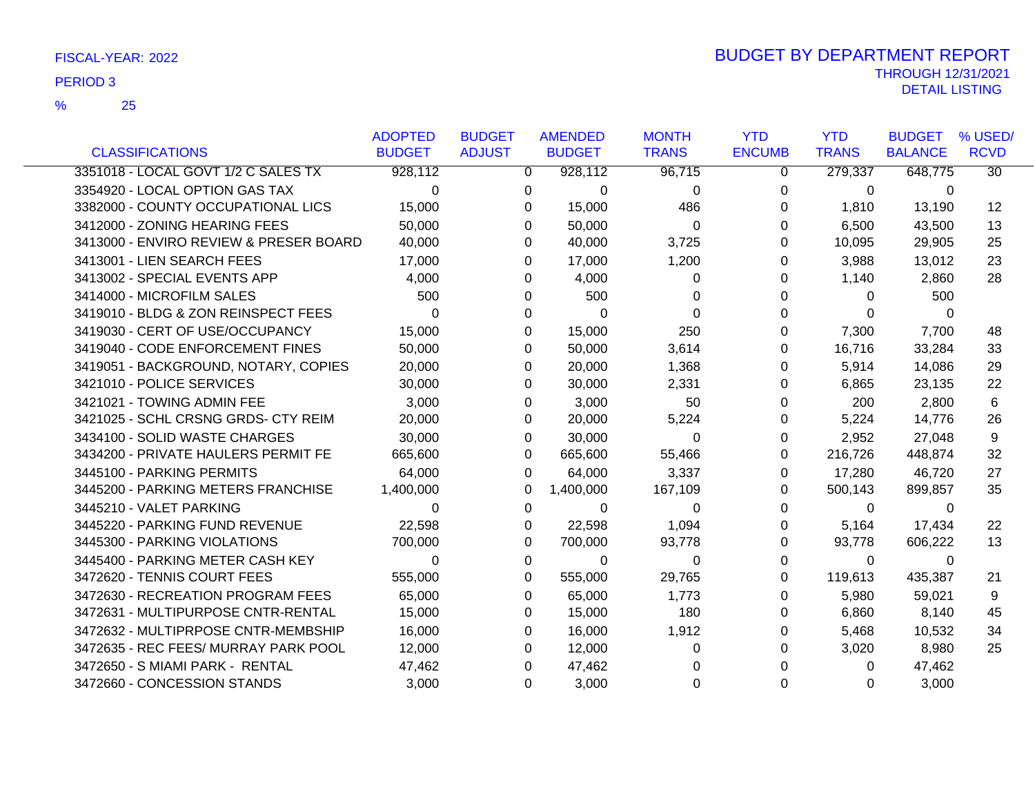|                                        | <b>ADOPTED</b> | <b>BUDGET</b>  | <b>AMENDED</b> | <b>MONTH</b> | <b>YTD</b>    | <b>YTD</b>     | <b>BUDGET</b>  | % USED/         |
|----------------------------------------|----------------|----------------|----------------|--------------|---------------|----------------|----------------|-----------------|
| <b>CLASSIFICATIONS</b>                 | <b>BUDGET</b>  | <b>ADJUST</b>  | <b>BUDGET</b>  | <b>TRANS</b> | <b>ENCUMB</b> | <b>TRANS</b>   | <b>BALANCE</b> | <b>RCVD</b>     |
| 3351018 - LOCAL GOVT 1/2 C SALES TX    | 928,112        | $\overline{0}$ | 928,112        | 96,715       | 0             | 279,337        | 648,775        | $\overline{30}$ |
| 3354920 - LOCAL OPTION GAS TAX         | $\Omega$       | 0              | $\Omega$       | $\Omega$     | 0             | $\Omega$       | $\Omega$       |                 |
| 3382000 - COUNTY OCCUPATIONAL LICS     | 15,000         | 0              | 15,000         | 486          | 0             | 1,810          | 13,190         | 12              |
| 3412000 - ZONING HEARING FEES          | 50,000         | $\Omega$       | 50,000         | $\Omega$     | 0             | 6,500          | 43,500         | 13              |
| 3413000 - ENVIRO REVIEW & PRESER BOARD | 40,000         | 0              | 40,000         | 3,725        | 0             | 10,095         | 29,905         | 25              |
| 3413001 - LIEN SEARCH FEES             | 17,000         | 0              | 17,000         | 1,200        | 0             | 3,988          | 13,012         | 23              |
| 3413002 - SPECIAL EVENTS APP           | 4,000          | 0              | 4,000          | 0            | 0             | 1,140          | 2,860          | 28              |
| 3414000 - MICROFILM SALES              | 500            | 0              | 500            | 0            | 0             | $\Omega$       | 500            |                 |
| 3419010 - BLDG & ZON REINSPECT FEES    | $\Omega$       | 0              | $\Omega$       | $\Omega$     | 0             | $\Omega$       | $\Omega$       |                 |
| 3419030 - CERT OF USE/OCCUPANCY        | 15,000         | 0              | 15,000         | 250          | 0             | 7,300          | 7,700          | 48              |
| 3419040 - CODE ENFORCEMENT FINES       | 50,000         | 0              | 50,000         | 3,614        | 0             | 16,716         | 33,284         | 33              |
| 3419051 - BACKGROUND, NOTARY, COPIES   | 20,000         | 0              | 20,000         | 1,368        | 0             | 5,914          | 14,086         | 29              |
| 3421010 - POLICE SERVICES              | 30,000         | 0              | 30,000         | 2,331        | 0             | 6,865          | 23,135         | 22              |
| 3421021 - TOWING ADMIN FEE             | 3,000          | 0              | 3,000          | 50           | 0             | 200            | 2,800          | 6               |
| 3421025 - SCHL CRSNG GRDS- CTY REIM    | 20,000         | 0              | 20,000         | 5,224        | 0             | 5,224          | 14,776         | 26              |
| 3434100 - SOLID WASTE CHARGES          | 30,000         | $\Omega$       | 30,000         | $\Omega$     | 0             | 2,952          | 27,048         | 9               |
| 3434200 - PRIVATE HAULERS PERMIT FE    | 665,600        | $\Omega$       | 665,600        | 55,466       | 0             | 216,726        | 448,874        | 32              |
| 3445100 - PARKING PERMITS              | 64,000         | 0              | 64,000         | 3,337        | 0             | 17,280         | 46,720         | 27              |
| 3445200 - PARKING METERS FRANCHISE     | 1,400,000      | 0              | 1,400,000      | 167,109      | 0             | 500,143        | 899,857        | 35              |
| 3445210 - VALET PARKING                | 0              | 0              | 0              | 0            | 0             | $\overline{0}$ | 0              |                 |
| 3445220 - PARKING FUND REVENUE         | 22,598         | 0              | 22,598         | 1,094        | 0             | 5,164          | 17,434         | 22              |
| 3445300 - PARKING VIOLATIONS           | 700,000        | 0              | 700,000        | 93,778       | 0             | 93,778         | 606,222        | 13              |
| 3445400 - PARKING METER CASH KEY       | $\Omega$       | 0              | 0              | 0            | 0             | $\mathbf{0}$   | 0              |                 |
| 3472620 - TENNIS COURT FEES            | 555,000        | $\Omega$       | 555,000        | 29,765       | 0             | 119,613        | 435,387        | 21              |
| 3472630 - RECREATION PROGRAM FEES      | 65,000         | 0              | 65,000         | 1,773        | 0             | 5,980          | 59,021         | 9               |
| 3472631 - MULTIPURPOSE CNTR-RENTAL     | 15,000         | 0              | 15,000         | 180          | 0             | 6,860          | 8,140          | 45              |
| 3472632 - MULTIPRPOSE CNTR-MEMBSHIP    | 16,000         | 0              | 16,000         | 1,912        | 0             | 5,468          | 10,532         | 34              |
| 3472635 - REC FEES/ MURRAY PARK POOL   | 12,000         | 0              | 12,000         | 0            | 0             | 3,020          | 8,980          | 25              |
| 3472650 - S MIAMI PARK - RENTAL        | 47,462         | 0              | 47,462         | 0            | 0             | $\Omega$       | 47,462         |                 |
| 3472660 - CONCESSION STANDS            | 3,000          | $\Omega$       | 3,000          | $\Omega$     | $\Omega$      | $\Omega$       | 3,000          |                 |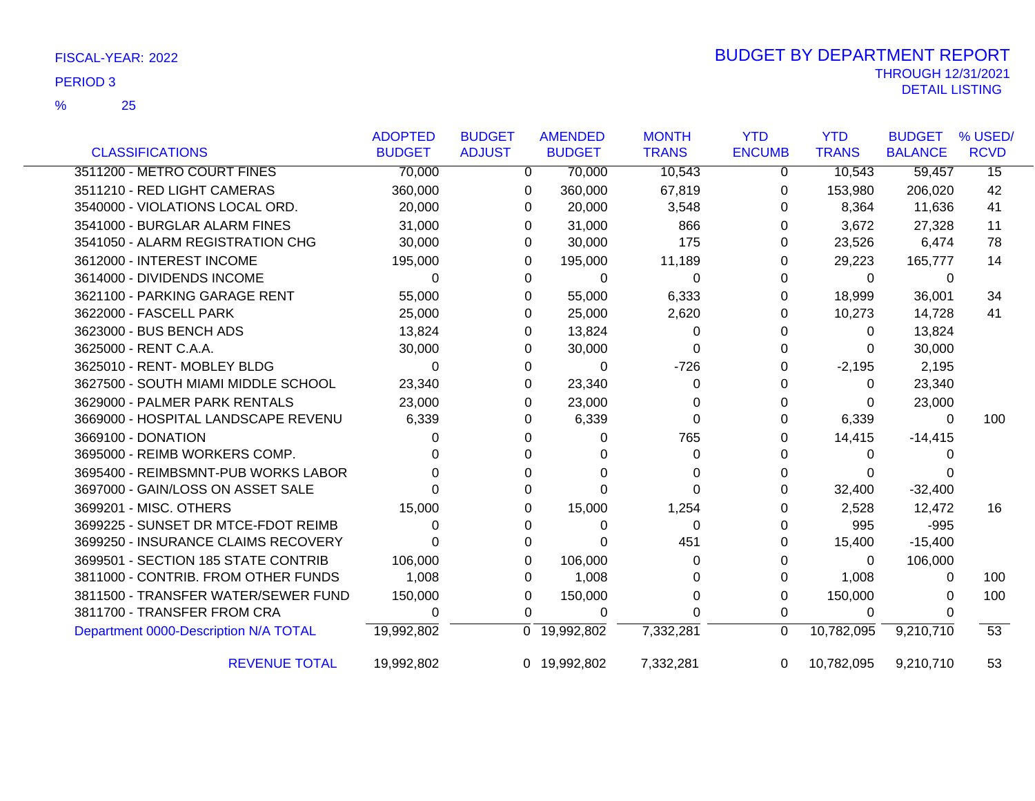|                                       | <b>ADOPTED</b> | <b>BUDGET</b> | <b>AMENDED</b> | <b>MONTH</b> | <b>YTD</b>    | <b>YTD</b>   | <b>BUDGET</b>  | % USED/     |
|---------------------------------------|----------------|---------------|----------------|--------------|---------------|--------------|----------------|-------------|
| <b>CLASSIFICATIONS</b>                | <b>BUDGET</b>  | <b>ADJUST</b> | <b>BUDGET</b>  | <b>TRANS</b> | <b>ENCUMB</b> | <b>TRANS</b> | <b>BALANCE</b> | <b>RCVD</b> |
| 3511200 - METRO COURT FINES           | 70,000         | $\mathbf{0}$  | 70,000         | 10,543       | 0             | 10,543       | 59,457         | 15          |
| 3511210 - RED LIGHT CAMERAS           | 360,000        | 0             | 360,000        | 67,819       | 0             | 153,980      | 206,020        | 42          |
| 3540000 - VIOLATIONS LOCAL ORD.       | 20,000         | 0             | 20,000         | 3,548        | 0             | 8,364        | 11,636         | 41          |
| 3541000 - BURGLAR ALARM FINES         | 31,000         | 0             | 31,000         | 866          | 0             | 3,672        | 27,328         | 11          |
| 3541050 - ALARM REGISTRATION CHG      | 30,000         | 0             | 30,000         | 175          | 0             | 23,526       | 6,474          | 78          |
| 3612000 - INTEREST INCOME             | 195,000        | 0             | 195,000        | 11,189       | 0             | 29,223       | 165,777        | 14          |
| 3614000 - DIVIDENDS INCOME            | 0              | 0             | $\mathbf 0$    | 0            | $\Omega$      | 0            | 0              |             |
| 3621100 - PARKING GARAGE RENT         | 55,000         | $\Omega$      | 55,000         | 6,333        | 0             | 18,999       | 36,001         | 34          |
| 3622000 - FASCELL PARK                | 25,000         | 0             | 25,000         | 2,620        | 0             | 10,273       | 14,728         | 41          |
| 3623000 - BUS BENCH ADS               | 13,824         | 0             | 13,824         | 0            | 0             | 0            | 13,824         |             |
| 3625000 - RENT C.A.A.                 | 30,000         | 0             | 30,000         | 0            | 0             | 0            | 30,000         |             |
| 3625010 - RENT- MOBLEY BLDG           | $\Omega$       | 0             | $\Omega$       | $-726$       | 0             | $-2,195$     | 2,195          |             |
| 3627500 - SOUTH MIAMI MIDDLE SCHOOL   | 23,340         | 0             | 23,340         | 0            | 0             | 0            | 23,340         |             |
| 3629000 - PALMER PARK RENTALS         | 23,000         | 0             | 23,000         | 0            | 0             | 0            | 23,000         |             |
| 3669000 - HOSPITAL LANDSCAPE REVENU   | 6,339          | 0             | 6,339          | 0            | 0             | 6,339        | 0              | 100         |
| 3669100 - DONATION                    | 0              | $\Omega$      | 0              | 765          | 0             | 14,415       | $-14,415$      |             |
| 3695000 - REIMB WORKERS COMP.         |                | 0             | O              | 0            | 0             | 0            |                |             |
| 3695400 - REIMBSMNT-PUB WORKS LABOR   |                | 0             | O              | 0            | 0             | 0            |                |             |
| 3697000 - GAIN/LOSS ON ASSET SALE     |                | 0             | $\Omega$       | 0            | 0             | 32,400       | $-32,400$      |             |
| 3699201 - MISC. OTHERS                | 15,000         | 0             | 15,000         | 1,254        | $\Omega$      | 2,528        | 12,472         | 16          |
| 3699225 - SUNSET DR MTCE-FDOT REIMB   | 0              | 0             | 0              | 0            | 0             | 995          | $-995$         |             |
| 3699250 - INSURANCE CLAIMS RECOVERY   | 0              | $\Omega$      | 0              | 451          | 0             | 15,400       | $-15,400$      |             |
| 3699501 - SECTION 185 STATE CONTRIB   | 106,000        | 0             | 106,000        | 0            | 0             | $\Omega$     | 106,000        |             |
| 3811000 - CONTRIB. FROM OTHER FUNDS   | 1,008          | 0             | 1,008          | 0            | 0             | 1,008        | 0              | 100         |
| 3811500 - TRANSFER WATER/SEWER FUND   | 150,000        | 0             | 150,000        | 0            | 0             | 150,000      | 0              | 100         |
| 3811700 - TRANSFER FROM CRA           | 0              | $\Omega$      | 0              | 0            | 0             | $\Omega$     | 0              |             |
| Department 0000-Description N/A TOTAL | 19,992,802     |               | 0 19,992,802   | 7,332,281    | $\mathbf{0}$  | 10,782,095   | 9,210,710      | 53          |
| <b>REVENUE TOTAL</b>                  | 19,992,802     |               | 0 19,992,802   | 7,332,281    | $\Omega$      | 10,782,095   | 9,210,710      | 53          |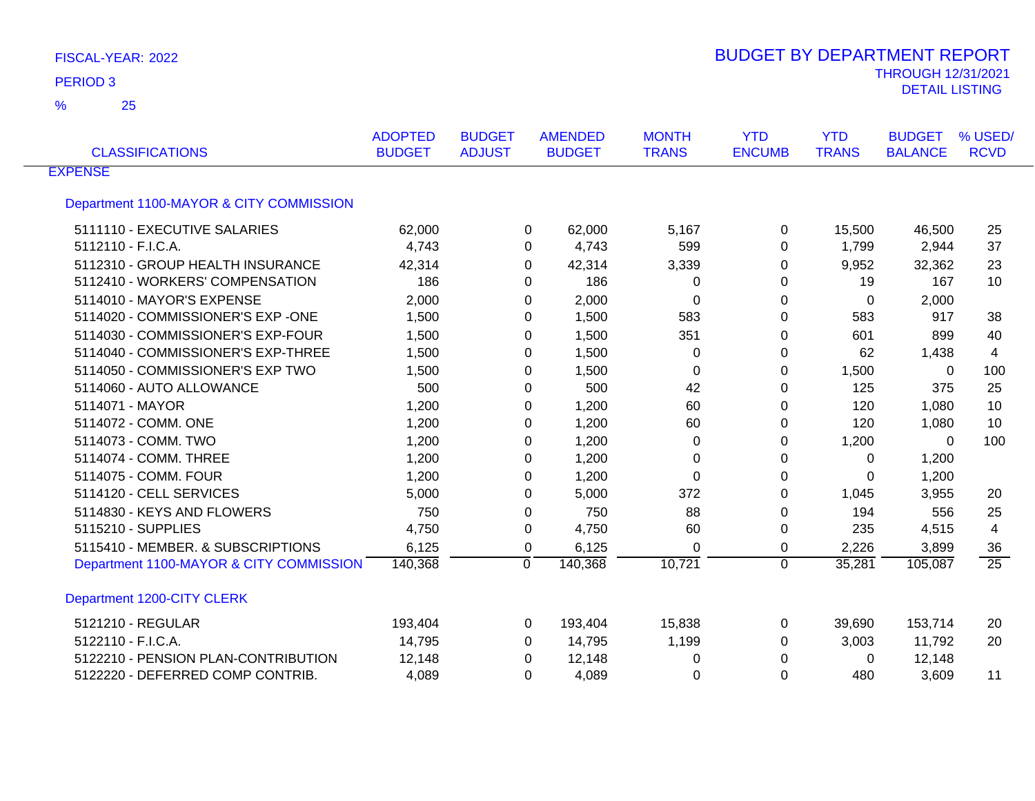25 %

| <b>CLASSIFICATIONS</b>                  | <b>ADOPTED</b><br><b>BUDGET</b> | <b>BUDGET</b><br><b>ADJUST</b> | <b>AMENDED</b><br><b>BUDGET</b> | <b>MONTH</b><br><b>TRANS</b> | <b>YTD</b><br><b>ENCUMB</b> | <b>YTD</b><br><b>TRANS</b> | <b>BUDGET</b><br><b>BALANCE</b> | % USED/<br><b>RCVD</b> |
|-----------------------------------------|---------------------------------|--------------------------------|---------------------------------|------------------------------|-----------------------------|----------------------------|---------------------------------|------------------------|
| <b>EXPENSE</b>                          |                                 |                                |                                 |                              |                             |                            |                                 |                        |
| Department 1100-MAYOR & CITY COMMISSION |                                 |                                |                                 |                              |                             |                            |                                 |                        |
| 5111110 - EXECUTIVE SALARIES            | 62,000                          |                                | 62,000<br>0                     | 5,167                        | 0                           | 15,500                     | 46,500                          | 25                     |
| 5112110 - F.I.C.A.                      | 4,743                           |                                | 4,743<br>0                      | 599                          | 0                           | 1,799                      | 2,944                           | 37                     |
| 5112310 - GROUP HEALTH INSURANCE        | 42,314                          |                                | 42,314<br>0                     | 3,339                        | 0                           | 9,952                      | 32,362                          | 23                     |
| 5112410 - WORKERS' COMPENSATION         | 186                             |                                | 186<br>0                        | 0                            | 0                           | 19                         | 167                             | 10                     |
| 5114010 - MAYOR'S EXPENSE               | 2,000                           |                                | 2,000<br>0                      | 0                            | 0                           | 0                          | 2,000                           |                        |
| 5114020 - COMMISSIONER'S EXP -ONE       | 1,500                           |                                | 1,500<br>0                      | 583                          | 0                           | 583                        | 917                             | 38                     |
| 5114030 - COMMISSIONER'S EXP-FOUR       | 1,500                           |                                | 1,500<br>0                      | 351                          | 0                           | 601                        | 899                             | 40                     |
| 5114040 - COMMISSIONER'S EXP-THREE      | 1,500                           |                                | 1,500<br>0                      | 0                            | 0                           | 62                         | 1,438                           | 4                      |
| 5114050 - COMMISSIONER'S EXP TWO        | 1,500                           |                                | 1,500<br>0                      | 0                            | 0                           | 1,500                      | $\mathbf{0}$                    | 100                    |
| 5114060 - AUTO ALLOWANCE                | 500                             |                                | 500<br>0                        | 42                           | 0                           | 125                        | 375                             | 25                     |
| 5114071 - MAYOR                         | 1,200                           |                                | 1,200<br>0                      | 60                           | 0                           | 120                        | 1,080                           | 10                     |
| 5114072 - COMM. ONE                     | 1,200                           |                                | 1,200<br>0                      | 60                           | 0                           | 120                        | 1,080                           | 10                     |
| 5114073 - COMM. TWO                     | 1,200                           |                                | 1,200<br>0                      | 0                            | 0                           | 1,200                      | 0                               | 100                    |
| 5114074 - COMM. THREE                   | 1,200                           |                                | 1,200<br>0                      | 0                            | 0                           | 0                          | 1,200                           |                        |
| 5114075 - COMM. FOUR                    | 1,200                           |                                | 1,200<br>0                      | $\mathbf 0$                  | 0                           | 0                          | 1,200                           |                        |
| 5114120 - CELL SERVICES                 | 5,000                           |                                | 5,000<br>0                      | 372                          | $\Omega$                    | 1,045                      | 3,955                           | 20                     |
| 5114830 - KEYS AND FLOWERS              | 750                             |                                | 750<br>0                        | 88                           | 0                           | 194                        | 556                             | 25                     |
| 5115210 - SUPPLIES                      | 4,750                           |                                | $\Omega$<br>4,750               | 60                           | 0                           | 235                        | 4,515                           | 4                      |
| 5115410 - MEMBER. & SUBSCRIPTIONS       | 6,125                           |                                | 6,125<br>0                      | 0                            | 0                           | 2,226                      | 3,899                           | 36                     |
| Department 1100-MAYOR & CITY COMMISSION | 140,368                         | $\Omega$                       | 140,368                         | 10,721                       | $\Omega$                    | 35,281                     | 105,087                         | $\overline{25}$        |
| Department 1200-CITY CLERK              |                                 |                                |                                 |                              |                             |                            |                                 |                        |
| 5121210 - REGULAR                       | 193,404                         |                                | 193,404<br>0                    | 15,838                       | 0                           | 39,690                     | 153,714                         | 20                     |
| 5122110 - F.I.C.A.                      | 14,795                          |                                | 14,795<br>0                     | 1,199                        | 0                           | 3,003                      | 11,792                          | 20                     |
| 5122210 - PENSION PLAN-CONTRIBUTION     | 12,148                          |                                | 12,148<br>0                     | 0                            | 0                           | 0                          | 12,148                          |                        |
| 5122220 - DEFERRED COMP CONTRIB.        | 4,089                           |                                | 4,089<br>0                      | 0                            | $\Omega$                    | 480                        | 3,609                           | 11                     |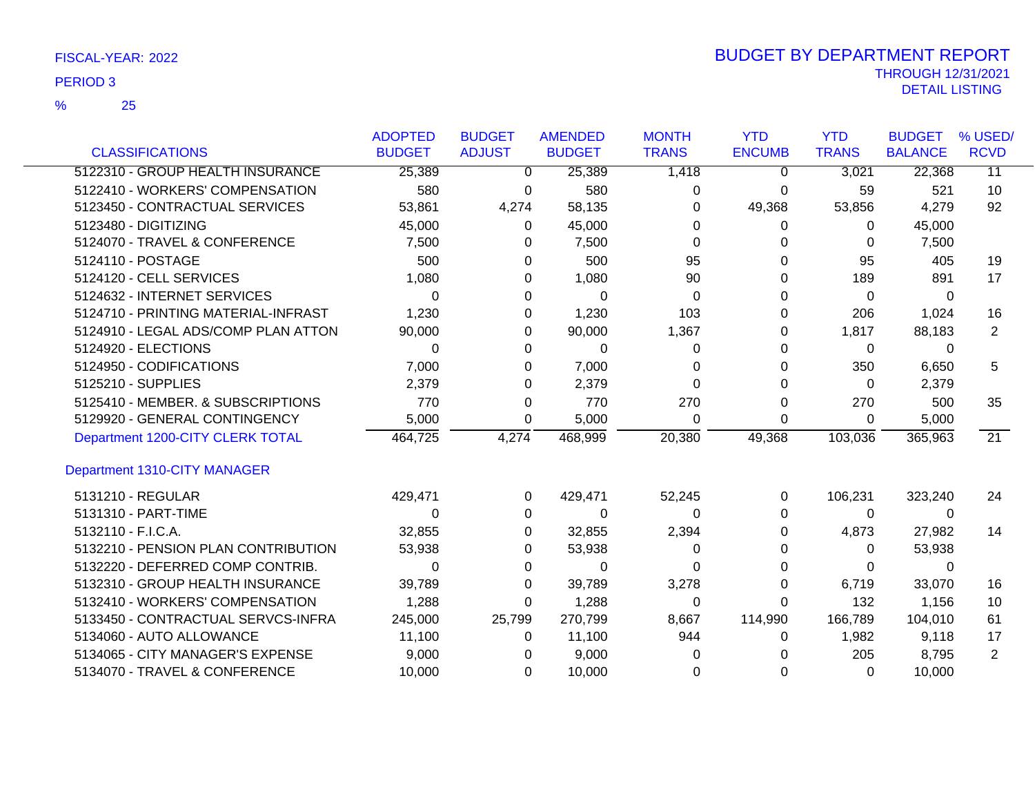|                                     | <b>ADOPTED</b> | <b>BUDGET</b> | <b>AMENDED</b> | <b>MONTH</b> | <b>YTD</b>    | <b>YTD</b>   | <b>BUDGET</b>  | % USED/         |
|-------------------------------------|----------------|---------------|----------------|--------------|---------------|--------------|----------------|-----------------|
| <b>CLASSIFICATIONS</b>              | <b>BUDGET</b>  | <b>ADJUST</b> | <b>BUDGET</b>  | <b>TRANS</b> | <b>ENCUMB</b> | <b>TRANS</b> | <b>BALANCE</b> | <b>RCVD</b>     |
| 5122310 - GROUP HEALTH INSURANCE    | 25,389         | 0             | 25,389         | 1,418        | 0             | 3,021        | 22,368         | $\overline{11}$ |
| 5122410 - WORKERS' COMPENSATION     | 580            | 0             | 580            | 0            | 0             | 59           | 521            | 10              |
| 5123450 - CONTRACTUAL SERVICES      | 53,861         | 4,274         | 58,135         | 0            | 49,368        | 53,856       | 4,279          | 92              |
| 5123480 - DIGITIZING                | 45,000         | 0             | 45,000         | 0            | 0             | $\Omega$     | 45,000         |                 |
| 5124070 - TRAVEL & CONFERENCE       | 7,500          | 0             | 7,500          | 0            | 0             | 0            | 7,500          |                 |
| 5124110 - POSTAGE                   | 500            | 0             | 500            | 95           | 0             | 95           | 405            | 19              |
| 5124120 - CELL SERVICES             | 1,080          | 0             | 1,080          | 90           | 0             | 189          | 891            | 17              |
| 5124632 - INTERNET SERVICES         | $\Omega$       | 0             | $\Omega$       | 0            | 0             | 0            | 0              |                 |
| 5124710 - PRINTING MATERIAL-INFRAST | 1,230          | 0             | 1,230          | 103          | 0             | 206          | 1,024          | 16              |
| 5124910 - LEGAL ADS/COMP PLAN ATTON | 90,000         | 0             | 90,000         | 1,367        | 0             | 1,817        | 88,183         | $\overline{2}$  |
| 5124920 - ELECTIONS                 | $\Omega$       | 0             | 0              | 0            | 0             | 0            | 0              |                 |
| 5124950 - CODIFICATIONS             | 7,000          | 0             | 7,000          | 0            | 0             | 350          | 6,650          | 5               |
| 5125210 - SUPPLIES                  | 2,379          | 0             | 2,379          | ∩            | 0             | 0            | 2,379          |                 |
| 5125410 - MEMBER. & SUBSCRIPTIONS   | 770            | 0             | 770            | 270          | 0             | 270          | 500            | 35              |
| 5129920 - GENERAL CONTINGENCY       | 5,000          | 0             | 5,000          | $\Omega$     | $\Omega$      | 0            | 5,000          |                 |
| Department 1200-CITY CLERK TOTAL    | 464,725        | 4,274         | 468,999        | 20,380       | 49,368        | 103,036      | 365,963        | $\overline{21}$ |
| Department 1310-CITY MANAGER        |                |               |                |              |               |              |                |                 |
| 5131210 - REGULAR                   | 429,471        | 0             | 429,471        | 52,245       | 0             | 106,231      | 323,240        | 24              |
| 5131310 - PART-TIME                 | 0              | 0             | 0              | 0            | 0             | 0            | 0              |                 |
| 5132110 - F.I.C.A.                  | 32,855         | 0             | 32,855         | 2,394        | 0             | 4,873        | 27,982         | 14              |
| 5132210 - PENSION PLAN CONTRIBUTION | 53,938         | 0             | 53,938         | 0            | 0             | 0            | 53,938         |                 |
| 5132220 - DEFERRED COMP CONTRIB.    | $\Omega$       | 0             | 0              | O            | 0             | 0            | 0              |                 |
| 5132310 - GROUP HEALTH INSURANCE    | 39,789         | 0             | 39,789         | 3,278        | 0             | 6,719        | 33,070         | 16              |
| 5132410 - WORKERS' COMPENSATION     | 1,288          | 0             | 1,288          | $\Omega$     | 0             | 132          | 1,156          | 10              |
| 5133450 - CONTRACTUAL SERVCS-INFRA  | 245,000        | 25,799        | 270,799        | 8,667        | 114,990       | 166,789      | 104,010        | 61              |
| 5134060 - AUTO ALLOWANCE            | 11,100         | 0             | 11,100         | 944          | 0             | 1,982        | 9,118          | 17              |
| 5134065 - CITY MANAGER'S EXPENSE    | 9,000          | $\Omega$      | 9,000          |              |               | 205          | 8,795          | $\overline{2}$  |
| 5134070 - TRAVEL & CONFERENCE       | 10,000         | $\Omega$      | 10,000         | $\Omega$     | 0             | $\Omega$     | 10.000         |                 |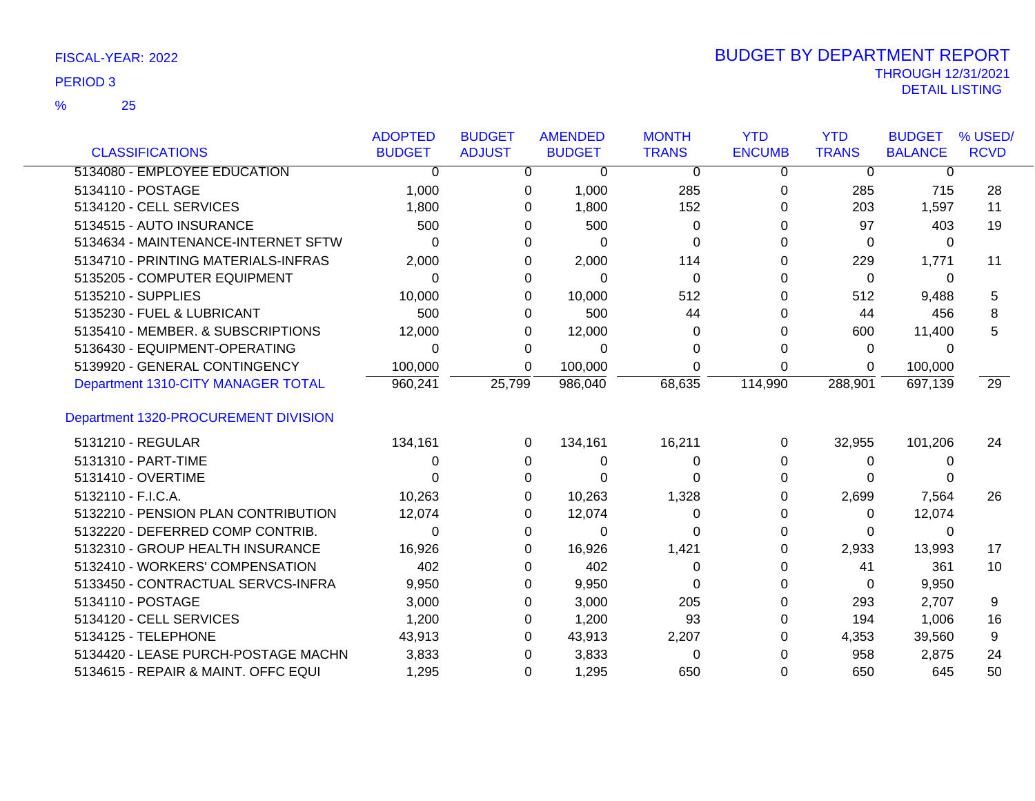|                                      | <b>ADOPTED</b> | <b>BUDGET</b> | <b>AMENDED</b> | <b>MONTH</b> | <b>YTD</b>    | <b>YTD</b>   | <b>BUDGET</b>  | % USED/     |
|--------------------------------------|----------------|---------------|----------------|--------------|---------------|--------------|----------------|-------------|
| <b>CLASSIFICATIONS</b>               | <b>BUDGET</b>  | <b>ADJUST</b> | <b>BUDGET</b>  | <b>TRANS</b> | <b>ENCUMB</b> | <b>TRANS</b> | <b>BALANCE</b> | <b>RCVD</b> |
| 5134080 - EMPLOYEE EDUCATION         | $\Omega$       | 0             | 0              | 0            | 0             | 0            | 0              |             |
| 5134110 - POSTAGE                    | 1,000          | 0             | 1,000          | 285          | 0             | 285          | 715            | 28          |
| 5134120 - CELL SERVICES              | 1,800          | 0             | 1,800          | 152          | 0             | 203          | 1,597          | 11          |
| 5134515 - AUTO INSURANCE             | 500            | 0             | 500            | 0            | 0             | 97           | 403            | 19          |
| 5134634 - MAINTENANCE-INTERNET SFTW  | 0              | 0             | 0              | 0            | 0             | $\Omega$     | 0              |             |
| 5134710 - PRINTING MATERIALS-INFRAS  | 2,000          | 0             | 2,000          | 114          | 0             | 229          | 1,771          | 11          |
| 5135205 - COMPUTER EQUIPMENT         | 0              | 0             | 0              | 0            | 0             | 0            | 0              |             |
| 5135210 - SUPPLIES                   | 10,000         | 0             | 10,000         | 512          | 0             | 512          | 9,488          | 5           |
| 5135230 - FUEL & LUBRICANT           | 500            | 0             | 500            | 44           | 0             | 44           | 456            | 8           |
| 5135410 - MEMBER. & SUBSCRIPTIONS    | 12,000         | 0             | 12,000         | 0            | 0             | 600          | 11,400         | 5           |
| 5136430 - EQUIPMENT-OPERATING        | 0              | 0             | 0              | 0            | 0             | 0            | 0              |             |
| 5139920 - GENERAL CONTINGENCY        | 100,000        | 0             | 100,000        | 0            | 0             | 0            | 100,000        |             |
| Department 1310-CITY MANAGER TOTAL   | 960,241        | 25,799        | 986,040        | 68,635       | 114,990       | 288,901      | 697,139        | 29          |
| Department 1320-PROCUREMENT DIVISION |                |               |                |              |               |              |                |             |
| 5131210 - REGULAR                    | 134,161        | 0             | 134,161        | 16,211       | $\Omega$      | 32,955       | 101,206        | 24          |
| 5131310 - PART-TIME                  | 0              | 0             | 0              | 0            | 0             | 0            | 0              |             |
| 5131410 - OVERTIME                   | 0              | 0             | 0              | ∩            | 0             | 0            |                |             |
| 5132110 - F.I.C.A.                   | 10,263         | 0             | 10,263         | 1,328        | 0             | 2,699        | 7,564          | 26          |
| 5132210 - PENSION PLAN CONTRIBUTION  | 12,074         | 0             | 12,074         | 0            | 0             | 0            | 12,074         |             |
| 5132220 - DEFERRED COMP CONTRIB.     | $\Omega$       | 0             | $\Omega$       | ∩            | 0             | $\Omega$     | 0              |             |
| 5132310 - GROUP HEALTH INSURANCE     | 16,926         | 0             | 16,926         | 1,421        | 0             | 2,933        | 13,993         | 17          |
| 5132410 - WORKERS' COMPENSATION      | 402            | 0             | 402            | 0            | 0             | 41           | 361            | 10          |
| 5133450 - CONTRACTUAL SERVCS-INFRA   | 9,950          | 0             | 9,950          | 0            | 0             | 0            | 9,950          |             |
| 5134110 - POSTAGE                    | 3,000          | 0             | 3,000          | 205          | 0             | 293          | 2,707          | 9           |
| 5134120 - CELL SERVICES              | 1,200          | 0             | 1,200          | 93           | 0             | 194          | 1,006          | 16          |
| 5134125 - TELEPHONE                  | 43,913         | 0             | 43,913         | 2,207        | 0             | 4,353        | 39,560         | 9           |
| 5134420 - LEASE PURCH-POSTAGE MACHN  | 3,833          | 0             | 3,833          | 0            |               | 958          | 2,875          | 24          |
| 5134615 - REPAIR & MAINT. OFFC EQUI  | 1,295          | 0             | 1,295          | 650          | 0             | 650          | 645            | 50          |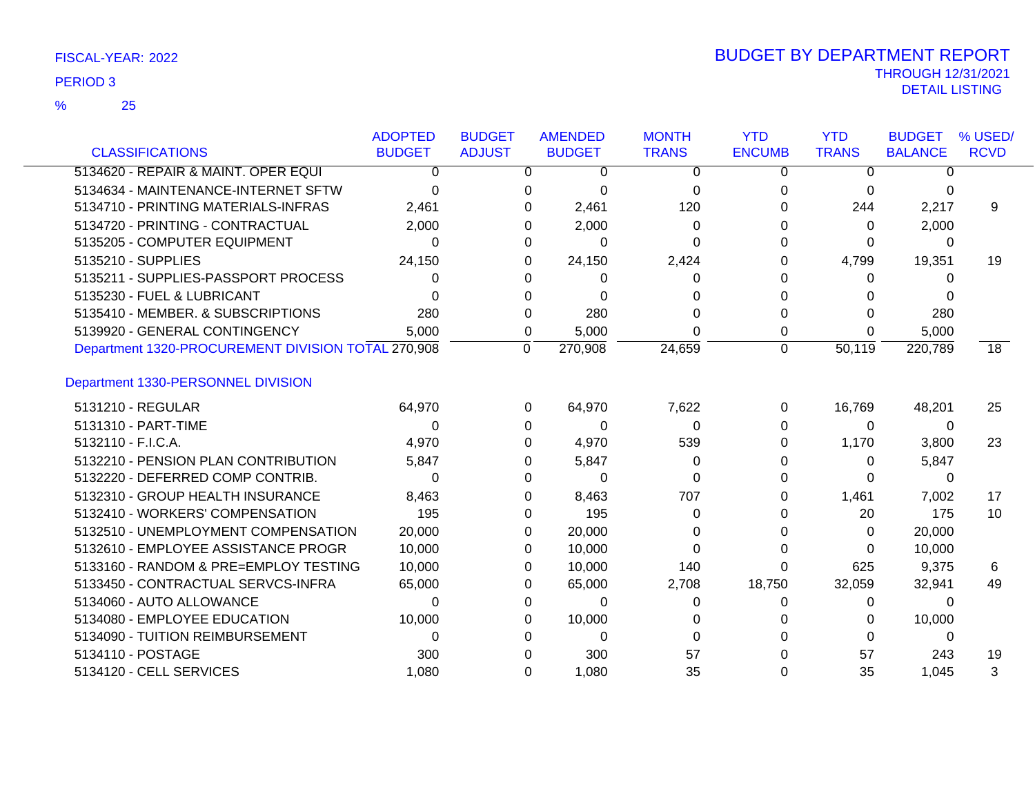| <b>CLASSIFICATIONS</b>                             | <b>ADOPTED</b><br><b>BUDGET</b> | <b>BUDGET</b><br><b>ADJUST</b> | <b>AMENDED</b><br><b>BUDGET</b> | <b>MONTH</b><br><b>TRANS</b> | <b>YTD</b><br><b>ENCUMB</b> | <b>YTD</b><br><b>TRANS</b> | <b>BUDGET</b><br><b>BALANCE</b> | % USED/<br><b>RCVD</b> |
|----------------------------------------------------|---------------------------------|--------------------------------|---------------------------------|------------------------------|-----------------------------|----------------------------|---------------------------------|------------------------|
| 5134620 - REPAIR & MAINT. OPER EQUI                | $\Omega$                        |                                | 0<br>$\Omega$                   | $\Omega$                     | $\Omega$                    | $\Omega$                   | $\overline{0}$                  |                        |
| 5134634 - MAINTENANCE-INTERNET SFTW                | $\Omega$                        |                                | 0<br>$\Omega$                   | 0                            | 0                           | 0                          | 0                               |                        |
| 5134710 - PRINTING MATERIALS-INFRAS                | 2,461                           |                                | 2,461<br>0                      | 120                          | 0                           | 244                        | 2,217                           | 9                      |
| 5134720 - PRINTING - CONTRACTUAL                   | 2,000                           |                                | 2,000<br>0                      | 0                            |                             | 0                          | 2,000                           |                        |
| 5135205 - COMPUTER EQUIPMENT                       | 0                               |                                | $\Omega$<br>0                   | 0                            |                             | 0                          | 0                               |                        |
| 5135210 - SUPPLIES                                 | 24,150                          |                                | 24,150<br>0                     | 2,424                        |                             | 4,799                      | 19,351                          | 19                     |
| 5135211 - SUPPLIES-PASSPORT PROCESS                | 0                               |                                | 0<br>0                          | 0                            |                             | 0                          | 0                               |                        |
| 5135230 - FUEL & LUBRICANT                         | U                               |                                | $\Omega$<br>0                   | 0                            |                             | 0                          | 0                               |                        |
| 5135410 - MEMBER. & SUBSCRIPTIONS                  | 280                             |                                | 280<br>0                        |                              | 0                           | $\Omega$                   | 280                             |                        |
| 5139920 - GENERAL CONTINGENCY                      | 5,000                           |                                | 5,000<br>0                      | 0                            | 0                           | 0                          | 5,000                           |                        |
| Department 1320-PROCUREMENT DIVISION TOTAL 270,908 |                                 | $\Omega$                       | 270,908                         | 24,659                       | $\mathbf 0$                 | 50,119                     | 220,789                         | 18                     |
| Department 1330-PERSONNEL DIVISION                 |                                 |                                |                                 |                              |                             |                            |                                 |                        |
| 5131210 - REGULAR                                  | 64,970                          |                                | 64,970<br>0                     | 7,622                        | 0                           | 16,769                     | 48,201                          | 25                     |
| 5131310 - PART-TIME                                | $\Omega$                        |                                | $\Omega$<br>$\Omega$            | 0                            | 0                           | $\Omega$                   | 0                               |                        |
| 5132110 - F.I.C.A.                                 | 4,970                           |                                | 4,970<br>0                      | 539                          | 0                           | 1,170                      | 3,800                           | 23                     |
| 5132210 - PENSION PLAN CONTRIBUTION                | 5,847                           |                                | 5,847<br>0                      | 0                            | 0                           | $\Omega$                   | 5,847                           |                        |
| 5132220 - DEFERRED COMP CONTRIB.                   | 0                               |                                | $\Omega$<br>0                   | 0                            |                             | $\Omega$                   | 0                               |                        |
| 5132310 - GROUP HEALTH INSURANCE                   | 8,463                           |                                | 8,463<br>0                      | 707                          | 0                           | 1,461                      | 7,002                           | 17                     |
| 5132410 - WORKERS' COMPENSATION                    | 195                             |                                | 195<br>0                        | 0                            |                             | 20                         | 175                             | 10                     |
| 5132510 - UNEMPLOYMENT COMPENSATION                | 20,000                          |                                | 20,000<br>0                     | 0                            |                             | $\Omega$                   | 20,000                          |                        |
| 5132610 - EMPLOYEE ASSISTANCE PROGR                | 10,000                          |                                | 10,000<br>0                     | $\Omega$                     | 0                           | $\Omega$                   | 10,000                          |                        |
| 5133160 - RANDOM & PRE=EMPLOY TESTING              | 10,000                          |                                | 10,000<br>0                     | 140                          | 0                           | 625                        | 9,375                           | 6                      |
| 5133450 - CONTRACTUAL SERVCS-INFRA                 | 65,000                          |                                | 65,000<br>0                     | 2,708                        | 18,750                      | 32,059                     | 32,941                          | 49                     |
| 5134060 - AUTO ALLOWANCE                           | 0                               |                                | $\Omega$<br>0                   | 0                            | 0                           | $\Omega$                   | 0                               |                        |
| 5134080 - EMPLOYEE EDUCATION                       | 10,000                          |                                | 10,000<br>0                     | 0                            |                             | 0                          | 10,000                          |                        |
| 5134090 - TUITION REIMBURSEMENT                    | 0                               |                                | $\Omega$<br>0                   | 0                            |                             | $\Omega$                   | 0                               |                        |
| 5134110 - POSTAGE                                  | 300                             |                                | 300<br>0                        | 57                           |                             | 57                         | 243                             | 19                     |
| 5134120 - CELL SERVICES                            | 1.080                           |                                | 1,080<br>$\Omega$               | 35                           | 0                           | 35                         | 1,045                           | 3                      |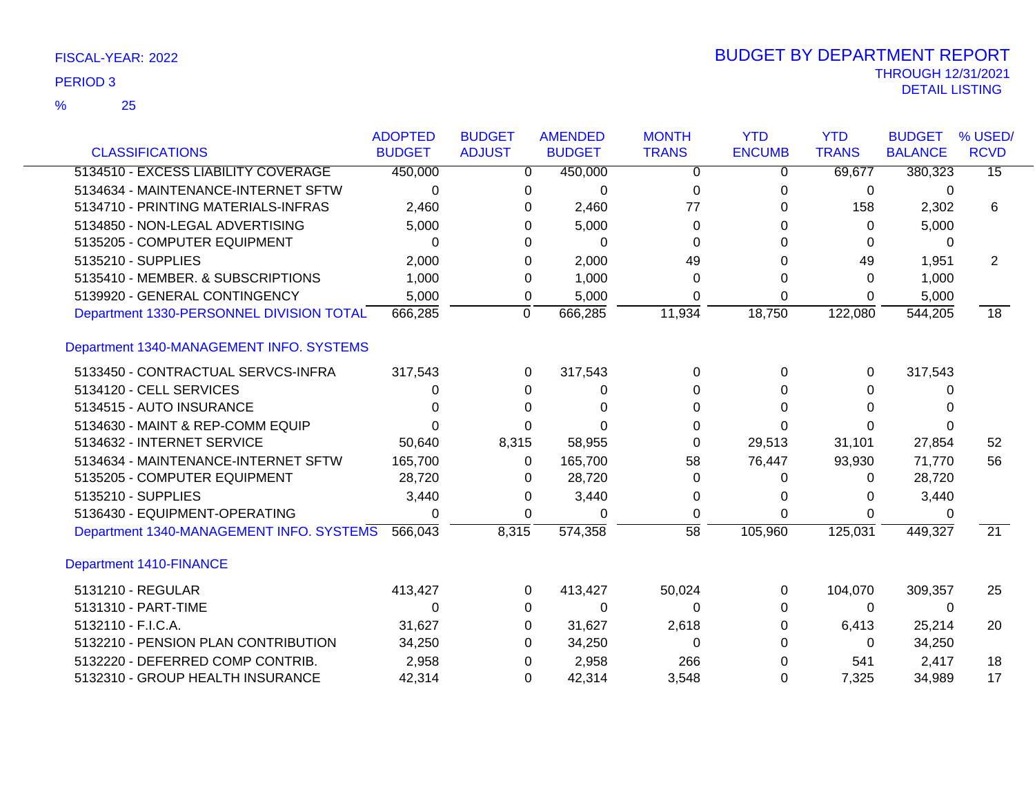|                                          | <b>ADOPTED</b> | <b>BUDGET</b>  | <b>AMENDED</b> | <b>MONTH</b>    | <b>YTD</b>    | <b>YTD</b>   | <b>BUDGET</b>  | % USED/         |
|------------------------------------------|----------------|----------------|----------------|-----------------|---------------|--------------|----------------|-----------------|
| <b>CLASSIFICATIONS</b>                   | <b>BUDGET</b>  | <b>ADJUST</b>  | <b>BUDGET</b>  | <b>TRANS</b>    | <b>ENCUMB</b> | <b>TRANS</b> | <b>BALANCE</b> | <b>RCVD</b>     |
| 5134510 - EXCESS LIABILITY COVERAGE      | 450,000        | $\Omega$       | 450,000        | $\Omega$        | $\Omega$      | 69,677       | 380,323        | $\overline{15}$ |
| 5134634 - MAINTENANCE-INTERNET SFTW      | $\Omega$       | 0              | 0              | $\Omega$        | $\Omega$      | 0            | $\Omega$       |                 |
| 5134710 - PRINTING MATERIALS-INFRAS      | 2,460          | 0              | 2,460          | 77              | 0             | 158          | 2,302          | 6               |
| 5134850 - NON-LEGAL ADVERTISING          | 5,000          | 0              | 5,000          | 0               | 0             | 0            | 5,000          |                 |
| 5135205 - COMPUTER EQUIPMENT             | 0              | 0              | $\Omega$       | 0               | 0             | 0            | 0              |                 |
| 5135210 - SUPPLIES                       | 2,000          | 0              | 2,000          | 49              | 0             | 49           | 1,951          | $\overline{2}$  |
| 5135410 - MEMBER. & SUBSCRIPTIONS        | 1,000          | 0              | 1,000          | $\Omega$        | $\Omega$      | $\Omega$     | 1,000          |                 |
| 5139920 - GENERAL CONTINGENCY            | 5,000          | 0              | 5,000          | 0               | $\Omega$      | $\Omega$     | 5,000          |                 |
| Department 1330-PERSONNEL DIVISION TOTAL | 666,285        | $\overline{0}$ | 666,285        | 11,934          | 18,750        | 122,080      | 544,205        | 18              |
| Department 1340-MANAGEMENT INFO. SYSTEMS |                |                |                |                 |               |              |                |                 |
| 5133450 - CONTRACTUAL SERVCS-INFRA       | 317,543        | 0              | 317,543        | $\Omega$        | $\Omega$      | 0            | 317,543        |                 |
| 5134120 - CELL SERVICES                  | 0              | 0              | 0              | 0               | 0             | 0            | 0              |                 |
| 5134515 - AUTO INSURANCE                 | ∩              | 0              | $\Omega$       | 0               | $\Omega$      | 0            |                |                 |
| 5134630 - MAINT & REP-COMM EQUIP         | ი              | 0              | O              | 0               | 0             | 0            |                |                 |
| 5134632 - INTERNET SERVICE               | 50,640         | 8,315          | 58,955         | $\Omega$        | 29,513        | 31,101       | 27,854         | 52              |
| 5134634 - MAINTENANCE-INTERNET SFTW      | 165,700        | 0              | 165,700        | 58              | 76,447        | 93,930       | 71,770         | 56              |
| 5135205 - COMPUTER EQUIPMENT             | 28,720         | 0              | 28,720         | $\Omega$        | 0             | $\mathbf{0}$ | 28,720         |                 |
| 5135210 - SUPPLIES                       | 3,440          | 0              | 3,440          | 0               | 0             | 0            | 3,440          |                 |
| 5136430 - EQUIPMENT-OPERATING            | 0              | 0              | 0              | 0               | $\Omega$      | 0            | 0              |                 |
| Department 1340-MANAGEMENT INFO. SYSTEMS | 566,043        | 8,315          | 574,358        | $\overline{58}$ | 105,960       | 125,031      | 449,327        | $\overline{21}$ |
| Department 1410-FINANCE                  |                |                |                |                 |               |              |                |                 |
| 5131210 - REGULAR                        | 413,427        | 0              | 413,427        | 50,024          | 0             | 104,070      | 309,357        | 25              |
| 5131310 - PART-TIME                      | $\Omega$       | 0              | $\Omega$       | 0               | 0             | $\mathbf{0}$ | $\Omega$       |                 |
| 5132110 - F.I.C.A.                       | 31,627         | $\Omega$       | 31,627         | 2,618           | 0             | 6,413        | 25,214         | 20              |
| 5132210 - PENSION PLAN CONTRIBUTION      | 34,250         | 0              | 34,250         | $\Omega$        | 0             | 0            | 34,250         |                 |
| 5132220 - DEFERRED COMP CONTRIB.         | 2,958          | 0              | 2,958          | 266             | 0             | 541          | 2,417          | 18              |
| 5132310 - GROUP HEALTH INSURANCE         | 42,314         | 0              | 42,314         | 3,548           | 0             | 7,325        | 34,989         | 17              |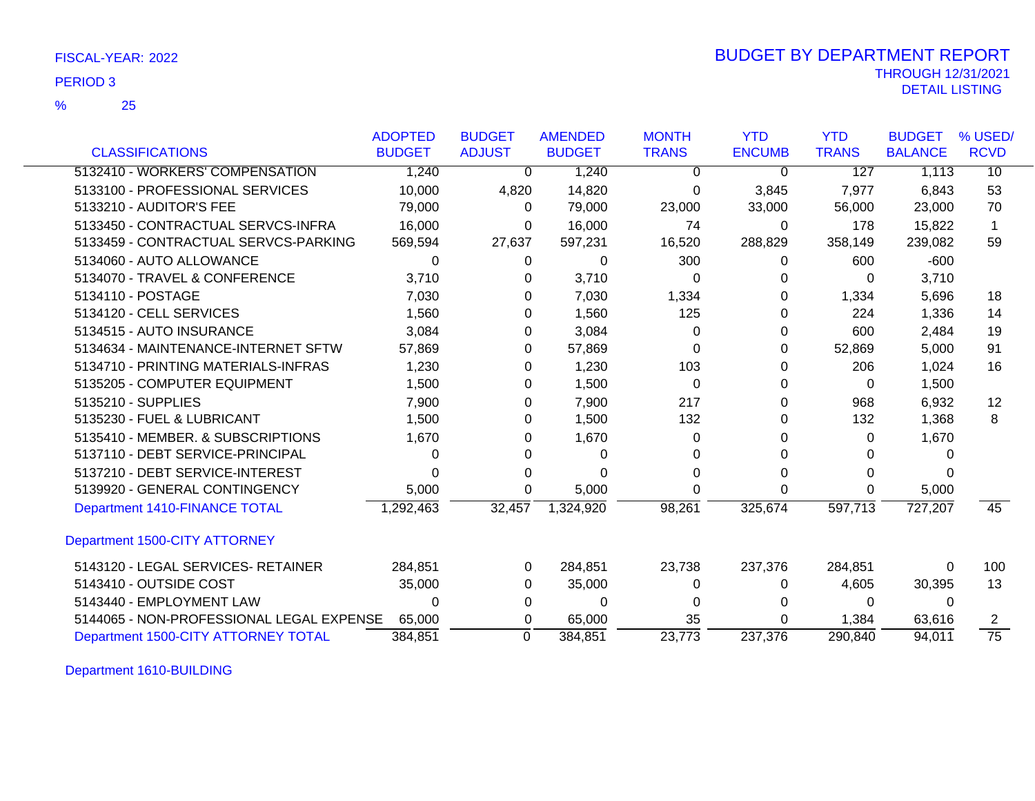|                                          | <b>ADOPTED</b> | <b>BUDGET</b> | <b>AMENDED</b> | <b>MONTH</b> | <b>YTD</b>    | <b>YTD</b>   | <b>BUDGET</b>  | % USED/         |
|------------------------------------------|----------------|---------------|----------------|--------------|---------------|--------------|----------------|-----------------|
| <b>CLASSIFICATIONS</b>                   | <b>BUDGET</b>  | <b>ADJUST</b> | <b>BUDGET</b>  | <b>TRANS</b> | <b>ENCUMB</b> | <b>TRANS</b> | <b>BALANCE</b> | <b>RCVD</b>     |
| 5132410 - WORKERS' COMPENSATION          | 1,240          | $\Omega$      | 1,240          | 0            | 0             | 127          | 1,113          | 10              |
| 5133100 - PROFESSIONAL SERVICES          | 10,000         | 4,820         | 14,820         | 0            | 3,845         | 7,977        | 6,843          | 53              |
| 5133210 - AUDITOR'S FEE                  | 79,000         | 0             | 79,000         | 23,000       | 33,000        | 56,000       | 23,000         | 70              |
| 5133450 - CONTRACTUAL SERVCS-INFRA       | 16,000         | 0             | 16,000         | 74           | 0             | 178          | 15,822         | 1               |
| 5133459 - CONTRACTUAL SERVCS-PARKING     | 569,594        | 27,637        | 597,231        | 16,520       | 288,829       | 358,149      | 239,082        | 59              |
| 5134060 - AUTO ALLOWANCE                 | 0              | 0             | 0              | 300          | 0             | 600          | $-600$         |                 |
| 5134070 - TRAVEL & CONFERENCE            | 3,710          | 0             | 3,710          | 0            | 0             | 0            | 3,710          |                 |
| 5134110 - POSTAGE                        | 7,030          | 0             | 7,030          | 1,334        | 0             | 1,334        | 5,696          | 18              |
| 5134120 - CELL SERVICES                  | 1,560          | 0             | 1,560          | 125          | 0             | 224          | 1,336          | 14              |
| 5134515 - AUTO INSURANCE                 | 3,084          | 0             | 3,084          | 0            | 0             | 600          | 2,484          | 19              |
| 5134634 - MAINTENANCE-INTERNET SFTW      | 57,869         | 0             | 57,869         | 0            | 0             | 52,869       | 5,000          | 91              |
| 5134710 - PRINTING MATERIALS-INFRAS      | 1,230          | 0             | 1,230          | 103          | 0             | 206          | 1,024          | 16              |
| 5135205 - COMPUTER EQUIPMENT             | 1,500          | 0             | 1,500          | 0            | 0             | 0            | 1,500          |                 |
| 5135210 - SUPPLIES                       | 7,900          | 0             | 7,900          | 217          | 0             | 968          | 6,932          | 12              |
| 5135230 - FUEL & LUBRICANT               | 1,500          | 0             | 1,500          | 132          | 0             | 132          | 1,368          | 8               |
| 5135410 - MEMBER, & SUBSCRIPTIONS        | 1,670          | 0             | 1,670          | 0            |               | 0            | 1,670          |                 |
| 5137110 - DEBT SERVICE-PRINCIPAL         | 0              | 0             | 0              | O            | 0             | 0            |                |                 |
| 5137210 - DEBT SERVICE-INTEREST          |                | 0             | 0              | 0            |               | 0            |                |                 |
| 5139920 - GENERAL CONTINGENCY            | 5,000          | 0             | 5,000          | 0            | 0             | 0            | 5,000          |                 |
| Department 1410-FINANCE TOTAL            | 1,292,463      | 32,457        | 1,324,920      | 98,261       | 325,674       | 597,713      | 727,207        | 45              |
| Department 1500-CITY ATTORNEY            |                |               |                |              |               |              |                |                 |
| 5143120 - LEGAL SERVICES- RETAINER       | 284,851        | 0             | 284,851        | 23,738       | 237,376       | 284,851      | 0              | 100             |
| 5143410 - OUTSIDE COST                   | 35,000         | 0             | 35,000         | 0            | 0             | 4,605        | 30,395         | 13              |
| 5143440 - EMPLOYMENT LAW                 | $\Omega$       | 0             | $\Omega$       | 0            | 0             | 0            | $\Omega$       |                 |
| 5144065 - NON-PROFESSIONAL LEGAL EXPENSE | 65,000         | 0             | 65,000         | 35           | 0             | 1,384        | 63,616         |                 |
| Department 1500-CITY ATTORNEY TOTAL      | 384,851        | $\Omega$      | 384,851        | 23.773       | 237,376       | 290,840      | 94,011         | $\overline{75}$ |

Department 1610-BUILDING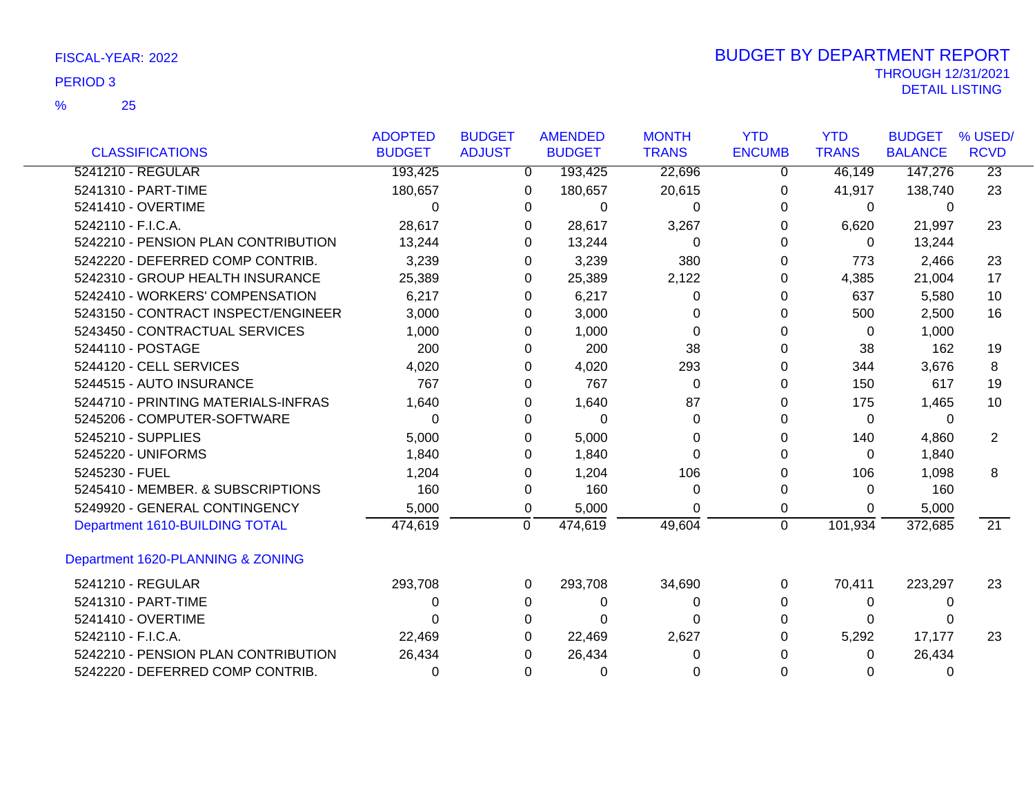|                                     | <b>ADOPTED</b> | <b>BUDGET</b> |                | <b>AMENDED</b> | <b>MONTH</b> | <b>YTD</b>    | <b>YTD</b>   | <b>BUDGET</b>  | % USED/         |
|-------------------------------------|----------------|---------------|----------------|----------------|--------------|---------------|--------------|----------------|-----------------|
| <b>CLASSIFICATIONS</b>              | <b>BUDGET</b>  | <b>ADJUST</b> |                | <b>BUDGET</b>  | <b>TRANS</b> | <b>ENCUMB</b> | <b>TRANS</b> | <b>BALANCE</b> | <b>RCVD</b>     |
| 5241210 - REGULAR                   | 193,425        |               | $\overline{0}$ | 193,425        | 22,696       | 0             | 46,149       | 147,276        | $\overline{23}$ |
| 5241310 - PART-TIME                 | 180,657        |               | 0              | 180,657        | 20,615       | 0             | 41,917       | 138,740        | 23              |
| 5241410 - OVERTIME                  | 0              |               | 0              | 0              | 0            | 0             | $\mathbf 0$  | $\Omega$       |                 |
| 5242110 - F.I.C.A.                  | 28,617         |               | 0              | 28,617         | 3,267        | 0             | 6,620        | 21,997         | 23              |
| 5242210 - PENSION PLAN CONTRIBUTION | 13,244         |               | 0              | 13,244         | 0            | 0             | $\mathbf{0}$ | 13,244         |                 |
| 5242220 - DEFERRED COMP CONTRIB.    | 3,239          |               | 0              | 3,239          | 380          | 0             | 773          | 2,466          | 23              |
| 5242310 - GROUP HEALTH INSURANCE    | 25,389         |               | 0              | 25,389         | 2,122        | 0             | 4,385        | 21,004         | 17              |
| 5242410 - WORKERS' COMPENSATION     | 6,217          |               | 0              | 6,217          | 0            | 0             | 637          | 5,580          | 10              |
| 5243150 - CONTRACT INSPECT/ENGINEER | 3,000          |               | 0              | 3,000          | 0            | 0             | 500          | 2,500          | 16              |
| 5243450 - CONTRACTUAL SERVICES      | 1,000          |               | 0              | 1,000          | 0            | 0             | $\Omega$     | 1,000          |                 |
| 5244110 - POSTAGE                   | 200            |               | 0              | 200            | 38           |               | 38           | 162            | 19              |
| 5244120 - CELL SERVICES             | 4,020          |               | 0              | 4,020          | 293          |               | 344          | 3,676          | 8               |
| 5244515 - AUTO INSURANCE            | 767            |               | $\Omega$       | 767            | 0            | 0             | 150          | 617            | 19              |
| 5244710 - PRINTING MATERIALS-INFRAS | 1,640          |               | 0              | 1,640          | 87           | 0             | 175          | 1,465          | 10              |
| 5245206 - COMPUTER-SOFTWARE         | 0              |               | 0              | $\Omega$       | 0            |               | 0            | 0              |                 |
| 5245210 - SUPPLIES                  | 5,000          |               | 0              | 5,000          | 0            |               | 140          | 4,860          | $\overline{2}$  |
| 5245220 - UNIFORMS                  | 1,840          |               | 0              | 1,840          | 0            | 0             | 0            | 1,840          |                 |
| 5245230 - FUEL                      | 1,204          |               | 0              | 1,204          | 106          | 0             | 106          | 1,098          | 8               |
| 5245410 - MEMBER. & SUBSCRIPTIONS   | 160            |               | 0              | 160            | 0            | 0             | 0            | 160            |                 |
| 5249920 - GENERAL CONTINGENCY       | 5,000          |               | 0              | 5,000          | U            | 0             | 0            | 5,000          |                 |
| Department 1610-BUILDING TOTAL      | 474,619        |               | 0              | 474,619        | 49,604       | $\mathbf 0$   | 101,934      | 372,685        | $\overline{21}$ |
| Department 1620-PLANNING & ZONING   |                |               |                |                |              |               |              |                |                 |
| 5241210 - REGULAR                   | 293,708        |               | 0              | 293,708        | 34,690       | 0             | 70,411       | 223,297        | 23              |
| 5241310 - PART-TIME                 | 0              |               | 0              | 0              | 0            | 0             | 0            | 0              |                 |
| 5241410 - OVERTIME                  | 0              |               | 0              | $\Omega$       | O            | ი             | 0            | 0              |                 |
| 5242110 - F.I.C.A.                  | 22,469         |               | 0              | 22,469         | 2,627        |               | 5,292        | 17,177         | 23              |
| 5242210 - PENSION PLAN CONTRIBUTION | 26,434         |               | 0              | 26,434         | 0            |               | 0            | 26,434         |                 |
| 5242220 - DEFERRED COMP CONTRIB.    | 0              |               | 0              | 0              |              | 0             | 0            | 0              |                 |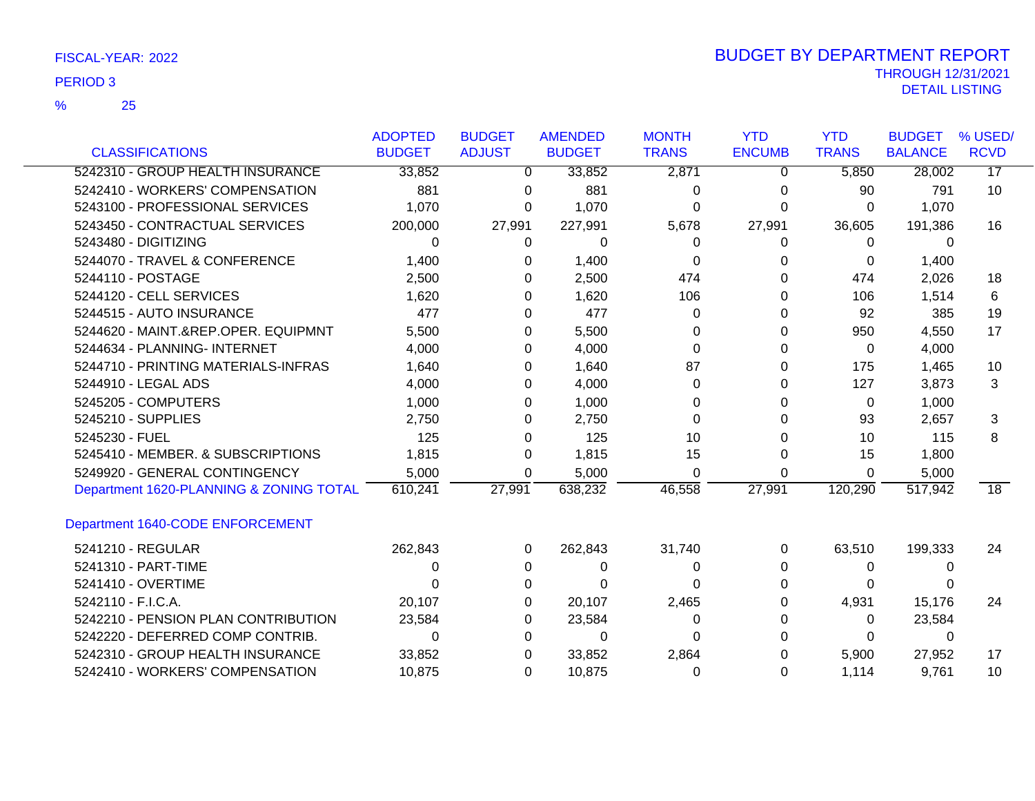|                                         | <b>ADOPTED</b> | <b>BUDGET</b> | <b>AMENDED</b> | <b>MONTH</b> | <b>YTD</b>    | <b>YTD</b>   | <b>BUDGET</b>  | % USED/     |
|-----------------------------------------|----------------|---------------|----------------|--------------|---------------|--------------|----------------|-------------|
| <b>CLASSIFICATIONS</b>                  | <b>BUDGET</b>  | <b>ADJUST</b> | <b>BUDGET</b>  | <b>TRANS</b> | <b>ENCUMB</b> | <b>TRANS</b> | <b>BALANCE</b> | <b>RCVD</b> |
| 5242310 - GROUP HEALTH INSURANCE        | 33,852         | 0             | 33,852         | 2,871        | 0             | 5,850        | 28,002         | 17          |
| 5242410 - WORKERS' COMPENSATION         | 881            | 0             | 881            | 0            | 0             | 90           | 791            | 10          |
| 5243100 - PROFESSIONAL SERVICES         | 1,070          | 0             | 1,070          | 0            | 0             | 0            | 1,070          |             |
| 5243450 - CONTRACTUAL SERVICES          | 200,000        | 27,991        | 227,991        | 5,678        | 27,991        | 36,605       | 191,386        | 16          |
| 5243480 - DIGITIZING                    | 0              | 0             | 0              | 0            | 0             | 0            | 0              |             |
| 5244070 - TRAVEL & CONFERENCE           | 1,400          | 0             | 1,400          | 0            | 0             | 0            | 1,400          |             |
| 5244110 - POSTAGE                       | 2,500          | 0             | 2,500          | 474          | 0             | 474          | 2,026          | 18          |
| 5244120 - CELL SERVICES                 | 1,620          | 0             | 1,620          | 106          | 0             | 106          | 1,514          | 6           |
| 5244515 - AUTO INSURANCE                | 477            | 0             | 477            | 0            | 0             | 92           | 385            | 19          |
| 5244620 - MAINT.&REP.OPER. EQUIPMNT     | 5,500          | 0             | 5,500          | 0            | 0             | 950          | 4,550          | 17          |
| 5244634 - PLANNING- INTERNET            | 4,000          | 0             | 4,000          | 0            | 0             | 0            | 4,000          |             |
| 5244710 - PRINTING MATERIALS-INFRAS     | 1,640          | 0             | 1,640          | 87           | 0             | 175          | 1,465          | 10          |
| 5244910 - LEGAL ADS                     | 4,000          | 0             | 4,000          | 0            | 0             | 127          | 3,873          | 3           |
| 5245205 - COMPUTERS                     | 1,000          | 0             | 1,000          | 0            | 0             | 0            | 1,000          |             |
| 5245210 - SUPPLIES                      | 2,750          | 0             | 2,750          | O            | U             | 93           | 2,657          | 3           |
| 5245230 - FUEL                          | 125            | 0             | 125            | 10           |               | 10           | 115            | 8           |
| 5245410 - MEMBER, & SUBSCRIPTIONS       | 1,815          | 0             | 1,815          | 15           | 0             | 15           | 1,800          |             |
| 5249920 - GENERAL CONTINGENCY           | 5,000          | 0             | 5,000          | $\Omega$     | $\Omega$      | 0            | 5,000          |             |
| Department 1620-PLANNING & ZONING TOTAL | 610,241        | 27,991        | 638,232        | 46,558       | 27,991        | 120,290      | 517,942        | 18          |
| Department 1640-CODE ENFORCEMENT        |                |               |                |              |               |              |                |             |
| 5241210 - REGULAR                       | 262,843        | 0             | 262,843        | 31,740       | 0             | 63,510       | 199,333        | 24          |
| 5241310 - PART-TIME                     | 0              | 0             | 0              | 0            | 0             | 0            | $\Omega$       |             |
| 5241410 - OVERTIME                      | 0              | 0             | 0              | 0            |               | 0            |                |             |
| 5242110 - F.I.C.A.                      | 20,107         | 0             | 20,107         | 2,465        |               | 4,931        | 15,176         | 24          |
| 5242210 - PENSION PLAN CONTRIBUTION     | 23,584         | 0             | 23,584         | 0            | 0             | 0            | 23,584         |             |
| 5242220 - DEFERRED COMP CONTRIB.        | 0              | 0             | 0              | 0            |               | 0            | 0              |             |
| 5242310 - GROUP HEALTH INSURANCE        | 33,852         | 0             | 33,852         | 2,864        |               | 5,900        | 27,952         | 17          |
| 5242410 - WORKERS' COMPENSATION         | 10,875         | $\Omega$      | 10,875         | 0            | 0             | 1,114        | 9,761          | 10          |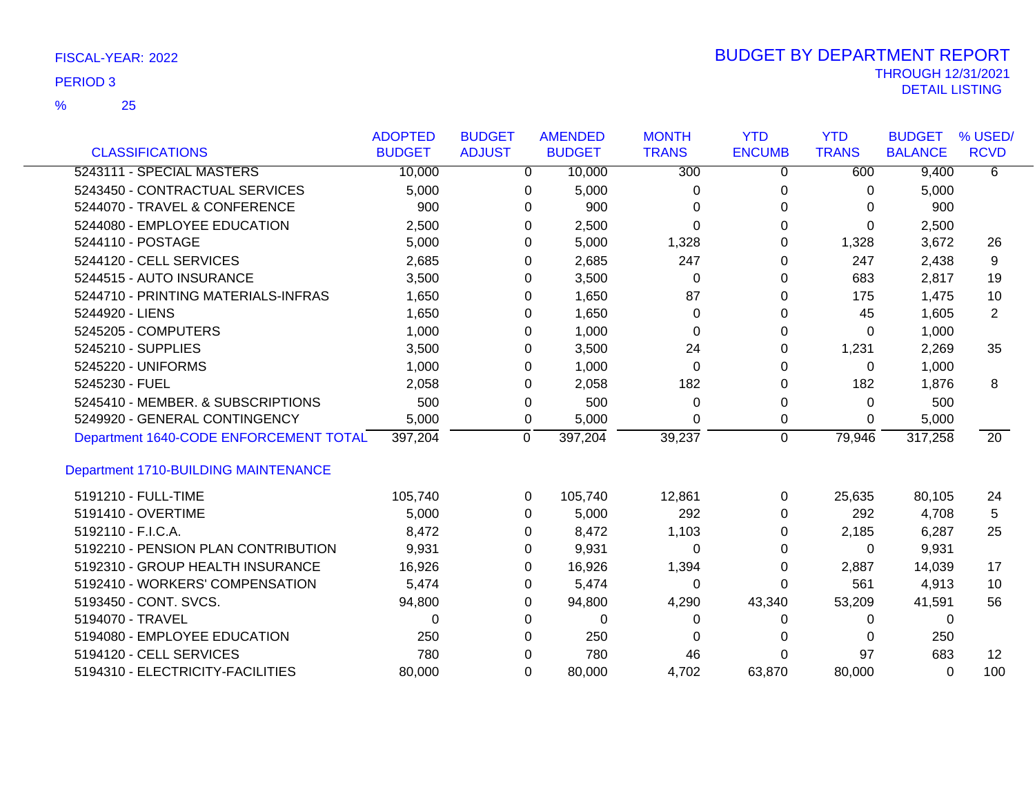|                                             | <b>ADOPTED</b> | <b>BUDGET</b> |                | <b>AMENDED</b> | <b>MONTH</b> | <b>YTD</b>     | <b>YTD</b>   | <b>BUDGET</b>  | % USED/           |
|---------------------------------------------|----------------|---------------|----------------|----------------|--------------|----------------|--------------|----------------|-------------------|
| <b>CLASSIFICATIONS</b>                      | <b>BUDGET</b>  | <b>ADJUST</b> |                | <b>BUDGET</b>  | <b>TRANS</b> | <b>ENCUMB</b>  | <b>TRANS</b> | <b>BALANCE</b> | <b>RCVD</b>       |
| 5243111 - SPECIAL MASTERS                   | 10,000         |               | 0              | 10,000         | 300          | 0              | 600          | 9,400          | 6                 |
| 5243450 - CONTRACTUAL SERVICES              | 5,000          |               | 0              | 5,000          | 0            | $\Omega$       | 0            | 5,000          |                   |
| 5244070 - TRAVEL & CONFERENCE               | 900            |               | 0              | 900            | $\Omega$     | $\Omega$       | 0            | 900            |                   |
| 5244080 - EMPLOYEE EDUCATION                | 2,500          |               | 0              | 2,500          | $\Omega$     | 0              | 0            | 2,500          |                   |
| 5244110 - POSTAGE                           | 5,000          |               | 0              | 5,000          | 1,328        | 0              | 1,328        | 3,672          | 26                |
| 5244120 - CELL SERVICES                     | 2,685          |               | 0              | 2,685          | 247          | 0              | 247          | 2,438          | 9                 |
| 5244515 - AUTO INSURANCE                    | 3,500          |               | 0              | 3,500          | 0            | 0              | 683          | 2,817          | 19                |
| 5244710 - PRINTING MATERIALS-INFRAS         | 1,650          |               | 0              | 1,650          | 87           | $\Omega$       | 175          | 1,475          | 10                |
| 5244920 - LIENS                             | 1,650          |               | 0              | 1,650          | 0            | 0              | 45           | 1,605          | $\overline{2}$    |
| 5245205 - COMPUTERS                         | 1,000          |               | 0              | 1,000          | $\Omega$     | 0              | $\mathbf 0$  | 1,000          |                   |
| 5245210 - SUPPLIES                          | 3,500          |               | 0              | 3,500          | 24           | 0              | 1,231        | 2,269          | 35                |
| 5245220 - UNIFORMS                          | 1,000          |               | 0              | 1,000          | $\Omega$     | 0              | 0            | 1,000          |                   |
| 5245230 - FUEL                              | 2,058          |               | 0              | 2,058          | 182          | 0              | 182          | 1,876          | 8                 |
| 5245410 - MEMBER. & SUBSCRIPTIONS           | 500            |               | 0              | 500            | 0            | 0              | $\Omega$     | 500            |                   |
| 5249920 - GENERAL CONTINGENCY               | 5,000          |               | 0              | 5,000          | $\Omega$     | 0              | $\Omega$     | 5,000          |                   |
| Department 1640-CODE ENFORCEMENT TOTAL      | 397,204        |               | $\overline{0}$ | 397,204        | 39,237       | $\overline{0}$ | 79,946       | 317,258        | $\overline{20}$   |
| <b>Department 1710-BUILDING MAINTENANCE</b> |                |               |                |                |              |                |              |                |                   |
| 5191210 - FULL-TIME                         | 105,740        |               | 0              | 105,740        | 12,861       | $\mathbf 0$    | 25,635       | 80,105         | 24                |
| 5191410 - OVERTIME                          | 5,000          |               | 0              | 5,000          | 292          | $\Omega$       | 292          | 4,708          | 5                 |
| 5192110 - F.I.C.A.                          | 8,472          |               | 0              | 8,472          | 1,103        | $\Omega$       | 2,185        | 6,287          | 25                |
| 5192210 - PENSION PLAN CONTRIBUTION         | 9,931          |               | 0              | 9,931          | 0            | 0              | 0            | 9,931          |                   |
| 5192310 - GROUP HEALTH INSURANCE            | 16,926         |               | 0              | 16,926         | 1,394        | $\Omega$       | 2,887        | 14,039         | 17                |
| 5192410 - WORKERS' COMPENSATION             | 5,474          |               | 0              | 5,474          | 0            | 0              | 561          | 4,913          | 10                |
| 5193450 - CONT. SVCS.                       | 94,800         |               | 0              | 94,800         | 4,290        | 43,340         | 53,209       | 41,591         | 56                |
| 5194070 - TRAVEL                            | $\Omega$       |               | 0              | 0              | 0            | 0              | 0            | 0              |                   |
| 5194080 - EMPLOYEE EDUCATION                | 250            |               | 0              | 250            | 0            | 0              | 0            | 250            |                   |
| 5194120 - CELL SERVICES                     | 780            |               | 0              | 780            | 46           | 0              | 97           | 683            | $12 \overline{ }$ |
| 5194310 - ELECTRICITY-FACILITIES            | 80,000         |               | $\Omega$       | 80,000         | 4,702        | 63,870         | 80,000       | $\Omega$       | 100               |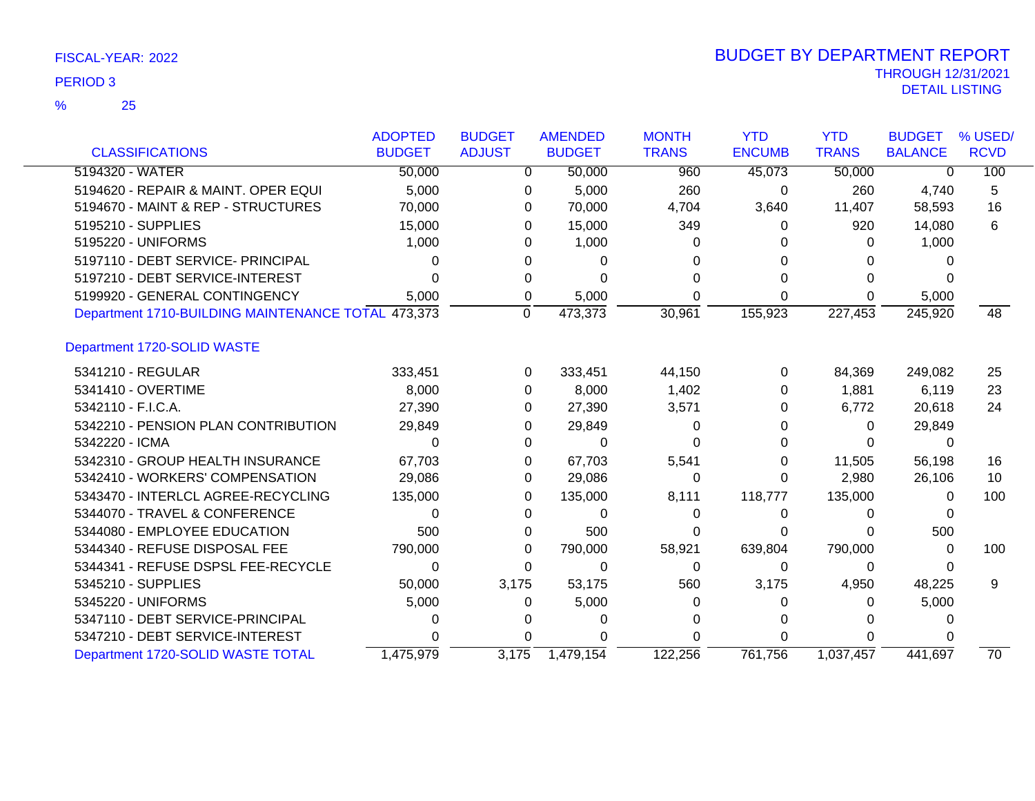|                                                    | <b>ADOPTED</b> | <b>BUDGET</b> | <b>AMENDED</b> | <b>MONTH</b> | <b>YTD</b>    | <b>YTD</b>   | <b>BUDGET</b>  | % USED/         |
|----------------------------------------------------|----------------|---------------|----------------|--------------|---------------|--------------|----------------|-----------------|
| <b>CLASSIFICATIONS</b>                             | <b>BUDGET</b>  | <b>ADJUST</b> | <b>BUDGET</b>  | <b>TRANS</b> | <b>ENCUMB</b> | <b>TRANS</b> | <b>BALANCE</b> | <b>RCVD</b>     |
| 5194320 - WATER                                    | 50,000         | $\Omega$      | 50,000         | 960          | 45,073        | 50,000       | 0              | 100             |
| 5194620 - REPAIR & MAINT. OPER EQUI                | 5,000          | 0             | 5,000          | 260          | $\Omega$      | 260          | 4,740          | 5               |
| 5194670 - MAINT & REP - STRUCTURES                 | 70,000         | 0             | 70,000         | 4.704        | 3,640         | 11,407       | 58,593         | 16              |
| 5195210 - SUPPLIES                                 | 15,000         | 0             | 15,000         | 349          | $\Omega$      | 920          | 14,080         | 6               |
| 5195220 - UNIFORMS                                 | 1,000          |               | 1,000          |              |               | O            | 1,000          |                 |
| 5197110 - DEBT SERVICE- PRINCIPAL                  | 0              |               | 0              |              |               |              |                |                 |
| 5197210 - DEBT SERVICE-INTEREST                    |                |               |                |              |               |              |                |                 |
| 5199920 - GENERAL CONTINGENCY                      | 5,000          | 0             | 5,000          | ∩            | 0             | 0            | 5,000          |                 |
| Department 1710-BUILDING MAINTENANCE TOTAL 473,373 |                | $\mathbf 0$   | 473,373        | 30,961       | 155,923       | 227,453      | 245,920        | 48              |
| Department 1720-SOLID WASTE                        |                |               |                |              |               |              |                |                 |
| 5341210 - REGULAR                                  | 333,451        | 0             | 333,451        | 44,150       | 0             | 84,369       | 249,082        | 25              |
| 5341410 - OVERTIME                                 | 8,000          | 0             | 8,000          | 1,402        | O             | 1,881        | 6,119          | 23              |
| 5342110 - F.I.C.A.                                 | 27,390         | 0             | 27,390         | 3,571        |               | 6,772        | 20,618         | 24              |
| 5342210 - PENSION PLAN CONTRIBUTION                | 29,849         | 0             | 29,849         | O            |               | 0            | 29,849         |                 |
| 5342220 - ICMA                                     | 0              |               | 0              |              |               | 0            | 0              |                 |
| 5342310 - GROUP HEALTH INSURANCE                   | 67,703         | 0             | 67,703         | 5,541        |               | 11,505       | 56,198         | 16              |
| 5342410 - WORKERS' COMPENSATION                    | 29,086         | 0             | 29,086         | 0            |               | 2,980        | 26,106         | 10              |
| 5343470 - INTERLCL AGREE-RECYCLING                 | 135,000        | O             | 135,000        | 8,111        | 118,777       | 135,000      | $\Omega$       | 100             |
| 5344070 - TRAVEL & CONFERENCE                      | 0              |               | 0              | O            | $\Omega$      |              |                |                 |
| 5344080 - EMPLOYEE EDUCATION                       | 500            | 0             | 500            | O            |               |              | 500            |                 |
| 5344340 - REFUSE DISPOSAL FEE                      | 790,000        | 0             | 790,000        | 58,921       | 639,804       | 790,000      | 0              | 100             |
| 5344341 - REFUSE DSPSL FEE-RECYCLE                 | $\Omega$       | 0             | 0              | 0            | 0             | 0            |                |                 |
| 5345210 - SUPPLIES                                 | 50,000         | 3,175         | 53,175         | 560          | 3,175         | 4,950        | 48,225         | 9               |
| 5345220 - UNIFORMS                                 | 5,000          | 0             | 5,000          |              | O             | 0            | 5,000          |                 |
| 5347110 - DEBT SERVICE-PRINCIPAL                   |                |               |                |              |               |              |                |                 |
| 5347210 - DEBT SERVICE-INTEREST                    |                |               |                |              |               |              |                |                 |
| Department 1720-SOLID WASTE TOTAL                  | 1,475,979      | 3,175         | 1,479,154      | 122,256      | 761.756       | 1.037.457    | 441.697        | $\overline{70}$ |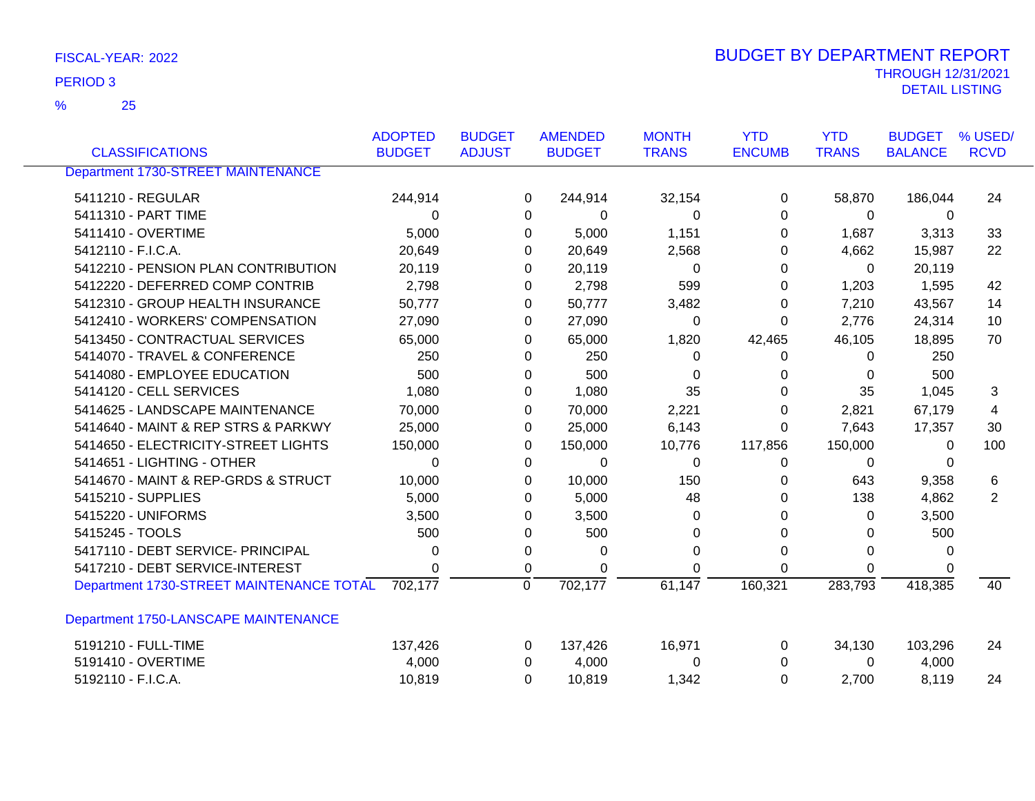25 %

| <b>CLASSIFICATIONS</b>                    | <b>ADOPTED</b><br><b>BUDGET</b> | <b>BUDGET</b><br><b>ADJUST</b> |                | <b>AMENDED</b><br><b>BUDGET</b> | <b>MONTH</b><br><b>TRANS</b> | <b>YTD</b><br><b>ENCUMB</b> | <b>YTD</b><br><b>TRANS</b> | <b>BUDGET</b><br><b>BALANCE</b> | % USED/<br><b>RCVD</b> |
|-------------------------------------------|---------------------------------|--------------------------------|----------------|---------------------------------|------------------------------|-----------------------------|----------------------------|---------------------------------|------------------------|
| <b>Department 1730-STREET MAINTENANCE</b> |                                 |                                |                |                                 |                              |                             |                            |                                 |                        |
|                                           |                                 |                                |                |                                 |                              |                             |                            |                                 |                        |
| 5411210 - REGULAR                         | 244,914                         |                                | 0              | 244,914                         | 32,154                       | 0                           | 58,870                     | 186,044                         | 24                     |
| 5411310 - PART TIME                       | 0                               |                                | 0              | 0                               | 0                            | $\Omega$                    | $\mathbf 0$                | 0                               |                        |
| 5411410 - OVERTIME                        | 5,000                           |                                | 0              | 5,000                           | 1,151                        | 0                           | 1,687                      | 3,313                           | 33                     |
| 5412110 - F.I.C.A.                        | 20,649                          |                                | 0              | 20,649                          | 2,568                        | 0                           | 4,662                      | 15,987                          | 22                     |
| 5412210 - PENSION PLAN CONTRIBUTION       | 20,119                          |                                | 0              | 20,119                          | 0                            | 0                           | $\mathbf 0$                | 20,119                          |                        |
| 5412220 - DEFERRED COMP CONTRIB           | 2,798                           |                                | 0              | 2,798                           | 599                          | 0                           | 1,203                      | 1,595                           | 42                     |
| 5412310 - GROUP HEALTH INSURANCE          | 50,777                          |                                | 0              | 50,777                          | 3,482                        | 0                           | 7,210                      | 43,567                          | 14                     |
| 5412410 - WORKERS' COMPENSATION           | 27,090                          |                                | 0              | 27,090                          | 0                            | $\mathbf 0$                 | 2,776                      | 24,314                          | 10                     |
| 5413450 - CONTRACTUAL SERVICES            | 65,000                          |                                | 0              | 65,000                          | 1,820                        | 42,465                      | 46,105                     | 18,895                          | 70                     |
| 5414070 - TRAVEL & CONFERENCE             | 250                             |                                | 0              | 250                             | 0                            | 0                           | 0                          | 250                             |                        |
| 5414080 - EMPLOYEE EDUCATION              | 500                             |                                | 0              | 500                             | 0                            | 0                           | $\Omega$                   | 500                             |                        |
| 5414120 - CELL SERVICES                   | 1,080                           |                                | 0              | 1,080                           | 35                           | 0                           | 35                         | 1,045                           | 3                      |
| 5414625 - LANDSCAPE MAINTENANCE           | 70,000                          |                                | 0              | 70,000                          | 2,221                        | 0                           | 2,821                      | 67,179                          | 4                      |
| 5414640 - MAINT & REP STRS & PARKWY       | 25,000                          |                                | 0              | 25,000                          | 6,143                        | $\Omega$                    | 7,643                      | 17,357                          | 30                     |
| 5414650 - ELECTRICITY-STREET LIGHTS       | 150,000                         |                                | 0              | 150,000                         | 10,776                       | 117,856                     | 150,000                    | $\Omega$                        | 100                    |
| 5414651 - LIGHTING - OTHER                | 0                               |                                | 0              | $\Omega$                        | 0                            | 0                           | 0                          | $\Omega$                        |                        |
| 5414670 - MAINT & REP-GRDS & STRUCT       | 10,000                          |                                | 0              | 10,000                          | 150                          | 0                           | 643                        | 9,358                           | 6                      |
| 5415210 - SUPPLIES                        | 5,000                           |                                | 0              | 5,000                           | 48                           | 0                           | 138                        | 4,862                           | 2                      |
| 5415220 - UNIFORMS                        | 3,500                           |                                | 0              | 3,500                           | 0                            | $\Omega$                    | 0                          | 3,500                           |                        |
| 5415245 - TOOLS                           | 500                             |                                | 0              | 500                             | 0                            | 0                           | 0                          | 500                             |                        |
| 5417110 - DEBT SERVICE- PRINCIPAL         | 0                               |                                | 0              | 0                               | 0                            | 0                           | $\Omega$                   | 0                               |                        |
| 5417210 - DEBT SERVICE-INTEREST           | 0                               |                                | 0              | 0                               | 0                            | $\Omega$                    | $\Omega$                   | 0                               |                        |
| Department 1730-STREET MAINTENANCE TOTAL  | 702,177                         |                                | $\overline{0}$ | 702,177                         | 61,147                       | 160,321                     | 283,793                    | 418,385                         | 40                     |
| Department 1750-LANSCAPE MAINTENANCE      |                                 |                                |                |                                 |                              |                             |                            |                                 |                        |
| 5191210 - FULL-TIME                       | 137,426                         |                                | 0              | 137,426                         | 16,971                       | 0                           | 34,130                     | 103,296                         | 24                     |
| 5191410 - OVERTIME                        | 4,000                           |                                | 0              | 4,000                           | 0                            | 0                           | $\Omega$                   | 4,000                           |                        |
| 5192110 - F.I.C.A.                        | 10,819                          |                                | $\Omega$       | 10,819                          | 1,342                        | $\Omega$                    | 2,700                      | 8,119                           | 24                     |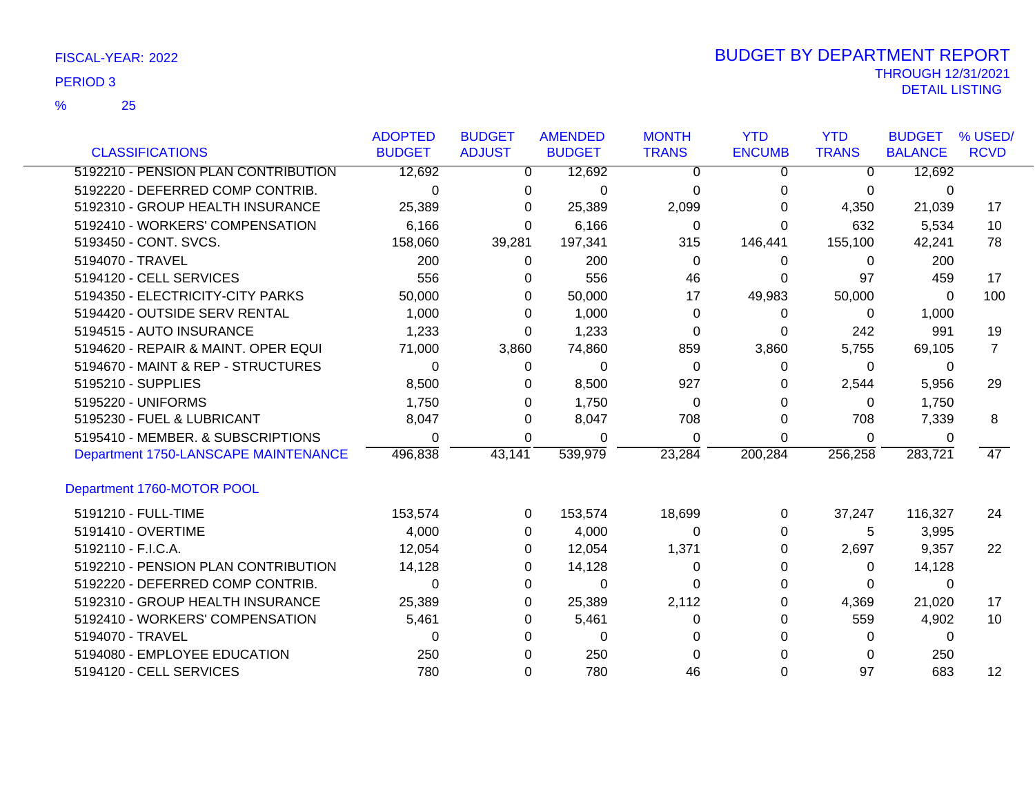25 %

|                                      | <b>ADOPTED</b> | <b>BUDGET</b> | <b>AMENDED</b> | <b>MONTH</b> | <b>YTD</b>    | <b>YTD</b>   | <b>BUDGET</b>  | % USED/     |
|--------------------------------------|----------------|---------------|----------------|--------------|---------------|--------------|----------------|-------------|
| <b>CLASSIFICATIONS</b>               | <b>BUDGET</b>  | <b>ADJUST</b> | <b>BUDGET</b>  | <b>TRANS</b> | <b>ENCUMB</b> | <b>TRANS</b> | <b>BALANCE</b> | <b>RCVD</b> |
| 5192210 - PENSION PLAN CONTRIBUTION  | 12,692         | 0             | 12,692         | 0            | 0             | 0            | 12,692         |             |
| 5192220 - DEFERRED COMP CONTRIB.     | $\Omega$       | $\Omega$      | $\Omega$       | 0            | 0             | 0            | 0              |             |
| 5192310 - GROUP HEALTH INSURANCE     | 25,389         | 0             | 25,389         | 2,099        | 0             | 4,350        | 21,039         | 17          |
| 5192410 - WORKERS' COMPENSATION      | 6,166          | $\Omega$      | 6,166          | 0            | 0             | 632          | 5,534          | 10          |
| 5193450 - CONT. SVCS.                | 158,060        | 39,281        | 197,341        | 315          | 146,441       | 155,100      | 42,241         | 78          |
| 5194070 - TRAVEL                     | 200            | 0             | 200            | $\mathbf{0}$ | 0             | 0            | 200            |             |
| 5194120 - CELL SERVICES              | 556            | 0             | 556            | 46           | 0             | 97           | 459            | 17          |
| 5194350 - ELECTRICITY-CITY PARKS     | 50,000         | $\Omega$      | 50,000         | 17           | 49,983        | 50,000       | 0              | 100         |
| 5194420 - OUTSIDE SERV RENTAL        | 1,000          | 0             | 1,000          | 0            | 0             | 0            | 1,000          |             |
| 5194515 - AUTO INSURANCE             | 1,233          | $\Omega$      | 1,233          | 0            | 0             | 242          | 991            | 19          |
| 5194620 - REPAIR & MAINT. OPER EQUI  | 71,000         | 3,860         | 74,860         | 859          | 3,860         | 5,755        | 69,105         | 7           |
| 5194670 - MAINT & REP - STRUCTURES   | 0              | $\Omega$      | $\Omega$       | 0            | 0             | $\Omega$     | 0              |             |
| 5195210 - SUPPLIES                   | 8,500          | 0             | 8,500          | 927          | 0             | 2,544        | 5,956          | 29          |
| 5195220 - UNIFORMS                   | 1,750          | 0             | 1,750          | 0            | 0             | 0            | 1,750          |             |
| 5195230 - FUEL & LUBRICANT           | 8,047          | 0             | 8,047          | 708          | 0             | 708          | 7,339          | 8           |
| 5195410 - MEMBER. & SUBSCRIPTIONS    | 0              | 0             | 0              | 0            | 0             | 0            | 0              |             |
| Department 1750-LANSCAPE MAINTENANCE | 496,838        | 43,141        | 539,979        | 23,284       | 200,284       | 256,258      | 283,721        | 47          |
| Department 1760-MOTOR POOL           |                |               |                |              |               |              |                |             |
| 5191210 - FULL-TIME                  | 153,574        | 0             | 153,574        | 18,699       | 0             | 37,247       | 116,327        | 24          |
| 5191410 - OVERTIME                   | 4,000          | 0             | 4,000          | 0            | 0             | 5            | 3,995          |             |
| 5192110 - F.I.C.A.                   | 12,054         | 0             | 12,054         | 1,371        | 0             | 2,697        | 9,357          | 22          |
| 5192210 - PENSION PLAN CONTRIBUTION  | 14,128         | 0             | 14,128         | 0            | 0             | 0            | 14,128         |             |
| 5192220 - DEFERRED COMP CONTRIB.     | 0              | 0             | 0              | 0            | 0             | 0            | 0              |             |
| 5192310 - GROUP HEALTH INSURANCE     | 25,389         | 0             | 25,389         | 2,112        | 0             | 4,369        | 21,020         | 17          |
| 5192410 - WORKERS' COMPENSATION      | 5,461          | 0             | 5,461          | 0            | 0             | 559          | 4,902          | 10          |
| 5194070 - TRAVEL                     | 0              | 0             | 0              | 0            | 0             | 0            | 0              |             |
| 5194080 - EMPLOYEE EDUCATION         | 250            | 0             | 250            | 0            |               | 0            | 250            |             |
| 5194120 - CELL SERVICES              | 780            | 0             | 780            | 46           | $\Omega$      | 97           | 683            | 12          |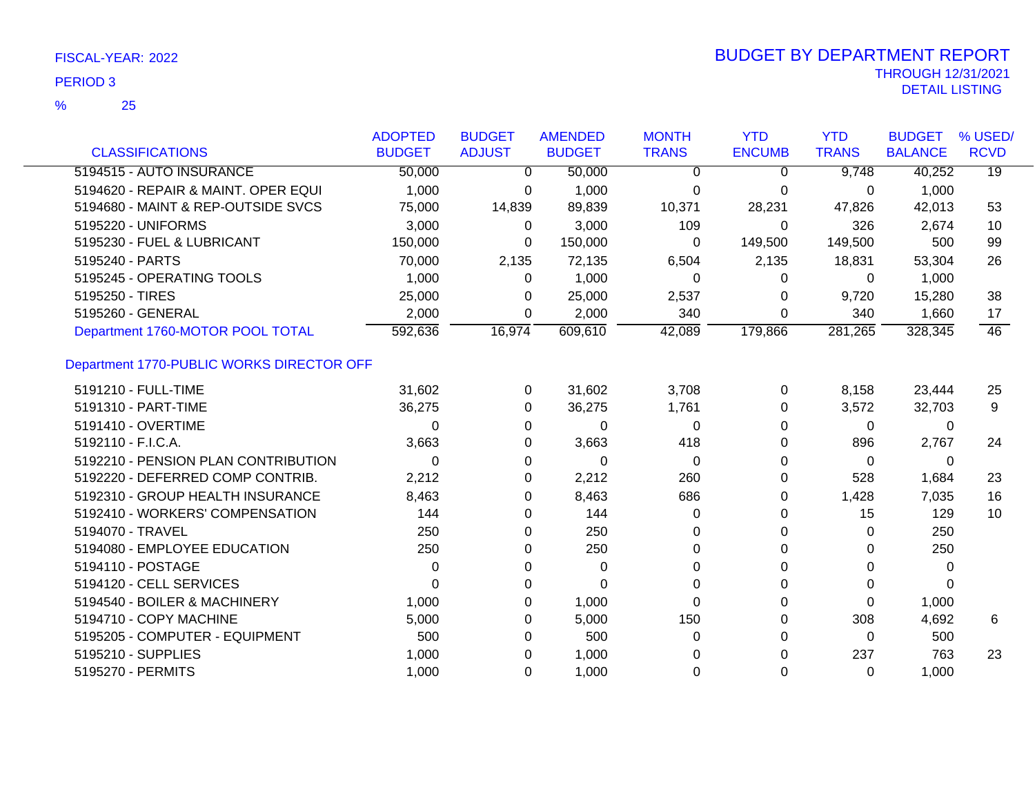|                                           | <b>ADOPTED</b> | <b>BUDGET</b> | <b>AMENDED</b> | <b>MONTH</b> | <b>YTD</b>    | <b>YTD</b>   | <b>BUDGET</b>  | % USED/         |
|-------------------------------------------|----------------|---------------|----------------|--------------|---------------|--------------|----------------|-----------------|
| <b>CLASSIFICATIONS</b>                    | <b>BUDGET</b>  | <b>ADJUST</b> | <b>BUDGET</b>  | <b>TRANS</b> | <b>ENCUMB</b> | <b>TRANS</b> | <b>BALANCE</b> | <b>RCVD</b>     |
| 5194515 - AUTO INSURANCE                  | 50,000         | $\mathbf 0$   | 50,000         | 0            | 0             | 9,748        | 40,252         | $\overline{19}$ |
| 5194620 - REPAIR & MAINT. OPER EQUI       | 1,000          | 0             | 1,000          | 0            | 0             | 0            | 1,000          |                 |
| 5194680 - MAINT & REP-OUTSIDE SVCS        | 75,000         | 14,839        | 89,839         | 10,371       | 28,231        | 47,826       | 42,013         | 53              |
| 5195220 - UNIFORMS                        | 3,000          | $\Omega$      | 3,000          | 109          | 0             | 326          | 2,674          | 10              |
| 5195230 - FUEL & LUBRICANT                | 150,000        | 0             | 150,000        | 0            | 149,500       | 149,500      | 500            | 99              |
| 5195240 - PARTS                           | 70,000         | 2,135         | 72,135         | 6,504        | 2,135         | 18,831       | 53,304         | 26              |
| 5195245 - OPERATING TOOLS                 | 1,000          | $\Omega$      | 1,000          | 0            | 0             | 0            | 1,000          |                 |
| 5195250 - TIRES                           | 25,000         | 0             | 25,000         | 2,537        | 0             | 9,720        | 15,280         | 38              |
| 5195260 - GENERAL                         | 2,000          | $\Omega$      | 2,000          | 340          | 0             | 340          | 1,660          | 17              |
| Department 1760-MOTOR POOL TOTAL          | 592,636        | 16,974        | 609,610        | 42,089       | 179,866       | 281,265      | 328,345        | $\overline{46}$ |
| Department 1770-PUBLIC WORKS DIRECTOR OFF |                |               |                |              |               |              |                |                 |
| 5191210 - FULL-TIME                       | 31,602         | 0             | 31,602         | 3,708        | 0             | 8,158        | 23,444         | 25              |
| 5191310 - PART-TIME                       | 36,275         | 0             | 36,275         | 1,761        | 0             | 3,572        | 32,703         | 9               |
| 5191410 - OVERTIME                        | 0              | 0             | $\Omega$       | 0            | 0             | 0            | 0              |                 |
| 5192110 - F.I.C.A.                        | 3,663          | 0             | 3,663          | 418          | 0             | 896          | 2,767          | 24              |
| 5192210 - PENSION PLAN CONTRIBUTION       | $\Omega$       | 0             | $\Omega$       | $\Omega$     | 0             | $\Omega$     | 0              |                 |
| 5192220 - DEFERRED COMP CONTRIB.          | 2,212          | 0             | 2,212          | 260          | 0             | 528          | 1,684          | 23              |
| 5192310 - GROUP HEALTH INSURANCE          | 8,463          | 0             | 8,463          | 686          | 0             | 1,428        | 7,035          | 16              |
| 5192410 - WORKERS' COMPENSATION           | 144            | 0             | 144            | 0            | 0             | 15           | 129            | 10              |
| 5194070 - TRAVEL                          | 250            | 0             | 250            | 0            | 0             | 0            | 250            |                 |
| 5194080 - EMPLOYEE EDUCATION              | 250            | 0             | 250            | $\Omega$     | 0             | 0            | 250            |                 |
| 5194110 - POSTAGE                         | 0              | 0             | 0              | $\Omega$     | 0             | 0            | 0              |                 |
| 5194120 - CELL SERVICES                   | 0              | 0             | $\Omega$       | 0            |               | 0            | 0              |                 |
| 5194540 - BOILER & MACHINERY              | 1,000          | 0             | 1,000          | 0            | 0             | 0            | 1,000          |                 |
| 5194710 - COPY MACHINE                    | 5,000          | 0             | 5,000          | 150          | 0             | 308          | 4,692          | 6               |
| 5195205 - COMPUTER - EQUIPMENT            | 500            | 0             | 500            | 0            | 0             | $\Omega$     | 500            |                 |
| 5195210 - SUPPLIES                        | 1,000          | 0             | 1,000          | 0            | 0             | 237          | 763            | 23              |
| 5195270 - PERMITS                         | 1,000          | 0             | 1,000          | $\Omega$     | 0             | $\Omega$     | 1,000          |                 |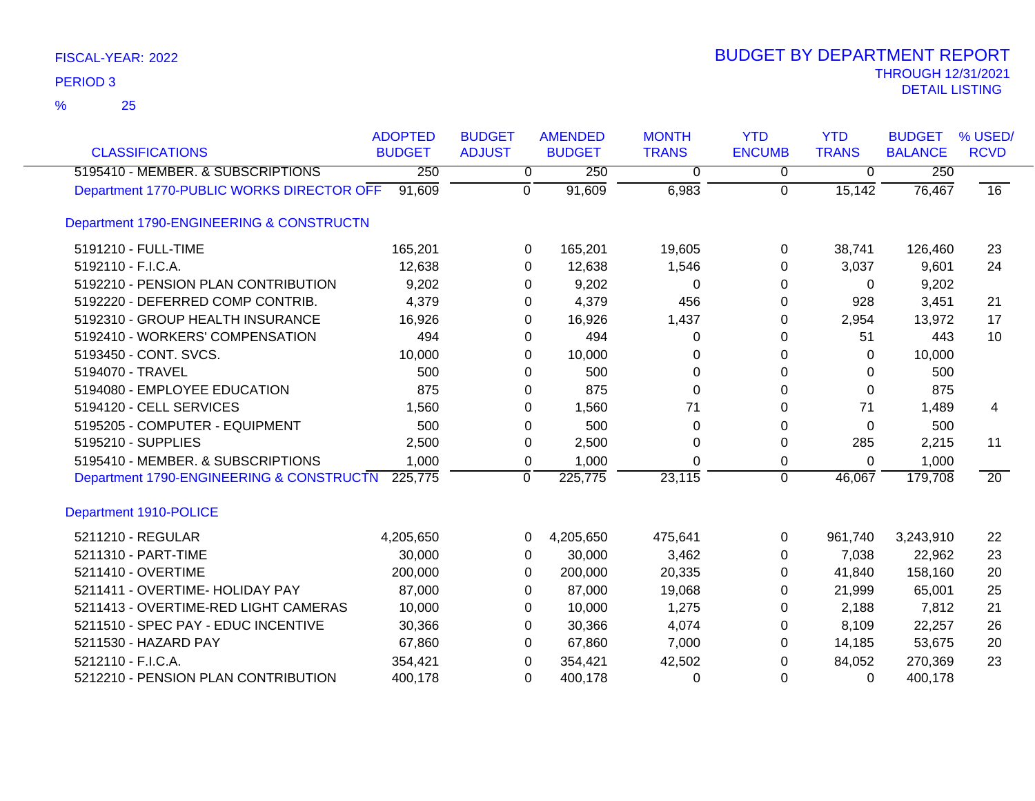| <b>CLASSIFICATIONS</b>                    | <b>ADOPTED</b><br><b>BUDGET</b> | <b>BUDGET</b><br><b>ADJUST</b> | <b>AMENDED</b><br><b>BUDGET</b> | <b>MONTH</b><br><b>TRANS</b> | <b>YTD</b><br><b>ENCUMB</b> | <b>YTD</b><br><b>TRANS</b> | <b>BUDGET</b><br><b>BALANCE</b> | % USED/<br><b>RCVD</b> |
|-------------------------------------------|---------------------------------|--------------------------------|---------------------------------|------------------------------|-----------------------------|----------------------------|---------------------------------|------------------------|
| 5195410 - MEMBER. & SUBSCRIPTIONS         | 250                             | 0                              | 250                             | 0                            | 0                           | 0                          | 250                             |                        |
| Department 1770-PUBLIC WORKS DIRECTOR OFF | 91,609                          | $\mathbf 0$                    | 91,609                          | 6,983                        | $\mathbf 0$                 | 15,142                     | 76,467                          | $\overline{16}$        |
| Department 1790-ENGINEERING & CONSTRUCTN  |                                 |                                |                                 |                              |                             |                            |                                 |                        |
| 5191210 - FULL-TIME                       | 165,201                         | 0                              | 165,201                         | 19,605                       | 0                           | 38,741                     | 126,460                         | 23                     |
| 5192110 - F.I.C.A.                        | 12,638                          | 0                              | 12,638                          | 1,546                        | 0                           | 3,037                      | 9,601                           | 24                     |
| 5192210 - PENSION PLAN CONTRIBUTION       | 9,202                           | 0                              | 9,202                           | 0                            | 0                           | 0                          | 9,202                           |                        |
| 5192220 - DEFERRED COMP CONTRIB.          | 4,379                           | 0                              | 4,379                           | 456                          | 0                           | 928                        | 3,451                           | 21                     |
| 5192310 - GROUP HEALTH INSURANCE          | 16,926                          | 0                              | 16,926                          | 1,437                        | 0                           | 2,954                      | 13,972                          | 17                     |
| 5192410 - WORKERS' COMPENSATION           | 494                             | $\Omega$                       | 494                             | 0                            | 0                           | 51                         | 443                             | 10                     |
| 5193450 - CONT. SVCS.                     | 10,000                          | 0                              | 10,000                          | 0                            | 0                           | 0                          | 10,000                          |                        |
| 5194070 - TRAVEL                          | 500                             | $\Omega$                       | 500                             | 0                            | 0                           | 0                          | 500                             |                        |
| 5194080 - EMPLOYEE EDUCATION              | 875                             | 0                              | 875                             | $\Omega$                     | 0                           | 0                          | 875                             |                        |
| 5194120 - CELL SERVICES                   | 1,560                           | 0                              | 1,560                           | 71                           | 0                           | 71                         | 1,489                           | 4                      |
| 5195205 - COMPUTER - EQUIPMENT            | 500                             | 0                              | 500                             | 0                            | 0                           | 0                          | 500                             |                        |
| 5195210 - SUPPLIES                        | 2,500                           | 0                              | 2,500                           | 0                            | 0                           | 285                        | 2,215                           | 11                     |
| 5195410 - MEMBER. & SUBSCRIPTIONS         | 1,000                           | 0                              | 1,000                           | 0                            | 0                           | 0                          | 1,000                           |                        |
| Department 1790-ENGINEERING & CONSTRUCTN  | 225,775                         | $\overline{0}$                 | 225,775                         | 23,115                       | $\mathbf 0$                 | 46,067                     | 179,708                         | $\overline{20}$        |
| Department 1910-POLICE                    |                                 |                                |                                 |                              |                             |                            |                                 |                        |
| 5211210 - REGULAR                         | 4,205,650                       | 0                              | 4,205,650                       | 475,641                      | 0                           | 961,740                    | 3,243,910                       | 22                     |
| 5211310 - PART-TIME                       | 30,000                          | 0                              | 30,000                          | 3,462                        | 0                           | 7,038                      | 22,962                          | 23                     |
| 5211410 - OVERTIME                        | 200,000                         | 0                              | 200,000                         | 20,335                       | 0                           | 41,840                     | 158,160                         | 20                     |
| 5211411 - OVERTIME- HOLIDAY PAY           | 87,000                          | 0                              | 87,000                          | 19,068                       | 0                           | 21,999                     | 65,001                          | 25                     |
| 5211413 - OVERTIME-RED LIGHT CAMERAS      | 10,000                          | 0                              | 10,000                          | 1,275                        | 0                           | 2,188                      | 7,812                           | 21                     |
| 5211510 - SPEC PAY - EDUC INCENTIVE       | 30,366                          | 0                              | 30,366                          | 4,074                        | 0                           | 8,109                      | 22,257                          | 26                     |
| 5211530 - HAZARD PAY                      | 67,860                          | 0                              | 67,860                          | 7,000                        | 0                           | 14,185                     | 53,675                          | 20                     |
| 5212110 - F.I.C.A.                        | 354,421                         | 0                              | 354,421                         | 42,502                       | 0                           | 84,052                     | 270,369                         | 23                     |
| 5212210 - PENSION PLAN CONTRIBUTION       | 400,178                         | 0                              | 400,178                         | 0                            | $\Omega$                    | 0                          | 400,178                         |                        |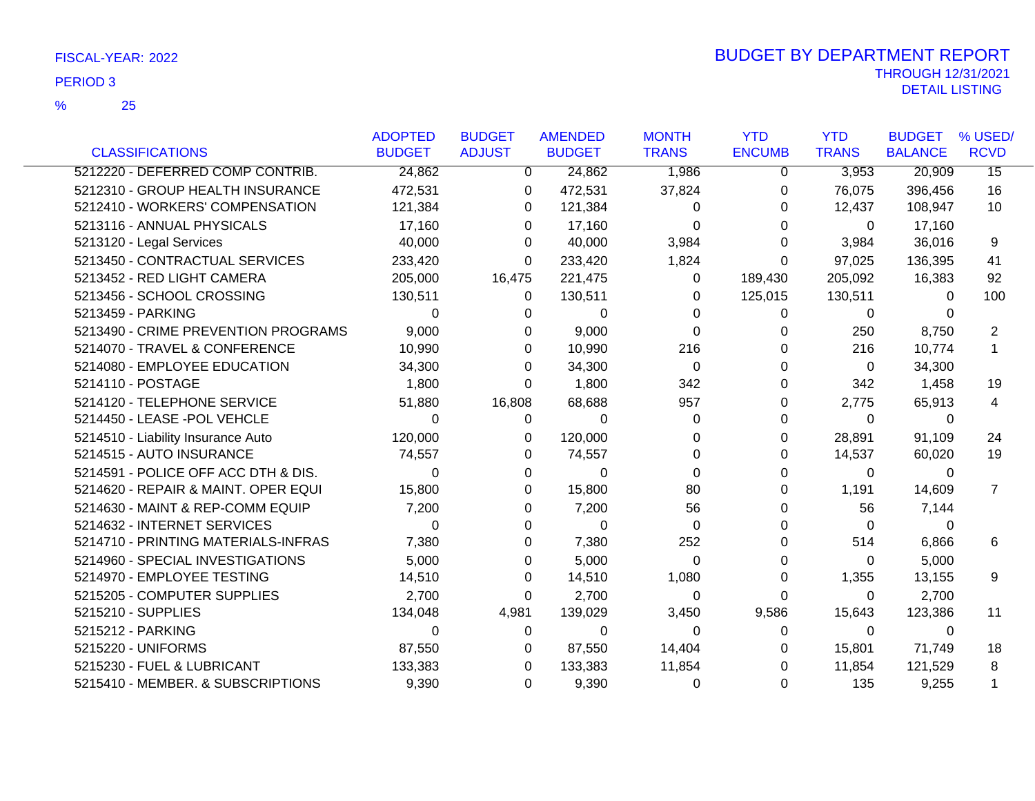|                                     | <b>ADOPTED</b> | <b>BUDGET</b> | <b>AMENDED</b> | <b>MONTH</b> | <b>YTD</b>    | <b>YTD</b>   | <b>BUDGET</b>  | % USED/         |
|-------------------------------------|----------------|---------------|----------------|--------------|---------------|--------------|----------------|-----------------|
| <b>CLASSIFICATIONS</b>              | <b>BUDGET</b>  | <b>ADJUST</b> | <b>BUDGET</b>  | <b>TRANS</b> | <b>ENCUMB</b> | <b>TRANS</b> | <b>BALANCE</b> | <b>RCVD</b>     |
| 5212220 - DEFERRED COMP CONTRIB.    | 24,862         | 0             | 24,862         | 1,986        | 0             | 3,953        | 20,909         | $\overline{15}$ |
| 5212310 - GROUP HEALTH INSURANCE    | 472,531        | 0             | 472,531        | 37,824       | 0             | 76,075       | 396,456        | 16              |
| 5212410 - WORKERS' COMPENSATION     | 121,384        | 0             | 121,384        | 0            | 0             | 12,437       | 108,947        | 10              |
| 5213116 - ANNUAL PHYSICALS          | 17,160         | 0             | 17,160         | 0            | 0             | 0            | 17,160         |                 |
| 5213120 - Legal Services            | 40,000         | $\Omega$      | 40,000         | 3,984        | 0             | 3,984        | 36,016         | 9               |
| 5213450 - CONTRACTUAL SERVICES      | 233,420        | 0             | 233,420        | 1,824        | 0             | 97,025       | 136,395        | 41              |
| 5213452 - RED LIGHT CAMERA          | 205,000        | 16,475        | 221,475        | 0            | 189,430       | 205,092      | 16,383         | 92              |
| 5213456 - SCHOOL CROSSING           | 130,511        | 0             | 130,511        | 0            | 125,015       | 130,511      | $\Omega$       | 100             |
| 5213459 - PARKING                   | 0              | 0             | 0              | 0            | 0             | 0            | 0              |                 |
| 5213490 - CRIME PREVENTION PROGRAMS | 9,000          | 0             | 9,000          | $\Omega$     | 0             | 250          | 8,750          | 2               |
| 5214070 - TRAVEL & CONFERENCE       | 10,990         | 0             | 10,990         | 216          | 0             | 216          | 10,774         | $\mathbf 1$     |
| 5214080 - EMPLOYEE EDUCATION        | 34,300         | 0             | 34,300         | 0            | 0             | $\Omega$     | 34,300         |                 |
| 5214110 - POSTAGE                   | 1,800          | 0             | 1,800          | 342          | 0             | 342          | 1,458          | 19              |
| 5214120 - TELEPHONE SERVICE         | 51,880         | 16,808        | 68,688         | 957          | 0             | 2,775        | 65,913         | 4               |
| 5214450 - LEASE -POL VEHCLE         | 0              | 0             | 0              | 0            | 0             | 0            | $\Omega$       |                 |
| 5214510 - Liability Insurance Auto  | 120,000        | 0             | 120,000        | 0            | 0             | 28,891       | 91,109         | 24              |
| 5214515 - AUTO INSURANCE            | 74,557         | 0             | 74,557         | 0            | 0             | 14,537       | 60,020         | 19              |
| 5214591 - POLICE OFF ACC DTH & DIS. | 0              | 0             | 0              | 0            | 0             | 0            | $\Omega$       |                 |
| 5214620 - REPAIR & MAINT. OPER EQUI | 15,800         | 0             | 15,800         | 80           | 0             | 1,191        | 14,609         | $\overline{7}$  |
| 5214630 - MAINT & REP-COMM EQUIP    | 7,200          | 0             | 7,200          | 56           | 0             | 56           | 7,144          |                 |
| 5214632 - INTERNET SERVICES         | 0              | 0             | $\Omega$       | 0            | O             | $\mathbf{0}$ | 0              |                 |
| 5214710 - PRINTING MATERIALS-INFRAS | 7,380          | 0             | 7,380          | 252          | 0             | 514          | 6,866          | 6               |
| 5214960 - SPECIAL INVESTIGATIONS    | 5,000          | 0             | 5,000          | 0            | 0             | $\mathbf{0}$ | 5,000          |                 |
| 5214970 - EMPLOYEE TESTING          | 14,510         | 0             | 14,510         | 1,080        | 0             | 1,355        | 13,155         | 9               |
| 5215205 - COMPUTER SUPPLIES         | 2,700          | 0             | 2,700          | 0            | 0             | 0            | 2,700          |                 |
| 5215210 - SUPPLIES                  | 134,048        | 4,981         | 139,029        | 3,450        | 9,586         | 15,643       | 123,386        | 11              |
| 5215212 - PARKING                   | 0              | 0             | 0              | 0            | 0             | $\mathbf 0$  | 0              |                 |
| 5215220 - UNIFORMS                  | 87,550         | 0             | 87,550         | 14,404       | 0             | 15,801       | 71,749         | 18              |
| 5215230 - FUEL & LUBRICANT          | 133,383        | 0             | 133,383        | 11,854       | 0             | 11,854       | 121,529        | 8               |
| 5215410 - MEMBER. & SUBSCRIPTIONS   | 9,390          | 0             | 9,390          | 0            | 0             | 135          | 9,255          |                 |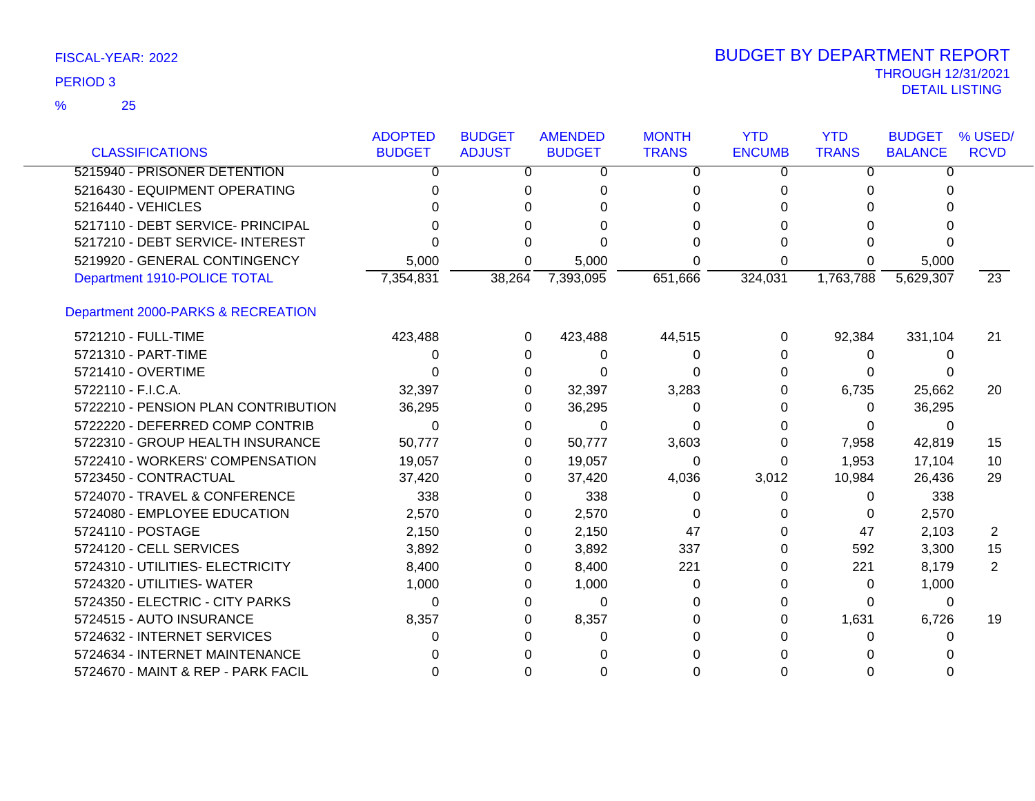|                                     | <b>ADOPTED</b> | <b>BUDGET</b> | <b>AMENDED</b> | <b>MONTH</b> | <b>YTD</b>    | <b>YTD</b>   | <b>BUDGET</b>  | % USED/        |
|-------------------------------------|----------------|---------------|----------------|--------------|---------------|--------------|----------------|----------------|
| <b>CLASSIFICATIONS</b>              | <b>BUDGET</b>  | <b>ADJUST</b> | <b>BUDGET</b>  | <b>TRANS</b> | <b>ENCUMB</b> | <b>TRANS</b> | <b>BALANCE</b> | <b>RCVD</b>    |
| 5215940 - PRISONER DETENTION        | 0              | 0             | 0              | 0            | 0             | 0            | 0              |                |
| 5216430 - EQUIPMENT OPERATING       | 0              | 0             | 0              | 0            | 0             | 0            | 0              |                |
| 5216440 - VEHICLES                  |                |               |                | 0            |               | O            |                |                |
| 5217110 - DEBT SERVICE- PRINCIPAL   |                | <sup>0</sup>  |                | 0            |               | 0            |                |                |
| 5217210 - DEBT SERVICE- INTEREST    |                |               |                |              |               |              |                |                |
| 5219920 - GENERAL CONTINGENCY       | 5,000          | 0             | 5,000          | 0            | U             |              | 5,000          |                |
| Department 1910-POLICE TOTAL        | 7,354,831      | 38,264        | 7,393,095      | 651,666      | 324,031       | 1,763,788    | 5,629,307      | 23             |
| Department 2000-PARKS & RECREATION  |                |               |                |              |               |              |                |                |
| 5721210 - FULL-TIME                 | 423,488        | 0             | 423,488        | 44,515       | 0             | 92,384       | 331,104        | 21             |
| 5721310 - PART-TIME                 | 0              | 0             | 0              | 0            | $\Omega$      | 0            | $\Omega$       |                |
| 5721410 - OVERTIME                  |                | $\Omega$      |                | 0            | O             | 0            | O              |                |
| 5722110 - F.I.C.A.                  | 32,397         | 0             | 32,397         | 3,283        |               | 6,735        | 25,662         | 20             |
| 5722210 - PENSION PLAN CONTRIBUTION | 36,295         | 0             | 36,295         | 0            |               | 0            | 36,295         |                |
| 5722220 - DEFERRED COMP CONTRIB     | 0              | 0             | 0              | 0            |               | $\Omega$     | 0              |                |
| 5722310 - GROUP HEALTH INSURANCE    | 50,777         | 0             | 50,777         | 3,603        | 0             | 7,958        | 42,819         | 15             |
| 5722410 - WORKERS' COMPENSATION     | 19,057         | 0             | 19,057         | 0            | 0             | 1,953        | 17,104         | 10             |
| 5723450 - CONTRACTUAL               | 37,420         | 0             | 37,420         | 4,036        | 3,012         | 10,984       | 26,436         | 29             |
| 5724070 - TRAVEL & CONFERENCE       | 338            | 0             | 338            | 0            | 0             | 0            | 338            |                |
| 5724080 - EMPLOYEE EDUCATION        | 2,570          | 0             | 2,570          | 0            | 0             | 0            | 2,570          |                |
| 5724110 - POSTAGE                   | 2,150          | 0             | 2,150          | 47           | 0             | 47           | 2,103          | $\overline{2}$ |
| 5724120 - CELL SERVICES             | 3,892          | 0             | 3,892          | 337          | O             | 592          | 3,300          | 15             |
| 5724310 - UTILITIES- ELECTRICITY    | 8,400          | 0             | 8,400          | 221          | O             | 221          | 8,179          | $\overline{2}$ |
| 5724320 - UTILITIES- WATER          | 1,000          | 0             | 1,000          | 0            | O             | 0            | 1,000          |                |
| 5724350 - ELECTRIC - CITY PARKS     | $\Omega$       | 0             | 0              | 0            |               | 0            | $\Omega$       |                |
| 5724515 - AUTO INSURANCE            | 8,357          | 0             | 8,357          | $\Omega$     |               | 1,631        | 6,726          | 19             |
| 5724632 - INTERNET SERVICES         | 0              | 0             |                | 0            |               | 0            | $\Omega$       |                |
| 5724634 - INTERNET MAINTENANCE      |                |               |                |              |               |              |                |                |
| 5724670 - MAINT & REP - PARK FACIL  |                | 0             |                | ი            |               |              |                |                |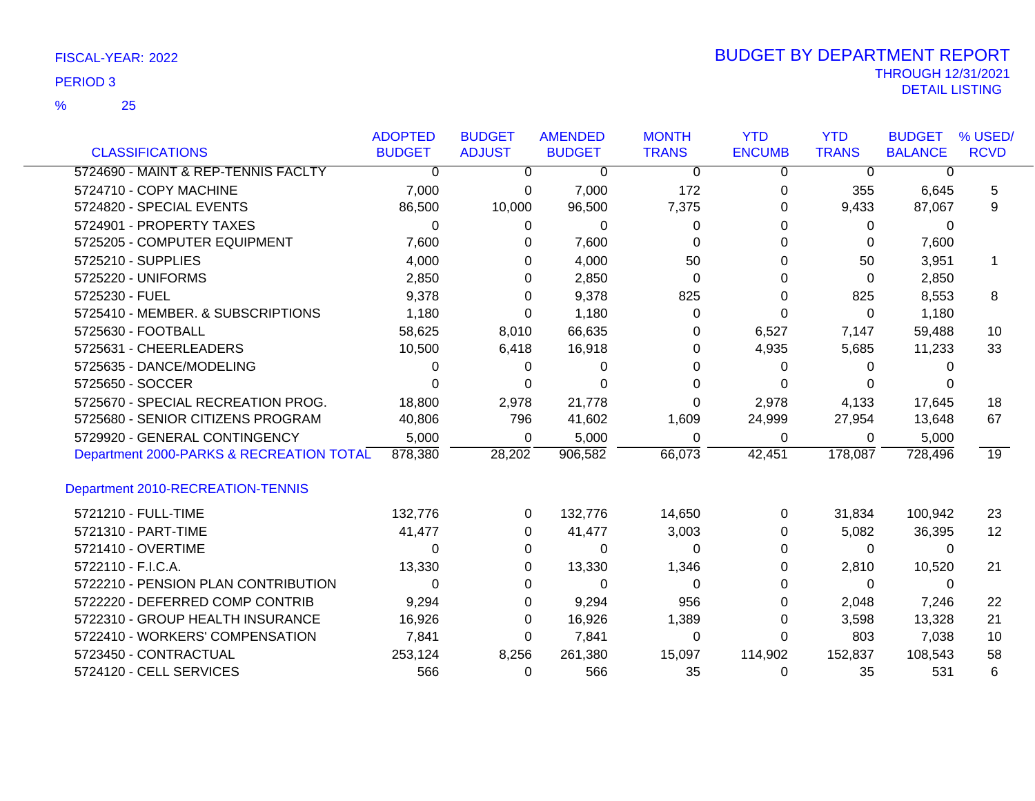|                                          | <b>ADOPTED</b> | <b>BUDGET</b> | <b>AMENDED</b> | <b>MONTH</b> | <b>YTD</b>    | <b>YTD</b>   | <b>BUDGET</b>  | % USED/           |
|------------------------------------------|----------------|---------------|----------------|--------------|---------------|--------------|----------------|-------------------|
| <b>CLASSIFICATIONS</b>                   | <b>BUDGET</b>  | <b>ADJUST</b> | <b>BUDGET</b>  | <b>TRANS</b> | <b>ENCUMB</b> | <b>TRANS</b> | <b>BALANCE</b> | <b>RCVD</b>       |
| 5724690 - MAINT & REP-TENNIS FACLTY      | $\overline{0}$ | 0             | $\Omega$       | $\Omega$     | 0             | $\Omega$     | 0              |                   |
| 5724710 - COPY MACHINE                   | 7,000          | 0             | 7,000          | 172          | 0             | 355          | 6,645          | 5                 |
| 5724820 - SPECIAL EVENTS                 | 86,500         | 10,000        | 96,500         | 7,375        | 0             | 9,433        | 87,067         | 9                 |
| 5724901 - PROPERTY TAXES                 | $\Omega$       | 0             | $\Omega$       | 0            | 0             | $\Omega$     | $\Omega$       |                   |
| 5725205 - COMPUTER EQUIPMENT             | 7,600          | 0             | 7,600          | 0            | 0             | 0            | 7,600          |                   |
| 5725210 - SUPPLIES                       | 4,000          | 0             | 4,000          | 50           | 0             | 50           | 3,951          | 1                 |
| 5725220 - UNIFORMS                       | 2,850          | 0             | 2,850          | 0            | 0             | 0            | 2,850          |                   |
| 5725230 - FUEL                           | 9,378          | 0             | 9,378          | 825          | 0             | 825          | 8,553          | 8                 |
| 5725410 - MEMBER. & SUBSCRIPTIONS        | 1,180          | 0             | 1,180          | 0            | 0             | 0            | 1,180          |                   |
| 5725630 - FOOTBALL                       | 58,625         | 8,010         | 66,635         | O            | 6,527         | 7,147        | 59,488         | 10                |
| 5725631 - CHEERLEADERS                   | 10,500         | 6,418         | 16,918         | 0            | 4,935         | 5,685        | 11,233         | 33                |
| 5725635 - DANCE/MODELING                 | 0              | 0             | 0              | O            | 0             | 0            | O              |                   |
| 5725650 - SOCCER                         | 0              | 0             | 0              | 0            | 0             | 0            |                |                   |
| 5725670 - SPECIAL RECREATION PROG.       | 18,800         | 2,978         | 21,778         | 0            | 2,978         | 4,133        | 17,645         | 18                |
| 5725680 - SENIOR CITIZENS PROGRAM        | 40,806         | 796           | 41,602         | 1,609        | 24,999        | 27,954       | 13,648         | 67                |
| 5729920 - GENERAL CONTINGENCY            | 5,000          | 0             | 5,000          | 0            | 0             | 0            | 5,000          |                   |
| Department 2000-PARKS & RECREATION TOTAL | 878,380        | 28,202        | 906,582        | 66,073       | 42,451        | 178,087      | 728,496        | 19                |
| Department 2010-RECREATION-TENNIS        |                |               |                |              |               |              |                |                   |
| 5721210 - FULL-TIME                      | 132,776        | 0             | 132,776        | 14,650       | 0             | 31,834       | 100,942        | 23                |
| 5721310 - PART-TIME                      | 41,477         | 0             | 41,477         | 3,003        | 0             | 5,082        | 36,395         | $12 \overline{ }$ |
| 5721410 - OVERTIME                       | 0              | 0             | 0              | $\Omega$     | 0             | 0            | 0              |                   |
| 5722110 - F.I.C.A.                       | 13,330         | 0             | 13,330         | 1,346        | 0             | 2,810        | 10,520         | 21                |
| 5722210 - PENSION PLAN CONTRIBUTION      | 0              | 0             | 0              | 0            | 0             | 0            | $\Omega$       |                   |
| 5722220 - DEFERRED COMP CONTRIB          | 9,294          | 0             | 9,294          | 956          | 0             | 2,048        | 7,246          | 22                |
| 5722310 - GROUP HEALTH INSURANCE         | 16,926         | 0             | 16,926         | 1,389        | 0             | 3,598        | 13,328         | 21                |
| 5722410 - WORKERS' COMPENSATION          | 7,841          | 0             | 7,841          | 0            | 0             | 803          | 7,038          | 10                |
| 5723450 - CONTRACTUAL                    | 253,124        | 8,256         | 261,380        | 15,097       | 114,902       | 152,837      | 108,543        | 58                |
| 5724120 - CELL SERVICES                  | 566            | 0             | 566            | 35           | 0             | 35           | 531            | 6                 |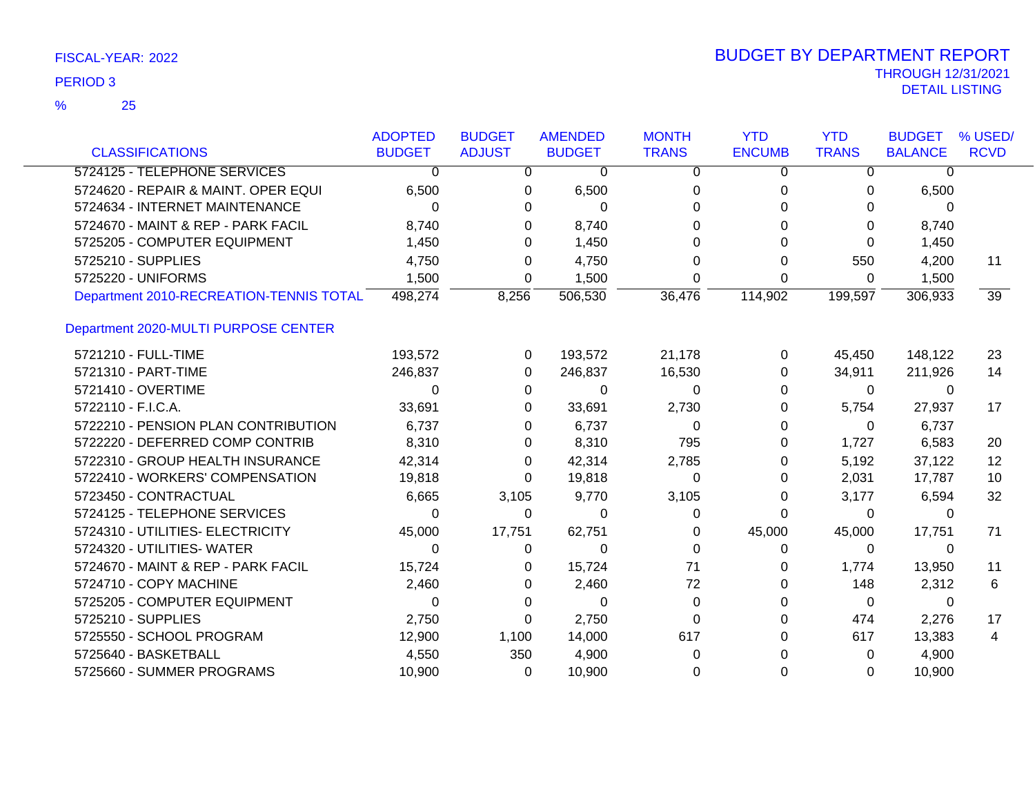|                                         | <b>ADOPTED</b> | <b>BUDGET</b> | <b>AMENDED</b> | <b>MONTH</b> | <b>YTD</b>    | <b>YTD</b>   | <b>BUDGET</b>  | % USED/         |
|-----------------------------------------|----------------|---------------|----------------|--------------|---------------|--------------|----------------|-----------------|
| <b>CLASSIFICATIONS</b>                  | <b>BUDGET</b>  | <b>ADJUST</b> | <b>BUDGET</b>  | <b>TRANS</b> | <b>ENCUMB</b> | <b>TRANS</b> | <b>BALANCE</b> | <b>RCVD</b>     |
| 5724125 - TELEPHONE SERVICES            | 0              | $\mathbf 0$   | $\mathbf 0$    | 0            | 0             | 0            | $\Omega$       |                 |
| 5724620 - REPAIR & MAINT. OPER EQUI     | 6,500          | 0             | 6,500          | 0            | 0             | 0            | 6,500          |                 |
| 5724634 - INTERNET MAINTENANCE          | 0              | 0             | $\Omega$       | 0            | 0             | 0            | 0              |                 |
| 5724670 - MAINT & REP - PARK FACIL      | 8,740          | 0             | 8,740          | 0            | 0             | 0            | 8,740          |                 |
| 5725205 - COMPUTER EQUIPMENT            | 1,450          | 0             | 1,450          | 0            | 0             | 0            | 1,450          |                 |
| 5725210 - SUPPLIES                      | 4,750          | 0             | 4,750          | 0            | 0             | 550          | 4,200          | 11              |
| 5725220 - UNIFORMS                      | 1,500          | 0             | 1,500          | 0            | 0             | 0            | 1,500          |                 |
| Department 2010-RECREATION-TENNIS TOTAL | 498,274        | 8,256         | 506,530        | 36,476       | 114,902       | 199,597      | 306,933        | $\overline{39}$ |
| Department 2020-MULTI PURPOSE CENTER    |                |               |                |              |               |              |                |                 |
| 5721210 - FULL-TIME                     | 193,572        | 0             | 193,572        | 21,178       | 0             | 45,450       | 148,122        | 23              |
| 5721310 - PART-TIME                     | 246,837        | 0             | 246,837        | 16,530       | 0             | 34,911       | 211,926        | 14              |
| 5721410 - OVERTIME                      | 0              | 0             | 0              | 0            | 0             | 0            | 0              |                 |
| 5722110 - F.I.C.A.                      | 33,691         | 0             | 33,691         | 2,730        | 0             | 5,754        | 27,937         | 17              |
| 5722210 - PENSION PLAN CONTRIBUTION     | 6,737          | 0             | 6,737          | 0            | 0             | 0            | 6,737          |                 |
| 5722220 - DEFERRED COMP CONTRIB         | 8,310          | 0             | 8,310          | 795          | 0             | 1,727        | 6,583          | 20              |
| 5722310 - GROUP HEALTH INSURANCE        | 42,314         | 0             | 42,314         | 2,785        | 0             | 5,192        | 37,122         | 12              |
| 5722410 - WORKERS' COMPENSATION         | 19,818         | 0             | 19,818         | 0            | 0             | 2,031        | 17,787         | 10              |
| 5723450 - CONTRACTUAL                   | 6,665          | 3,105         | 9,770          | 3,105        | 0             | 3,177        | 6,594          | 32              |
| 5724125 - TELEPHONE SERVICES            | 0              | 0             | 0              | 0            | 0             | 0            | 0              |                 |
| 5724310 - UTILITIES- ELECTRICITY        | 45,000         | 17,751        | 62,751         | 0            | 45,000        | 45,000       | 17,751         | 71              |
| 5724320 - UTILITIES- WATER              | 0              | 0             | 0              | 0            | 0             | 0            | 0              |                 |
| 5724670 - MAINT & REP - PARK FACIL      | 15,724         | 0             | 15,724         | 71           | 0             | 1,774        | 13,950         | 11              |
| 5724710 - COPY MACHINE                  | 2,460          | 0             | 2,460          | 72           | 0             | 148          | 2,312          | 6               |
| 5725205 - COMPUTER EQUIPMENT            | 0              | 0             | $\Omega$       | 0            | 0             | 0            | 0              |                 |
| 5725210 - SUPPLIES                      | 2,750          | 0             | 2,750          | $\Omega$     | 0             | 474          | 2,276          | 17              |
| 5725550 - SCHOOL PROGRAM                | 12,900         | 1,100         | 14,000         | 617          | 0             | 617          | 13,383         | 4               |
| 5725640 - BASKETBALL                    | 4,550          | 350           | 4,900          | 0            | 0             | 0            | 4,900          |                 |
| 5725660 - SUMMER PROGRAMS               | 10,900         | 0             | 10,900         | 0            | 0             | $\Omega$     | 10,900         |                 |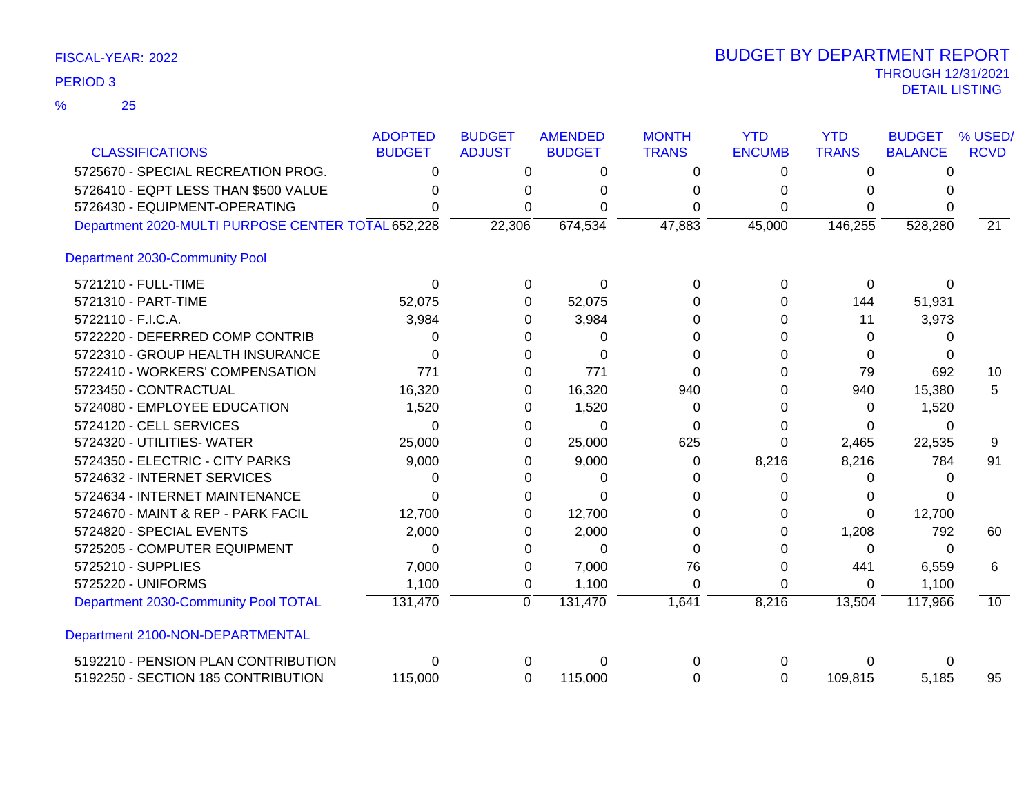| <b>CLASSIFICATIONS</b>                             | <b>ADOPTED</b><br><b>BUDGET</b> | <b>BUDGET</b><br><b>ADJUST</b> | <b>AMENDED</b><br><b>BUDGET</b> | <b>MONTH</b><br><b>TRANS</b> | <b>YTD</b><br><b>ENCUMB</b> | <b>YTD</b><br><b>TRANS</b> | <b>BUDGET</b><br><b>BALANCE</b> | % USED/<br><b>RCVD</b> |
|----------------------------------------------------|---------------------------------|--------------------------------|---------------------------------|------------------------------|-----------------------------|----------------------------|---------------------------------|------------------------|
|                                                    |                                 |                                |                                 |                              |                             |                            |                                 |                        |
| 5725670 - SPECIAL RECREATION PROG.                 | 0                               | 0                              | 0                               | 0                            | 0                           | $\Omega$                   | $\Omega$                        |                        |
| 5726410 - EQPT LESS THAN \$500 VALUE               | O                               | 0                              | O                               | 0                            | $\Omega$                    | $\Omega$                   | U                               |                        |
| 5726430 - EQUIPMENT-OPERATING                      | 0                               | 0                              | 0                               | 0                            | 0                           | 0                          | 0                               |                        |
| Department 2020-MULTI PURPOSE CENTER TOTAL 652,228 |                                 | 22,306                         | 674,534                         | 47,883                       | 45,000                      | 146,255                    | 528,280                         | $\overline{21}$        |
| Department 2030-Community Pool                     |                                 |                                |                                 |                              |                             |                            |                                 |                        |
| 5721210 - FULL-TIME                                | 0                               | 0                              | $\Omega$                        | 0                            | 0                           | 0                          | $\Omega$                        |                        |
| 5721310 - PART-TIME                                | 52,075                          | 0                              | 52,075                          | 0                            | 0                           | 144                        | 51,931                          |                        |
| 5722110 - F.I.C.A.                                 | 3,984                           | 0                              | 3,984                           | 0                            | 0                           | 11                         | 3,973                           |                        |
| 5722220 - DEFERRED COMP CONTRIB                    | 0                               | 0                              | 0                               | $\Omega$                     | 0                           | $\Omega$                   | 0                               |                        |
| 5722310 - GROUP HEALTH INSURANCE                   | 0                               | 0                              | $\Omega$                        | 0                            | 0                           | 0                          | 0                               |                        |
| 5722410 - WORKERS' COMPENSATION                    | 771                             | 0                              | 771                             | $\Omega$                     | 0                           | 79                         | 692                             | 10                     |
| 5723450 - CONTRACTUAL                              | 16,320                          | 0                              | 16,320                          | 940                          | 0                           | 940                        | 15,380                          | 5                      |
| 5724080 - EMPLOYEE EDUCATION                       | 1,520                           | 0                              | 1,520                           | 0                            | 0                           | 0                          | 1,520                           |                        |
| 5724120 - CELL SERVICES                            | $\Omega$                        | 0                              | 0                               | 0                            | 0                           | $\Omega$                   | $\Omega$                        |                        |
| 5724320 - UTILITIES- WATER                         | 25,000                          | 0                              | 25,000                          | 625                          | 0                           | 2,465                      | 22,535                          | 9                      |
| 5724350 - ELECTRIC - CITY PARKS                    | 9,000                           | 0                              | 9,000                           | 0                            | 8,216                       | 8,216                      | 784                             | 91                     |
| 5724632 - INTERNET SERVICES                        | 0                               | 0                              | 0                               | 0                            | 0                           | $\Omega$                   | $\Omega$                        |                        |
| 5724634 - INTERNET MAINTENANCE                     | $\Omega$                        | 0                              | 0                               | 0                            | 0                           | 0                          |                                 |                        |
| 5724670 - MAINT & REP - PARK FACIL                 | 12,700                          | 0                              | 12,700                          | 0                            | 0                           | $\Omega$                   | 12,700                          |                        |
| 5724820 - SPECIAL EVENTS                           | 2,000                           | 0                              | 2,000                           | 0                            | 0                           | 1,208                      | 792                             | 60                     |
| 5725205 - COMPUTER EQUIPMENT                       | 0                               | 0                              | $\Omega$                        | 0                            | 0                           | $\Omega$                   | 0                               |                        |
| 5725210 - SUPPLIES                                 | 7,000                           | 0                              | 7,000                           | 76                           | 0                           | 441                        | 6,559                           | 6                      |
| 5725220 - UNIFORMS                                 | 1,100                           | 0                              | 1,100                           | $\Omega$                     | 0                           | $\Omega$                   | 1,100                           |                        |
| Department 2030-Community Pool TOTAL               | 131,470                         | ō                              | 131,470                         | 1,641                        | 8,216                       | 13,504                     | 117,966                         | 10                     |
| Department 2100-NON-DEPARTMENTAL                   |                                 |                                |                                 |                              |                             |                            |                                 |                        |
| 5192210 - PENSION PLAN CONTRIBUTION                | $\Omega$                        | 0                              | 0                               | 0                            | 0                           | 0                          | 0                               |                        |
| 5192250 - SECTION 185 CONTRIBUTION                 | 115,000                         | 0                              | 115,000                         | 0                            | 0                           | 109,815                    | 5,185                           | 95                     |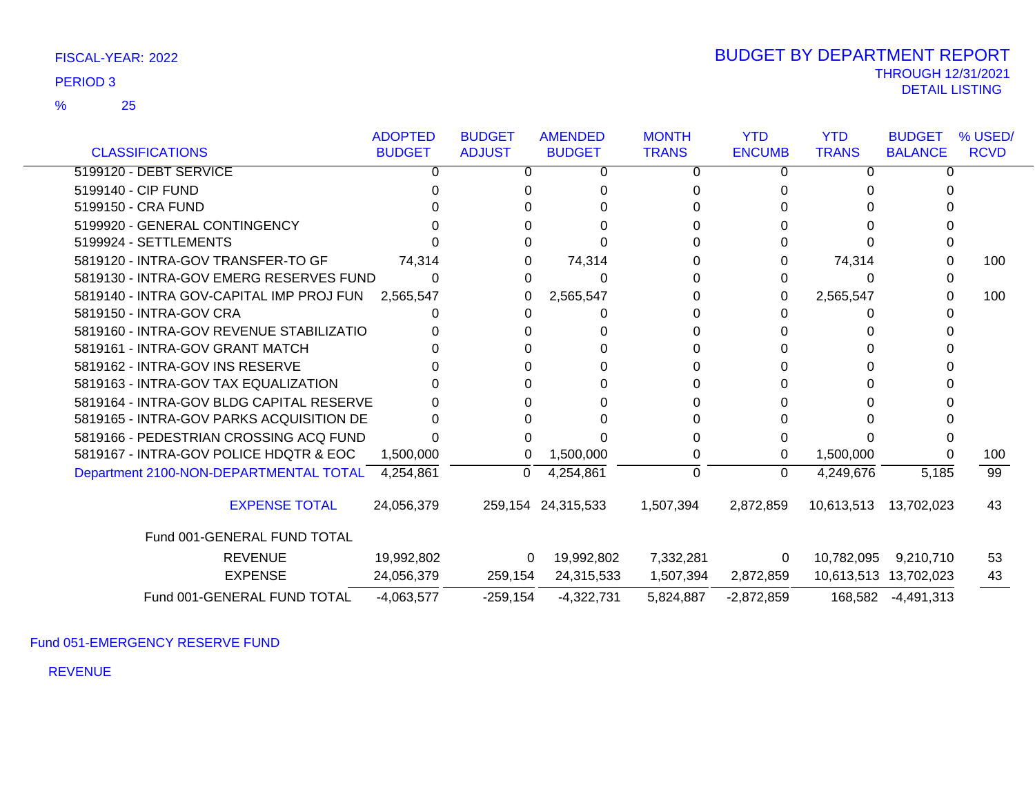|                                                  | <b>ADOPTED</b> | <b>BUDGET</b> | <b>AMENDED</b>     | <b>MONTH</b> | <b>YTD</b>    | <b>YTD</b>   | <b>BUDGET</b>         | % USED/         |
|--------------------------------------------------|----------------|---------------|--------------------|--------------|---------------|--------------|-----------------------|-----------------|
| <b>CLASSIFICATIONS</b>                           | <b>BUDGET</b>  | <b>ADJUST</b> | <b>BUDGET</b>      | <b>TRANS</b> | <b>ENCUMB</b> | <b>TRANS</b> | <b>BALANCE</b>        | <b>RCVD</b>     |
| 5199120 - DEBT SERVICE                           |                | Ω             | 0                  | 0            | 0             |              | 0                     |                 |
| 5199140 - CIP FUND                               |                |               |                    | 0            |               |              |                       |                 |
| 5199150 - CRA FUND                               |                |               |                    |              |               |              |                       |                 |
| 5199920 - GENERAL CONTINGENCY                    |                |               |                    |              |               |              |                       |                 |
| 5199924 - SETTLEMENTS                            |                |               |                    |              |               |              |                       |                 |
| 5819120 - INTRA-GOV TRANSFER-TO GF               | 74,314         |               | 74,314             |              |               | 74,314       |                       | 100             |
| 5819130 - INTRA-GOV EMERG RESERVES FUND          |                | 0             | 0                  | 0            | 0             | 0            |                       |                 |
| 5819140 - INTRA GOV-CAPITAL IMP PROJ FUN         | 2,565,547      |               | 2,565,547          |              | 0             | 2,565,547    | 0                     | 100             |
| 5819150 - INTRA-GOV CRA                          |                |               | 0                  |              |               | 0            |                       |                 |
| 5819160 - INTRA-GOV REVENUE STABILIZATIO         |                |               |                    |              |               |              |                       |                 |
| 5819161 - INTRA-GOV GRANT MATCH                  |                |               |                    |              |               |              |                       |                 |
| 5819162 - INTRA-GOV INS RESERVE                  |                |               |                    | 0            |               |              |                       |                 |
| 5819163 - INTRA-GOV TAX EQUALIZATION             |                |               |                    |              |               |              |                       |                 |
| 5819164 - INTRA-GOV BLDG CAPITAL RESERVE         |                |               |                    |              |               |              |                       |                 |
| 5819165 - INTRA-GOV PARKS ACQUISITION DE         |                |               |                    |              |               |              |                       |                 |
| 5819166 - PEDESTRIAN CROSSING ACQ FUND           |                |               |                    |              |               |              |                       |                 |
| 5819167 - INTRA-GOV POLICE HDQTR & EOC           | 1,500,000      | 0             | 1,500,000          | 0            | 0             | 1,500,000    | 0                     | 100             |
| Department 2100-NON-DEPARTMENTAL TOTAL 4,254,861 |                | 0             | 4,254,861          | 0            | $\Omega$      | 4,249,676    | 5,185                 | $\overline{99}$ |
| <b>EXPENSE TOTAL</b>                             | 24,056,379     |               | 259,154 24,315,533 | 1,507,394    | 2,872,859     | 10,613,513   | 13,702,023            | 43              |
| Fund 001-GENERAL FUND TOTAL                      |                |               |                    |              |               |              |                       |                 |
| <b>REVENUE</b>                                   | 19,992,802     | 0             | 19,992,802         | 7,332,281    | 0             | 10,782,095   | 9,210,710             | 53              |
| <b>EXPENSE</b>                                   | 24,056,379     | 259,154       | 24,315,533         | 1,507,394    | 2,872,859     |              | 10,613,513 13,702,023 | 43              |
| Fund 001-GENERAL FUND TOTAL                      | $-4,063,577$   | $-259,154$    | $-4,322,731$       | 5,824,887    | $-2,872,859$  |              | 168,582 -4,491,313    |                 |

Fund 051-EMERGENCY RESERVE FUND

REVENUE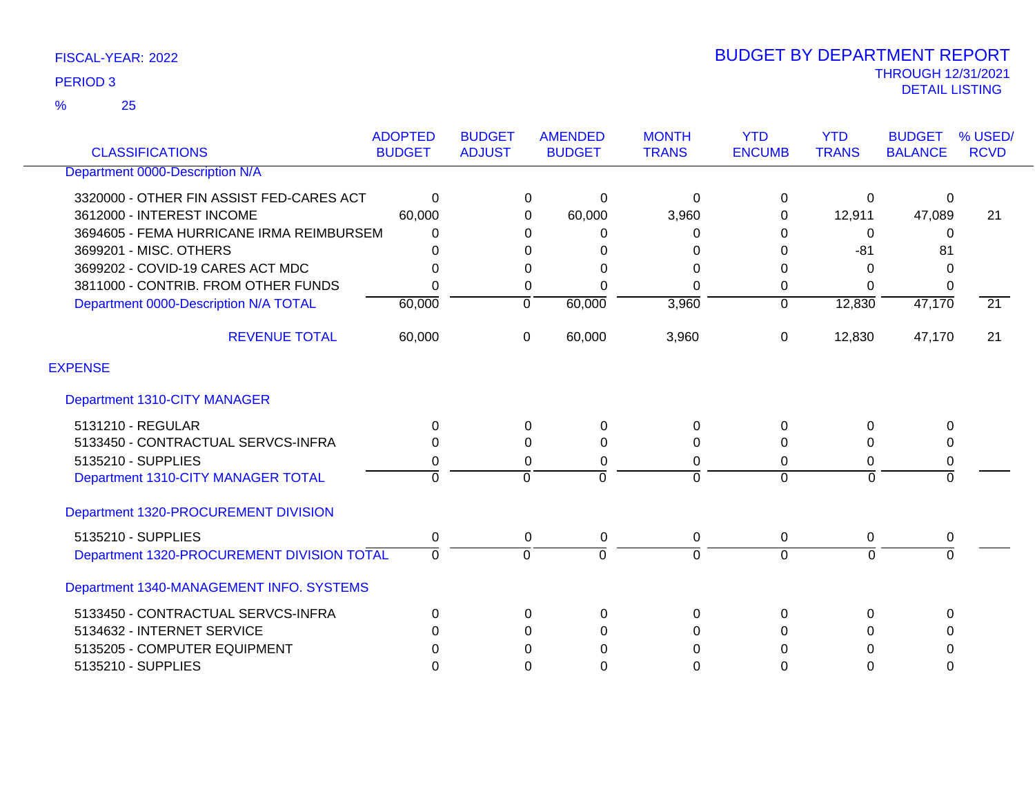25 %

|                                            | <b>ADOPTED</b> | <b>BUDGET</b>  | <b>AMENDED</b> | <b>MONTH</b>   | <b>YTD</b>     | <b>YTD</b>     | <b>BUDGET</b>  | % USED/         |
|--------------------------------------------|----------------|----------------|----------------|----------------|----------------|----------------|----------------|-----------------|
| <b>CLASSIFICATIONS</b>                     | <b>BUDGET</b>  | <b>ADJUST</b>  | <b>BUDGET</b>  | <b>TRANS</b>   | <b>ENCUMB</b>  | <b>TRANS</b>   | <b>BALANCE</b> | <b>RCVD</b>     |
| Department 0000-Description N/A            |                |                |                |                |                |                |                |                 |
| 3320000 - OTHER FIN ASSIST FED-CARES ACT   | 0              | 0              | 0              | $\Omega$       | $\mathbf 0$    | 0              | 0              |                 |
| 3612000 - INTEREST INCOME                  | 60,000         | 0              | 60,000         | 3,960          | 0              | 12,911         | 47,089         | 21              |
| 3694605 - FEMA HURRICANE IRMA REIMBURSEM   | 0              | 0              | $\Omega$       | 0              | 0              | 0              | $\Omega$       |                 |
| 3699201 - MISC. OTHERS                     | 0              | 0              | 0              | 0              | $\Omega$       | $-81$          | 81             |                 |
| 3699202 - COVID-19 CARES ACT MDC           | 0              | 0              | 0              | $\Omega$       | 0              | 0              | $\Omega$       |                 |
| 3811000 - CONTRIB. FROM OTHER FUNDS        | 0              | 0              | $\Omega$       | $\Omega$       | 0              | $\Omega$       | $\Omega$       |                 |
| Department 0000-Description N/A TOTAL      | 60,000         | $\overline{0}$ | 60,000         | 3,960          | $\overline{0}$ | 12,830         | 47,170         | $\overline{21}$ |
| <b>REVENUE TOTAL</b>                       | 60,000         | 0              | 60,000         | 3,960          | $\Omega$       | 12,830         | 47,170         | 21              |
| <b>EXPENSE</b>                             |                |                |                |                |                |                |                |                 |
| Department 1310-CITY MANAGER               |                |                |                |                |                |                |                |                 |
| 5131210 - REGULAR                          | 0              | $\Omega$       | 0              | 0              | $\Omega$       | $\Omega$       | $\Omega$       |                 |
| 5133450 - CONTRACTUAL SERVCS-INFRA         | 0              | $\Omega$       | 0              | 0              | $\Omega$       | 0              | $\Omega$       |                 |
| 5135210 - SUPPLIES                         | 0              | 0              | 0              | 0              | $\Omega$       | 0              | 0              |                 |
| Department 1310-CITY MANAGER TOTAL         | $\overline{0}$ | $\overline{0}$ | $\Omega$       | $\overline{0}$ | $\Omega$       | $\overline{0}$ | $\overline{0}$ |                 |
| Department 1320-PROCUREMENT DIVISION       |                |                |                |                |                |                |                |                 |
| 5135210 - SUPPLIES                         | 0              | 0              | 0              | $\pmb{0}$      | $\mathbf 0$    | 0              | 0              |                 |
| Department 1320-PROCUREMENT DIVISION TOTAL | $\overline{0}$ | $\mathbf 0$    | $\Omega$       | $\mathbf 0$    | $\Omega$       | $\Omega$       | $\overline{0}$ |                 |
| Department 1340-MANAGEMENT INFO. SYSTEMS   |                |                |                |                |                |                |                |                 |
| 5133450 - CONTRACTUAL SERVCS-INFRA         | 0              | $\Omega$       | 0              | $\Omega$       | $\mathbf{0}$   | $\Omega$       | $\Omega$       |                 |
| 5134632 - INTERNET SERVICE                 | 0              | $\Omega$       | $\Omega$       | $\Omega$       | $\Omega$       | 0              | $\Omega$       |                 |
| 5135205 - COMPUTER EQUIPMENT               | 0              | 0              | 0              | 0              | 0              | 0              | $\Omega$       |                 |
| 5135210 - SUPPLIES                         | 0              | 0              | $\Omega$       | 0              | 0              | $\Omega$       | $\Omega$       |                 |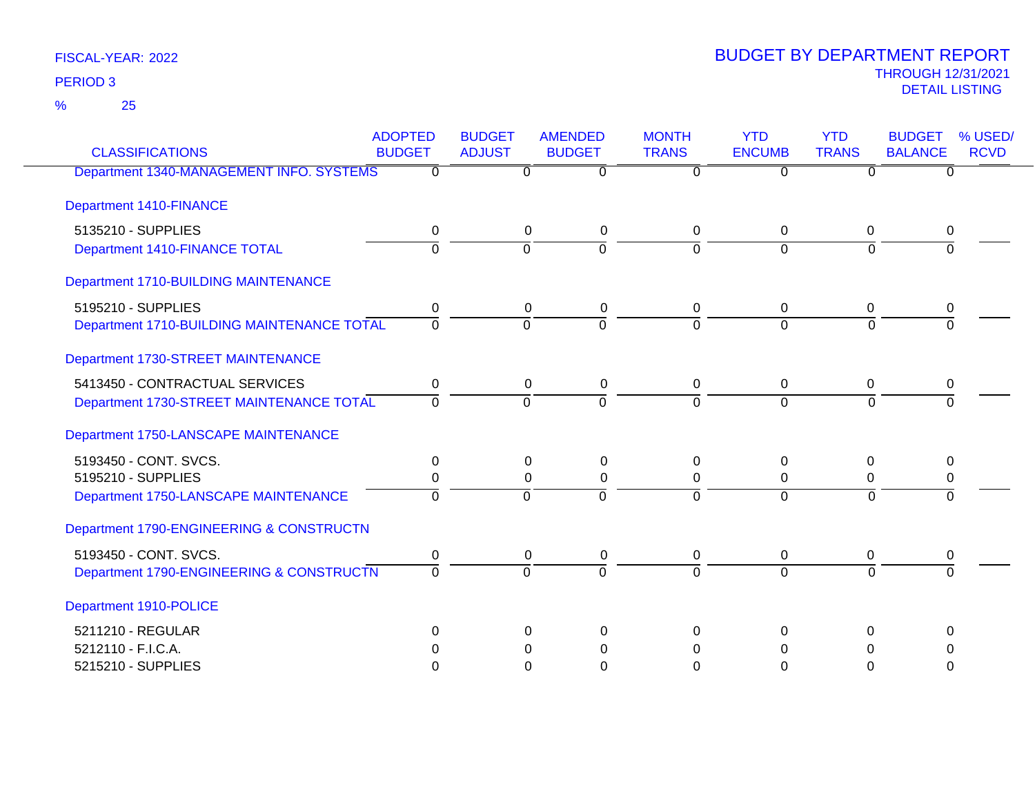25 %

| <b>CLASSIFICATIONS</b>                            | <b>ADOPTED</b><br><b>BUDGET</b> | <b>BUDGET</b><br><b>ADJUST</b> | <b>AMENDED</b><br><b>BUDGET</b> | <b>MONTH</b><br><b>TRANS</b> | <b>YTD</b><br><b>ENCUMB</b> | <b>YTD</b><br><b>TRANS</b> | <b>BUDGET</b><br>% USED/<br><b>BALANCE</b><br><b>RCVD</b> |
|---------------------------------------------------|---------------------------------|--------------------------------|---------------------------------|------------------------------|-----------------------------|----------------------------|-----------------------------------------------------------|
| Department 1340-MANAGEMENT INFO. SYSTEMS          | $\Omega$                        | $\Omega$                       | $\overline{0}$                  | 0                            | $\overline{0}$              | O                          | $\Omega$                                                  |
|                                                   |                                 |                                |                                 |                              |                             |                            |                                                           |
| <b>Department 1410-FINANCE</b>                    |                                 |                                |                                 |                              |                             |                            |                                                           |
| 5135210 - SUPPLIES                                | 0                               |                                | 0<br>0                          | $\mathbf{0}$                 | $\Omega$                    | $\Omega$                   | 0                                                         |
| Department 1410-FINANCE TOTAL                     | $\overline{0}$                  | 0                              | $\overline{0}$                  | $\Omega$                     | $\overline{0}$              | 0                          | $\Omega$                                                  |
| Department 1710-BUILDING MAINTENANCE              |                                 |                                |                                 |                              |                             |                            |                                                           |
| 5195210 - SUPPLIES                                | 0                               |                                | $\mathbf 0$<br>0                | 0                            | $\mathbf 0$                 | 0                          | 0                                                         |
| <b>Department 1710-BUILDING MAINTENANCE TOTAL</b> | 0                               | $\Omega$                       | $\Omega$                        | $\Omega$                     | $\Omega$                    | $\Omega$                   | $\Omega$                                                  |
| Department 1730-STREET MAINTENANCE                |                                 |                                |                                 |                              |                             |                            |                                                           |
| 5413450 - CONTRACTUAL SERVICES                    | 0                               |                                | 0<br>0                          | $\mathsf 0$                  | $\overline{0}$              | $\mathbf 0$                | $\mathbf 0$                                               |
| Department 1730-STREET MAINTENANCE TOTAL          | $\Omega$                        | $\Omega$                       | $\Omega$                        | $\Omega$                     | $\Omega$                    | $\Omega$                   | $\Omega$                                                  |
| Department 1750-LANSCAPE MAINTENANCE              |                                 |                                |                                 |                              |                             |                            |                                                           |
| 5193450 - CONT. SVCS.                             | 0                               |                                | $\Omega$<br>0                   | 0                            | $\Omega$                    | $\Omega$                   | 0                                                         |
| 5195210 - SUPPLIES                                | 0                               |                                | $\mathbf 0$<br>0                | 0                            | 0                           | 0                          | $\pmb{0}$                                                 |
| Department 1750-LANSCAPE MAINTENANCE              | $\Omega$                        | $\Omega$                       | $\Omega$                        | $\Omega$                     | $\Omega$                    | $\Omega$                   | $\Omega$                                                  |
| Department 1790-ENGINEERING & CONSTRUCTN          |                                 |                                |                                 |                              |                             |                            |                                                           |
| 5193450 - CONT. SVCS.                             | 0                               |                                | 0<br>0                          | $\mathbf 0$                  | $\overline{0}$              | 0                          | 0                                                         |
| Department 1790-ENGINEERING & CONSTRUCTN          | $\Omega$                        | $\Omega$                       | $\overline{0}$                  | $\Omega$                     | $\Omega$                    | $\Omega$                   | $\Omega$                                                  |
| Department 1910-POLICE                            |                                 |                                |                                 |                              |                             |                            |                                                           |
| 5211210 - REGULAR                                 | 0                               |                                | $\Omega$<br>$\Omega$            | 0                            | $\Omega$                    | $\Omega$                   | $\Omega$                                                  |
| 5212110 - F.I.C.A.                                | 0                               |                                | 0<br>0                          | 0                            | 0                           | 0                          | 0                                                         |
| 5215210 - SUPPLIES                                | O                               |                                | $\Omega$<br>$\Omega$            | $\Omega$                     | $\Omega$                    | 0                          | $\Omega$                                                  |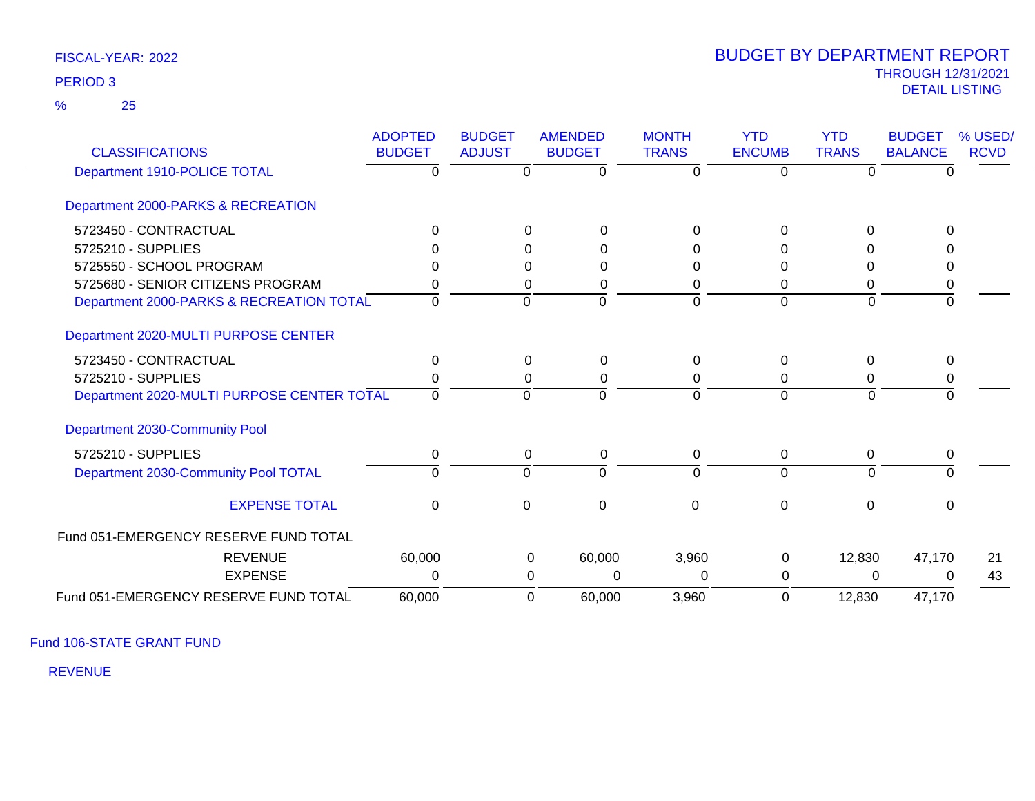25 %

### THROUGH 12/31/2021 DETAIL LISTING PERIOD <sup>3</sup> BUDGET BY DEPARTMENT REPORT

| <b>CLASSIFICATIONS</b>                     | <b>ADOPTED</b><br><b>BUDGET</b> | <b>BUDGET</b><br><b>ADJUST</b> | <b>AMENDED</b><br><b>BUDGET</b> | <b>MONTH</b><br><b>TRANS</b> | <b>YTD</b><br><b>ENCUMB</b> | <b>YTD</b><br><b>TRANS</b> | <b>BUDGET</b><br><b>BALANCE</b> | % USED/<br><b>RCVD</b> |
|--------------------------------------------|---------------------------------|--------------------------------|---------------------------------|------------------------------|-----------------------------|----------------------------|---------------------------------|------------------------|
| Department 1910-POLICE TOTAL               | 0                               |                                | $\Omega$                        | 0                            | U                           |                            | $\Omega$                        |                        |
| Department 2000-PARKS & RECREATION         |                                 |                                |                                 |                              |                             |                            |                                 |                        |
| 5723450 - CONTRACTUAL                      | $\Omega$                        | $\Omega$                       | $\Omega$                        | 0                            | $\Omega$                    | $\Omega$                   | $\Omega$                        |                        |
| 5725210 - SUPPLIES                         |                                 | 0                              | 0                               | 0                            | 0                           |                            |                                 |                        |
| 5725550 - SCHOOL PROGRAM                   |                                 | $\Omega$                       | $\Omega$                        | 0                            | 0                           |                            | $\Omega$                        |                        |
| 5725680 - SENIOR CITIZENS PROGRAM          |                                 | 0                              | 0                               | 0                            | 0                           | 0                          | 0                               |                        |
| Department 2000-PARKS & RECREATION TOTAL   | 0                               | $\Omega$                       | $\Omega$                        | $\Omega$                     | $\Omega$                    | $\Omega$                   | $\mathbf 0$                     |                        |
| Department 2020-MULTI PURPOSE CENTER       |                                 |                                |                                 |                              |                             |                            |                                 |                        |
| 5723450 - CONTRACTUAL                      | $\Omega$                        | $\overline{0}$                 | $\Omega$                        | $\Omega$                     | $\Omega$                    | $\Omega$                   | $\Omega$                        |                        |
| 5725210 - SUPPLIES                         |                                 | 0                              | 0                               | 0                            | 0                           | 0                          | 0                               |                        |
| Department 2020-MULTI PURPOSE CENTER TOTAL | $\Omega$                        | $\Omega$                       | $\Omega$                        | $\Omega$                     | $\Omega$                    | $\overline{0}$             | $\Omega$                        |                        |
| Department 2030-Community Pool             |                                 |                                |                                 |                              |                             |                            |                                 |                        |
| 5725210 - SUPPLIES                         | 0                               | $\mathbf{0}$                   | 0                               | 0                            | 0                           | 0                          | 0                               |                        |
| Department 2030-Community Pool TOTAL       | $\Omega$                        | $\Omega$                       | $\Omega$                        | $\Omega$                     | $\Omega$                    | $\Omega$                   | $\Omega$                        |                        |
| <b>EXPENSE TOTAL</b>                       | $\Omega$                        | 0                              | $\Omega$                        | 0                            | $\Omega$                    | $\Omega$                   | $\Omega$                        |                        |
| Fund 051-EMERGENCY RESERVE FUND TOTAL      |                                 |                                |                                 |                              |                             |                            |                                 |                        |
| <b>REVENUE</b>                             | 60,000                          |                                | 60,000<br>$\Omega$              | 3,960                        | $\Omega$                    | 12,830                     | 47,170                          | 21                     |
| <b>EXPENSE</b>                             | 0                               |                                | $\Omega$<br>0                   | 0                            | 0                           | 0                          | $\Omega$                        | 43                     |
| Fund 051-EMERGENCY RESERVE FUND TOTAL      | 60,000                          |                                | 60,000<br>$\Omega$              | 3,960                        | 0                           | 12,830                     | 47,170                          |                        |

Fund 106-STATE GRANT FUND

REVENUE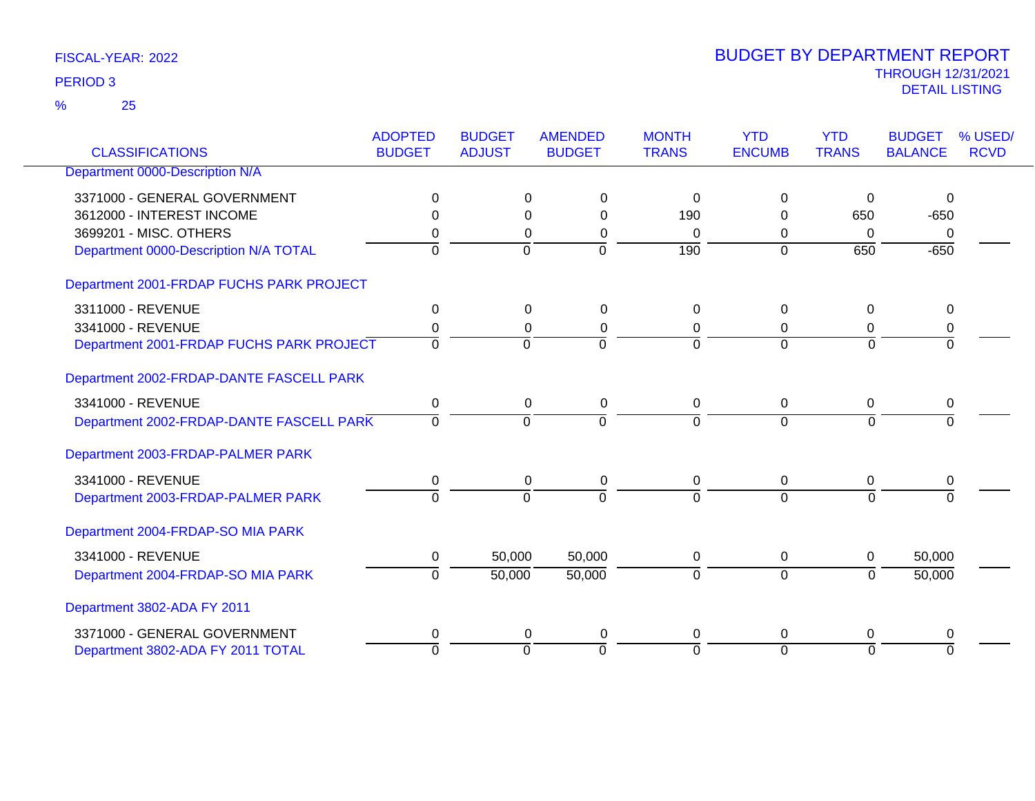25 %

| <b>CLASSIFICATIONS</b>                   | <b>ADOPTED</b><br><b>BUDGET</b> | <b>BUDGET</b><br><b>ADJUST</b> | <b>AMENDED</b><br><b>BUDGET</b> | <b>MONTH</b><br><b>TRANS</b> | <b>YTD</b><br><b>ENCUMB</b> | <b>YTD</b><br><b>TRANS</b> | <b>BUDGET</b><br><b>BALANCE</b> | % USED/<br><b>RCVD</b> |
|------------------------------------------|---------------------------------|--------------------------------|---------------------------------|------------------------------|-----------------------------|----------------------------|---------------------------------|------------------------|
| Department 0000-Description N/A          |                                 |                                |                                 |                              |                             |                            |                                 |                        |
| 3371000 - GENERAL GOVERNMENT             | 0                               | 0                              | 0                               | $\Omega$                     | $\Omega$                    | 0                          | $\mathbf{0}$                    |                        |
| 3612000 - INTEREST INCOME                | 0                               | $\Omega$                       | $\Omega$                        | 190                          | 0                           | 650                        | $-650$                          |                        |
| 3699201 - MISC, OTHERS                   | 0                               | $\Omega$                       | 0                               | $\Omega$                     | 0                           | $\Omega$                   | $\mathbf{0}$                    |                        |
| Department 0000-Description N/A TOTAL    | $\Omega$                        | $\Omega$                       | $\Omega$                        | 190                          | $\Omega$                    | 650                        | $-650$                          |                        |
| Department 2001-FRDAP FUCHS PARK PROJECT |                                 |                                |                                 |                              |                             |                            |                                 |                        |
| 3311000 - REVENUE                        | $\pmb{0}$                       | $\mathbf 0$                    | 0                               | 0                            | $\overline{0}$              | $\mathbf 0$                | $\mathbf 0$                     |                        |
| 3341000 - REVENUE                        | 0                               | 0                              | 0                               | 0                            | 0                           | 0                          | 0                               |                        |
| Department 2001-FRDAP FUCHS PARK PROJECT | $\overline{0}$                  | $\overline{0}$                 | $\overline{0}$                  | $\Omega$                     | $\Omega$                    | $\overline{0}$             | $\overline{0}$                  |                        |
| Department 2002-FRDAP-DANTE FASCELL PARK |                                 |                                |                                 |                              |                             |                            |                                 |                        |
| 3341000 - REVENUE                        | 0                               | 0                              | 0                               | $\mathbf 0$                  | $\mathbf{0}$                | $\mathbf 0$                | 0                               |                        |
| Department 2002-FRDAP-DANTE FASCELL PARK | $\Omega$                        | $\Omega$                       | 0                               | $\Omega$                     | $\Omega$                    | $\Omega$                   | $\Omega$                        |                        |
| Department 2003-FRDAP-PALMER PARK        |                                 |                                |                                 |                              |                             |                            |                                 |                        |
| 3341000 - REVENUE                        | 0                               | 0                              | 0                               | 0                            | 0                           | 0                          | 0                               |                        |
| Department 2003-FRDAP-PALMER PARK        | $\Omega$                        | $\overline{0}$                 | $\overline{0}$                  | $\Omega$                     | $\Omega$                    | $\overline{0}$             | $\Omega$                        |                        |
| Department 2004-FRDAP-SO MIA PARK        |                                 |                                |                                 |                              |                             |                            |                                 |                        |
| 3341000 - REVENUE                        | 0                               | 50,000                         | 50,000                          | 0                            | 0                           | $\mathbf 0$                | 50,000                          |                        |
| Department 2004-FRDAP-SO MIA PARK        | $\Omega$                        | 50,000                         | 50,000                          | $\Omega$                     | $\mathbf{0}$                | 0                          | 50,000                          |                        |
| Department 3802-ADA FY 2011              |                                 |                                |                                 |                              |                             |                            |                                 |                        |
| 3371000 - GENERAL GOVERNMENT             | 0                               | 0                              | 0                               | 0                            | 0                           | 0                          | 0                               |                        |
| Department 3802-ADA FY 2011 TOTAL        | $\overline{0}$                  | $\overline{0}$                 | $\overline{0}$                  | $\Omega$                     | $\Omega$                    | $\overline{0}$             | $\overline{0}$                  |                        |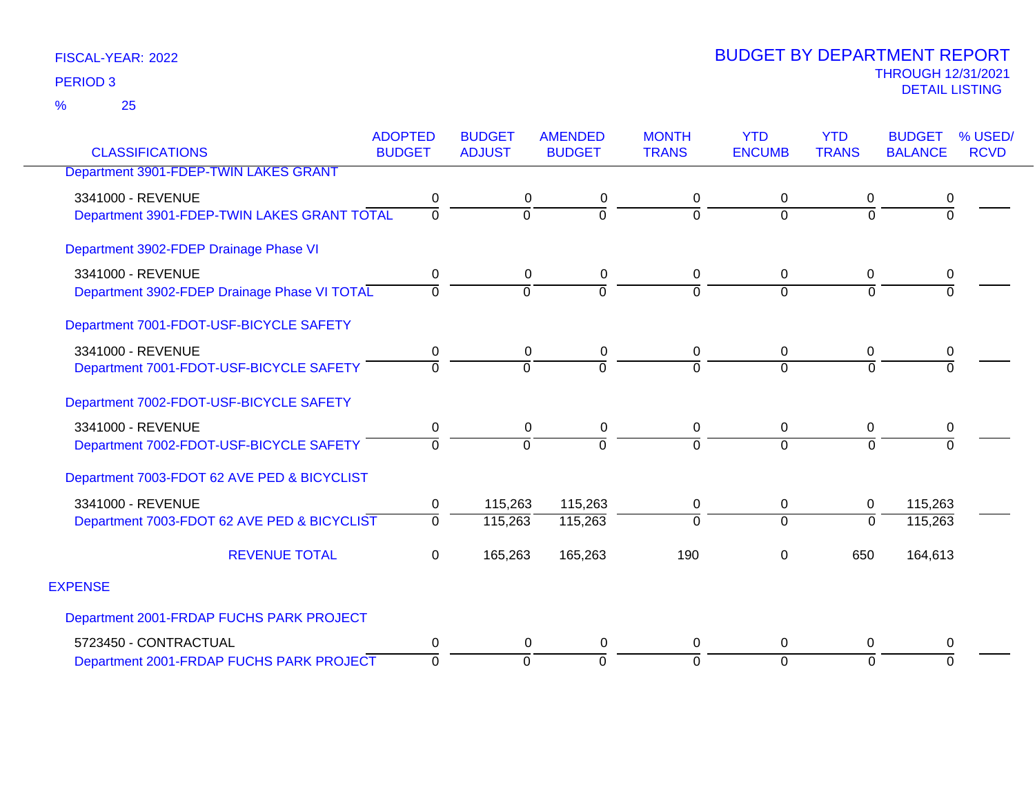25 %

| <b>CLASSIFICATIONS</b>                       | <b>ADOPTED</b><br><b>BUDGET</b> | <b>BUDGET</b><br><b>ADJUST</b> | <b>AMENDED</b><br><b>BUDGET</b> | <b>MONTH</b><br><b>TRANS</b> | <b>YTD</b><br><b>ENCUMB</b> | <b>YTD</b><br><b>TRANS</b> | <b>BUDGET</b><br><b>BALANCE</b> | % USED/<br><b>RCVD</b> |
|----------------------------------------------|---------------------------------|--------------------------------|---------------------------------|------------------------------|-----------------------------|----------------------------|---------------------------------|------------------------|
|                                              |                                 |                                |                                 |                              |                             |                            |                                 |                        |
| Department 3901-FDEP-TWIN LAKES GRANT        |                                 |                                |                                 |                              |                             |                            |                                 |                        |
| 3341000 - REVENUE                            | 0                               | 0                              | 0                               | 0                            | 0                           | 0                          | $\boldsymbol{0}$                |                        |
| Department 3901-FDEP-TWIN LAKES GRANT TOTAL  | $\overline{0}$                  | 0                              | $\Omega$                        | $\overline{0}$               | $\overline{0}$              | $\overline{0}$             | $\overline{0}$                  |                        |
| Department 3902-FDEP Drainage Phase VI       |                                 |                                |                                 |                              |                             |                            |                                 |                        |
| 3341000 - REVENUE                            | 0                               | 0                              | $\mathbf 0$                     | 0                            | $\mathbf 0$                 | $\mathbf 0$                | 0                               |                        |
| Department 3902-FDEP Drainage Phase VI TOTAL | $\Omega$                        | $\overline{0}$                 | $\Omega$                        | $\overline{0}$               | $\Omega$                    | $\Omega$                   | $\Omega$                        |                        |
| Department 7001-FDOT-USF-BICYCLE SAFETY      |                                 |                                |                                 |                              |                             |                            |                                 |                        |
| 3341000 - REVENUE                            | 0                               | $\mathbf 0$                    | 0                               | 0                            | 0                           | 0                          | $\pmb{0}$                       |                        |
| Department 7001-FDOT-USF-BICYCLE SAFETY      | 0                               | $\Omega$                       | $\Omega$                        | $\Omega$                     | $\Omega$                    | $\Omega$                   | $\Omega$                        |                        |
| Department 7002-FDOT-USF-BICYCLE SAFETY      |                                 |                                |                                 |                              |                             |                            |                                 |                        |
| 3341000 - REVENUE                            | 0                               | 0                              | 0                               | 0                            | 0                           | $\Omega$                   | 0                               |                        |
| Department 7002-FDOT-USF-BICYCLE SAFETY      | $\Omega$                        | $\Omega$                       | $\Omega$                        | ō                            | $\Omega$                    | $\overline{0}$             | $\overline{0}$                  |                        |
| Department 7003-FDOT 62 AVE PED & BICYCLIST  |                                 |                                |                                 |                              |                             |                            |                                 |                        |
| 3341000 - REVENUE                            | 0                               | 115,263                        | 115,263                         | 0                            | 0                           | 0                          | 115,263                         |                        |
| Department 7003-FDOT 62 AVE PED & BICYCLIST  | $\Omega$                        | 115,263                        | 115,263                         | $\overline{0}$               | $\overline{0}$              | $\overline{0}$             | 115,263                         |                        |
| <b>REVENUE TOTAL</b>                         | 0                               | 165,263                        | 165,263                         | 190                          | $\Omega$                    | 650                        | 164,613                         |                        |
| <b>EXPENSE</b>                               |                                 |                                |                                 |                              |                             |                            |                                 |                        |
| Department 2001-FRDAP FUCHS PARK PROJECT     |                                 |                                |                                 |                              |                             |                            |                                 |                        |
| 5723450 - CONTRACTUAL                        | 0                               | 0                              | 0                               | 0                            | 0                           | $\Omega$                   | 0                               |                        |
| Department 2001-FRDAP FUCHS PARK PROJECT     | $\overline{0}$                  | $\overline{0}$                 | $\Omega$                        | ō                            | $\Omega$                    | $\overline{0}$             | $\Omega$                        |                        |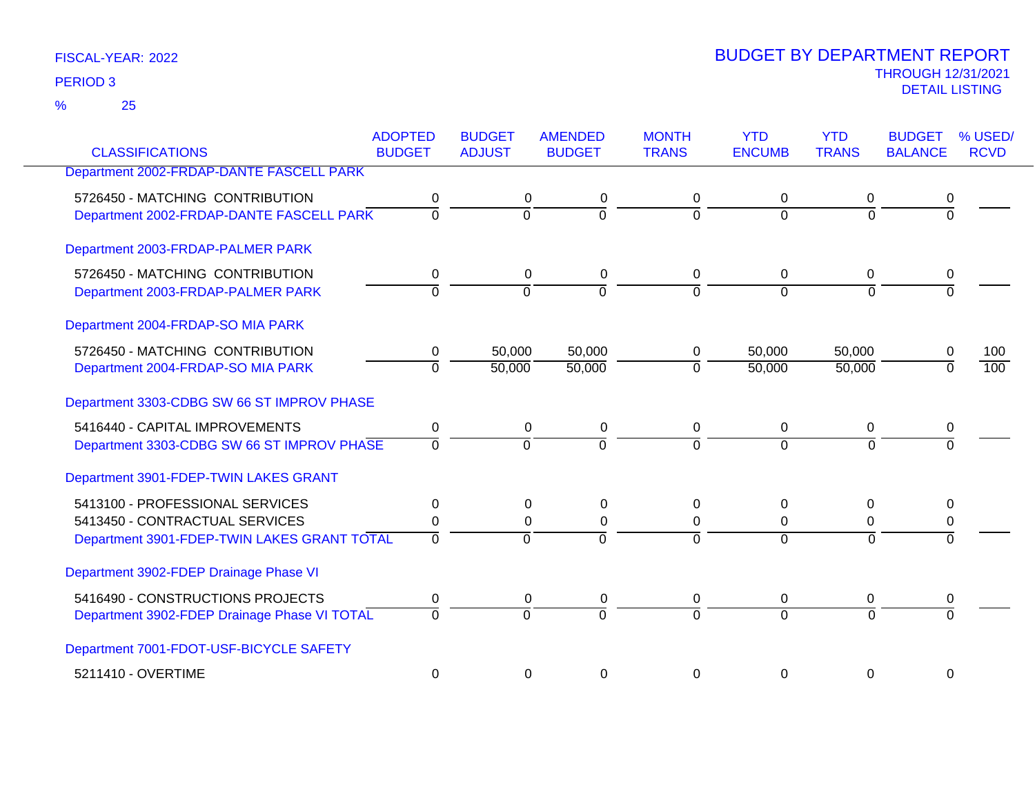25 %

| <b>CLASSIFICATIONS</b>                       | <b>ADOPTED</b><br><b>BUDGET</b> | <b>BUDGET</b><br><b>ADJUST</b> | <b>AMENDED</b><br><b>BUDGET</b> | <b>MONTH</b><br><b>TRANS</b> | <b>YTD</b><br><b>ENCUMB</b> | <b>YTD</b><br><b>TRANS</b> | <b>BUDGET</b><br><b>BALANCE</b> | % USED/<br><b>RCVD</b> |
|----------------------------------------------|---------------------------------|--------------------------------|---------------------------------|------------------------------|-----------------------------|----------------------------|---------------------------------|------------------------|
| Department 2002-FRDAP-DANTE FASCELL PARK     |                                 |                                |                                 |                              |                             |                            |                                 |                        |
|                                              |                                 |                                |                                 |                              |                             |                            |                                 |                        |
| 5726450 - MATCHING CONTRIBUTION              | 0                               | 0                              | 0                               | 0                            | 0                           | 0                          | 0                               |                        |
| Department 2002-FRDAP-DANTE FASCELL PARK     | $\overline{0}$                  | $\mathbf 0$                    | $\overline{0}$                  | $\Omega$                     | $\Omega$                    | $\Omega$                   | $\mathbf 0$                     |                        |
| Department 2003-FRDAP-PALMER PARK            |                                 |                                |                                 |                              |                             |                            |                                 |                        |
| 5726450 - MATCHING CONTRIBUTION              | $\mathbf 0$                     | 0                              | 0                               | 0                            | $\mathbf 0$                 | 0                          | 0                               |                        |
| Department 2003-FRDAP-PALMER PARK            | $\overline{0}$                  | $\Omega$                       | $\overline{0}$                  | $\Omega$                     | $\Omega$                    | $\mathbf 0$                | $\Omega$                        |                        |
| Department 2004-FRDAP-SO MIA PARK            |                                 |                                |                                 |                              |                             |                            |                                 |                        |
| 5726450 - MATCHING CONTRIBUTION              | 0                               | 50,000                         | 50,000                          | 0                            | 50,000                      | 50,000                     | 0                               | 100                    |
| Department 2004-FRDAP-SO MIA PARK            | $\overline{0}$                  | 50,000                         | 50,000                          | $\Omega$                     | 50,000                      | 50,000                     | $\Omega$                        | 100                    |
| Department 3303-CDBG SW 66 ST IMPROV PHASE   |                                 |                                |                                 |                              |                             |                            |                                 |                        |
| 5416440 - CAPITAL IMPROVEMENTS               | $\mathbf 0$                     | 0                              | $\mathbf 0$                     | 0                            | $\mathbf 0$                 | 0                          | 0                               |                        |
| Department 3303-CDBG SW 66 ST IMPROV PHASE   | $\Omega$                        | $\Omega$                       | $\Omega$                        | $\Omega$                     | $\Omega$                    | $\Omega$                   | $\Omega$                        |                        |
| Department 3901-FDEP-TWIN LAKES GRANT        |                                 |                                |                                 |                              |                             |                            |                                 |                        |
| 5413100 - PROFESSIONAL SERVICES              | $\Omega$                        | $\Omega$                       | 0                               | 0                            | $\mathbf{0}$                | $\Omega$                   | 0                               |                        |
| 5413450 - CONTRACTUAL SERVICES               | 0                               | $\Omega$                       | $\Omega$                        | $\Omega$                     | $\Omega$                    | 0                          | $\Omega$                        |                        |
| Department 3901-FDEP-TWIN LAKES GRANT TOTAL  | $\overline{0}$                  | $\Omega$                       | $\overline{0}$                  | $\Omega$                     | $\Omega$                    | $\Omega$                   | $\Omega$                        |                        |
| Department 3902-FDEP Drainage Phase VI       |                                 |                                |                                 |                              |                             |                            |                                 |                        |
| 5416490 - CONSTRUCTIONS PROJECTS             | 0                               | 0                              | 0                               | 0                            | 0                           | 0                          | 0                               |                        |
| Department 3902-FDEP Drainage Phase VI TOTAL | $\overline{0}$                  | $\Omega$                       | $\overline{0}$                  | $\Omega$                     | $\Omega$                    | $\overline{0}$             | $\overline{0}$                  |                        |
| Department 7001-FDOT-USF-BICYCLE SAFETY      |                                 |                                |                                 |                              |                             |                            |                                 |                        |
| 5211410 - OVERTIME                           | $\mathbf 0$                     | 0                              | 0                               | 0                            | 0                           | $\mathbf 0$                | 0                               |                        |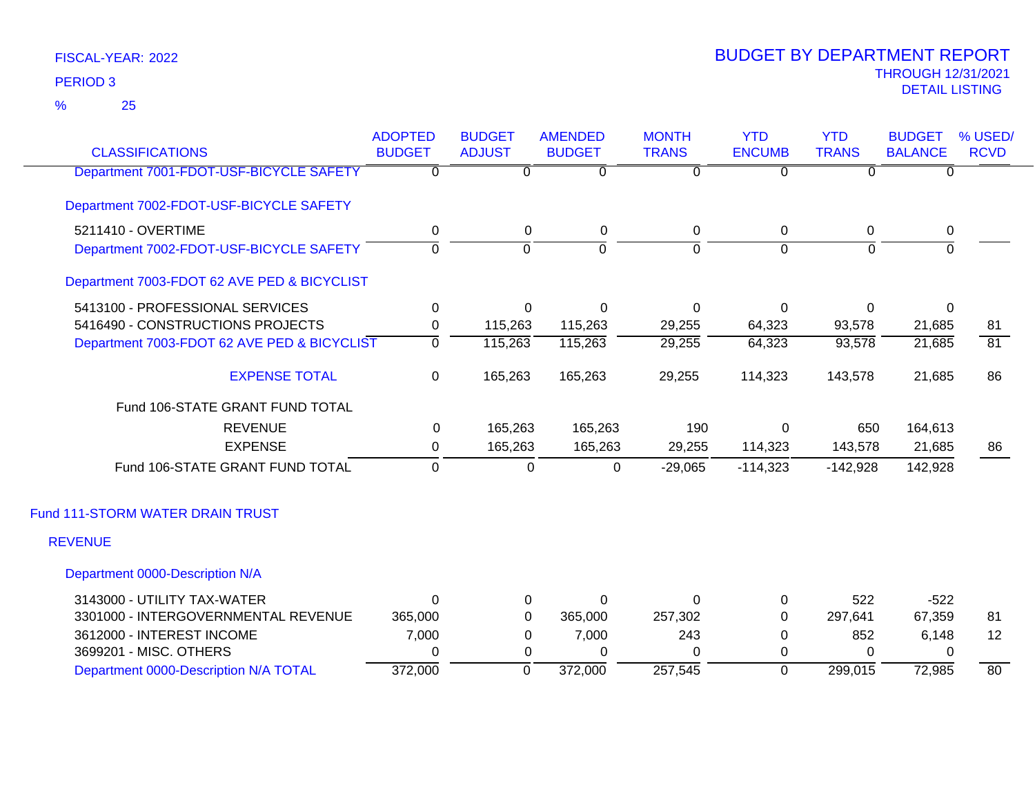25 %

| <b>CLASSIFICATIONS</b>                      | <b>ADOPTED</b><br><b>BUDGET</b> | <b>BUDGET</b><br><b>ADJUST</b> | <b>AMENDED</b><br><b>BUDGET</b> | <b>MONTH</b><br><b>TRANS</b> | <b>YTD</b><br><b>ENCUMB</b> | <b>YTD</b><br><b>TRANS</b> | <b>BUDGET</b><br><b>BALANCE</b> | % USED/<br><b>RCVD</b> |
|---------------------------------------------|---------------------------------|--------------------------------|---------------------------------|------------------------------|-----------------------------|----------------------------|---------------------------------|------------------------|
| Department 7001-FDOT-USF-BICYCLE SAFETY     | $\Omega$                        | $\overline{0}$                 | $\overline{0}$                  | $\overline{0}$               | $\overline{0}$              | $\overline{0}$             | 0                               |                        |
| Department 7002-FDOT-USF-BICYCLE SAFETY     |                                 |                                |                                 |                              |                             |                            |                                 |                        |
| 5211410 - OVERTIME                          | 0                               | 0                              | $\mathbf 0$                     | $\mathbf 0$                  | $\mathbf 0$                 | 0                          | 0                               |                        |
| Department 7002-FDOT-USF-BICYCLE SAFETY     | $\Omega$                        | $\Omega$                       | $\Omega$                        | $\Omega$                     | $\overline{0}$              | $\Omega$                   | $\Omega$                        |                        |
| Department 7003-FDOT 62 AVE PED & BICYCLIST |                                 |                                |                                 |                              |                             |                            |                                 |                        |
| 5413100 - PROFESSIONAL SERVICES             | $\mathbf 0$                     | 0                              | $\Omega$                        | $\Omega$                     | 0                           | 0                          | $\mathbf{0}$                    |                        |
| 5416490 - CONSTRUCTIONS PROJECTS            | 0                               | 115,263                        | 115,263                         | 29,255                       | 64,323                      | 93,578                     | 21,685                          | 81                     |
| Department 7003-FDOT 62 AVE PED & BICYCLIST | $\Omega$                        | 115,263                        | 115,263                         | 29,255                       | 64,323                      | 93,578                     | 21,685                          | $\overline{81}$        |
| <b>EXPENSE TOTAL</b>                        | $\mathbf 0$                     | 165,263                        | 165,263                         | 29,255                       | 114,323                     | 143,578                    | 21,685                          | 86                     |
| Fund 106-STATE GRANT FUND TOTAL             |                                 |                                |                                 |                              |                             |                            |                                 |                        |
| <b>REVENUE</b>                              | 0                               | 165,263                        | 165,263                         | 190                          | $\Omega$                    | 650                        | 164,613                         |                        |
| <b>EXPENSE</b>                              | $\Omega$                        | 165,263                        | 165,263                         | 29,255                       | 114,323                     | 143,578                    | 21,685                          | 86                     |
| Fund 106-STATE GRANT FUND TOTAL             | $\Omega$                        | 0                              | 0                               | $-29,065$                    | $-114,323$                  | $-142,928$                 | 142,928                         |                        |
| Fund 111-STORM WATER DRAIN TRUST            |                                 |                                |                                 |                              |                             |                            |                                 |                        |
| <b>REVENUE</b>                              |                                 |                                |                                 |                              |                             |                            |                                 |                        |
| Department 0000-Description N/A             |                                 |                                |                                 |                              |                             |                            |                                 |                        |
| 3143000 - UTILITY TAX-WATER                 | $\Omega$                        | $\mathbf 0$                    | $\Omega$                        | $\Omega$                     | 0                           | 522                        | $-522$                          |                        |
| 3301000 - INTERGOVERNMENTAL REVENUE         | 365,000                         | 0                              | 365,000                         | 257,302                      | $\Omega$                    | 297,641                    | 67,359                          | 81                     |
| 3612000 - INTEREST INCOME                   | 7,000                           | $\Omega$                       | 7,000                           | 243                          | 0                           | 852                        | 6,148                           | 12                     |
| 3699201 - MISC. OTHERS                      | 0                               | 0                              | $\Omega$                        | $\Omega$                     | 0                           | $\Omega$                   | 0                               |                        |
| Department 0000-Description N/A TOTAL       | 372,000                         | $\Omega$                       | 372,000                         | 257,545                      | $\overline{0}$              | 299,015                    | 72,985                          | 80                     |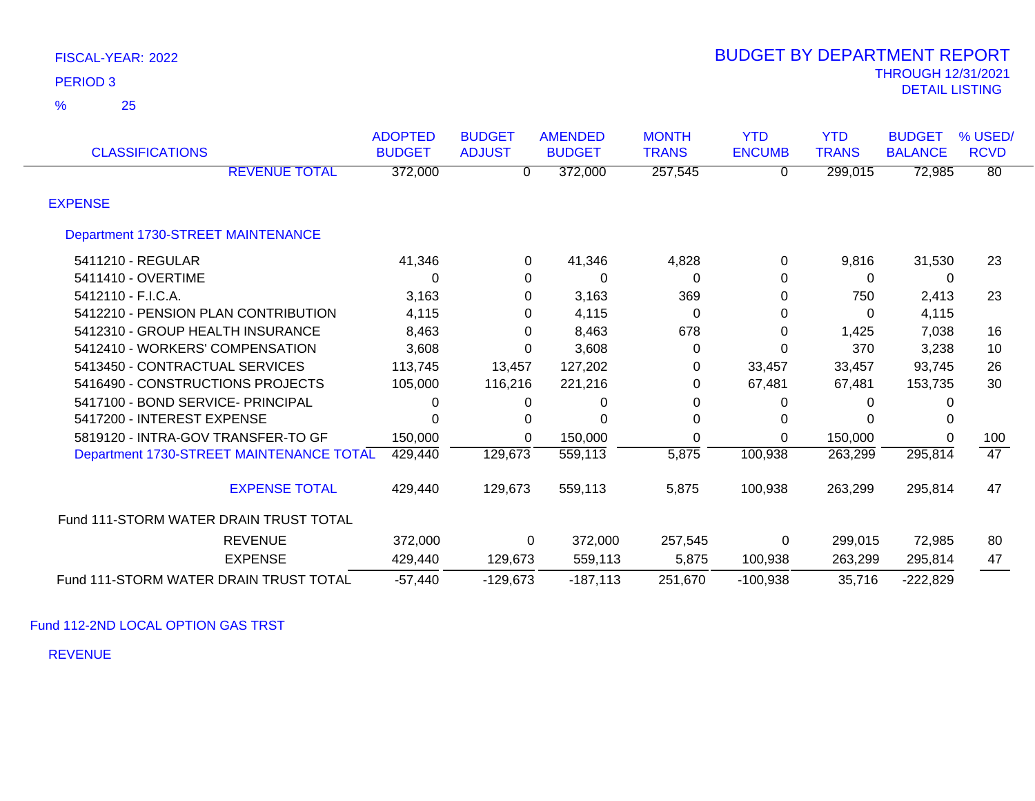| <b>CLASSIFICATIONS</b>                   | <b>ADOPTED</b><br><b>BUDGET</b> | <b>BUDGET</b><br><b>ADJUST</b> | <b>AMENDED</b><br><b>BUDGET</b> | <b>MONTH</b><br><b>TRANS</b> | <b>YTD</b><br><b>ENCUMB</b> | <b>YTD</b><br><b>TRANS</b> | <b>BUDGET</b><br><b>BALANCE</b> | % USED/<br><b>RCVD</b> |
|------------------------------------------|---------------------------------|--------------------------------|---------------------------------|------------------------------|-----------------------------|----------------------------|---------------------------------|------------------------|
| <b>REVENUE TOTAL</b>                     | 372,000                         | 0                              | 372,000                         | 257,545                      | 0                           | 299,015                    | 72,985                          | $\overline{80}$        |
| <b>EXPENSE</b>                           |                                 |                                |                                 |                              |                             |                            |                                 |                        |
| Department 1730-STREET MAINTENANCE       |                                 |                                |                                 |                              |                             |                            |                                 |                        |
| 5411210 - REGULAR                        | 41,346                          | 0                              | 41,346                          | 4,828                        | 0                           | 9,816                      | 31,530                          | 23                     |
| 5411410 - OVERTIME                       | 0                               | $\mathbf 0$                    | 0                               | 0                            | 0                           | 0                          | $\Omega$                        |                        |
| 5412110 - F.I.C.A.                       | 3,163                           | 0                              | 3,163                           | 369                          | 0                           | 750                        | 2,413                           | 23                     |
| 5412210 - PENSION PLAN CONTRIBUTION      | 4,115                           | 0                              | 4,115                           | 0                            | 0                           | 0                          | 4,115                           |                        |
| 5412310 - GROUP HEALTH INSURANCE         | 8,463                           | $\Omega$                       | 8,463                           | 678                          | 0                           | 1,425                      | 7,038                           | 16                     |
| 5412410 - WORKERS' COMPENSATION          | 3,608                           | 0                              | 3,608                           | 0                            | 0                           | 370                        | 3,238                           | 10                     |
| 5413450 - CONTRACTUAL SERVICES           | 113,745                         | 13,457                         | 127,202                         | 0                            | 33,457                      | 33,457                     | 93,745                          | 26                     |
| 5416490 - CONSTRUCTIONS PROJECTS         | 105,000                         | 116,216                        | 221,216                         | 0                            | 67,481                      | 67,481                     | 153,735                         | 30                     |
| 5417100 - BOND SERVICE- PRINCIPAL        | 0                               | 0                              | 0                               | 0                            | 0                           | 0                          |                                 |                        |
| 5417200 - INTEREST EXPENSE               | O                               | 0                              | 0                               | 0                            | 0                           |                            |                                 |                        |
| 5819120 - INTRA-GOV TRANSFER-TO GF       | 150,000                         | 0                              | 150,000                         | 0                            | 0                           | 150,000                    | $\Omega$                        | 100                    |
| Department 1730-STREET MAINTENANCE TOTAL | 429,440                         | 129,673                        | 559,113                         | 5,875                        | 100,938                     | 263,299                    | 295,814                         | 47                     |
| <b>EXPENSE TOTAL</b>                     | 429,440                         | 129,673                        | 559,113                         | 5,875                        | 100,938                     | 263,299                    | 295,814                         | 47                     |
| Fund 111-STORM WATER DRAIN TRUST TOTAL   |                                 |                                |                                 |                              |                             |                            |                                 |                        |
| <b>REVENUE</b>                           | 372,000                         | 0                              | 372,000                         | 257,545                      | 0                           | 299,015                    | 72,985                          | 80                     |
| <b>EXPENSE</b>                           | 429,440                         | 129,673                        | 559,113                         | 5,875                        | 100,938                     | 263,299                    | 295,814                         | 47                     |
| Fund 111-STORM WATER DRAIN TRUST TOTAL   | $-57,440$                       | $-129,673$                     | $-187,113$                      | 251,670                      | $-100,938$                  | 35,716                     | $-222,829$                      |                        |

Fund 112-2ND LOCAL OPTION GAS TRST

REVENUE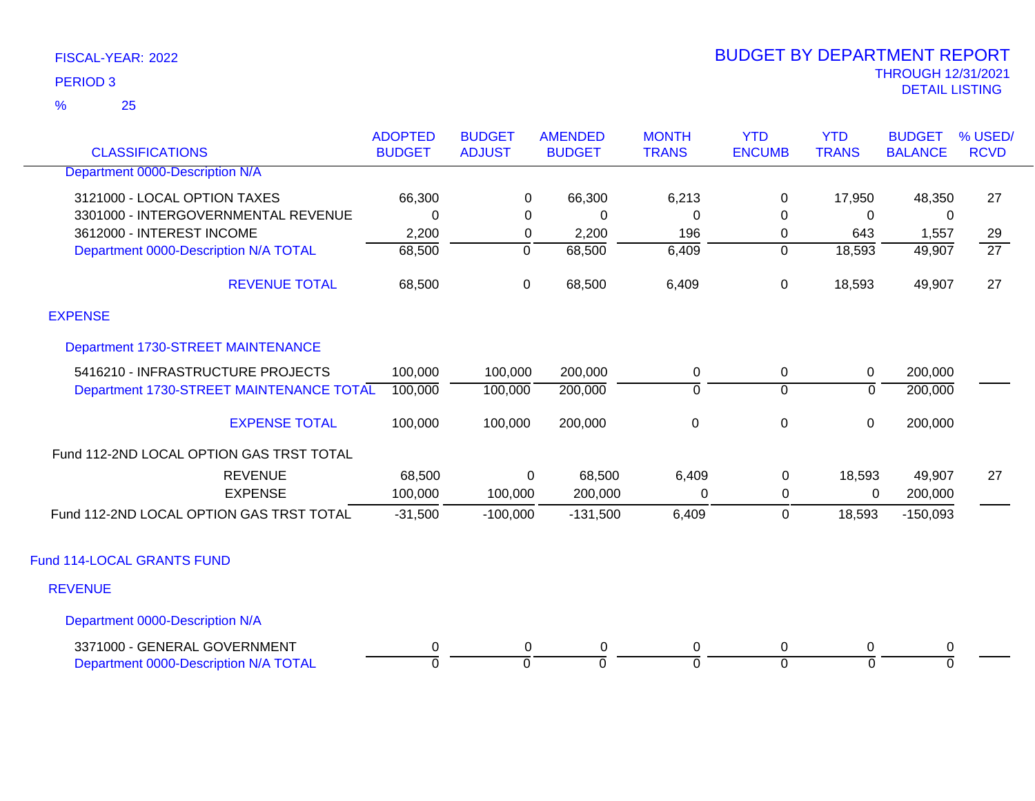25 %

| <b>CLASSIFICATIONS</b>                   | <b>ADOPTED</b><br><b>BUDGET</b> | <b>BUDGET</b><br><b>ADJUST</b> | <b>AMENDED</b><br><b>BUDGET</b> | <b>MONTH</b><br><b>TRANS</b> | <b>YTD</b><br><b>ENCUMB</b> | <b>YTD</b><br><b>TRANS</b> | <b>BUDGET</b><br><b>BALANCE</b> | % USED/<br><b>RCVD</b> |
|------------------------------------------|---------------------------------|--------------------------------|---------------------------------|------------------------------|-----------------------------|----------------------------|---------------------------------|------------------------|
| Department 0000-Description N/A          |                                 |                                |                                 |                              |                             |                            |                                 |                        |
| 3121000 - LOCAL OPTION TAXES             | 66,300                          | 0                              | 66,300                          | 6,213                        | 0                           | 17,950                     | 48,350                          | 27                     |
| 3301000 - INTERGOVERNMENTAL REVENUE      | $\mathbf 0$                     | 0                              | 0                               | $\Omega$                     | 0                           | $\Omega$                   | 0                               |                        |
| 3612000 - INTEREST INCOME                | 2,200                           | 0                              | 2,200                           | 196                          | 0                           | 643                        | 1,557                           | 29                     |
| Department 0000-Description N/A TOTAL    | 68,500                          | $\overline{0}$                 | 68,500                          | 6,409                        | $\overline{0}$              | 18,593                     | 49,907                          | $\overline{27}$        |
| <b>REVENUE TOTAL</b>                     | 68,500                          | 0                              | 68,500                          | 6,409                        | 0                           | 18,593                     | 49,907                          | 27                     |
| <b>EXPENSE</b>                           |                                 |                                |                                 |                              |                             |                            |                                 |                        |
| Department 1730-STREET MAINTENANCE       |                                 |                                |                                 |                              |                             |                            |                                 |                        |
| 5416210 - INFRASTRUCTURE PROJECTS        | 100,000                         | 100,000                        | 200,000                         | 0                            | 0                           | 0                          | 200,000                         |                        |
| Department 1730-STREET MAINTENANCE TOTAL | 100,000                         | 100,000                        | 200,000                         | $\overline{0}$               | $\overline{0}$              | $\overline{0}$             | 200,000                         |                        |
| <b>EXPENSE TOTAL</b>                     | 100,000                         | 100,000                        | 200,000                         | $\pmb{0}$                    | $\pmb{0}$                   | $\pmb{0}$                  | 200,000                         |                        |
| Fund 112-2ND LOCAL OPTION GAS TRST TOTAL |                                 |                                |                                 |                              |                             |                            |                                 |                        |
| <b>REVENUE</b>                           | 68,500                          | 0                              | 68,500                          | 6,409                        | $\mathbf 0$                 | 18,593                     | 49,907                          | 27                     |
| <b>EXPENSE</b>                           | 100,000                         | 100,000                        | 200,000                         | $\Omega$                     | $\mathbf 0$                 | 0                          | 200,000                         |                        |
| Fund 112-2ND LOCAL OPTION GAS TRST TOTAL | $-31,500$                       | $-100,000$                     | $-131,500$                      | 6,409                        | $\mathbf 0$                 | 18,593                     | $-150,093$                      |                        |
| Fund 114-LOCAL GRANTS FUND               |                                 |                                |                                 |                              |                             |                            |                                 |                        |
| <b>REVENUE</b>                           |                                 |                                |                                 |                              |                             |                            |                                 |                        |
| Department 0000-Description N/A          |                                 |                                |                                 |                              |                             |                            |                                 |                        |
| 3371000 - GENERAL GOVERNMENT             | 0                               | 0                              | $\pmb{0}$                       | $\pmb{0}$                    | 0                           | $\mathbf 0$                | $\pmb{0}$                       |                        |
| Department 0000-Description N/A TOTAL    | 0                               | $\overline{0}$                 | $\Omega$                        | $\Omega$                     | $\Omega$                    | $\Omega$                   | $\overline{0}$                  |                        |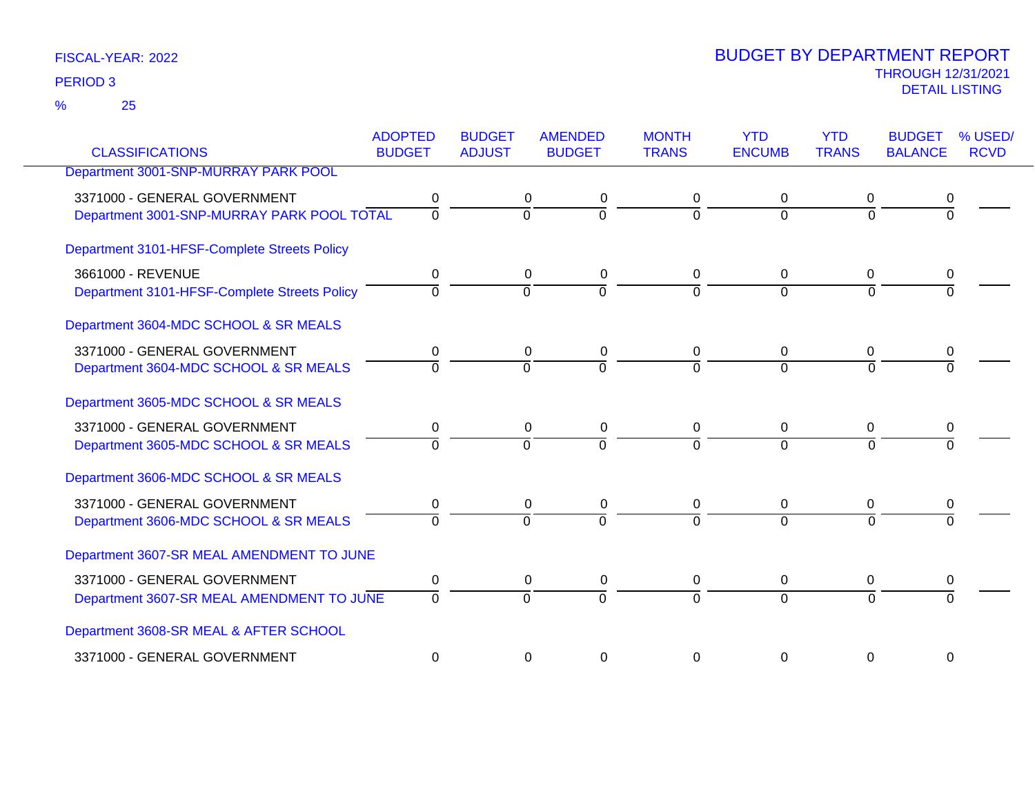25 %

|                                              | <b>ADOPTED</b> | <b>BUDGET</b>  | <b>AMENDED</b> | <b>MONTH</b> | <b>YTD</b>    | <b>YTD</b>     | <b>BUDGET</b>  | % USED/     |
|----------------------------------------------|----------------|----------------|----------------|--------------|---------------|----------------|----------------|-------------|
| <b>CLASSIFICATIONS</b>                       | <b>BUDGET</b>  | <b>ADJUST</b>  | <b>BUDGET</b>  | <b>TRANS</b> | <b>ENCUMB</b> | <b>TRANS</b>   | <b>BALANCE</b> | <b>RCVD</b> |
| Department 3001-SNP-MURRAY PARK POOL         |                |                |                |              |               |                |                |             |
| 3371000 - GENERAL GOVERNMENT                 | 0              |                | 0<br>0         | 0            | 0             | 0              | 0              |             |
| Department 3001-SNP-MURRAY PARK POOL TOTAL   | $\overline{0}$ | $\overline{0}$ | ō              | $\Omega$     | $\Omega$      | $\overline{0}$ | $\Omega$       |             |
| Department 3101-HFSF-Complete Streets Policy |                |                |                |              |               |                |                |             |
| 3661000 - REVENUE                            | 0              |                | 0<br>0         | 0            | $\mathbf 0$   | 0              | 0              |             |
| Department 3101-HFSF-Complete Streets Policy | $\Omega$       | $\Omega$       | $\Omega$       | $\Omega$     | $\Omega$      | $\Omega$       | $\Omega$       |             |
| Department 3604-MDC SCHOOL & SR MEALS        |                |                |                |              |               |                |                |             |
| 3371000 - GENERAL GOVERNMENT                 | 0              |                | 0<br>0         | 0            | 0             | 0              | 0              |             |
| Department 3604-MDC SCHOOL & SR MEALS        | $\Omega$       | $\Omega$       | $\Omega$       | $\Omega$     | $\Omega$      | $\Omega$       | $\Omega$       |             |
| Department 3605-MDC SCHOOL & SR MEALS        |                |                |                |              |               |                |                |             |
| 3371000 - GENERAL GOVERNMENT                 | 0              |                | 0<br>0         | 0            | $\Omega$      | $\Omega$       | 0              |             |
| Department 3605-MDC SCHOOL & SR MEALS        | $\Omega$       | $\Omega$       | $\overline{0}$ | $\Omega$     | $\Omega$      | $\Omega$       | $\Omega$       |             |
| Department 3606-MDC SCHOOL & SR MEALS        |                |                |                |              |               |                |                |             |
| 3371000 - GENERAL GOVERNMENT                 | 0              |                | 0<br>0         | 0            | 0             | 0              | 0              |             |
| Department 3606-MDC SCHOOL & SR MEALS        | $\Omega$       | $\overline{0}$ | $\overline{0}$ | $\Omega$     | $\Omega$      | $\Omega$       | $\Omega$       |             |
| Department 3607-SR MEAL AMENDMENT TO JUNE    |                |                |                |              |               |                |                |             |
| 3371000 - GENERAL GOVERNMENT                 | 0              |                | 0<br>0         | 0            | 0             | 0              | 0              |             |
| Department 3607-SR MEAL AMENDMENT TO JUNE    | $\Omega$       | $\Omega$       | $\Omega$       | $\Omega$     | $\Omega$      | $\Omega$       | $\Omega$       |             |
| Department 3608-SR MEAL & AFTER SCHOOL       |                |                |                |              |               |                |                |             |
| 3371000 - GENERAL GOVERNMENT                 | $\Omega$       |                | 0<br>0         | 0            | $\Omega$      | $\Omega$       | $\Omega$       |             |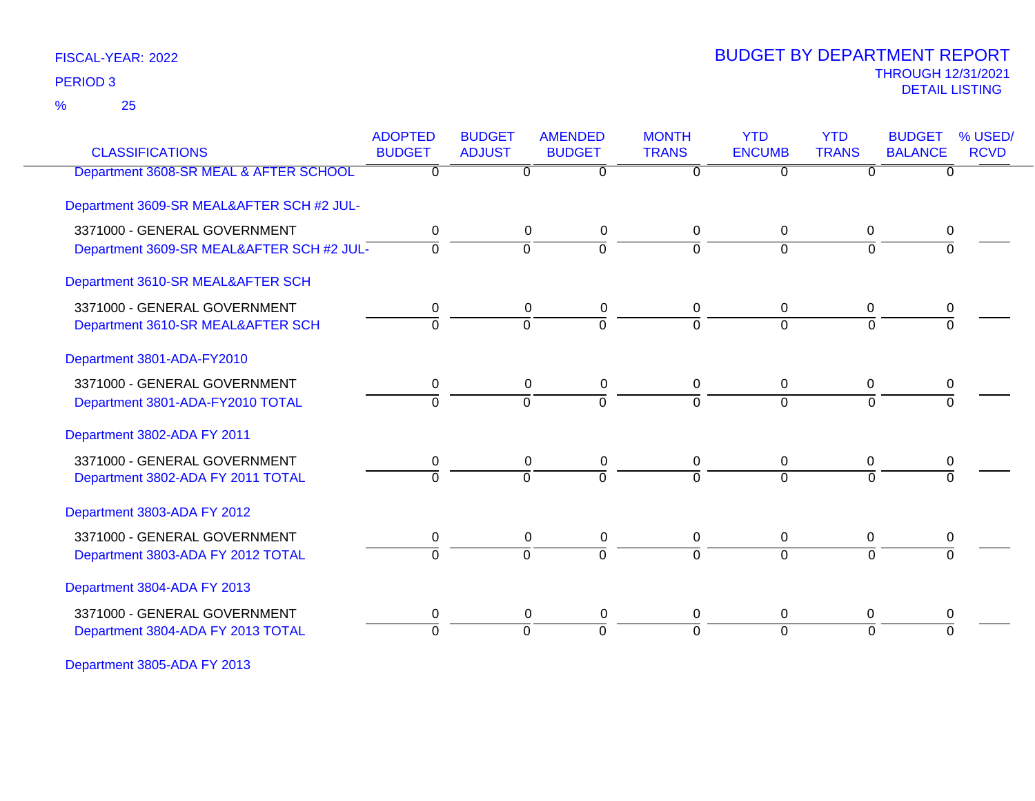25 %

### THROUGH 12/31/2021 DETAIL LISTING PERIOD <sup>3</sup> BUDGET BY DEPARTMENT REPORT

| <b>CLASSIFICATIONS</b>                    | <b>ADOPTED</b><br><b>BUDGET</b> | <b>BUDGET</b><br><b>ADJUST</b> | <b>AMENDED</b><br><b>BUDGET</b> | <b>MONTH</b><br><b>TRANS</b> | <b>YTD</b><br><b>ENCUMB</b> | <b>YTD</b><br><b>TRANS</b> | <b>BUDGET</b><br><b>BALANCE</b> | % USED/<br><b>RCVD</b> |
|-------------------------------------------|---------------------------------|--------------------------------|---------------------------------|------------------------------|-----------------------------|----------------------------|---------------------------------|------------------------|
| Department 3608-SR MEAL & AFTER SCHOOL    | 0                               | 0                              | $\overline{0}$                  | 0                            | $\overline{0}$              | $\Omega$                   | $\overline{0}$                  |                        |
| Department 3609-SR MEAL&AFTER SCH #2 JUL- |                                 |                                |                                 |                              |                             |                            |                                 |                        |
| 3371000 - GENERAL GOVERNMENT              | 0                               | 0                              | 0                               | 0                            | $\mathbf{0}$                | $\mathbf 0$                | 0                               |                        |
| Department 3609-SR MEAL&AFTER SCH #2 JUL- | $\Omega$                        | $\Omega$                       | $\overline{0}$                  | $\Omega$                     | $\Omega$                    | $\Omega$                   | $\Omega$                        |                        |
| Department 3610-SR MEAL&AFTER SCH         |                                 |                                |                                 |                              |                             |                            |                                 |                        |
| 3371000 - GENERAL GOVERNMENT              | 0                               | 0                              | 0                               | 0                            | $\mathbf{0}$                | 0                          | 0                               |                        |
| Department 3610-SR MEAL&AFTER SCH         | $\overline{0}$                  | 0                              | $\overline{0}$                  | $\Omega$                     | $\overline{0}$              | $\overline{0}$             | $\Omega$                        |                        |
| Department 3801-ADA-FY2010                |                                 |                                |                                 |                              |                             |                            |                                 |                        |
| 3371000 - GENERAL GOVERNMENT              | 0                               | $\mathbf{0}$                   | 0                               | 0                            | $\mathbf{0}$                | $\mathbf{0}$               | 0                               |                        |
| Department 3801-ADA-FY2010 TOTAL          | $\Omega$                        | $\Omega$                       | $\overline{0}$                  | $\Omega$                     | $\Omega$                    | $\Omega$                   | $\Omega$                        |                        |
| Department 3802-ADA FY 2011               |                                 |                                |                                 |                              |                             |                            |                                 |                        |
| 3371000 - GENERAL GOVERNMENT              |                                 | 0                              | 0                               | 0                            | $\mathbf 0$                 | 0                          | 0                               |                        |
| Department 3802-ADA FY 2011 TOTAL         | $\Omega$                        | $\Omega$                       | $\overline{0}$                  | 0                            | $\Omega$                    | $\Omega$                   | $\Omega$                        |                        |
| Department 3803-ADA FY 2012               |                                 |                                |                                 |                              |                             |                            |                                 |                        |
| 3371000 - GENERAL GOVERNMENT              | 0                               | 0                              | 0                               | 0                            | $\mathbf{0}$                | 0                          | 0                               |                        |
| Department 3803-ADA FY 2012 TOTAL         | $\Omega$                        | $\Omega$                       | $\overline{0}$                  | $\Omega$                     | $\Omega$                    | $\Omega$                   | $\Omega$                        |                        |
| Department 3804-ADA FY 2013               |                                 |                                |                                 |                              |                             |                            |                                 |                        |
| 3371000 - GENERAL GOVERNMENT              | 0                               | 0                              | 0                               | 0                            | 0                           | 0                          | $\boldsymbol{0}$                |                        |
| Department 3804-ADA FY 2013 TOTAL         | $\Omega$                        | $\Omega$                       | $\overline{0}$                  | $\Omega$                     | $\Omega$                    | $\Omega$                   | $\Omega$                        |                        |
|                                           |                                 |                                |                                 |                              |                             |                            |                                 |                        |

Department 3805-ADA FY 2013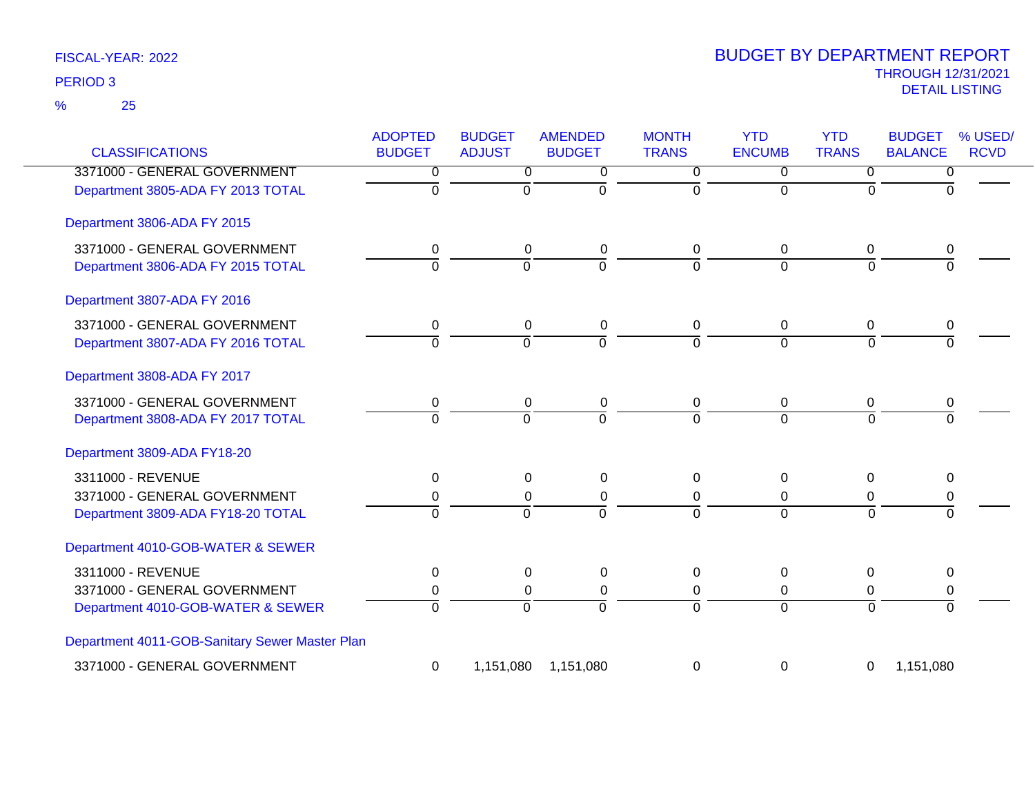25 %

| <b>CLASSIFICATIONS</b>                         | <b>ADOPTED</b><br><b>BUDGET</b> | <b>BUDGET</b><br><b>ADJUST</b> | <b>AMENDED</b><br><b>BUDGET</b> | <b>MONTH</b><br><b>TRANS</b> | <b>YTD</b><br><b>ENCUMB</b> | <b>YTD</b><br><b>TRANS</b> | % USED/<br><b>BUDGET</b><br><b>BALANCE</b><br><b>RCVD</b> |
|------------------------------------------------|---------------------------------|--------------------------------|---------------------------------|------------------------------|-----------------------------|----------------------------|-----------------------------------------------------------|
| 3371000 - GENERAL GOVERNMENT                   | 0                               | 0                              | 0                               | 0                            | $\Omega$                    | $\Omega$                   | 0                                                         |
| Department 3805-ADA FY 2013 TOTAL              | $\overline{0}$                  | $\overline{0}$                 | ō                               | $\mathbf 0$                  | $\Omega$                    | $\overline{0}$             | $\Omega$                                                  |
| Department 3806-ADA FY 2015                    |                                 |                                |                                 |                              |                             |                            |                                                           |
| 3371000 - GENERAL GOVERNMENT                   | $\mathbf 0$                     | $\mathbf 0$                    | 0                               | $\mathbf 0$                  | $\mathbf 0$                 | 0                          | 0                                                         |
| Department 3806-ADA FY 2015 TOTAL              | $\Omega$                        | $\Omega$                       | $\overline{0}$                  | $\Omega$                     | $\Omega$                    | $\Omega$                   |                                                           |
| Department 3807-ADA FY 2016                    |                                 |                                |                                 |                              |                             |                            |                                                           |
| 3371000 - GENERAL GOVERNMENT                   | 0                               | $\mathbf 0$                    | 0                               | $\mathbf 0$                  | $\mathbf 0$                 | $\mathbf 0$                | 0                                                         |
| Department 3807-ADA FY 2016 TOTAL              | $\overline{0}$                  | ō                              | ō                               | $\Omega$                     | $\Omega$                    | $\Omega$                   | $\Omega$                                                  |
| Department 3808-ADA FY 2017                    |                                 |                                |                                 |                              |                             |                            |                                                           |
| 3371000 - GENERAL GOVERNMENT                   | 0                               | 0                              | 0                               | 0                            | 0                           | 0                          | 0                                                         |
| Department 3808-ADA FY 2017 TOTAL              | $\overline{0}$                  | $\overline{0}$                 | $\overline{0}$                  | $\Omega$                     | $\Omega$                    | $\Omega$                   | $\Omega$                                                  |
| Department 3809-ADA FY18-20                    |                                 |                                |                                 |                              |                             |                            |                                                           |
| 3311000 - REVENUE                              | 0                               | 0                              | 0                               | $\mathbf 0$                  | 0                           | 0                          | 0                                                         |
| 3371000 - GENERAL GOVERNMENT                   | 0                               | $\mathbf 0$                    | 0                               | $\mathbf 0$                  | 0                           | 0                          | 0                                                         |
| Department 3809-ADA FY18-20 TOTAL              | $\Omega$                        | $\Omega$                       | $\overline{0}$                  | $\Omega$                     | $\Omega$                    | $\Omega$                   | $\Omega$                                                  |
| Department 4010-GOB-WATER & SEWER              |                                 |                                |                                 |                              |                             |                            |                                                           |
| 3311000 - REVENUE                              | 0                               | $\mathbf 0$                    | 0                               | 0                            | $\Omega$                    | $\Omega$                   | $\Omega$                                                  |
| 3371000 - GENERAL GOVERNMENT                   | 0                               | $\Omega$                       | 0                               | 0                            | $\Omega$                    | 0                          | 0                                                         |
| Department 4010-GOB-WATER & SEWER              | $\overline{0}$                  | $\overline{0}$                 | $\Omega$                        | $\Omega$                     | $\Omega$                    | $\overline{0}$             | $\Omega$                                                  |
| Department 4011-GOB-Sanitary Sewer Master Plan |                                 |                                |                                 |                              |                             |                            |                                                           |
| 3371000 - GENERAL GOVERNMENT                   | 0                               | 1,151,080                      | 1,151,080                       | $\Omega$                     | 0                           | 0                          | 1,151,080                                                 |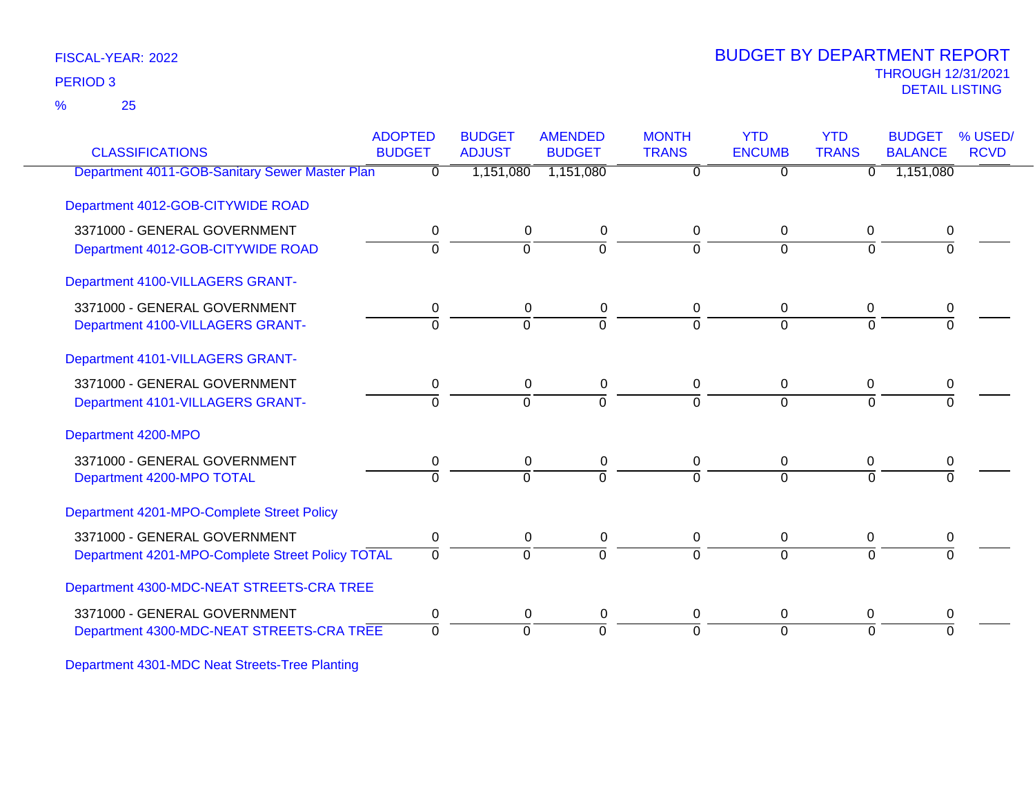25 %

### THROUGH 12/31/2021 DETAIL LISTING PERIOD <sup>3</sup> BUDGET BY DEPARTMENT REPORT

| <b>CLASSIFICATIONS</b>                           | <b>ADOPTED</b><br><b>BUDGET</b> | <b>BUDGET</b><br><b>ADJUST</b> | <b>AMENDED</b><br><b>BUDGET</b> | <b>MONTH</b><br><b>TRANS</b> | <b>YTD</b><br><b>ENCUMB</b> | <b>YTD</b><br><b>TRANS</b> | <b>BUDGET</b><br><b>BALANCE</b> | % USED/<br><b>RCVD</b> |
|--------------------------------------------------|---------------------------------|--------------------------------|---------------------------------|------------------------------|-----------------------------|----------------------------|---------------------------------|------------------------|
| Department 4011-GOB-Sanitary Sewer Master Plan   | $\Omega$                        | 1,151,080                      | 1,151,080                       | $\overline{0}$               | $\overline{0}$              | $\Omega$                   | 1,151,080                       |                        |
| Department 4012-GOB-CITYWIDE ROAD                |                                 |                                |                                 |                              |                             |                            |                                 |                        |
| 3371000 - GENERAL GOVERNMENT                     | 0                               | $\mathbf 0$                    | 0                               | 0                            | $\mathbf 0$                 | $\mathbf 0$                | 0                               |                        |
| Department 4012-GOB-CITYWIDE ROAD                | $\Omega$                        | $\Omega$                       | $\Omega$                        | 0                            | $\Omega$                    | $\Omega$                   | $\Omega$                        |                        |
| Department 4100-VILLAGERS GRANT-                 |                                 |                                |                                 |                              |                             |                            |                                 |                        |
| 3371000 - GENERAL GOVERNMENT                     | 0                               | 0                              | 0                               | 0                            | $\Omega$                    | 0                          | 0                               |                        |
| Department 4100-VILLAGERS GRANT-                 | $\Omega$                        | 0                              | $\overline{0}$                  | 0                            | $\Omega$                    | $\Omega$                   | $\Omega$                        |                        |
| Department 4101-VILLAGERS GRANT-                 |                                 |                                |                                 |                              |                             |                            |                                 |                        |
| 3371000 - GENERAL GOVERNMENT                     | 0                               | 0                              | 0                               | 0                            | 0                           | $\mathbf 0$                | 0                               |                        |
| Department 4101-VILLAGERS GRANT-                 | $\Omega$                        | $\Omega$                       | $\Omega$                        | 0                            | $\Omega$                    | $\Omega$                   | $\Omega$                        |                        |
| Department 4200-MPO                              |                                 |                                |                                 |                              |                             |                            |                                 |                        |
| 3371000 - GENERAL GOVERNMENT                     | 0                               | 0                              | 0                               | 0                            | 0                           | 0                          | 0                               |                        |
| Department 4200-MPO TOTAL                        | $\overline{0}$                  | $\Omega$                       | $\overline{0}$                  | $\Omega$                     | $\Omega$                    | $\Omega$                   | $\Omega$                        |                        |
| Department 4201-MPO-Complete Street Policy       |                                 |                                |                                 |                              |                             |                            |                                 |                        |
| 3371000 - GENERAL GOVERNMENT                     | 0                               | $\mathbf 0$                    | 0                               | 0                            | $\mathbf 0$                 | 0                          | 0                               |                        |
| Department 4201-MPO-Complete Street Policy TOTAL | $\Omega$                        | $\Omega$                       | $\overline{0}$                  | 0                            | $\Omega$                    | $\Omega$                   | $\Omega$                        |                        |
| Department 4300-MDC-NEAT STREETS-CRA TREE        |                                 |                                |                                 |                              |                             |                            |                                 |                        |
| 3371000 - GENERAL GOVERNMENT                     | 0                               | 0                              | 0                               | 0                            | 0                           | 0                          | 0                               |                        |
| Department 4300-MDC-NEAT STREETS-CRA TREE        | $\Omega$                        | 0                              | $\Omega$                        | 0                            | $\Omega$                    | $\Omega$                   | $\Omega$                        |                        |
|                                                  |                                 |                                |                                 |                              |                             |                            |                                 |                        |

Department 4301-MDC Neat Streets-Tree Planting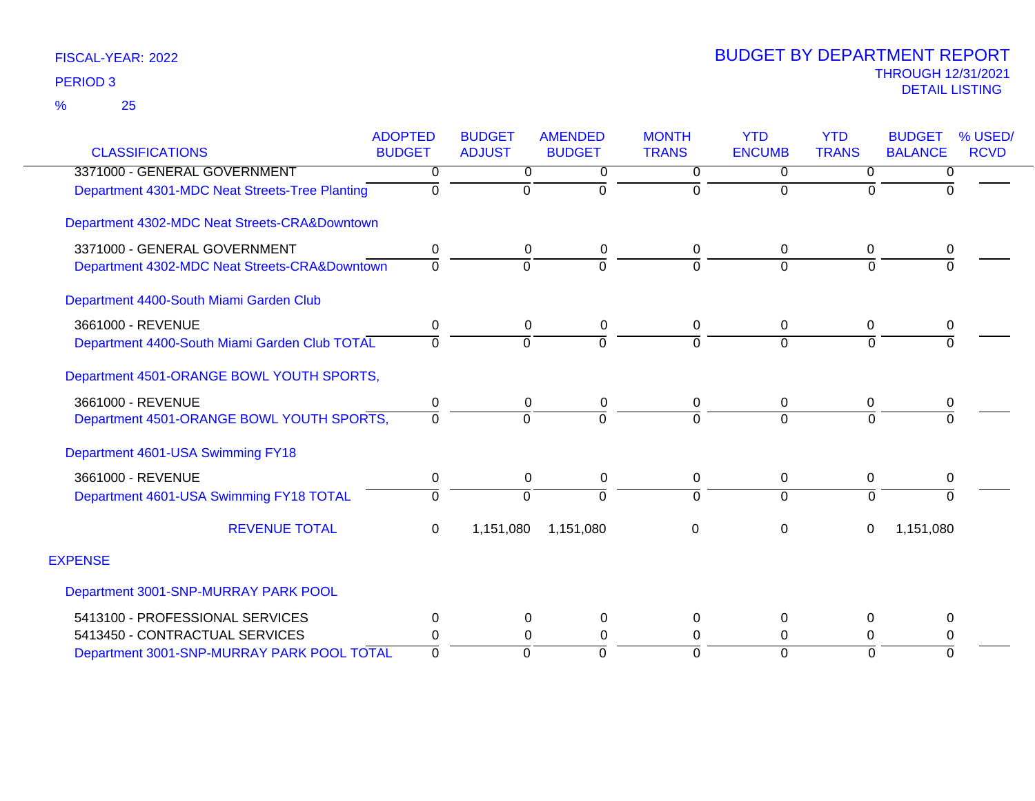|                                                | <b>ADOPTED</b> | <b>BUDGET</b> | <b>AMENDED</b> | <b>MONTH</b>   | <b>YTD</b>    | <b>YTD</b>     | <b>BUDGET</b><br>% USED/      |  |
|------------------------------------------------|----------------|---------------|----------------|----------------|---------------|----------------|-------------------------------|--|
| <b>CLASSIFICATIONS</b>                         | <b>BUDGET</b>  | <b>ADJUST</b> | <b>BUDGET</b>  | <b>TRANS</b>   | <b>ENCUMB</b> | <b>TRANS</b>   | <b>BALANCE</b><br><b>RCVD</b> |  |
| 3371000 - GENERAL GOVERNMENT                   | 0              | 0             | 0              | 0              | 0             | 0              | 0                             |  |
| Department 4301-MDC Neat Streets-Tree Planting | $\Omega$       | 0             | $\Omega$       | $\Omega$       | $\Omega$      | $\Omega$       | $\Omega$                      |  |
| Department 4302-MDC Neat Streets-CRA&Downtown  |                |               |                |                |               |                |                               |  |
| 3371000 - GENERAL GOVERNMENT                   | 0              | 0             | 0              | 0              | 0             | 0              | 0                             |  |
| Department 4302-MDC Neat Streets-CRA&Downtown  | 0              | $\Omega$      | $\Omega$       | $\overline{0}$ | $\Omega$      | $\overline{0}$ | $\Omega$                      |  |
| Department 4400-South Miami Garden Club        |                |               |                |                |               |                |                               |  |
| 3661000 - REVENUE                              | 0              | 0             | 0              | 0              | $\mathbf 0$   | 0              | 0                             |  |
| Department 4400-South Miami Garden Club TOTAL  | $\Omega$       | $\Omega$      | $\Omega$       | $\Omega$       | $\Omega$      | $\Omega$       | $\Omega$                      |  |
| Department 4501-ORANGE BOWL YOUTH SPORTS,      |                |               |                |                |               |                |                               |  |
| 3661000 - REVENUE                              | 0              | $\mathbf 0$   | 0              | 0              | 0             | $\mathbf 0$    | 0                             |  |
| Department 4501-ORANGE BOWL YOUTH SPORTS,      | $\Omega$       | $\Omega$      | $\Omega$       | $\Omega$       | $\Omega$      | $\Omega$       | U                             |  |
| Department 4601-USA Swimming FY18              |                |               |                |                |               |                |                               |  |
| 3661000 - REVENUE                              | 0              | 0             | 0              | 0              | 0             | 0              | 0                             |  |
| Department 4601-USA Swimming FY18 TOTAL        | 0              | $\Omega$      | $\Omega$       | ō              | $\Omega$      | $\overline{0}$ | $\Omega$                      |  |
| <b>REVENUE TOTAL</b>                           | 0              | 1,151,080     | 1,151,080      | 0              | $\Omega$      | 0              | 1,151,080                     |  |
| <b>EXPENSE</b>                                 |                |               |                |                |               |                |                               |  |
| Department 3001-SNP-MURRAY PARK POOL           |                |               |                |                |               |                |                               |  |
| 5413100 - PROFESSIONAL SERVICES                | 0              | 0             | 0              | 0              | 0             | 0              | 0                             |  |
| 5413450 - CONTRACTUAL SERVICES                 | 0              | $\Omega$      | $\Omega$       | 0              | $\Omega$      | 0              | 0                             |  |
| Department 3001-SNP-MURRAY PARK POOL TOTAL     | $\Omega$       | $\Omega$      | $\Omega$       | $\overline{0}$ | $\Omega$      | $\Omega$       | $\Omega$                      |  |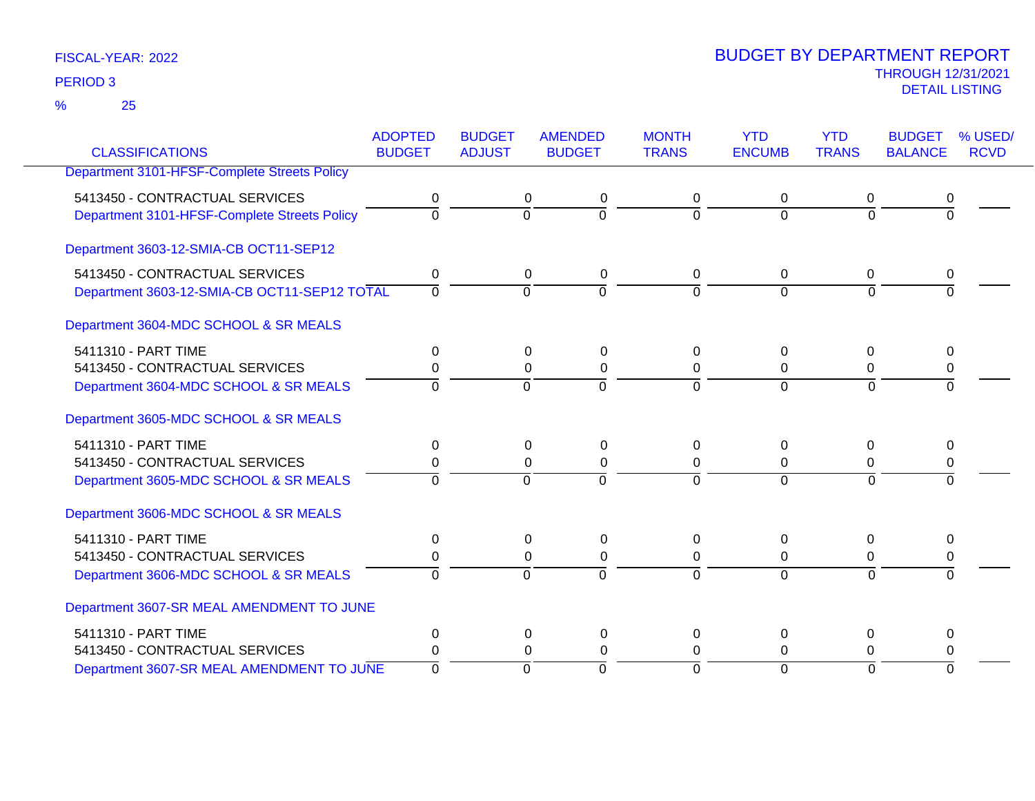25 %

|                                              | <b>ADOPTED</b> | <b>BUDGET</b>  | <b>AMENDED</b>             | <b>MONTH</b> | <b>YTD</b>    | <b>YTD</b>     | <b>BUDGET</b>  | % USED/     |
|----------------------------------------------|----------------|----------------|----------------------------|--------------|---------------|----------------|----------------|-------------|
| <b>CLASSIFICATIONS</b>                       | <b>BUDGET</b>  | <b>ADJUST</b>  | <b>BUDGET</b>              | <b>TRANS</b> | <b>ENCUMB</b> | <b>TRANS</b>   | <b>BALANCE</b> | <b>RCVD</b> |
| Department 3101-HFSF-Complete Streets Policy |                |                |                            |              |               |                |                |             |
| 5413450 - CONTRACTUAL SERVICES               | 0              |                | 0<br>0                     | 0            | 0             | 0              | 0              |             |
| Department 3101-HFSF-Complete Streets Policy | $\Omega$       |                | $\overline{0}$<br>$\Omega$ | $\Omega$     | $\Omega$      | $\Omega$       | $\Omega$       |             |
| Department 3603-12-SMIA-CB OCT11-SEP12       |                |                |                            |              |               |                |                |             |
| 5413450 - CONTRACTUAL SERVICES               | 0              |                | 0<br>0                     | 0            | 0             | 0              | 0              |             |
| Department 3603-12-SMIA-CB OCT11-SEP12 TOTAL | $\Omega$       |                | $\Omega$<br>$\Omega$       | $\Omega$     | $\Omega$      | $\Omega$       | $\Omega$       |             |
| Department 3604-MDC SCHOOL & SR MEALS        |                |                |                            |              |               |                |                |             |
| 5411310 - PART TIME                          | 0              |                | $\Omega$<br>0              | 0            | $\Omega$      | $\Omega$       | 0              |             |
| 5413450 - CONTRACTUAL SERVICES               | 0              |                | 0<br>$\pmb{0}$             | 0            | 0             | 0              | 0              |             |
| Department 3604-MDC SCHOOL & SR MEALS        | $\Omega$       |                | $\Omega$<br>$\Omega$       | $\Omega$     | $\Omega$      | $\Omega$       |                |             |
| Department 3605-MDC SCHOOL & SR MEALS        |                |                |                            |              |               |                |                |             |
| 5411310 - PART TIME                          | 0              |                | $\Omega$<br>0              | 0            | $\Omega$      | 0              | $\Omega$       |             |
| 5413450 - CONTRACTUAL SERVICES               |                |                | $\Omega$<br>$\Omega$       | 0            | $\Omega$      | $\Omega$       | 0              |             |
| Department 3605-MDC SCHOOL & SR MEALS        | $\Omega$       |                | $\Omega$<br>$\Omega$       | $\Omega$     | $\Omega$      | $\Omega$       | $\Omega$       |             |
| Department 3606-MDC SCHOOL & SR MEALS        |                |                |                            |              |               |                |                |             |
| 5411310 - PART TIME                          | 0              |                | 0<br>0                     | 0            | $\Omega$      | 0              | 0              |             |
| 5413450 - CONTRACTUAL SERVICES               |                |                | 0<br>$\Omega$              | 0            | 0             | 0              | 0              |             |
| Department 3606-MDC SCHOOL & SR MEALS        | $\Omega$       |                | $\Omega$<br>$\Omega$       | $\Omega$     | $\Omega$      | $\Omega$       | $\Omega$       |             |
| Department 3607-SR MEAL AMENDMENT TO JUNE    |                |                |                            |              |               |                |                |             |
| 5411310 - PART TIME                          | $\Omega$       |                | 0<br>0                     | 0            | 0             | 0              | 0              |             |
| 5413450 - CONTRACTUAL SERVICES               | 0              |                | $\Omega$<br>0              | $\Omega$     | $\Omega$      | 0              | 0              |             |
| Department 3607-SR MEAL AMENDMENT TO JUNE    | $\mathbf 0$    | $\overline{0}$ | $\overline{0}$             | $\Omega$     | $\Omega$      | $\overline{0}$ | $\Omega$       |             |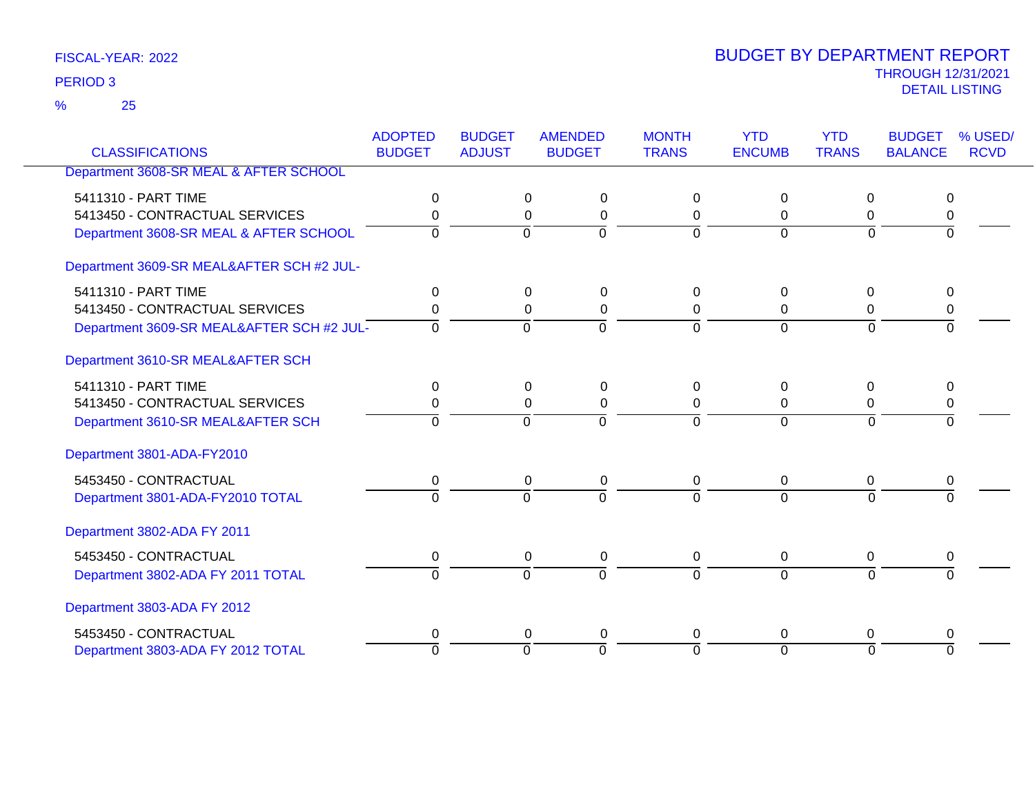25 %

| <b>CLASSIFICATIONS</b>                    | <b>ADOPTED</b><br><b>BUDGET</b> | <b>BUDGET</b><br><b>ADJUST</b> | <b>AMENDED</b><br><b>BUDGET</b> | <b>MONTH</b><br><b>TRANS</b> | <b>YTD</b><br><b>ENCUMB</b> | <b>YTD</b><br><b>TRANS</b> | <b>BUDGET</b><br><b>BALANCE</b> | % USED/<br><b>RCVD</b> |
|-------------------------------------------|---------------------------------|--------------------------------|---------------------------------|------------------------------|-----------------------------|----------------------------|---------------------------------|------------------------|
| Department 3608-SR MEAL & AFTER SCHOOL    |                                 |                                |                                 |                              |                             |                            |                                 |                        |
|                                           |                                 |                                |                                 |                              |                             |                            |                                 |                        |
| 5411310 - PART TIME                       | 0                               |                                | $\Omega$<br>0                   | 0                            | $\Omega$                    | 0                          | $\Omega$                        |                        |
| 5413450 - CONTRACTUAL SERVICES            | 0                               |                                | $\Omega$<br>$\Omega$            | 0                            | $\Omega$                    | $\Omega$                   | $\mathbf 0$                     |                        |
| Department 3608-SR MEAL & AFTER SCHOOL    | $\Omega$                        | $\Omega$                       | $\overline{0}$                  | $\Omega$                     | $\Omega$                    | $\Omega$                   | $\Omega$                        |                        |
| Department 3609-SR MEAL&AFTER SCH #2 JUL- |                                 |                                |                                 |                              |                             |                            |                                 |                        |
| 5411310 - PART TIME                       | $\Omega$                        | $\Omega$                       | $\Omega$                        | $\Omega$                     | $\Omega$                    | 0                          | 0                               |                        |
| 5413450 - CONTRACTUAL SERVICES            | 0                               |                                | 0<br>0                          | 0                            | 0                           | 0                          | 0                               |                        |
| Department 3609-SR MEAL&AFTER SCH #2 JUL- | $\Omega$                        | $\overline{0}$                 | ᅙ                               | $\Omega$                     | $\mathbf 0$                 | $\overline{0}$             | $\Omega$                        |                        |
| Department 3610-SR MEAL&AFTER SCH         |                                 |                                |                                 |                              |                             |                            |                                 |                        |
| 5411310 - PART TIME                       | 0                               |                                | 0<br>0                          | 0                            | 0                           | 0                          | 0                               |                        |
| 5413450 - CONTRACTUAL SERVICES            | 0                               |                                | 0<br>0                          | 0                            | 0                           | 0                          | 0                               |                        |
| Department 3610-SR MEAL&AFTER SCH         | $\overline{0}$                  | $\overline{0}$                 | $\Omega$                        | $\Omega$                     | $\Omega$                    | $\Omega$                   | $\Omega$                        |                        |
| Department 3801-ADA-FY2010                |                                 |                                |                                 |                              |                             |                            |                                 |                        |
| 5453450 - CONTRACTUAL                     | 0                               | $\mathbf 0$                    | $\mathbf 0$                     | 0                            | 0                           | 0                          | 0                               |                        |
| Department 3801-ADA-FY2010 TOTAL          | $\Omega$                        | $\overline{0}$                 | $\overline{0}$                  | $\Omega$                     | $\Omega$                    | $\Omega$                   | $\Omega$                        |                        |
| Department 3802-ADA FY 2011               |                                 |                                |                                 |                              |                             |                            |                                 |                        |
| 5453450 - CONTRACTUAL                     | 0                               |                                | 0<br>0                          | 0                            | 0                           | 0                          | 0                               |                        |
| Department 3802-ADA FY 2011 TOTAL         | $\Omega$                        | $\Omega$                       | $\Omega$                        | $\Omega$                     | $\Omega$                    | $\Omega$                   | $\Omega$                        |                        |
| Department 3803-ADA FY 2012               |                                 |                                |                                 |                              |                             |                            |                                 |                        |
| 5453450 - CONTRACTUAL                     | 0                               |                                | 0<br>0                          | 0                            | $\Omega$                    | 0                          | 0                               |                        |
| Department 3803-ADA FY 2012 TOTAL         | $\Omega$                        | $\overline{0}$                 | $\overline{0}$                  | $\Omega$                     | $\overline{0}$              | $\Omega$                   | $\overline{0}$                  |                        |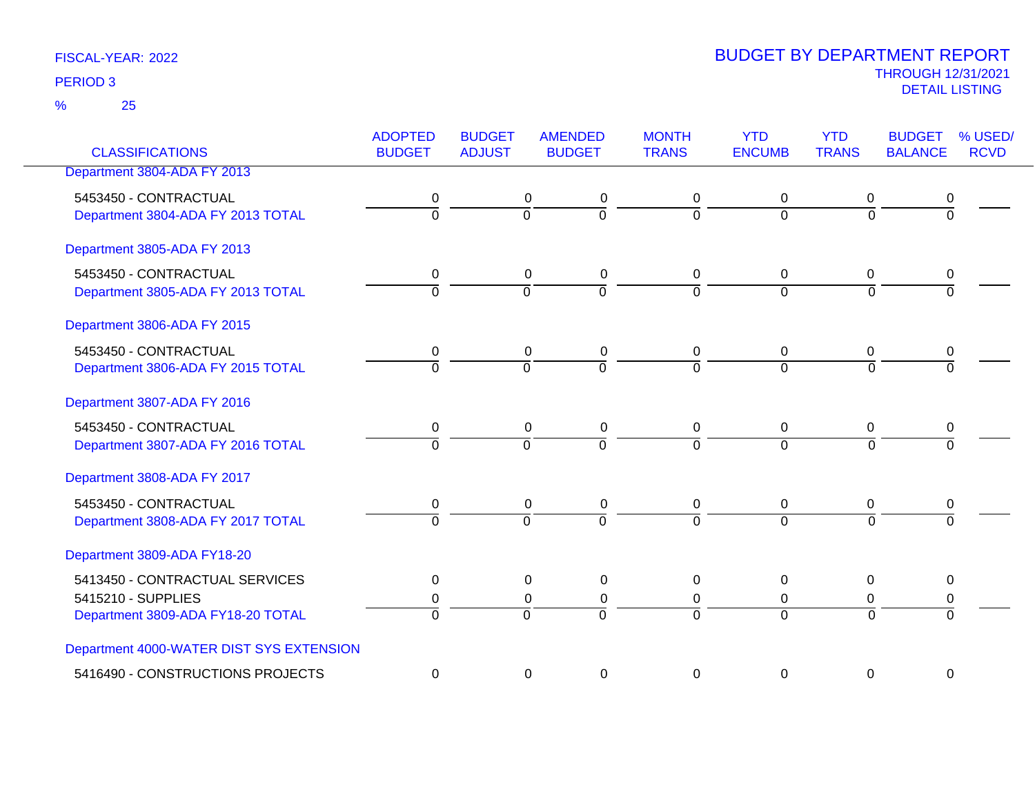25 %

| <b>CLASSIFICATIONS</b>                   | <b>ADOPTED</b><br><b>BUDGET</b> | <b>BUDGET</b><br><b>ADJUST</b> | <b>AMENDED</b><br><b>BUDGET</b> | <b>MONTH</b><br><b>TRANS</b> | <b>YTD</b><br><b>ENCUMB</b> | <b>YTD</b><br><b>TRANS</b> | <b>BUDGET</b><br><b>BALANCE</b> | % USED/<br><b>RCVD</b> |
|------------------------------------------|---------------------------------|--------------------------------|---------------------------------|------------------------------|-----------------------------|----------------------------|---------------------------------|------------------------|
| Department 3804-ADA FY 2013              |                                 |                                |                                 |                              |                             |                            |                                 |                        |
|                                          |                                 |                                |                                 |                              |                             |                            |                                 |                        |
| 5453450 - CONTRACTUAL                    | 0                               |                                | 0<br>0                          | 0                            | 0                           | 0                          | 0                               |                        |
| Department 3804-ADA FY 2013 TOTAL        | $\overline{0}$                  |                                | $\overline{0}$<br>$\mathbf 0$   | $\Omega$                     | $\Omega$                    | $\overline{0}$             | $\overline{0}$                  |                        |
| Department 3805-ADA FY 2013              |                                 |                                |                                 |                              |                             |                            |                                 |                        |
| 5453450 - CONTRACTUAL                    | $\mathbf 0$                     |                                | $\mathbf 0$<br>0                | $\mathbf 0$                  | 0                           | $\mathbf 0$                | 0                               |                        |
| Department 3805-ADA FY 2013 TOTAL        | $\overline{0}$                  | $\Omega$                       | 0                               | $\Omega$                     | $\Omega$                    | $\overline{0}$             | $\overline{0}$                  |                        |
|                                          |                                 |                                |                                 |                              |                             |                            |                                 |                        |
| Department 3806-ADA FY 2015              |                                 |                                |                                 |                              |                             |                            |                                 |                        |
| 5453450 - CONTRACTUAL                    | 0                               |                                | 0<br>0                          | 0                            | 0                           | $\mathbf 0$                | 0                               |                        |
| Department 3806-ADA FY 2015 TOTAL        | $\overline{0}$                  | $\overline{0}$                 | $\overline{0}$                  | $\Omega$                     | $\Omega$                    | $\Omega$                   | $\Omega$                        |                        |
|                                          |                                 |                                |                                 |                              |                             |                            |                                 |                        |
| Department 3807-ADA FY 2016              |                                 |                                |                                 |                              |                             |                            |                                 |                        |
| 5453450 - CONTRACTUAL                    | 0                               |                                | $\mathbf 0$<br>0                | $\pmb{0}$                    | $\overline{0}$              | 0                          | 0                               |                        |
| Department 3807-ADA FY 2016 TOTAL        | $\overline{0}$                  | $\Omega$                       | $\overline{0}$                  | $\Omega$                     | $\Omega$                    | $\Omega$                   | $\Omega$                        |                        |
|                                          |                                 |                                |                                 |                              |                             |                            |                                 |                        |
| Department 3808-ADA FY 2017              |                                 |                                |                                 |                              |                             |                            |                                 |                        |
| 5453450 - CONTRACTUAL                    | $\pmb{0}$                       |                                | 0<br>$\pmb{0}$                  | $\pmb{0}$                    | $\mathbf 0$                 | $\mathbf 0$                | $\pmb{0}$                       |                        |
| Department 3808-ADA FY 2017 TOTAL        | $\overline{0}$                  | $\overline{0}$                 | $\overline{0}$                  | $\overline{0}$               | $\Omega$                    | $\Omega$                   | $\Omega$                        |                        |
|                                          |                                 |                                |                                 |                              |                             |                            |                                 |                        |
| Department 3809-ADA FY18-20              |                                 |                                |                                 |                              |                             |                            |                                 |                        |
| 5413450 - CONTRACTUAL SERVICES           | 0                               |                                | 0<br>0                          | 0                            | $\Omega$                    | $\mathbf{0}$               | 0                               |                        |
| 5415210 - SUPPLIES                       | 0                               |                                | 0<br>0                          | 0                            | 0                           | 0                          | 0                               |                        |
| Department 3809-ADA FY18-20 TOTAL        | $\overline{0}$                  | $\overline{0}$                 | $\overline{0}$                  | $\Omega$                     | $\Omega$                    | $\Omega$                   | $\overline{0}$                  |                        |
|                                          |                                 |                                |                                 |                              |                             |                            |                                 |                        |
| Department 4000-WATER DIST SYS EXTENSION |                                 |                                |                                 |                              |                             |                            |                                 |                        |
| 5416490 - CONSTRUCTIONS PROJECTS         | 0                               |                                | 0<br>0                          | 0                            | $\Omega$                    | $\Omega$                   | 0                               |                        |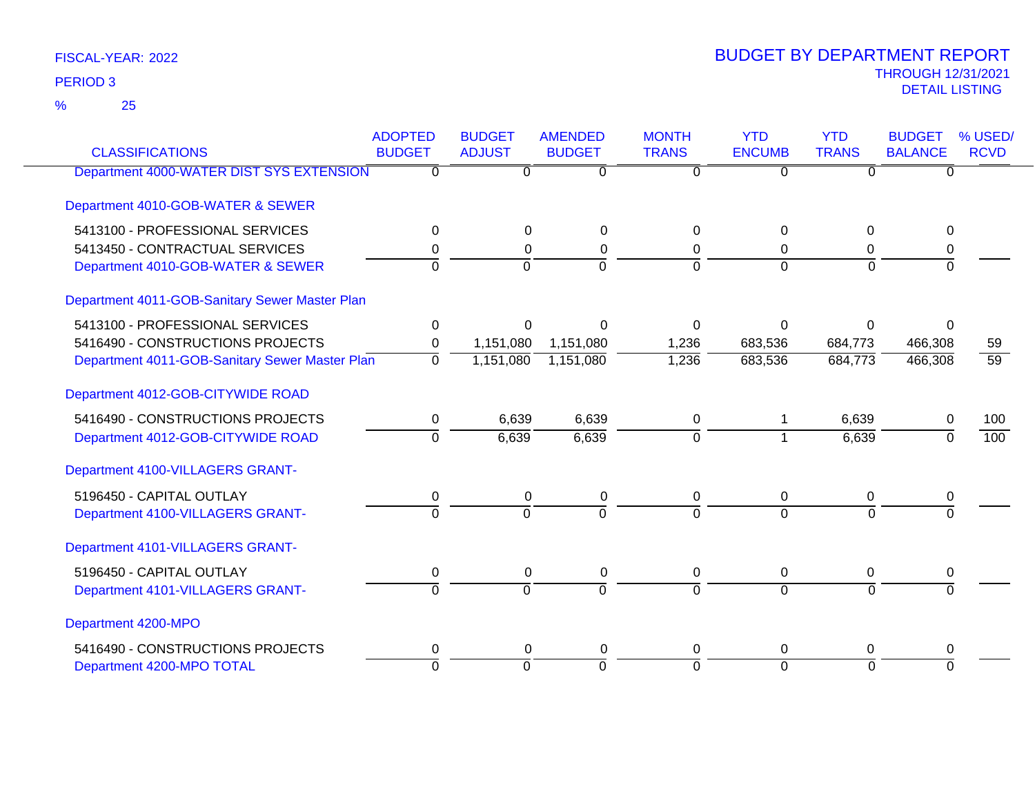25 %

| <b>CLASSIFICATIONS</b>                         | <b>ADOPTED</b><br><b>BUDGET</b> | <b>BUDGET</b><br><b>ADJUST</b> | <b>AMENDED</b><br><b>BUDGET</b> | <b>MONTH</b><br><b>TRANS</b> | <b>YTD</b><br><b>ENCUMB</b> | <b>YTD</b><br><b>TRANS</b> | <b>BUDGET</b><br><b>BALANCE</b> | % USED/<br><b>RCVD</b> |
|------------------------------------------------|---------------------------------|--------------------------------|---------------------------------|------------------------------|-----------------------------|----------------------------|---------------------------------|------------------------|
|                                                |                                 |                                |                                 |                              |                             |                            |                                 |                        |
| Department 4000-WATER DIST SYS EXTENSION       | ∩                               | 0                              | $\overline{0}$                  | $\Omega$                     | $\overline{0}$              | 0                          | 0                               |                        |
| Department 4010-GOB-WATER & SEWER              |                                 |                                |                                 |                              |                             |                            |                                 |                        |
| 5413100 - PROFESSIONAL SERVICES                | 0                               | 0                              | 0                               | 0                            | $\Omega$                    | $\Omega$                   | $\Omega$                        |                        |
| 5413450 - CONTRACTUAL SERVICES                 | 0                               | 0                              | $\pmb{0}$                       | 0                            | $\Omega$                    | 0                          | 0                               |                        |
| Department 4010-GOB-WATER & SEWER              | $\Omega$                        | $\Omega$                       | $\overline{0}$                  | $\Omega$                     | $\Omega$                    | $\Omega$                   | $\Omega$                        |                        |
| Department 4011-GOB-Sanitary Sewer Master Plan |                                 |                                |                                 |                              |                             |                            |                                 |                        |
| 5413100 - PROFESSIONAL SERVICES                | 0                               | $\Omega$                       | $\Omega$                        | $\Omega$                     | $\Omega$                    | $\Omega$                   | $\Omega$                        |                        |
| 5416490 - CONSTRUCTIONS PROJECTS               | 0                               | 1,151,080                      | 1,151,080                       | 1,236                        | 683,536                     | 684,773                    | 466,308                         | 59                     |
| Department 4011-GOB-Sanitary Sewer Master Plan | $\overline{0}$                  | 1,151,080                      | 1,151,080                       | 1,236                        | 683,536                     | 684,773                    | 466,308                         | $\overline{59}$        |
| Department 4012-GOB-CITYWIDE ROAD              |                                 |                                |                                 |                              |                             |                            |                                 |                        |
| 5416490 - CONSTRUCTIONS PROJECTS               | 0                               | 6,639                          | 6,639                           | 0                            |                             | 6,639                      | 0                               | 100                    |
| Department 4012-GOB-CITYWIDE ROAD              | $\overline{0}$                  | 6,639                          | 6,639                           | $\mathbf 0$                  | 1                           | 6,639                      | $\Omega$                        | 100                    |
| Department 4100-VILLAGERS GRANT-               |                                 |                                |                                 |                              |                             |                            |                                 |                        |
| 5196450 - CAPITAL OUTLAY                       | 0                               | 0                              | 0                               | 0                            | $\pmb{0}$                   | 0                          | 0                               |                        |
| Department 4100-VILLAGERS GRANT-               | $\overline{0}$                  | $\Omega$                       | $\overline{0}$                  | $\Omega$                     | $\Omega$                    | $\Omega$                   |                                 |                        |
| Department 4101-VILLAGERS GRANT-               |                                 |                                |                                 |                              |                             |                            |                                 |                        |
| 5196450 - CAPITAL OUTLAY                       | 0                               | 0                              | 0                               | 0                            | 0                           | 0                          | 0                               |                        |
| Department 4101-VILLAGERS GRANT-               | $\Omega$                        | $\Omega$                       | $\Omega$                        | $\Omega$                     | $\Omega$                    | $\Omega$                   | $\Omega$                        |                        |
| Department 4200-MPO                            |                                 |                                |                                 |                              |                             |                            |                                 |                        |
| 5416490 - CONSTRUCTIONS PROJECTS               | 0                               | 0                              | 0                               | 0                            | $\Omega$                    | 0                          | 0                               |                        |
| Department 4200-MPO TOTAL                      | $\Omega$                        | $\Omega$                       | $\overline{0}$                  | $\Omega$                     | $\overline{0}$              | $\Omega$                   | $\Omega$                        |                        |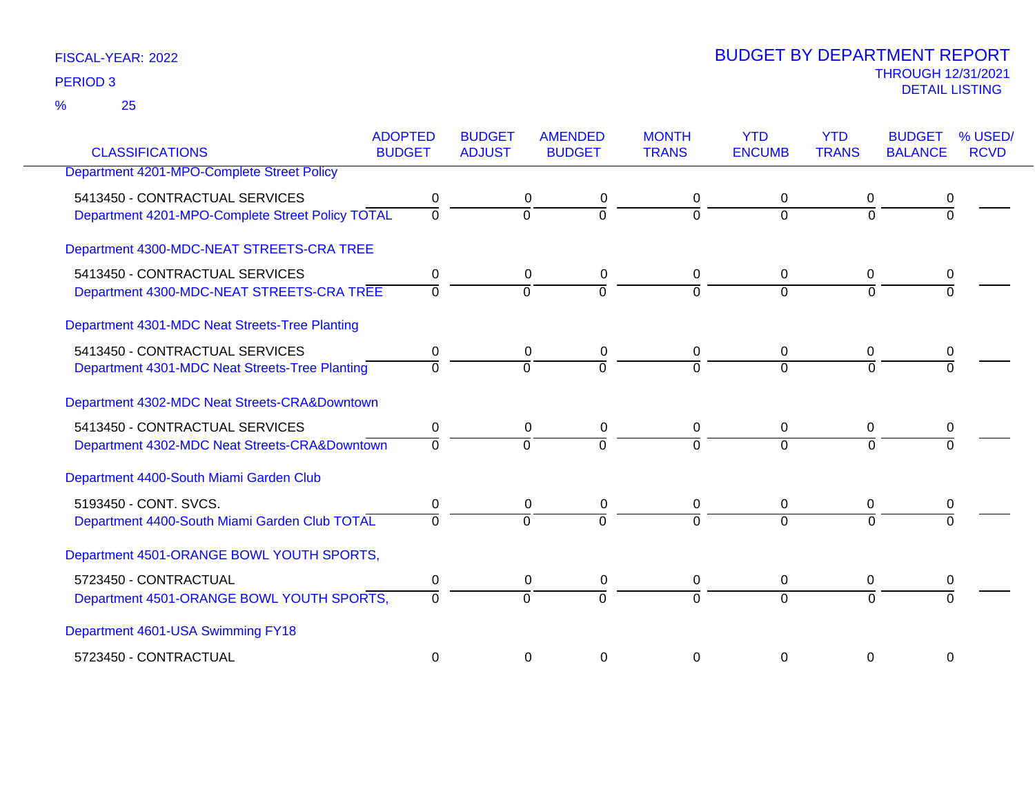25 %

|                                                  | <b>ADOPTED</b> | <b>BUDGET</b> | <b>AMENDED</b> | <b>MONTH</b> | <b>YTD</b>    | <b>YTD</b>   | <b>BUDGET</b>  | % USED/     |
|--------------------------------------------------|----------------|---------------|----------------|--------------|---------------|--------------|----------------|-------------|
| <b>CLASSIFICATIONS</b>                           | <b>BUDGET</b>  | <b>ADJUST</b> | <b>BUDGET</b>  | <b>TRANS</b> | <b>ENCUMB</b> | <b>TRANS</b> | <b>BALANCE</b> | <b>RCVD</b> |
| Department 4201-MPO-Complete Street Policy       |                |               |                |              |               |              |                |             |
| 5413450 - CONTRACTUAL SERVICES                   | 0              |               | 0<br>0         | 0            |               | 0            |                |             |
| Department 4201-MPO-Complete Street Policy TOTAL | $\mathbf 0$    | $\Omega$      | $\overline{0}$ | $\Omega$     | $\Omega$      | $\Omega$     |                |             |
| Department 4300-MDC-NEAT STREETS-CRA TREE        |                |               |                |              |               |              |                |             |
| 5413450 - CONTRACTUAL SERVICES                   | 0              |               | 0<br>0         | 0            | $\mathbf 0$   | 0            | 0              |             |
| Department 4300-MDC-NEAT STREETS-CRA TREE        | $\Omega$       | $\Omega$      | $\overline{0}$ | $\Omega$     | $\Omega$      | $\Omega$     |                |             |
| Department 4301-MDC Neat Streets-Tree Planting   |                |               |                |              |               |              |                |             |
| 5413450 - CONTRACTUAL SERVICES                   | 0              |               | 0<br>0         | 0            | $\mathbf{0}$  | 0            |                |             |
| Department 4301-MDC Neat Streets-Tree Planting   | $\Omega$       | $\Omega$      | $\Omega$       | $\Omega$     | $\Omega$      | $\Omega$     |                |             |
| Department 4302-MDC Neat Streets-CRA&Downtown    |                |               |                |              |               |              |                |             |
| 5413450 - CONTRACTUAL SERVICES                   | 0              |               | 0<br>0         | 0            | 0             | 0            |                |             |
| Department 4302-MDC Neat Streets-CRA&Downtown    | $\Omega$       | $\Omega$      | $\overline{0}$ | $\Omega$     | $\Omega$      | $\Omega$     |                |             |
| Department 4400-South Miami Garden Club          |                |               |                |              |               |              |                |             |
| 5193450 - CONT. SVCS.                            | 0              |               | 0<br>0         | 0            | 0             | 0            |                |             |
| Department 4400-South Miami Garden Club TOTAL    | $\Omega$       | $\Omega$      | $\overline{0}$ | $\Omega$     | $\Omega$      | $\Omega$     |                |             |
| Department 4501-ORANGE BOWL YOUTH SPORTS,        |                |               |                |              |               |              |                |             |
| 5723450 - CONTRACTUAL                            | 0              |               | 0<br>0         | 0            | 0             | 0            | 0              |             |
| Department 4501-ORANGE BOWL YOUTH SPORTS,        | $\Omega$       | $\Omega$      | $\overline{0}$ | $\Omega$     | $\Omega$      | $\Omega$     |                |             |
| Department 4601-USA Swimming FY18                |                |               |                |              |               |              |                |             |
| 5723450 - CONTRACTUAL                            | $\Omega$       |               | 0<br>0         | 0            | 0             | 0            | 0              |             |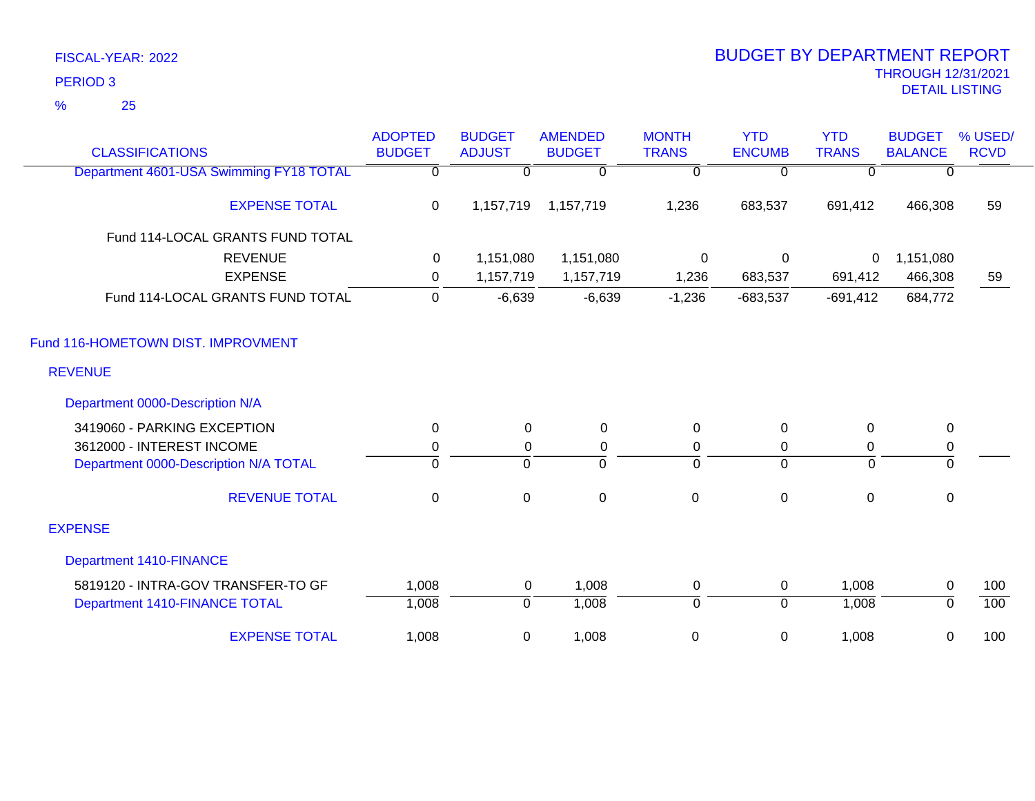25 %

| <b>CLASSIFICATIONS</b>                  | <b>ADOPTED</b><br><b>BUDGET</b> | <b>BUDGET</b><br><b>ADJUST</b> | <b>AMENDED</b><br><b>BUDGET</b> | <b>MONTH</b><br><b>TRANS</b> | <b>YTD</b><br><b>ENCUMB</b> | <b>YTD</b><br><b>TRANS</b> | <b>BUDGET</b><br><b>BALANCE</b> | % USED/<br><b>RCVD</b> |
|-----------------------------------------|---------------------------------|--------------------------------|---------------------------------|------------------------------|-----------------------------|----------------------------|---------------------------------|------------------------|
| Department 4601-USA Swimming FY18 TOTAL | $\overline{0}$                  | $\mathbf{0}$                   | $\Omega$                        | $\overline{0}$               | $\overline{0}$              | $\mathbf{0}$               | $\overline{0}$                  |                        |
|                                         |                                 |                                |                                 |                              |                             |                            |                                 |                        |
| <b>EXPENSE TOTAL</b>                    | 0                               | 1,157,719                      | 1,157,719                       | 1,236                        | 683,537                     | 691,412                    | 466,308                         | 59                     |
| Fund 114-LOCAL GRANTS FUND TOTAL        |                                 |                                |                                 |                              |                             |                            |                                 |                        |
| <b>REVENUE</b>                          | 0                               | 1,151,080                      | 1,151,080                       | 0                            | 0                           | 0                          | 1,151,080                       |                        |
| <b>EXPENSE</b>                          | 0                               | 1,157,719                      | 1,157,719                       | 1,236                        | 683,537                     | 691,412                    | 466,308                         | 59                     |
| Fund 114-LOCAL GRANTS FUND TOTAL        | 0                               | $-6,639$                       | $-6,639$                        | $-1,236$                     | $-683,537$                  | $-691,412$                 | 684,772                         |                        |
| Fund 116-HOMETOWN DIST. IMPROVMENT      |                                 |                                |                                 |                              |                             |                            |                                 |                        |
| <b>REVENUE</b>                          |                                 |                                |                                 |                              |                             |                            |                                 |                        |
| Department 0000-Description N/A         |                                 |                                |                                 |                              |                             |                            |                                 |                        |
| 3419060 - PARKING EXCEPTION             | 0                               | 0                              | $\mathbf 0$                     | 0                            | 0                           | 0                          | 0                               |                        |
| 3612000 - INTEREST INCOME               | $\pmb{0}$                       | 0                              | $\pmb{0}$                       | $\mathbf 0$                  | 0                           | $\pmb{0}$                  | $\mathbf 0$                     |                        |
| Department 0000-Description N/A TOTAL   | $\overline{0}$                  | $\overline{0}$                 | $\overline{0}$                  | $\overline{0}$               | $\overline{0}$              | $\mathbf 0$                | $\overline{0}$                  |                        |
| <b>REVENUE TOTAL</b>                    | $\pmb{0}$                       | $\pmb{0}$                      | $\boldsymbol{0}$                | $\mathbf 0$                  | $\pmb{0}$                   | $\pmb{0}$                  | $\mathbf 0$                     |                        |
| <b>EXPENSE</b>                          |                                 |                                |                                 |                              |                             |                            |                                 |                        |
| <b>Department 1410-FINANCE</b>          |                                 |                                |                                 |                              |                             |                            |                                 |                        |
| 5819120 - INTRA-GOV TRANSFER-TO GF      | 1,008                           | 0                              | 1,008                           | $\mathbf 0$                  | 0                           | 1,008                      | $\mathbf 0$                     | 100                    |
| Department 1410-FINANCE TOTAL           | 1,008                           | $\mathbf 0$                    | 1,008                           | $\overline{0}$               | $\mathbf 0$                 | 1,008                      | $\overline{0}$                  | 100                    |
| <b>EXPENSE TOTAL</b>                    | 1,008                           | 0                              | 1,008                           | 0                            | 0                           | 1,008                      | 0                               | 100                    |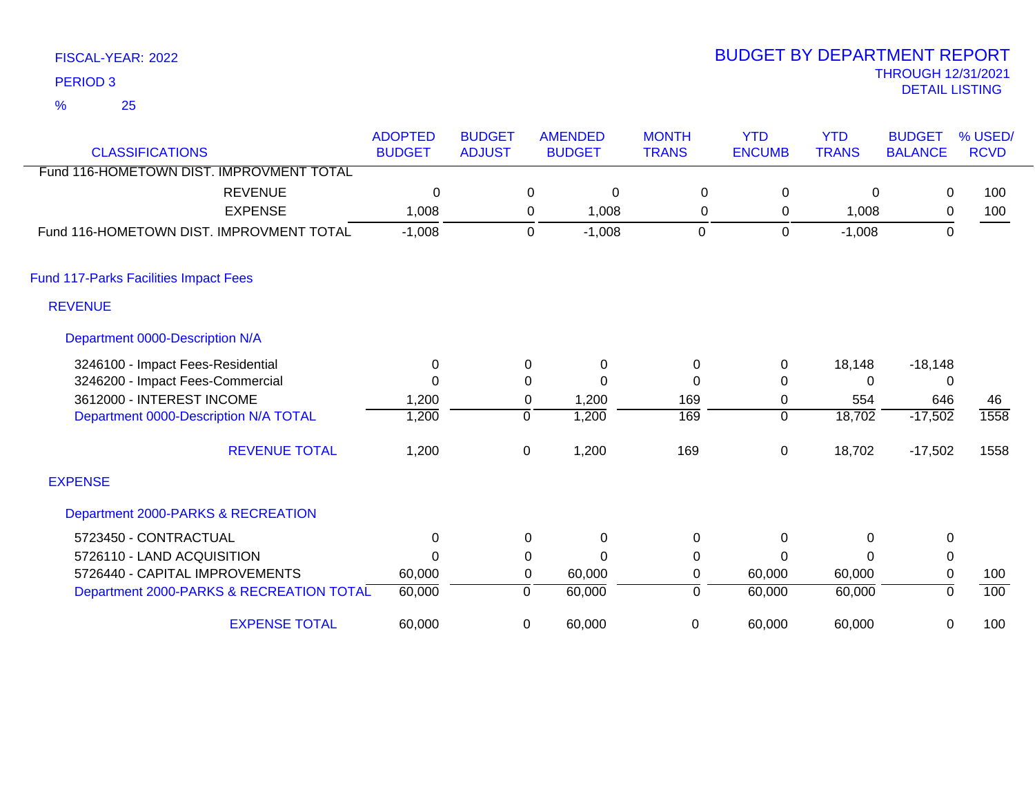25 %

| <b>CLASSIFICATIONS</b>                       | <b>ADOPTED</b><br><b>BUDGET</b> | <b>BUDGET</b><br><b>ADJUST</b> |             | <b>AMENDED</b><br><b>BUDGET</b> | <b>MONTH</b><br><b>TRANS</b> | <b>YTD</b><br><b>ENCUMB</b> | <b>YTD</b><br><b>TRANS</b> | <b>BUDGET</b><br><b>BALANCE</b> | % USED/<br><b>RCVD</b> |
|----------------------------------------------|---------------------------------|--------------------------------|-------------|---------------------------------|------------------------------|-----------------------------|----------------------------|---------------------------------|------------------------|
| Fund 116-HOMETOWN DIST. IMPROVMENT TOTAL     |                                 |                                |             |                                 |                              |                             |                            |                                 |                        |
| <b>REVENUE</b>                               | 0                               |                                | 0           | 0                               | 0                            | 0                           | 0                          | 0                               | 100                    |
| <b>EXPENSE</b>                               | 1,008                           |                                | 0           | 1,008                           | 0                            | 0                           | 1,008                      | $\mathbf 0$                     | 100                    |
| Fund 116-HOMETOWN DIST. IMPROVMENT TOTAL     | $-1,008$                        |                                | $\mathbf 0$ | $-1,008$                        | $\mathbf 0$                  | $\mathbf 0$                 | $-1,008$                   | $\overline{0}$                  |                        |
| <b>Fund 117-Parks Facilities Impact Fees</b> |                                 |                                |             |                                 |                              |                             |                            |                                 |                        |
| <b>REVENUE</b>                               |                                 |                                |             |                                 |                              |                             |                            |                                 |                        |
| Department 0000-Description N/A              |                                 |                                |             |                                 |                              |                             |                            |                                 |                        |
| 3246100 - Impact Fees-Residential            | 0                               |                                | 0           | $\Omega$                        | 0                            | 0                           | 18,148                     | $-18,148$                       |                        |
| 3246200 - Impact Fees-Commercial             | 0                               |                                | 0           | $\Omega$                        | 0                            | 0                           | 0                          | 0                               |                        |
| 3612000 - INTEREST INCOME                    | 1,200                           |                                | 0           | 1,200                           | 169                          | 0                           | 554                        | 646                             | 46                     |
| Department 0000-Description N/A TOTAL        | 1,200                           |                                | $\Omega$    | 1,200                           | 169                          | $\Omega$                    | 18,702                     | $-17,502$                       | 1558                   |
| <b>REVENUE TOTAL</b>                         | 1,200                           |                                | 0           | 1,200                           | 169                          | 0                           | 18,702                     | $-17,502$                       | 1558                   |
| <b>EXPENSE</b>                               |                                 |                                |             |                                 |                              |                             |                            |                                 |                        |
| Department 2000-PARKS & RECREATION           |                                 |                                |             |                                 |                              |                             |                            |                                 |                        |
| 5723450 - CONTRACTUAL                        | 0                               |                                | 0           | $\Omega$                        | 0                            | 0                           | $\Omega$                   | $\mathbf 0$                     |                        |
| 5726110 - LAND ACQUISITION                   | $\Omega$                        |                                | 0           | $\Omega$                        | $\pmb{0}$                    | 0                           | $\Omega$                   | $\pmb{0}$                       |                        |
| 5726440 - CAPITAL IMPROVEMENTS               | 60,000                          |                                | 0           | 60,000                          | 0                            | 60,000                      | 60,000                     | $\mathbf 0$                     | 100                    |
| Department 2000-PARKS & RECREATION TOTAL     | 60,000                          |                                | 0           | 60,000                          | 0                            | 60,000                      | 60,000                     | 0                               | 100                    |
| <b>EXPENSE TOTAL</b>                         | 60,000                          |                                | $\Omega$    | 60,000                          | $\mathbf 0$                  | 60,000                      | 60,000                     | 0                               | 100                    |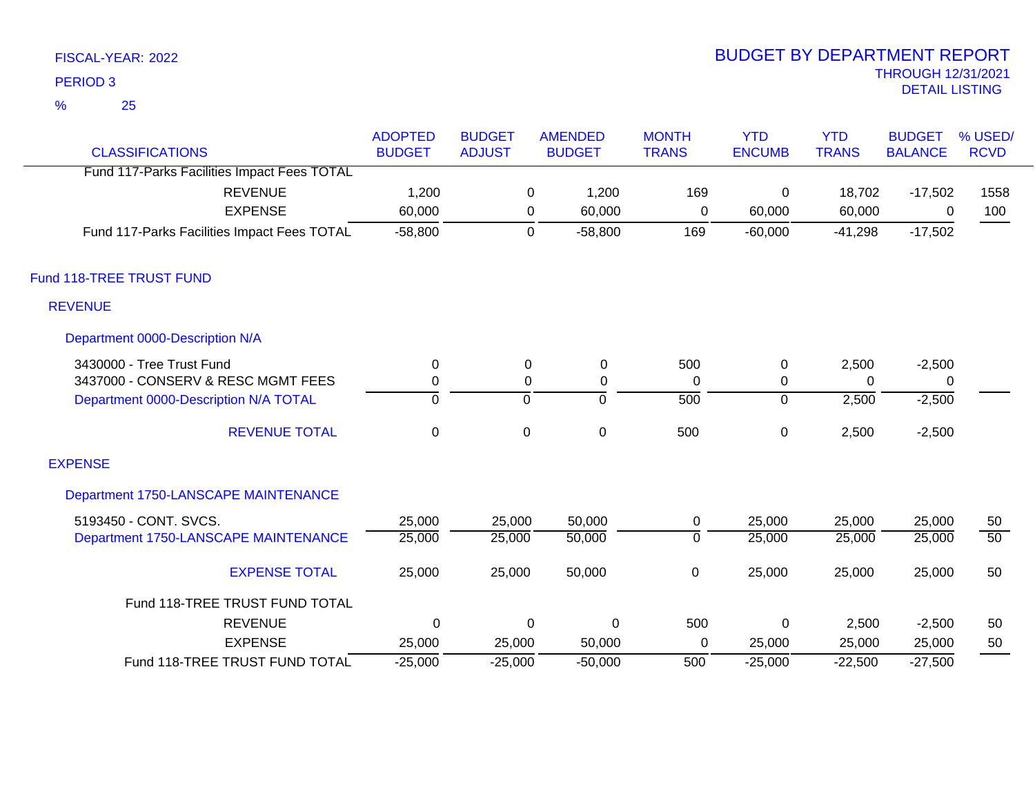25 %

| <b>CLASSIFICATIONS</b>                      | <b>ADOPTED</b><br><b>BUDGET</b> | <b>BUDGET</b><br><b>ADJUST</b> | <b>AMENDED</b><br><b>BUDGET</b> | <b>MONTH</b><br><b>TRANS</b> | <b>YTD</b><br><b>ENCUMB</b> | <b>YTD</b><br><b>TRANS</b> | <b>BUDGET</b><br><b>BALANCE</b> | % USED/<br><b>RCVD</b> |
|---------------------------------------------|---------------------------------|--------------------------------|---------------------------------|------------------------------|-----------------------------|----------------------------|---------------------------------|------------------------|
| Fund 117-Parks Facilities Impact Fees TOTAL |                                 |                                |                                 |                              |                             |                            |                                 |                        |
| <b>REVENUE</b>                              | 1,200                           |                                | 1,200<br>0                      | 169                          | 0                           | 18,702                     | $-17,502$                       | 1558                   |
| <b>EXPENSE</b>                              | 60,000                          |                                | 60,000<br>0                     | $\mathbf 0$                  | 60,000                      | 60,000                     | 0                               | 100                    |
| Fund 117-Parks Facilities Impact Fees TOTAL | $-58,800$                       |                                | 0<br>$-58,800$                  | 169                          | $-60,000$                   | $-41,298$                  | $-17,502$                       |                        |
| Fund 118-TREE TRUST FUND                    |                                 |                                |                                 |                              |                             |                            |                                 |                        |
| <b>REVENUE</b>                              |                                 |                                |                                 |                              |                             |                            |                                 |                        |
| Department 0000-Description N/A             |                                 |                                |                                 |                              |                             |                            |                                 |                        |
| 3430000 - Tree Trust Fund                   | 0                               | 0                              | $\mathbf 0$                     | 500                          | $\mathbf 0$                 | 2,500                      | $-2,500$                        |                        |
| 3437000 - CONSERV & RESC MGMT FEES          | 0                               | 0                              | 0                               | $\Omega$                     | 0                           | $\Omega$                   | $\Omega$                        |                        |
| Department 0000-Description N/A TOTAL       | $\mathbf 0$                     | $\overline{0}$                 | $\overline{0}$                  | $\overline{500}$             | $\overline{0}$              | 2,500                      | $-2,500$                        |                        |
| <b>REVENUE TOTAL</b>                        | 0                               | $\mathbf 0$                    | $\mathsf 0$                     | 500                          | $\pmb{0}$                   | 2,500                      | $-2,500$                        |                        |
| <b>EXPENSE</b>                              |                                 |                                |                                 |                              |                             |                            |                                 |                        |
| Department 1750-LANSCAPE MAINTENANCE        |                                 |                                |                                 |                              |                             |                            |                                 |                        |
| 5193450 - CONT. SVCS.                       | 25,000                          | 25,000                         | 50,000                          | 0                            | 25,000                      | 25,000                     | 25,000                          | 50                     |
| Department 1750-LANSCAPE MAINTENANCE        | 25,000                          | 25,000                         | 50,000                          | $\overline{0}$               | 25,000                      | 25,000                     | 25,000                          | $\overline{50}$        |
| <b>EXPENSE TOTAL</b>                        | 25,000                          | 25,000                         | 50,000                          | $\pmb{0}$                    | 25,000                      | 25,000                     | 25,000                          | 50                     |
| Fund 118-TREE TRUST FUND TOTAL              |                                 |                                |                                 |                              |                             |                            |                                 |                        |
| <b>REVENUE</b>                              | $\Omega$                        |                                | $\Omega$<br>$\Omega$            | 500                          | $\mathbf 0$                 | 2,500                      | $-2,500$                        | 50                     |
| <b>EXPENSE</b>                              | 25,000                          | 25,000                         | 50,000                          | 0                            | 25,000                      | 25,000                     | 25,000                          | 50                     |
| Fund 118-TREE TRUST FUND TOTAL              | $-25,000$                       | $-25,000$                      | $-50,000$                       | 500                          | $-25,000$                   | $-22,500$                  | $-27,500$                       |                        |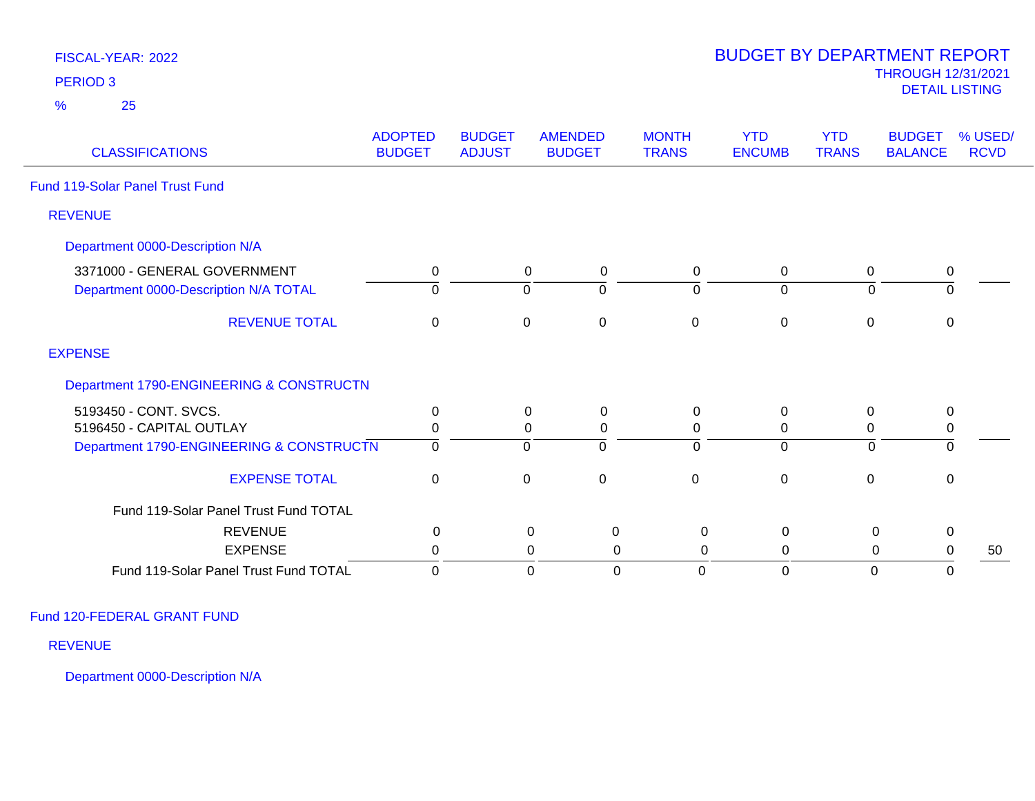| <b>PERIOD 3</b>                          |                                 |                                |                                 |                               |                             |                            | <b>THROUGH 12/31/2021</b><br><b>DETAIL LISTING</b> |                        |
|------------------------------------------|---------------------------------|--------------------------------|---------------------------------|-------------------------------|-----------------------------|----------------------------|----------------------------------------------------|------------------------|
| 25<br>%                                  |                                 |                                |                                 |                               |                             |                            |                                                    |                        |
| <b>CLASSIFICATIONS</b>                   | <b>ADOPTED</b><br><b>BUDGET</b> | <b>BUDGET</b><br><b>ADJUST</b> | <b>AMENDED</b><br><b>BUDGET</b> | <b>MONTH</b><br><b>TRANS</b>  | <b>YTD</b><br><b>ENCUMB</b> | <b>YTD</b><br><b>TRANS</b> | <b>BUDGET</b><br><b>BALANCE</b>                    | % USED/<br><b>RCVD</b> |
| Fund 119-Solar Panel Trust Fund          |                                 |                                |                                 |                               |                             |                            |                                                    |                        |
| <b>REVENUE</b>                           |                                 |                                |                                 |                               |                             |                            |                                                    |                        |
| Department 0000-Description N/A          |                                 |                                |                                 |                               |                             |                            |                                                    |                        |
| 3371000 - GENERAL GOVERNMENT             | 0                               |                                | $\mathbf 0$<br>$\mathbf 0$      | 0                             | $\mathbf 0$                 | 0                          | $\pmb{0}$                                          |                        |
| Department 0000-Description N/A TOTAL    | $\Omega$                        |                                | $\Omega$<br>$\Omega$            | $\mathbf 0$                   | $\Omega$                    | $\Omega$                   | $\mathbf 0$                                        |                        |
| <b>REVENUE TOTAL</b>                     | $\pmb{0}$                       |                                | $\mathbf 0$<br>$\mathbf 0$      | $\mathbf 0$                   | $\mathbf 0$                 | $\mathbf 0$                | $\mathbf 0$                                        |                        |
| <b>EXPENSE</b>                           |                                 |                                |                                 |                               |                             |                            |                                                    |                        |
| Department 1790-ENGINEERING & CONSTRUCTN |                                 |                                |                                 |                               |                             |                            |                                                    |                        |
| 5193450 - CONT. SVCS.                    | $\mathbf 0$                     |                                | 0<br>0                          | $\mathbf 0$                   | $\mathbf{0}$                | $\mathbf 0$                | 0                                                  |                        |
| 5196450 - CAPITAL OUTLAY                 | $\mathbf 0$                     |                                | $\mathbf 0$<br>0                | $\mathbf 0$                   | 0                           | 0                          | 0                                                  |                        |
| Department 1790-ENGINEERING & CONSTRUCTN | $\overline{0}$                  |                                | $\mathbf 0$<br>$\Omega$         | $\mathbf 0$                   | $\Omega$                    | $\Omega$                   | $\overline{0}$                                     |                        |
| <b>EXPENSE TOTAL</b>                     | $\pmb{0}$                       |                                | $\mathbf 0$<br>$\mathbf 0$      | $\mathbf 0$                   | $\mathbf 0$                 | $\mathbf 0$                | $\mathbf 0$                                        |                        |
| Fund 119-Solar Panel Trust Fund TOTAL    |                                 |                                |                                 |                               |                             |                            |                                                    |                        |
| <b>REVENUE</b>                           | $\mathbf 0$                     |                                | 0                               | 0<br>0                        | $\mathbf 0$                 | 0                          | 0                                                  |                        |
| <b>EXPENSE</b>                           | 0                               |                                | 0                               | 0<br>0                        | 0                           | 0                          | $\mathbf 0$                                        | 50                     |
| Fund 119-Solar Panel Trust Fund TOTAL    | $\overline{0}$                  |                                | $\mathbf 0$                     | $\mathbf 0$<br>$\overline{0}$ | $\Omega$                    | $\mathbf 0$                | $\mathbf 0$                                        |                        |

BUDGET BY DEPARTMENT REPORT

Fund 120-FEDERAL GRANT FUND

FISCAL-YEAR: 2022

REVENUE

Department 0000-Description N/A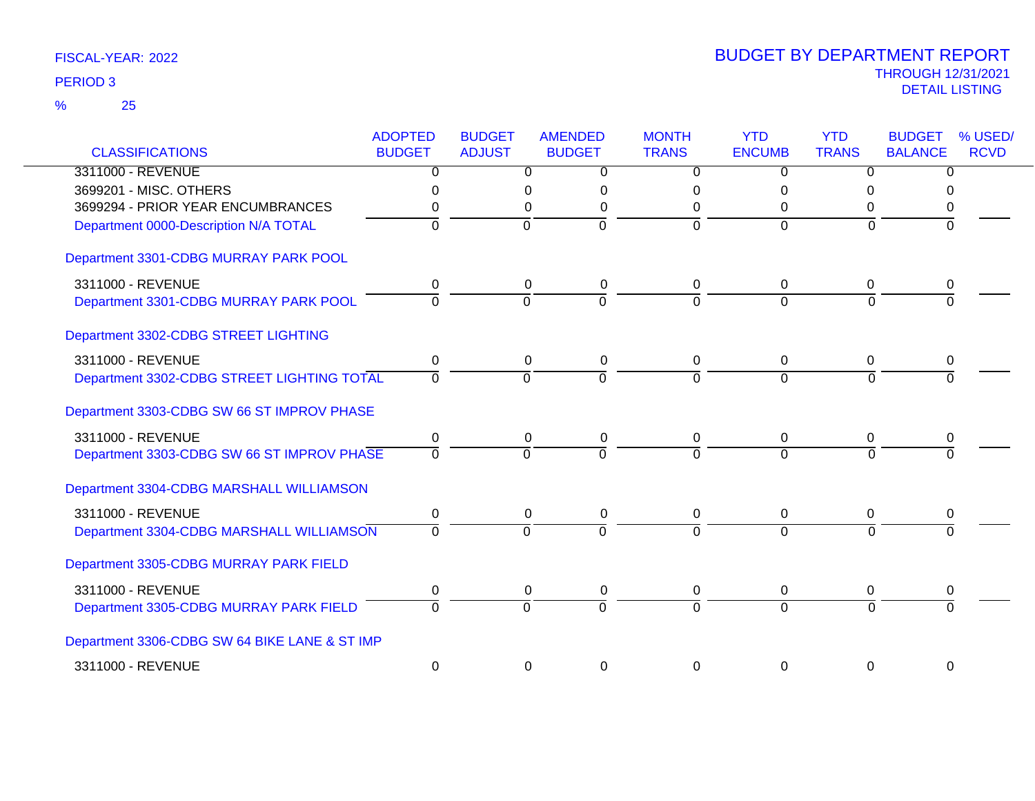| <b>CLASSIFICATIONS</b>                        | <b>ADOPTED</b><br><b>BUDGET</b> | <b>BUDGET</b><br><b>ADJUST</b> | <b>AMENDED</b><br><b>BUDGET</b> |                | <b>MONTH</b><br><b>TRANS</b> | <b>YTD</b><br><b>ENCUMB</b> | <b>YTD</b><br><b>TRANS</b> | <b>BUDGET</b><br><b>BALANCE</b> | % USED/<br><b>RCVD</b> |
|-----------------------------------------------|---------------------------------|--------------------------------|---------------------------------|----------------|------------------------------|-----------------------------|----------------------------|---------------------------------|------------------------|
| 3311000 - REVENUE                             | $\overline{0}$                  |                                | 0                               | $\overline{0}$ | $\overline{0}$               | $\overline{0}$              | $\overline{0}$             | $\overline{0}$                  |                        |
| 3699201 - MISC. OTHERS                        | $\Omega$                        |                                | 0                               | 0              | 0                            | 0                           | 0                          | 0                               |                        |
| 3699294 - PRIOR YEAR ENCUMBRANCES             | O                               |                                | 0                               | 0              | 0                            | 0                           | 0                          | 0                               |                        |
| Department 0000-Description N/A TOTAL         | 0                               |                                | $\mathbf 0$                     | $\mathbf 0$    | $\mathbf 0$                  | $\overline{0}$              | $\Omega$                   | 0                               |                        |
| Department 3301-CDBG MURRAY PARK POOL         |                                 |                                |                                 |                |                              |                             |                            |                                 |                        |
| 3311000 - REVENUE                             | 0                               |                                | 0                               | 0              | 0                            | 0                           | 0                          | 0                               |                        |
| Department 3301-CDBG MURRAY PARK POOL         | $\Omega$                        | 0                              |                                 | $\Omega$       | $\Omega$                     | $\Omega$                    | $\Omega$                   | $\Omega$                        |                        |
| Department 3302-CDBG STREET LIGHTING          |                                 |                                |                                 |                |                              |                             |                            |                                 |                        |
| 3311000 - REVENUE                             | 0                               |                                | 0                               | 0              | 0                            | $\mathbf 0$                 | 0                          | 0                               |                        |
| Department 3302-CDBG STREET LIGHTING TOTAL    | $\Omega$                        |                                | $\Omega$                        | $\overline{0}$ | $\overline{0}$               | $\overline{0}$              | $\Omega$                   | $\Omega$                        |                        |
| Department 3303-CDBG SW 66 ST IMPROV PHASE    |                                 |                                |                                 |                |                              |                             |                            |                                 |                        |
| 3311000 - REVENUE                             | 0                               |                                | 0                               | 0              | 0                            | 0                           | 0                          | 0                               |                        |
| Department 3303-CDBG SW 66 ST IMPROV PHASE    | $\Omega$                        |                                | $\Omega$                        | $\Omega$       | $\Omega$                     | $\Omega$                    | $\Omega$                   | $\Omega$                        |                        |
| Department 3304-CDBG MARSHALL WILLIAMSON      |                                 |                                |                                 |                |                              |                             |                            |                                 |                        |
| 3311000 - REVENUE                             | 0                               |                                | 0                               | $\pmb{0}$      | 0                            | $\mathbf 0$                 | 0                          | 0                               |                        |
| Department 3304-CDBG MARSHALL WILLIAMSON      | 0                               |                                | ō                               | $\overline{0}$ | $\overline{0}$               | $\overline{0}$              | $\Omega$                   |                                 |                        |
| Department 3305-CDBG MURRAY PARK FIELD        |                                 |                                |                                 |                |                              |                             |                            |                                 |                        |
| 3311000 - REVENUE                             | 0                               |                                | 0                               | 0              | 0                            | 0                           | 0                          | 0                               |                        |
| Department 3305-CDBG MURRAY PARK FIELD        | $\Omega$                        |                                | $\overline{0}$                  | $\overline{0}$ | $\Omega$                     | $\overline{0}$              | $\Omega$                   | $\Omega$                        |                        |
| Department 3306-CDBG SW 64 BIKE LANE & ST IMP |                                 |                                |                                 |                |                              |                             |                            |                                 |                        |
| 3311000 - REVENUE                             | $\boldsymbol{0}$                |                                | 0                               | 0              | $\Omega$                     | 0                           | $\Omega$                   | $\Omega$                        |                        |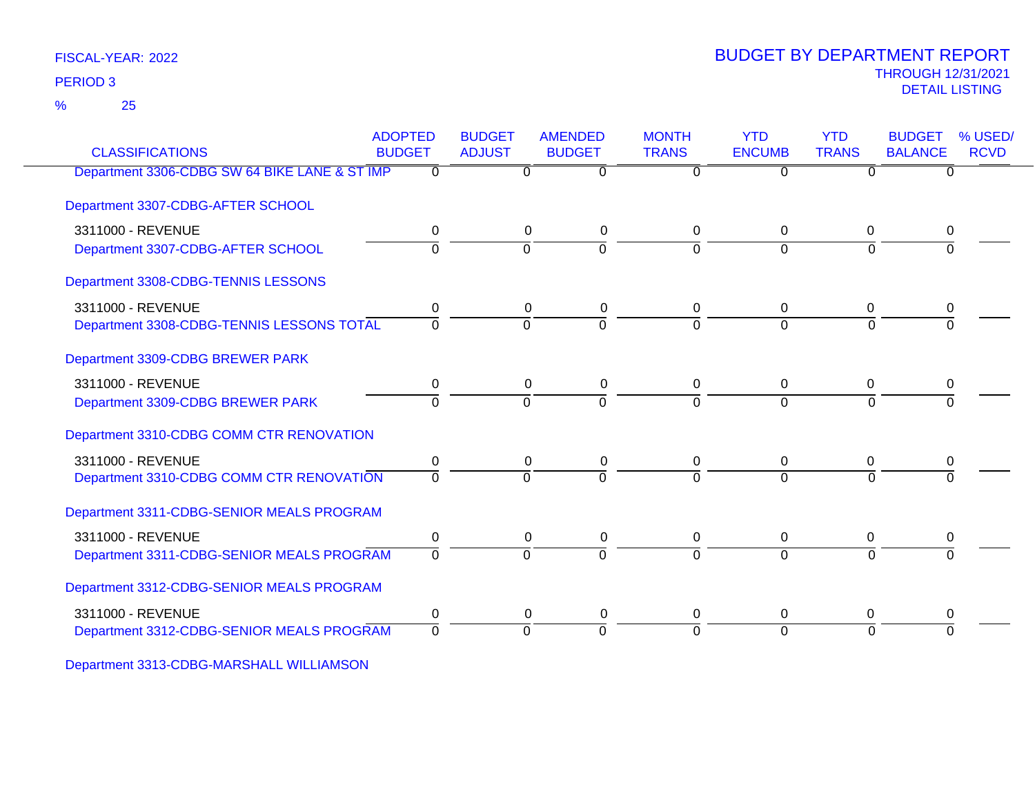25 %

### THROUGH 12/31/2021 DETAIL LISTING PERIOD <sup>3</sup> BUDGET BY DEPARTMENT REPORT

| <b>CLASSIFICATIONS</b>                        | <b>ADOPTED</b><br><b>BUDGET</b> | <b>BUDGET</b><br><b>ADJUST</b> | <b>AMENDED</b><br><b>BUDGET</b> | <b>MONTH</b><br><b>TRANS</b> | <b>YTD</b><br><b>ENCUMB</b> | <b>YTD</b><br><b>TRANS</b> | <b>BUDGET</b><br><b>BALANCE</b> | % USED/<br><b>RCVD</b> |
|-----------------------------------------------|---------------------------------|--------------------------------|---------------------------------|------------------------------|-----------------------------|----------------------------|---------------------------------|------------------------|
| Department 3306-CDBG SW 64 BIKE LANE & ST IMP | 0                               | 0                              | $\overline{0}$                  | $\Omega$                     | $\overline{0}$              | $\Omega$                   | 0                               |                        |
| Department 3307-CDBG-AFTER SCHOOL             |                                 |                                |                                 |                              |                             |                            |                                 |                        |
| 3311000 - REVENUE                             | 0                               | 0                              | $\mathbf 0$                     | $\mathbf 0$                  | 0                           | 0                          | 0                               |                        |
| Department 3307-CDBG-AFTER SCHOOL             | $\Omega$                        | $\Omega$                       | $\overline{0}$                  | $\Omega$                     | $\Omega$                    | $\Omega$                   |                                 |                        |
| Department 3308-CDBG-TENNIS LESSONS           |                                 |                                |                                 |                              |                             |                            |                                 |                        |
| 3311000 - REVENUE                             | 0                               | 0                              | 0                               | 0                            | 0                           | 0                          | 0                               |                        |
| Department 3308-CDBG-TENNIS LESSONS TOTAL     | $\Omega$                        | 0                              | $\overline{0}$                  | $\Omega$                     | $\Omega$                    | $\Omega$                   | $\Omega$                        |                        |
| Department 3309-CDBG BREWER PARK              |                                 |                                |                                 |                              |                             |                            |                                 |                        |
| 3311000 - REVENUE                             | 0                               | 0                              | 0                               | 0                            | 0                           | 0                          |                                 |                        |
| Department 3309-CDBG BREWER PARK              | $\overline{0}$                  | $\overline{0}$                 | $\overline{0}$                  | $\Omega$                     | $\overline{0}$              | $\overline{0}$             | $\overline{0}$                  |                        |
| Department 3310-CDBG COMM CTR RENOVATION      |                                 |                                |                                 |                              |                             |                            |                                 |                        |
| 3311000 - REVENUE                             | 0                               | 0                              | 0                               | 0                            | $\Omega$                    | 0                          | 0                               |                        |
| Department 3310-CDBG COMM CTR RENOVATION      | $\Omega$                        | $\Omega$                       | $\Omega$                        | $\Omega$                     | $\Omega$                    | $\Omega$                   |                                 |                        |
| Department 3311-CDBG-SENIOR MEALS PROGRAM     |                                 |                                |                                 |                              |                             |                            |                                 |                        |
| 3311000 - REVENUE                             | 0                               | 0                              | 0                               | 0                            | 0                           | 0                          | 0                               |                        |
| Department 3311-CDBG-SENIOR MEALS PROGRAM     | $\Omega$                        | $\Omega$                       | $\Omega$                        | $\Omega$                     | $\Omega$                    | $\Omega$                   | $\Omega$                        |                        |
| Department 3312-CDBG-SENIOR MEALS PROGRAM     |                                 |                                |                                 |                              |                             |                            |                                 |                        |
| 3311000 - REVENUE                             | 0                               | 0                              | 0                               | 0                            | 0                           | 0                          | 0                               |                        |
| Department 3312-CDBG-SENIOR MEALS PROGRAM     | $\Omega$                        | $\Omega$                       | $\Omega$                        | $\Omega$                     | $\Omega$                    | $\Omega$                   | $\Omega$                        |                        |
|                                               |                                 |                                |                                 |                              |                             |                            |                                 |                        |

Department 3313-CDBG-MARSHALL WILLIAMSON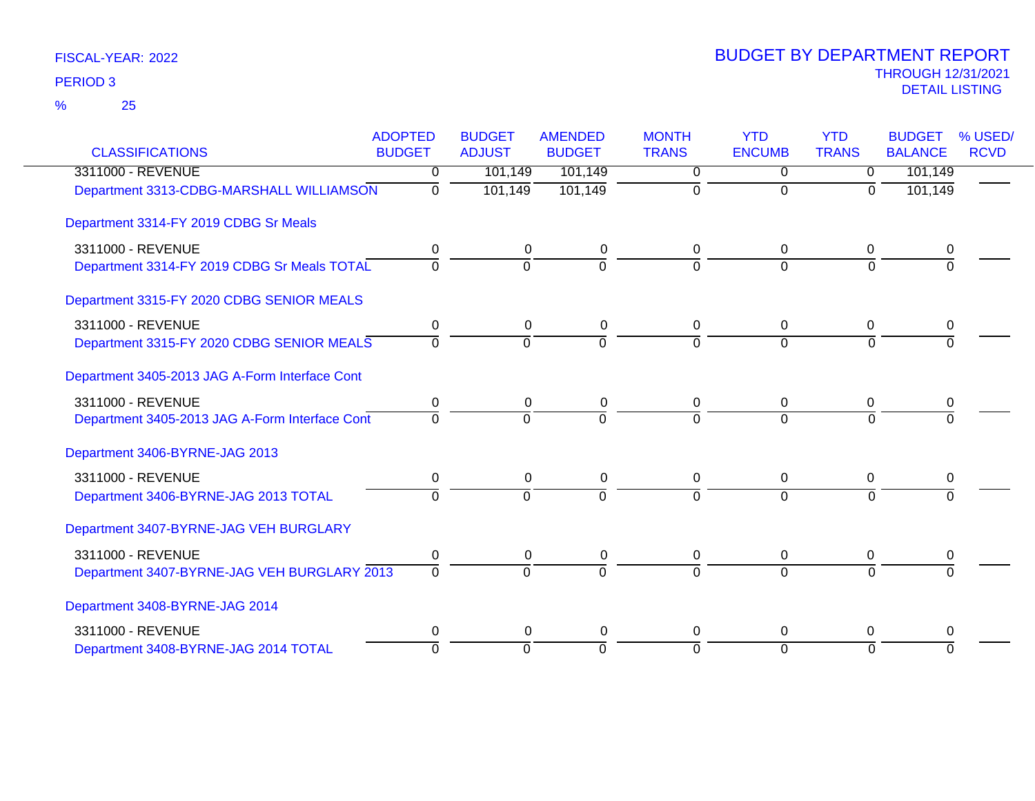25 %

| <b>CLASSIFICATIONS</b>                         | <b>ADOPTED</b><br><b>BUDGET</b> | <b>BUDGET</b><br><b>ADJUST</b> | <b>AMENDED</b><br><b>BUDGET</b> | <b>MONTH</b><br><b>TRANS</b> | <b>YTD</b><br><b>ENCUMB</b> | <b>YTD</b><br><b>TRANS</b> | <b>BUDGET</b><br><b>BALANCE</b> | % USED/<br><b>RCVD</b> |
|------------------------------------------------|---------------------------------|--------------------------------|---------------------------------|------------------------------|-----------------------------|----------------------------|---------------------------------|------------------------|
| 3311000 - REVENUE                              | $\Omega$                        | 101,149                        | 101,149                         | $\Omega$                     | $\overline{0}$              | $\overline{0}$             | 101,149                         |                        |
| Department 3313-CDBG-MARSHALL WILLIAMSON       | 0                               | 101,149                        | 101,149                         | 0                            | 0                           | 0                          | 101,149                         |                        |
| Department 3314-FY 2019 CDBG Sr Meals          |                                 |                                |                                 |                              |                             |                            |                                 |                        |
| 3311000 - REVENUE                              | 0                               | $\Omega$                       | 0                               | 0                            | 0                           | 0                          | 0                               |                        |
| Department 3314-FY 2019 CDBG Sr Meals TOTAL    | $\mathbf 0$                     | $\Omega$                       | $\overline{0}$                  | $\Omega$                     | $\Omega$                    | $\Omega$                   | $\Omega$                        |                        |
| Department 3315-FY 2020 CDBG SENIOR MEALS      |                                 |                                |                                 |                              |                             |                            |                                 |                        |
| 3311000 - REVENUE                              | 0                               | 0                              | 0                               | 0                            | 0                           | 0                          | 0                               |                        |
| Department 3315-FY 2020 CDBG SENIOR MEALS      | $\Omega$                        | $\Omega$                       | $\overline{0}$                  | $\Omega$                     | $\overline{0}$              | $\Omega$                   | $\Omega$                        |                        |
| Department 3405-2013 JAG A-Form Interface Cont |                                 |                                |                                 |                              |                             |                            |                                 |                        |
| 3311000 - REVENUE                              | 0                               | 0                              | 0                               | 0                            | 0                           | 0                          | 0                               |                        |
| Department 3405-2013 JAG A-Form Interface Cont | $\Omega$                        | $\Omega$                       | $\Omega$                        | $\Omega$                     | $\Omega$                    | $\Omega$                   |                                 |                        |
| Department 3406-BYRNE-JAG 2013                 |                                 |                                |                                 |                              |                             |                            |                                 |                        |
| 3311000 - REVENUE                              | 0                               | 0                              | 0                               | 0                            | 0                           | 0                          | 0                               |                        |
| Department 3406-BYRNE-JAG 2013 TOTAL           | $\Omega$                        | $\Omega$                       | $\Omega$                        | $\Omega$                     | $\Omega$                    | $\Omega$                   | $\Omega$                        |                        |
| Department 3407-BYRNE-JAG VEH BURGLARY         |                                 |                                |                                 |                              |                             |                            |                                 |                        |
| 3311000 - REVENUE                              | 0                               | 0                              | 0                               | 0                            | 0                           | 0                          | 0                               |                        |
| Department 3407-BYRNE-JAG VEH BURGLARY 2013    | $\Omega$                        | $\Omega$                       | $\Omega$                        | $\Omega$                     | $\Omega$                    | $\Omega$                   | $\Omega$                        |                        |
| Department 3408-BYRNE-JAG 2014                 |                                 |                                |                                 |                              |                             |                            |                                 |                        |
| 3311000 - REVENUE                              | 0                               | $\Omega$                       | $\mathbf 0$                     | 0                            | 0                           | 0                          | 0                               |                        |
| Department 3408-BYRNE-JAG 2014 TOTAL           | $\Omega$                        | $\Omega$                       | $\Omega$                        | $\Omega$                     | $\overline{0}$              | $\Omega$                   | $\Omega$                        |                        |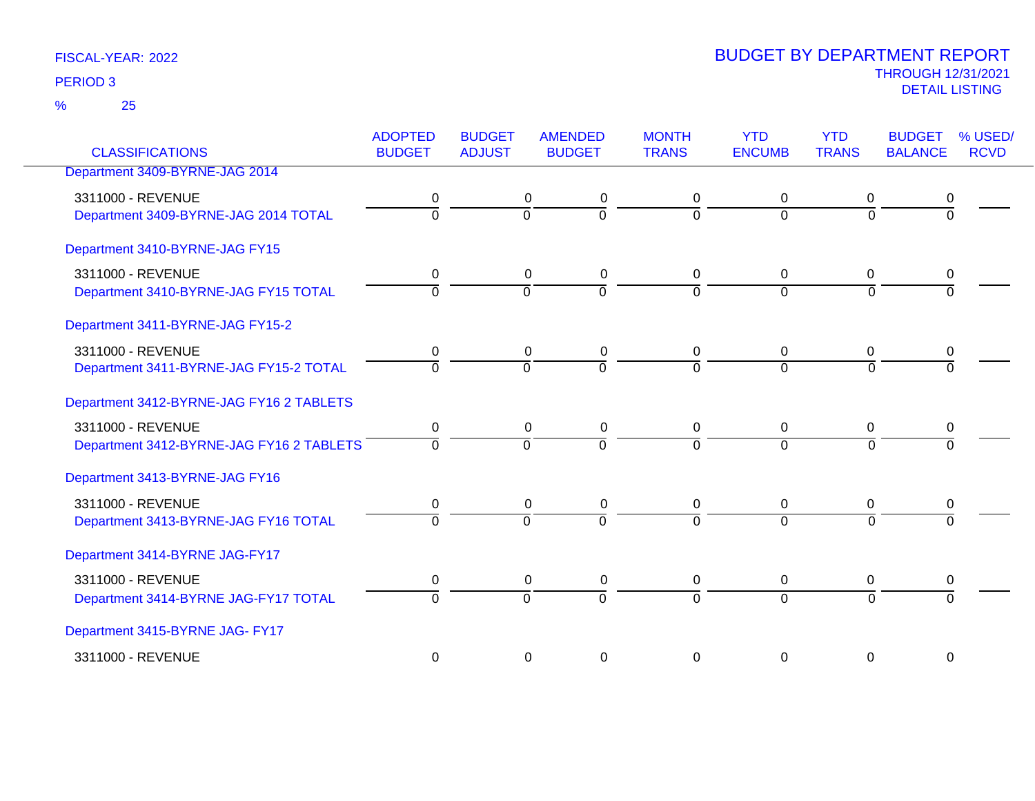25 %

|                                          | <b>ADOPTED</b> | <b>BUDGET</b>  | <b>AMENDED</b> | <b>MONTH</b> | <b>YTD</b>     | <b>YTD</b>     | <b>BUDGET</b>  | % USED/     |
|------------------------------------------|----------------|----------------|----------------|--------------|----------------|----------------|----------------|-------------|
| <b>CLASSIFICATIONS</b>                   | <b>BUDGET</b>  | <b>ADJUST</b>  | <b>BUDGET</b>  | <b>TRANS</b> | <b>ENCUMB</b>  | <b>TRANS</b>   | <b>BALANCE</b> | <b>RCVD</b> |
| Department 3409-BYRNE-JAG 2014           |                |                |                |              |                |                |                |             |
| 3311000 - REVENUE                        | 0              | 0              | 0              | 0            | 0              | 0              | 0              |             |
| Department 3409-BYRNE-JAG 2014 TOTAL     | $\Omega$       | $\overline{0}$ | $\overline{0}$ | $\Omega$     | $\mathbf 0$    | $\overline{0}$ | $\Omega$       |             |
| Department 3410-BYRNE-JAG FY15           |                |                |                |              |                |                |                |             |
| 3311000 - REVENUE                        | 0              | 0              | 0              | 0            | 0              | 0              | 0              |             |
| Department 3410-BYRNE-JAG FY15 TOTAL     | $\Omega$       | $\Omega$       | $\overline{0}$ | $\Omega$     | $\Omega$       | $\Omega$       | $\Omega$       |             |
| Department 3411-BYRNE-JAG FY15-2         |                |                |                |              |                |                |                |             |
| 3311000 - REVENUE                        | 0              | 0              | 0              | 0            | $\mathbf 0$    | $\mathbf 0$    | 0              |             |
| Department 3411-BYRNE-JAG FY15-2 TOTAL   | $\Omega$       | $\Omega$       | $\overline{0}$ | 0            | $\overline{0}$ | $\Omega$       | $\Omega$       |             |
| Department 3412-BYRNE-JAG FY16 2 TABLETS |                |                |                |              |                |                |                |             |
| 3311000 - REVENUE                        | 0              | 0              | 0              | 0            | 0              | 0              | 0              |             |
| Department 3412-BYRNE-JAG FY16 2 TABLETS | $\overline{0}$ | ō              | ō              | $\Omega$     | $\Omega$       | $\overline{0}$ | $\overline{0}$ |             |
| Department 3413-BYRNE-JAG FY16           |                |                |                |              |                |                |                |             |
| 3311000 - REVENUE                        | 0              | 0              | 0              | 0            | 0              | 0              | 0              |             |
| Department 3413-BYRNE-JAG FY16 TOTAL     | $\overline{0}$ | $\overline{0}$ | $\overline{0}$ | $\Omega$     | $\Omega$       | $\overline{0}$ | $\overline{0}$ |             |
| Department 3414-BYRNE JAG-FY17           |                |                |                |              |                |                |                |             |
| 3311000 - REVENUE                        | 0              | 0              | 0              | 0            | $\mathbf 0$    | $\mathbf 0$    | 0              |             |
| Department 3414-BYRNE JAG-FY17 TOTAL     | $\Omega$       | $\Omega$       | $\overline{0}$ | 0            | $\overline{0}$ | $\Omega$       | $\Omega$       |             |
| Department 3415-BYRNE JAG- FY17          |                |                |                |              |                |                |                |             |
| 3311000 - REVENUE                        | 0              | $\mathbf 0$    | $\mathbf 0$    | 0            | $\mathbf 0$    | $\mathbf 0$    | $\mathbf 0$    |             |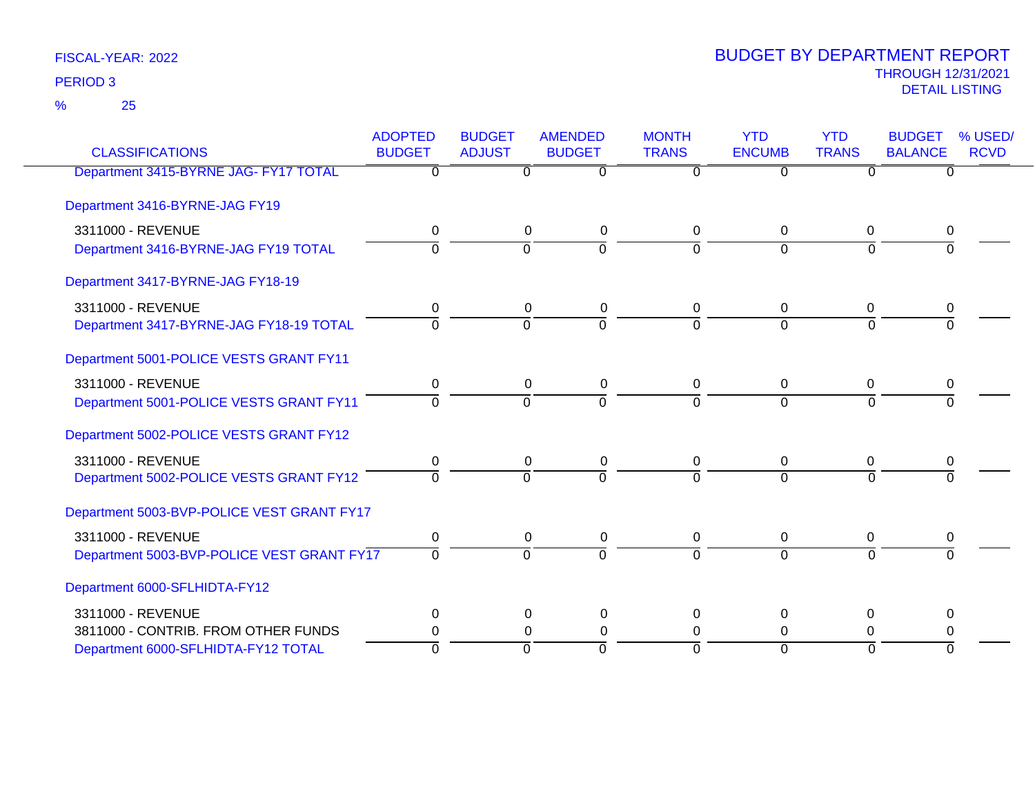25 %

| <b>CLASSIFICATIONS</b>                     | <b>ADOPTED</b><br><b>BUDGET</b> | <b>BUDGET</b><br><b>ADJUST</b> | <b>AMENDED</b><br><b>BUDGET</b> | <b>MONTH</b><br><b>TRANS</b> | <b>YTD</b><br><b>ENCUMB</b> | <b>YTD</b><br><b>TRANS</b> | <b>BUDGET</b><br><b>BALANCE</b> | % USED/<br><b>RCVD</b> |
|--------------------------------------------|---------------------------------|--------------------------------|---------------------------------|------------------------------|-----------------------------|----------------------------|---------------------------------|------------------------|
| Department 3415-BYRNE JAG- FY17 TOTAL      | $\overline{0}$                  | $\Omega$                       | $\overline{0}$                  | $\Omega$                     | $\overline{0}$              | $\Omega$                   | $\overline{0}$                  |                        |
| Department 3416-BYRNE-JAG FY19             |                                 |                                |                                 |                              |                             |                            |                                 |                        |
| 3311000 - REVENUE                          | 0                               |                                | 0<br>0                          | 0                            | 0                           | 0                          | 0                               |                        |
| Department 3416-BYRNE-JAG FY19 TOTAL       | $\Omega$                        | $\Omega$                       | $\Omega$                        | $\Omega$                     | $\Omega$                    | $\Omega$                   |                                 |                        |
| Department 3417-BYRNE-JAG FY18-19          |                                 |                                |                                 |                              |                             |                            |                                 |                        |
| 3311000 - REVENUE                          | 0                               |                                | 0<br>0                          | 0                            | 0                           | 0                          | 0                               |                        |
| Department 3417-BYRNE-JAG FY18-19 TOTAL    | $\mathbf 0$                     | 0                              | $\Omega$                        | $\Omega$                     | $\Omega$                    | $\Omega$                   | $\Omega$                        |                        |
| Department 5001-POLICE VESTS GRANT FY11    |                                 |                                |                                 |                              |                             |                            |                                 |                        |
| 3311000 - REVENUE                          | 0                               |                                | 0<br>0                          | $\mathbf 0$                  | $\mathbf 0$                 | 0                          | 0                               |                        |
| Department 5001-POLICE VESTS GRANT FY11    | $\Omega$                        | $\Omega$                       | $\Omega$                        | $\Omega$                     | $\Omega$                    | $\Omega$                   | $\Omega$                        |                        |
| Department 5002-POLICE VESTS GRANT FY12    |                                 |                                |                                 |                              |                             |                            |                                 |                        |
| 3311000 - REVENUE                          | 0                               |                                | 0<br>$\pmb{0}$                  | 0                            | $\Omega$                    | $\Omega$                   | 0                               |                        |
| Department 5002-POLICE VESTS GRANT FY12    | $\mathbf 0$                     | $\Omega$                       | $\overline{0}$                  | $\Omega$                     | $\Omega$                    | $\Omega$                   | $\Omega$                        |                        |
| Department 5003-BVP-POLICE VEST GRANT FY17 |                                 |                                |                                 |                              |                             |                            |                                 |                        |
| 3311000 - REVENUE                          | 0                               |                                | 0<br>0                          | 0                            | 0                           | 0                          | 0                               |                        |
| Department 5003-BVP-POLICE VEST GRANT FY17 | $\Omega$                        | $\overline{0}$                 | $\overline{0}$                  | $\Omega$                     | $\overline{0}$              | $\Omega$                   | $\Omega$                        |                        |
| Department 6000-SFLHIDTA-FY12              |                                 |                                |                                 |                              |                             |                            |                                 |                        |
| 3311000 - REVENUE                          | 0                               |                                | $\mathbf 0$<br>0                | 0                            | $\Omega$                    | $\Omega$                   | 0                               |                        |
| 3811000 - CONTRIB. FROM OTHER FUNDS        | 0                               |                                | $\Omega$<br>0                   | $\Omega$                     | $\Omega$                    | $\Omega$                   | 0                               |                        |
| Department 6000-SFLHIDTA-FY12 TOTAL        | $\Omega$                        | $\overline{0}$                 | $\overline{0}$                  | $\Omega$                     | $\Omega$                    | $\overline{0}$             | $\Omega$                        |                        |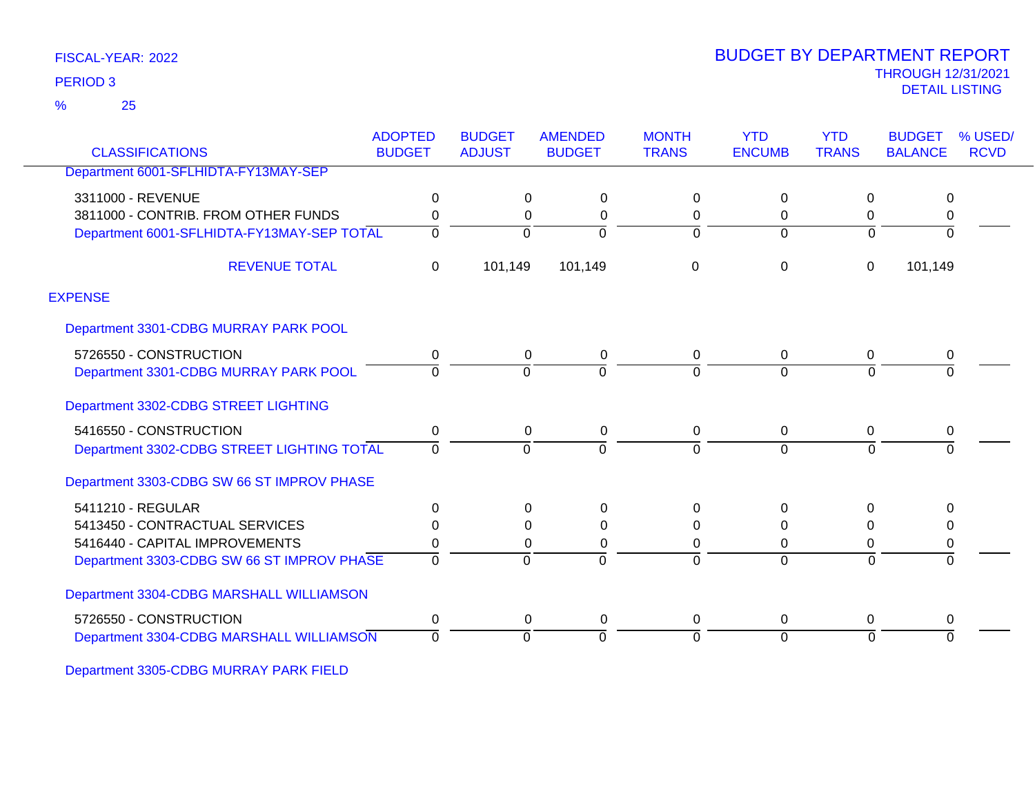25 %

### THROUGH 12/31/2021 DETAIL LISTING PERIOD <sup>3</sup> BUDGET BY DEPARTMENT REPORT

| <b>CLASSIFICATIONS</b>                     | <b>ADOPTED</b><br><b>BUDGET</b> | <b>BUDGET</b><br><b>ADJUST</b> | <b>AMENDED</b><br><b>BUDGET</b> | <b>MONTH</b><br><b>TRANS</b> | <b>YTD</b><br><b>ENCUMB</b> | <b>YTD</b><br><b>TRANS</b> | <b>BUDGET</b><br><b>BALANCE</b> | % USED/<br><b>RCVD</b> |
|--------------------------------------------|---------------------------------|--------------------------------|---------------------------------|------------------------------|-----------------------------|----------------------------|---------------------------------|------------------------|
| Department 6001-SFLHIDTA-FY13MAY-SEP       |                                 |                                |                                 |                              |                             |                            |                                 |                        |
| 3311000 - REVENUE                          | 0                               | 0                              | 0                               | 0                            | 0                           | 0                          | 0                               |                        |
| 3811000 - CONTRIB. FROM OTHER FUNDS        | $\Omega$                        | 0                              | 0                               | 0                            | $\Omega$                    | 0                          | 0                               |                        |
| Department 6001-SFLHIDTA-FY13MAY-SEP TOTAL | $\Omega$                        | $\Omega$                       | $\Omega$                        | $\Omega$                     | $\Omega$                    | $\Omega$                   | $\Omega$                        |                        |
| <b>REVENUE TOTAL</b>                       | $\mathbf 0$                     | 101,149                        | 101,149                         | 0                            | $\mathbf 0$                 | $\pmb{0}$                  | 101,149                         |                        |
| <b>EXPENSE</b>                             |                                 |                                |                                 |                              |                             |                            |                                 |                        |
| Department 3301-CDBG MURRAY PARK POOL      |                                 |                                |                                 |                              |                             |                            |                                 |                        |
| 5726550 - CONSTRUCTION                     | 0                               | 0                              | $\mathbf 0$                     | 0                            | $\mathbf 0$                 | 0                          | 0                               |                        |
| Department 3301-CDBG MURRAY PARK POOL      | $\Omega$                        | $\Omega$                       | $\Omega$                        | $\Omega$                     | $\Omega$                    | $\Omega$                   | $\Omega$                        |                        |
| Department 3302-CDBG STREET LIGHTING       |                                 |                                |                                 |                              |                             |                            |                                 |                        |
| 5416550 - CONSTRUCTION                     | $\Omega$                        | 0                              | 0                               | 0                            | 0                           | $\Omega$                   | 0                               |                        |
| Department 3302-CDBG STREET LIGHTING TOTAL | $\Omega$                        | $\Omega$                       | $\Omega$                        | 0                            | $\Omega$                    | $\Omega$                   | $\Omega$                        |                        |
| Department 3303-CDBG SW 66 ST IMPROV PHASE |                                 |                                |                                 |                              |                             |                            |                                 |                        |
| 5411210 - REGULAR                          | $\Omega$                        | 0                              | 0                               | 0                            | $\Omega$                    | $\Omega$                   | $\Omega$                        |                        |
| 5413450 - CONTRACTUAL SERVICES             | ∩                               | 0                              | $\Omega$                        | 0                            | $\Omega$                    | 0                          | 0                               |                        |
| 5416440 - CAPITAL IMPROVEMENTS             | 0                               | 0                              | 0                               | 0                            | 0                           | 0                          | 0                               |                        |
| Department 3303-CDBG SW 66 ST IMPROV PHASE | $\Omega$                        | $\Omega$                       | $\Omega$                        | $\Omega$                     | $\Omega$                    | $\Omega$                   | $\Omega$                        |                        |
| Department 3304-CDBG MARSHALL WILLIAMSON   |                                 |                                |                                 |                              |                             |                            |                                 |                        |
| 5726550 - CONSTRUCTION                     | $\Omega$                        | 0                              | 0                               | 0                            | 0                           | 0                          | 0                               |                        |
| Department 3304-CDBG MARSHALL WILLIAMSON   | $\Omega$                        | $\Omega$                       | $\Omega$                        | 0                            | 0                           | $\Omega$                   | $\Omega$                        |                        |
|                                            |                                 |                                |                                 |                              |                             |                            |                                 |                        |

Department 3305-CDBG MURRAY PARK FIELD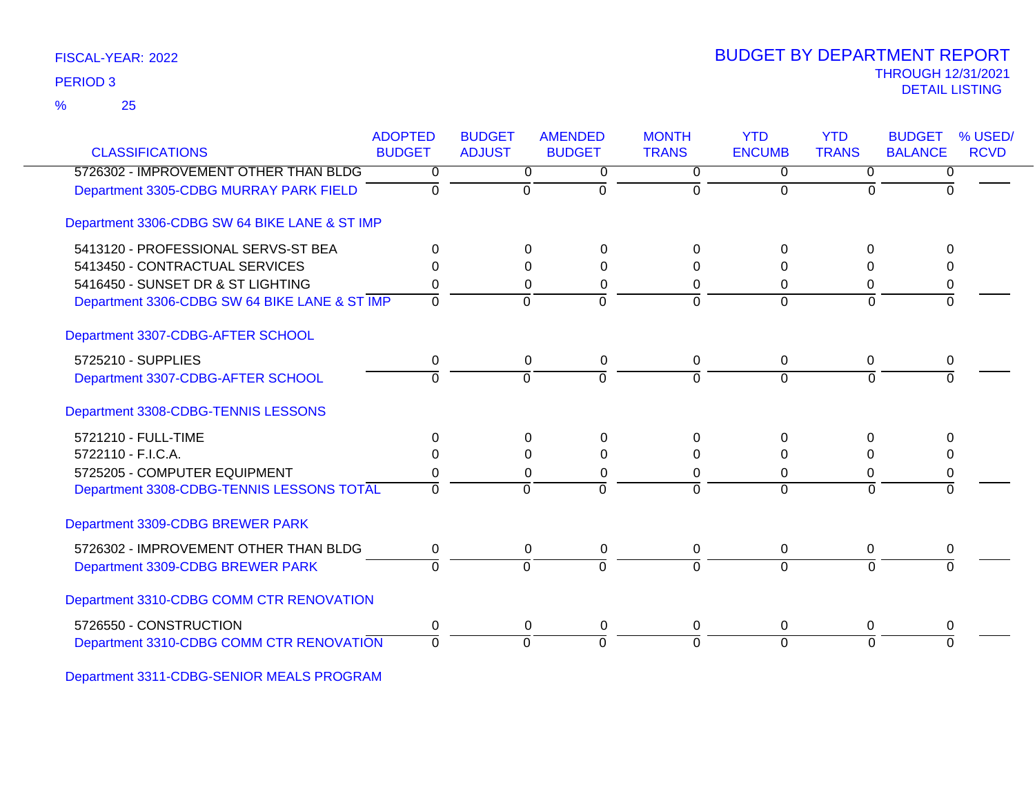25 %

### THROUGH 12/31/2021 DETAIL LISTING PERIOD <sup>3</sup> BUDGET BY DEPARTMENT REPORT

| <b>CLASSIFICATIONS</b>                        | <b>ADOPTED</b><br><b>BUDGET</b> | <b>BUDGET</b><br><b>ADJUST</b> | <b>AMENDED</b><br><b>BUDGET</b> | <b>MONTH</b><br><b>TRANS</b> | <b>YTD</b><br><b>ENCUMB</b> | <b>YTD</b><br><b>TRANS</b> | <b>BUDGET</b><br><b>BALANCE</b> | % USED/<br><b>RCVD</b> |
|-----------------------------------------------|---------------------------------|--------------------------------|---------------------------------|------------------------------|-----------------------------|----------------------------|---------------------------------|------------------------|
| 5726302 - IMPROVEMENT OTHER THAN BLDG         | 0                               | 0                              | $\overline{0}$                  | $\overline{0}$               | $\overline{0}$              | $\overline{0}$             | $\overline{0}$                  |                        |
| Department 3305-CDBG MURRAY PARK FIELD        | $\Omega$                        | 0                              | $\Omega$                        | $\Omega$                     | $\Omega$                    | $\Omega$                   | $\Omega$                        |                        |
| Department 3306-CDBG SW 64 BIKE LANE & ST IMP |                                 |                                |                                 |                              |                             |                            |                                 |                        |
| 5413120 - PROFESSIONAL SERVS-ST BEA           | 0                               | $\Omega$                       | 0                               | 0                            | $\Omega$                    | $\Omega$                   | U                               |                        |
| 5413450 - CONTRACTUAL SERVICES                |                                 | 0                              | 0                               | 0                            | 0                           | $\Omega$                   | 0                               |                        |
| 5416450 - SUNSET DR & ST LIGHTING             | 0                               | 0                              | 0                               | 0                            | $\Omega$                    | 0                          | 0                               |                        |
| Department 3306-CDBG SW 64 BIKE LANE & ST IMP | $\Omega$                        | $\Omega$                       | $\overline{0}$                  | $\Omega$                     | $\Omega$                    | $\Omega$                   | $\Omega$                        |                        |
| Department 3307-CDBG-AFTER SCHOOL             |                                 |                                |                                 |                              |                             |                            |                                 |                        |
| 5725210 - SUPPLIES                            | 0                               | 0                              | 0                               | 0                            | 0                           | 0                          | 0                               |                        |
| Department 3307-CDBG-AFTER SCHOOL             | $\Omega$                        | $\Omega$                       | $\Omega$                        | $\Omega$                     | $\Omega$                    | $\Omega$                   | $\Omega$                        |                        |
| Department 3308-CDBG-TENNIS LESSONS           |                                 |                                |                                 |                              |                             |                            |                                 |                        |
| 5721210 - FULL-TIME                           | 0                               | 0                              | 0                               | 0                            | 0                           | 0                          | 0                               |                        |
| 5722110 - F.I.C.A.                            | 0                               | $\Omega$                       | $\Omega$                        | 0                            | $\Omega$                    | 0                          | 0                               |                        |
| 5725205 - COMPUTER EQUIPMENT                  |                                 | $\Omega$                       | 0                               | 0                            | 0                           | 0                          | 0                               |                        |
| Department 3308-CDBG-TENNIS LESSONS TOTAL     | $\Omega$                        | $\Omega$                       | $\overline{0}$                  | $\Omega$                     | $\Omega$                    | $\overline{0}$             | $\Omega$                        |                        |
| Department 3309-CDBG BREWER PARK              |                                 |                                |                                 |                              |                             |                            |                                 |                        |
| 5726302 - IMPROVEMENT OTHER THAN BLDG         | 0                               | 0                              | 0                               | 0                            | $\mathbf 0$                 | 0                          | 0                               |                        |
| Department 3309-CDBG BREWER PARK              | $\Omega$                        | $\Omega$                       | $\Omega$                        | $\Omega$                     | $\Omega$                    | $\Omega$                   | $\Omega$                        |                        |
| Department 3310-CDBG COMM CTR RENOVATION      |                                 |                                |                                 |                              |                             |                            |                                 |                        |
| 5726550 - CONSTRUCTION                        | 0                               | 0                              | 0                               | 0                            | $\mathbf 0$                 | 0                          | 0                               |                        |
| Department 3310-CDBG COMM CTR RENOVATION      | $\Omega$                        | $\Omega$                       | $\overline{0}$                  | $\Omega$                     | $\overline{0}$              | $\Omega$                   | $\overline{0}$                  |                        |
|                                               |                                 |                                |                                 |                              |                             |                            |                                 |                        |

Department 3311-CDBG-SENIOR MEALS PROGRAM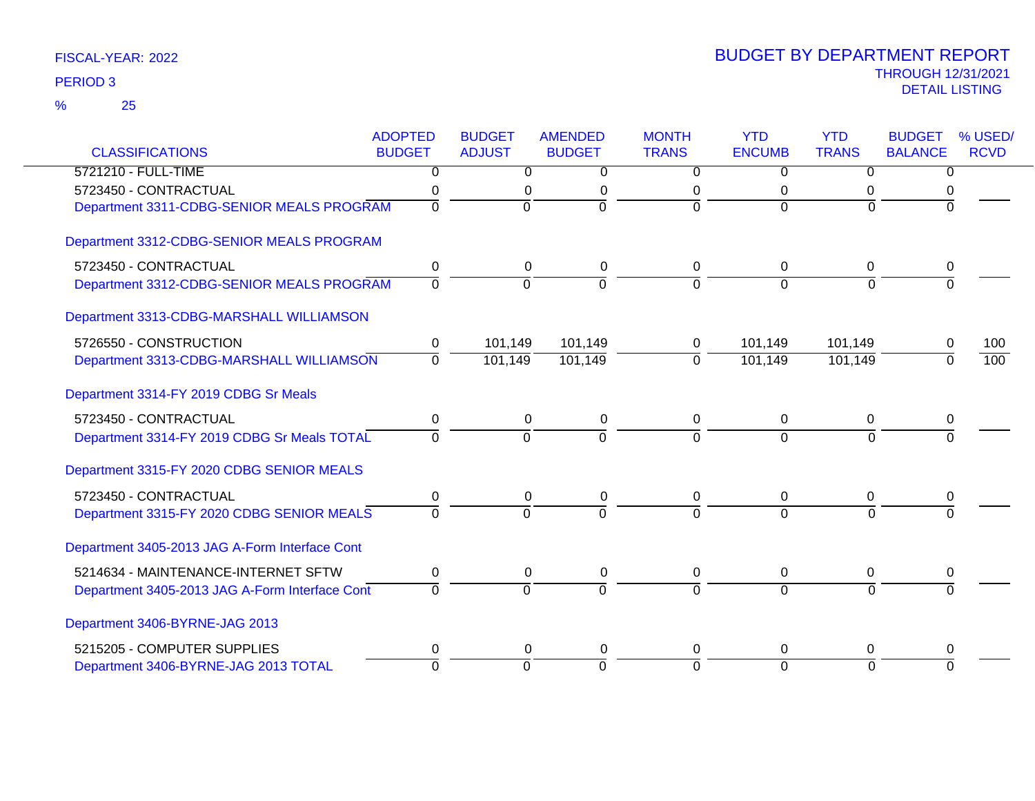|                                                | <b>ADOPTED</b> | <b>BUDGET</b>  | <b>AMENDED</b> | <b>MONTH</b>   | <b>YTD</b>     | <b>YTD</b>     | <b>BUDGET</b>  | % USED/     |
|------------------------------------------------|----------------|----------------|----------------|----------------|----------------|----------------|----------------|-------------|
| <b>CLASSIFICATIONS</b>                         | <b>BUDGET</b>  | <b>ADJUST</b>  | <b>BUDGET</b>  | <b>TRANS</b>   | <b>ENCUMB</b>  | <b>TRANS</b>   | <b>BALANCE</b> | <b>RCVD</b> |
| 5721210 - FULL-TIME                            | 0              | 0              | 0              | 0              | $\Omega$       | $\Omega$       | 0              |             |
| 5723450 - CONTRACTUAL                          | 0              | 0              | 0              | 0              | 0              | 0              |                |             |
| Department 3311-CDBG-SENIOR MEALS PROGRAM      | $\mathbf 0$    | $\overline{0}$ | $\overline{0}$ | $\Omega$       | $\Omega$       | $\Omega$       |                |             |
| Department 3312-CDBG-SENIOR MEALS PROGRAM      |                |                |                |                |                |                |                |             |
| 5723450 - CONTRACTUAL                          | 0              | 0              | 0              | 0              | 0              | $\mathbf{0}$   | 0              |             |
| Department 3312-CDBG-SENIOR MEALS PROGRAM      | $\overline{0}$ | Ō              | $\mathbf 0$    | 0              | $\Omega$       | $\mathbf 0$    | 0              |             |
| Department 3313-CDBG-MARSHALL WILLIAMSON       |                |                |                |                |                |                |                |             |
| 5726550 - CONSTRUCTION                         | 0              | 101,149        | 101,149        | 0              | 101,149        | 101,149        | 0              | 100         |
| Department 3313-CDBG-MARSHALL WILLIAMSON       | $\mathbf 0$    | 101,149        | 101,149        | $\overline{0}$ | 101,149        | 101,149        | $\Omega$       | 100         |
| Department 3314-FY 2019 CDBG Sr Meals          |                |                |                |                |                |                |                |             |
| 5723450 - CONTRACTUAL                          | $\pmb{0}$      | $\mathbf 0$    | 0              | 0              | $\mathbf 0$    | 0              | 0              |             |
| Department 3314-FY 2019 CDBG Sr Meals TOTAL    | $\Omega$       | $\overline{0}$ | $\overline{0}$ | $\Omega$       | $\overline{0}$ | $\Omega$       | $\Omega$       |             |
| Department 3315-FY 2020 CDBG SENIOR MEALS      |                |                |                |                |                |                |                |             |
| 5723450 - CONTRACTUAL                          | $\pmb{0}$      | $\mathbf 0$    | $\pmb{0}$      | $\mathbf 0$    | 0              | $\mathbf 0$    | 0              |             |
| Department 3315-FY 2020 CDBG SENIOR MEALS      | $\Omega$       | $\overline{0}$ | $\Omega$       | $\Omega$       | $\Omega$       | $\Omega$       |                |             |
| Department 3405-2013 JAG A-Form Interface Cont |                |                |                |                |                |                |                |             |
| 5214634 - MAINTENANCE-INTERNET SFTW            | 0              | $\mathsf 0$    | $\pmb{0}$      | $\pmb{0}$      | $\mathbf 0$    | $\overline{0}$ | 0              |             |
| Department 3405-2013 JAG A-Form Interface Cont | $\Omega$       | $\mathbf 0$    | $\Omega$       | $\Omega$       | $\Omega$       | $\Omega$       | $\Omega$       |             |
| Department 3406-BYRNE-JAG 2013                 |                |                |                |                |                |                |                |             |
| 5215205 - COMPUTER SUPPLIES                    | 0              | 0              | 0              | 0              | $\Omega$       | 0              | 0              |             |
| Department 3406-BYRNE-JAG 2013 TOTAL           | $\overline{0}$ | $\overline{0}$ | $\overline{0}$ | $\Omega$       | $\overline{0}$ | $\overline{0}$ | $\Omega$       |             |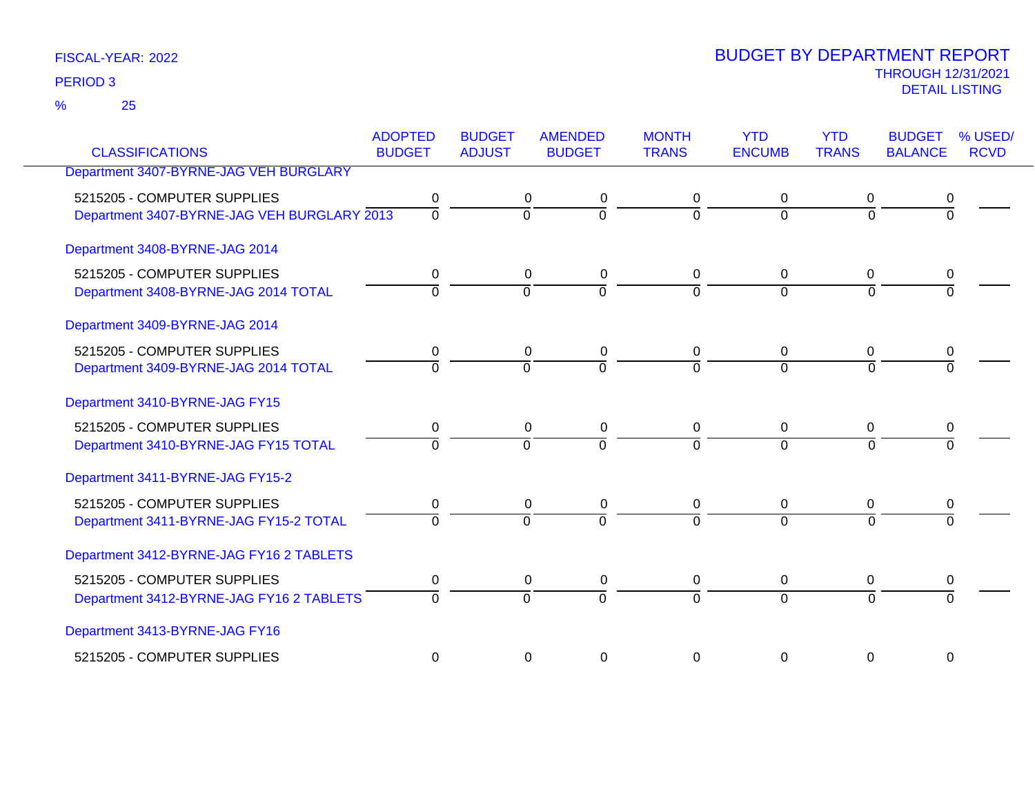25 %

| <b>CLASSIFICATIONS</b>                                                     | <b>ADOPTED</b><br><b>BUDGET</b> | <b>BUDGET</b><br><b>ADJUST</b> | <b>AMENDED</b><br><b>BUDGET</b>                          | <b>MONTH</b><br><b>TRANS</b> | <b>YTD</b><br><b>ENCUMB</b> | <b>YTD</b><br><b>TRANS</b> | <b>BUDGET</b><br><b>BALANCE</b> | % USED/<br><b>RCVD</b> |
|----------------------------------------------------------------------------|---------------------------------|--------------------------------|----------------------------------------------------------|------------------------------|-----------------------------|----------------------------|---------------------------------|------------------------|
| Department 3407-BYRNE-JAG VEH BURGLARY                                     |                                 |                                |                                                          |                              |                             |                            |                                 |                        |
| 5215205 - COMPUTER SUPPLIES<br>Department 3407-BYRNE-JAG VEH BURGLARY 2013 | 0<br>$\overline{0}$             |                                | 0<br>0<br>$\overline{0}$<br>$\Omega$                     | 0<br>$\Omega$                | $\mathbf 0$<br>$\Omega$     | 0<br>$\Omega$              | 0<br>$\Omega$                   |                        |
| Department 3408-BYRNE-JAG 2014                                             |                                 |                                |                                                          |                              |                             |                            |                                 |                        |
| 5215205 - COMPUTER SUPPLIES<br>Department 3408-BYRNE-JAG 2014 TOTAL        | 0<br>$\Omega$                   |                                | 0<br>$\mathbf 0$<br>$\Omega$<br>$\Omega$                 | 0<br>0                       | 0<br>$\Omega$               | 0<br>$\Omega$              | 0                               |                        |
| Department 3409-BYRNE-JAG 2014                                             |                                 |                                |                                                          |                              |                             |                            |                                 |                        |
| 5215205 - COMPUTER SUPPLIES<br>Department 3409-BYRNE-JAG 2014 TOTAL        | 0<br>$\Omega$                   |                                | $\mathbf 0$<br>0<br>$\overline{0}$<br>$\Omega$           | 0<br>$\Omega$                | $\mathbf 0$<br>$\Omega$     | 0<br>$\Omega$              | 0                               |                        |
| Department 3410-BYRNE-JAG FY15                                             |                                 |                                |                                                          |                              |                             |                            |                                 |                        |
| 5215205 - COMPUTER SUPPLIES<br>Department 3410-BYRNE-JAG FY15 TOTAL        | $\mathbf 0$<br>$\Omega$         |                                | $\mathbf 0$<br>$\mathbf 0$<br>$\overline{0}$<br>$\Omega$ | 0<br>$\Omega$                | $\mathbf 0$<br>$\Omega$     | 0<br>$\Omega$              | 0<br>$\Omega$                   |                        |
| Department 3411-BYRNE-JAG FY15-2                                           |                                 |                                |                                                          |                              |                             |                            |                                 |                        |
| 5215205 - COMPUTER SUPPLIES<br>Department 3411-BYRNE-JAG FY15-2 TOTAL      | 0<br>$\Omega$                   |                                | $\mathbf 0$<br>0<br>$\Omega$<br>$\Omega$                 | 0<br>$\Omega$                | 0<br>$\Omega$               | 0<br>$\Omega$              | 0                               |                        |
| Department 3412-BYRNE-JAG FY16 2 TABLETS                                   |                                 |                                |                                                          |                              |                             |                            |                                 |                        |
| 5215205 - COMPUTER SUPPLIES<br>Department 3412-BYRNE-JAG FY16 2 TABLETS    | 0<br>$\Omega$                   |                                | 0<br>$\mathbf 0$<br>$\overline{0}$<br>$\Omega$           | 0<br>$\Omega$                | $\mathbf 0$<br>$\Omega$     | 0<br>$\Omega$              | 0<br>$\Omega$                   |                        |
| Department 3413-BYRNE-JAG FY16                                             |                                 |                                |                                                          |                              |                             |                            |                                 |                        |
| 5215205 - COMPUTER SUPPLIES                                                | $\mathbf 0$                     |                                | 0<br>0                                                   | 0                            | 0                           | $\mathbf 0$                | $\mathbf 0$                     |                        |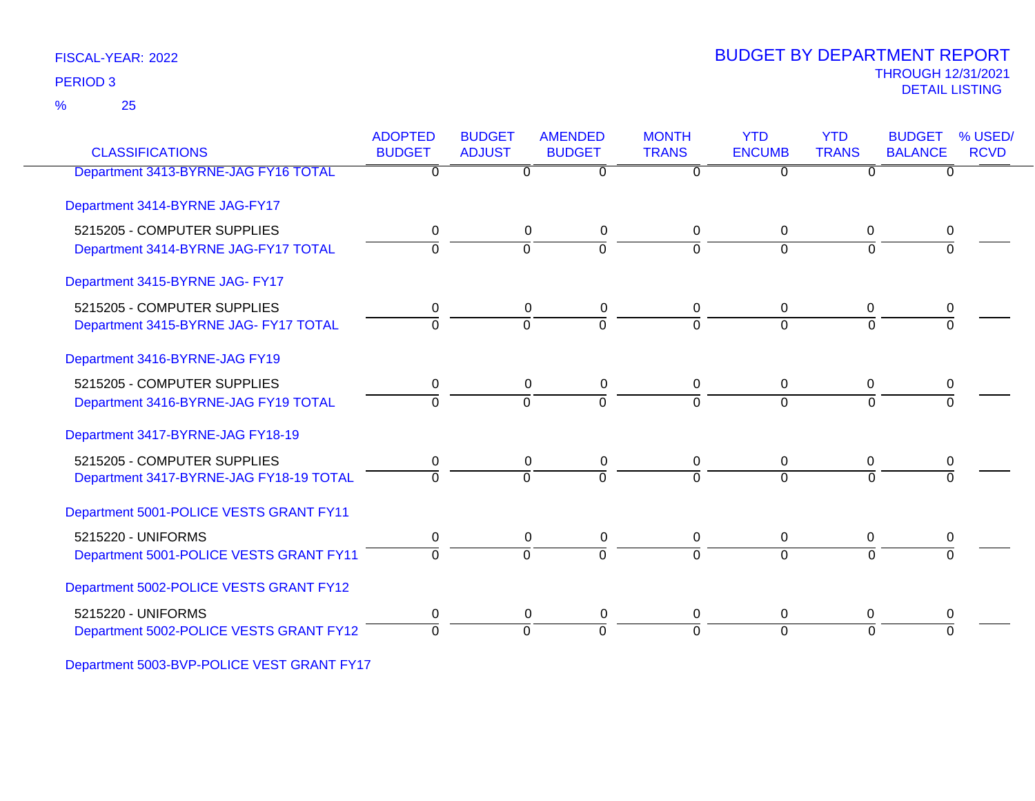25 %

### THROUGH 12/31/2021 DETAIL LISTING PERIOD <sup>3</sup> BUDGET BY DEPARTMENT REPORT

| <b>CLASSIFICATIONS</b>                  | <b>ADOPTED</b><br><b>BUDGET</b> | <b>BUDGET</b><br><b>ADJUST</b> | <b>AMENDED</b><br><b>BUDGET</b> | <b>MONTH</b><br><b>TRANS</b> | <b>YTD</b><br><b>ENCUMB</b> | <b>YTD</b><br><b>TRANS</b> | <b>BUDGET</b><br><b>BALANCE</b> | % USED/<br><b>RCVD</b> |
|-----------------------------------------|---------------------------------|--------------------------------|---------------------------------|------------------------------|-----------------------------|----------------------------|---------------------------------|------------------------|
| Department 3413-BYRNE-JAG FY16 TOTAL    | 0                               | 0                              | 0                               |                              | $\Omega$                    | 0                          | 0                               |                        |
| Department 3414-BYRNE JAG-FY17          |                                 |                                |                                 |                              |                             |                            |                                 |                        |
| 5215205 - COMPUTER SUPPLIES             | 0                               |                                | 0<br>0                          | 0                            | $\Omega$                    | $\mathbf 0$                | 0                               |                        |
| Department 3414-BYRNE JAG-FY17 TOTAL    | $\Omega$                        | $\Omega$                       | $\Omega$                        | $\Omega$                     | $\Omega$                    | $\Omega$                   | ∩                               |                        |
| Department 3415-BYRNE JAG- FY17         |                                 |                                |                                 |                              |                             |                            |                                 |                        |
| 5215205 - COMPUTER SUPPLIES             |                                 | 0                              | 0                               | 0                            | 0                           | 0                          | 0                               |                        |
| Department 3415-BYRNE JAG- FY17 TOTAL   | $\Omega$                        | $\Omega$                       | $\overline{0}$                  | $\Omega$                     | $\Omega$                    | $\Omega$                   | $\overline{0}$                  |                        |
| Department 3416-BYRNE-JAG FY19          |                                 |                                |                                 |                              |                             |                            |                                 |                        |
| 5215205 - COMPUTER SUPPLIES             | 0                               |                                | 0<br>0                          | 0                            | 0                           | 0                          |                                 |                        |
| Department 3416-BYRNE-JAG FY19 TOTAL    | $\Omega$                        | $\overline{0}$                 | $\overline{0}$                  | $\Omega$                     | $\overline{0}$              | $\Omega$                   | $\Omega$                        |                        |
| Department 3417-BYRNE-JAG FY18-19       |                                 |                                |                                 |                              |                             |                            |                                 |                        |
| 5215205 - COMPUTER SUPPLIES             |                                 |                                | 0<br>0                          | 0                            | 0                           | 0                          |                                 |                        |
| Department 3417-BYRNE-JAG FY18-19 TOTAL | $\Omega$                        | $\Omega$                       | $\Omega$                        | $\Omega$                     | $\Omega$                    | $\Omega$                   |                                 |                        |
| Department 5001-POLICE VESTS GRANT FY11 |                                 |                                |                                 |                              |                             |                            |                                 |                        |
| 5215220 - UNIFORMS                      | 0                               | 0                              | 0                               | 0                            | 0                           | 0                          | 0                               |                        |
| Department 5001-POLICE VESTS GRANT FY11 | $\Omega$                        | $\overline{0}$                 | $\overline{0}$                  | $\Omega$                     | $\Omega$                    | $\Omega$                   | $\Omega$                        |                        |
| Department 5002-POLICE VESTS GRANT FY12 |                                 |                                |                                 |                              |                             |                            |                                 |                        |
| 5215220 - UNIFORMS                      | 0                               | 0                              | 0                               | $\mathbf 0$                  | 0                           | 0                          | 0                               |                        |
| Department 5002-POLICE VESTS GRANT FY12 | $\Omega$                        | $\Omega$                       | $\Omega$                        | $\Omega$                     | $\Omega$                    | $\Omega$                   | $\Omega$                        |                        |

Department 5003-BVP-POLICE VEST GRANT FY17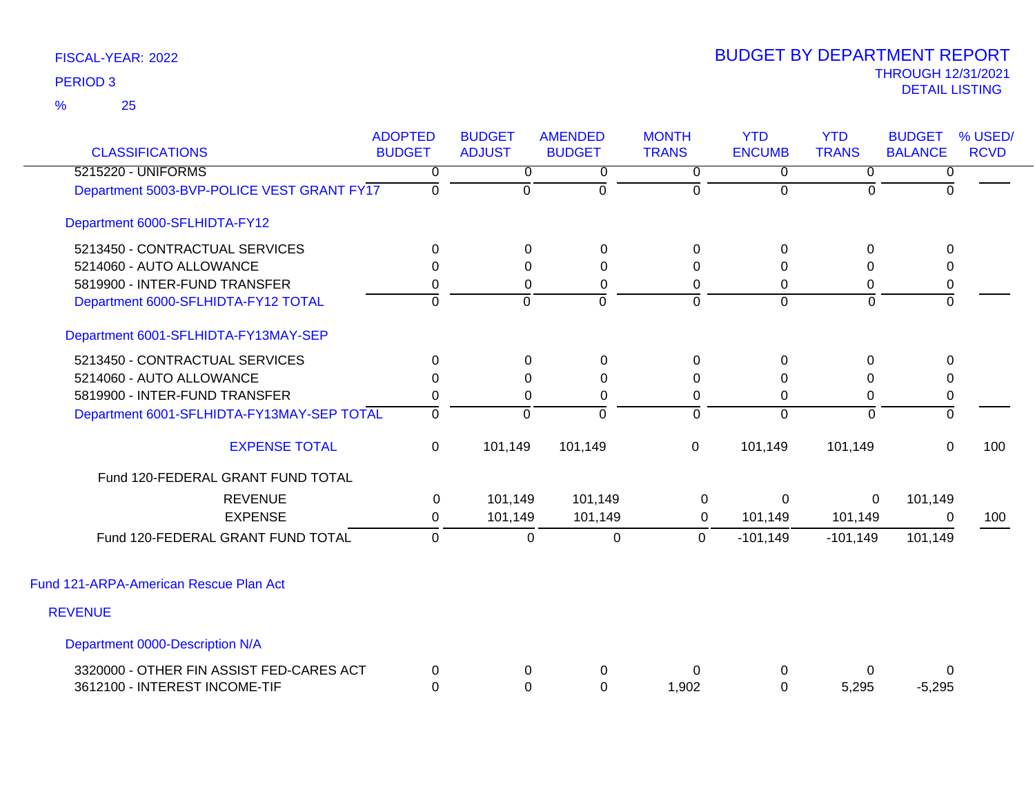| <b>CLASSIFICATIONS</b>                     | <b>ADOPTED</b><br><b>BUDGET</b> | <b>BUDGET</b><br><b>ADJUST</b> | <b>AMENDED</b><br><b>BUDGET</b> | <b>MONTH</b><br><b>TRANS</b> | <b>YTD</b><br><b>ENCUMB</b> | <b>YTD</b><br><b>TRANS</b> | <b>BUDGET</b><br><b>BALANCE</b> | % USED/<br><b>RCVD</b> |
|--------------------------------------------|---------------------------------|--------------------------------|---------------------------------|------------------------------|-----------------------------|----------------------------|---------------------------------|------------------------|
| 5215220 - UNIFORMS                         | 0                               | 0                              | 0                               | 0                            | 0                           | 0                          | 0                               |                        |
| Department 5003-BVP-POLICE VEST GRANT FY17 | $\Omega$                        | $\overline{0}$                 | $\overline{0}$                  | $\Omega$                     | $\overline{0}$              | $\Omega$                   | $\Omega$                        |                        |
| Department 6000-SFLHIDTA-FY12              |                                 |                                |                                 |                              |                             |                            |                                 |                        |
| 5213450 - CONTRACTUAL SERVICES             | $\Omega$                        | $\Omega$                       | 0                               | $\Omega$                     | 0                           | $\Omega$                   | 0                               |                        |
| 5214060 - AUTO ALLOWANCE                   | $\Omega$                        | $\Omega$                       | $\Omega$                        | $\Omega$                     | $\Omega$                    | 0                          | $\Omega$                        |                        |
| 5819900 - INTER-FUND TRANSFER              | 0                               | 0                              | 0                               | 0                            | $\mathbf 0$                 | 0                          | $\pmb{0}$                       |                        |
| Department 6000-SFLHIDTA-FY12 TOTAL        | $\Omega$                        | $\Omega$                       | $\Omega$                        | $\Omega$                     | $\Omega$                    | $\Omega$                   | $\Omega$                        |                        |
| Department 6001-SFLHIDTA-FY13MAY-SEP       |                                 |                                |                                 |                              |                             |                            |                                 |                        |
| 5213450 - CONTRACTUAL SERVICES             | $\Omega$                        | 0                              | $\mathbf 0$                     | $\mathbf 0$                  | $\mathbf 0$                 | 0                          | $\mathbf 0$                     |                        |
| 5214060 - AUTO ALLOWANCE                   | $\Omega$                        | 0                              | $\Omega$                        | $\Omega$                     | 0                           | 0                          | 0                               |                        |
| 5819900 - INTER-FUND TRANSFER              | 0                               | 0                              | 0                               | $\Omega$                     | $\mathbf 0$                 | 0                          | $\mathbf 0$                     |                        |
| Department 6001-SFLHIDTA-FY13MAY-SEP TOTAL | $\mathbf 0$                     | $\overline{0}$                 | ō                               | $\overline{0}$               | $\overline{0}$              | $\Omega$                   | $\overline{0}$                  |                        |
| <b>EXPENSE TOTAL</b>                       | 0                               | 101,149                        | 101,149                         | 0                            | 101,149                     | 101,149                    | $\mathbf 0$                     | 100                    |
| Fund 120-FEDERAL GRANT FUND TOTAL          |                                 |                                |                                 |                              |                             |                            |                                 |                        |
| <b>REVENUE</b>                             | 0                               | 101,149                        | 101,149                         | 0                            | $\Omega$                    | 0                          | 101,149                         |                        |
| <b>EXPENSE</b>                             | $\Omega$                        | 101,149                        | 101,149                         | 0                            | 101,149                     | 101,149                    | 0                               | 100                    |
| Fund 120-FEDERAL GRANT FUND TOTAL          | $\Omega$                        | $\mathbf 0$                    | $\mathbf 0$                     | $\Omega$                     | $-101,149$                  | $-101,149$                 | 101,149                         |                        |
| Fund 121-ARPA-American Rescue Plan Act     |                                 |                                |                                 |                              |                             |                            |                                 |                        |
| <b>REVENUE</b>                             |                                 |                                |                                 |                              |                             |                            |                                 |                        |
| Department 0000-Description N/A            |                                 |                                |                                 |                              |                             |                            |                                 |                        |
| 3320000 - OTHER FIN ASSIST FED-CARES ACT   | 0                               | 0                              | 0                               | $\Omega$                     | 0                           |                            | 0                               |                        |
| 3612100 - INTEREST INCOME-TIF              | 0                               | $\Omega$                       | $\mathbf 0$                     | 1,902                        | $\mathbf{0}$                | 5,295                      | $-5,295$                        |                        |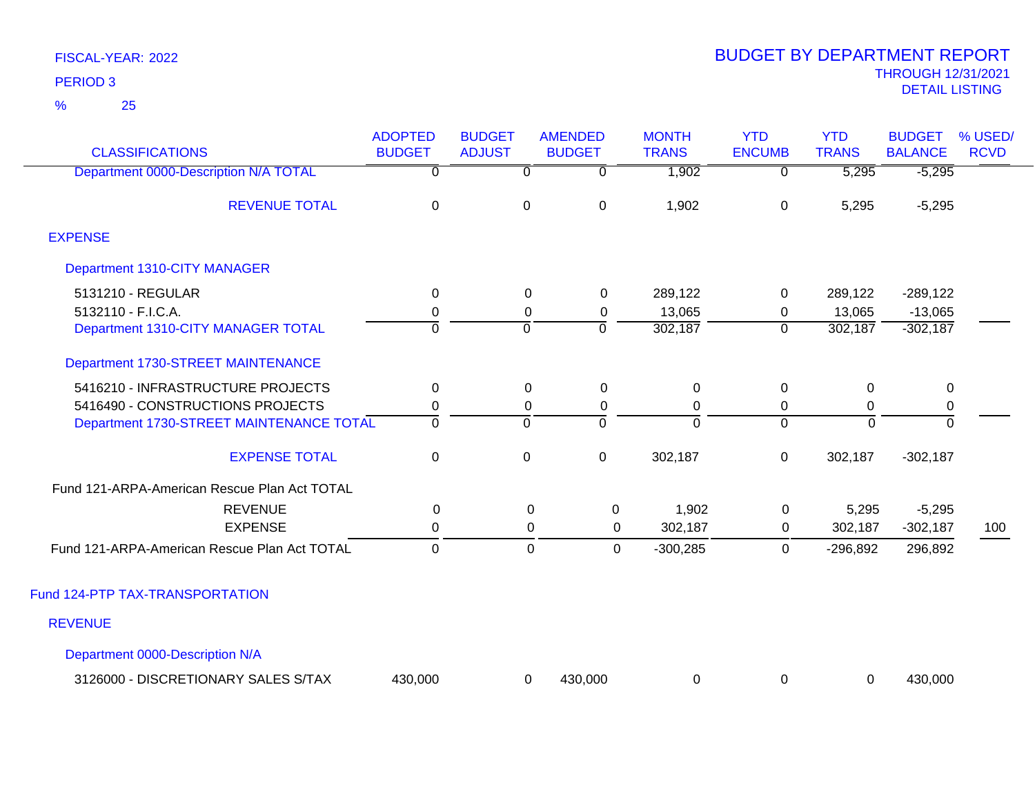25 %

|                                              | <b>ADOPTED</b>   | <b>BUDGET</b>  | <b>AMENDED</b> | <b>MONTH</b>   | <b>YTD</b>     | <b>YTD</b>       | <b>BUDGET</b>  | % USED/     |
|----------------------------------------------|------------------|----------------|----------------|----------------|----------------|------------------|----------------|-------------|
| <b>CLASSIFICATIONS</b>                       | <b>BUDGET</b>    | <b>ADJUST</b>  | <b>BUDGET</b>  | <b>TRANS</b>   | <b>ENCUMB</b>  | <b>TRANS</b>     | <b>BALANCE</b> | <b>RCVD</b> |
| Department 0000-Description N/A TOTAL        | $\overline{0}$   | $\overline{0}$ | 0              | 1,902          | $\overline{0}$ | 5,295            | $-5,295$       |             |
| <b>REVENUE TOTAL</b>                         | $\mathbf 0$      | 0              | $\mathsf 0$    | 1,902          | 0              | 5,295            | $-5,295$       |             |
| <b>EXPENSE</b>                               |                  |                |                |                |                |                  |                |             |
| Department 1310-CITY MANAGER                 |                  |                |                |                |                |                  |                |             |
| 5131210 - REGULAR                            | 0                | 0              | 0              | 289,122        | 0              | 289,122          | $-289,122$     |             |
| 5132110 - F.I.C.A.                           | $\mathbf 0$      | 0              | $\mathbf 0$    | 13,065         | 0              | 13,065           | $-13,065$      |             |
| Department 1310-CITY MANAGER TOTAL           | $\overline{0}$   | $\overline{0}$ | $\overline{0}$ | 302,187        | $\mathbf 0$    | 302,187          | $-302,187$     |             |
| Department 1730-STREET MAINTENANCE           |                  |                |                |                |                |                  |                |             |
| 5416210 - INFRASTRUCTURE PROJECTS            | $\boldsymbol{0}$ | $\pmb{0}$      | $\mathbf 0$    | $\pmb{0}$      | 0              | $\boldsymbol{0}$ | $\,0\,$        |             |
| 5416490 - CONSTRUCTIONS PROJECTS             | $\pmb{0}$        | 0              | $\mathbf 0$    | $\mathbf 0$    | 0              | 0                | 0              |             |
| Department 1730-STREET MAINTENANCE TOTAL     | $\overline{0}$   | $\overline{0}$ | $\overline{0}$ | $\overline{0}$ | $\Omega$       | $\overline{0}$   | $\overline{0}$ |             |
| <b>EXPENSE TOTAL</b>                         | $\boldsymbol{0}$ | 0              | $\mathsf 0$    | 302,187        | 0              | 302,187          | $-302,187$     |             |
| Fund 121-ARPA-American Rescue Plan Act TOTAL |                  |                |                |                |                |                  |                |             |
| <b>REVENUE</b>                               | 0                | 0              | 0              | 1,902          | 0              | 5,295            | $-5,295$       |             |
| <b>EXPENSE</b>                               | $\pmb{0}$        | $\mathbf 0$    | 0              | 302,187        | 0              | 302,187          | $-302,187$     | 100         |
| Fund 121-ARPA-American Rescue Plan Act TOTAL | $\mathbf 0$      | $\mathbf 0$    | $\mathbf 0$    | $-300,285$     | 0              | $-296,892$       | 296,892        |             |
| Fund 124-PTP TAX-TRANSPORTATION              |                  |                |                |                |                |                  |                |             |
| <b>REVENUE</b>                               |                  |                |                |                |                |                  |                |             |
| Department 0000-Description N/A              |                  |                |                |                |                |                  |                |             |
| 3126000 - DISCRETIONARY SALES S/TAX          | 430,000          | 0              | 430,000        | $\mathbf 0$    | 0              | 0                | 430,000        |             |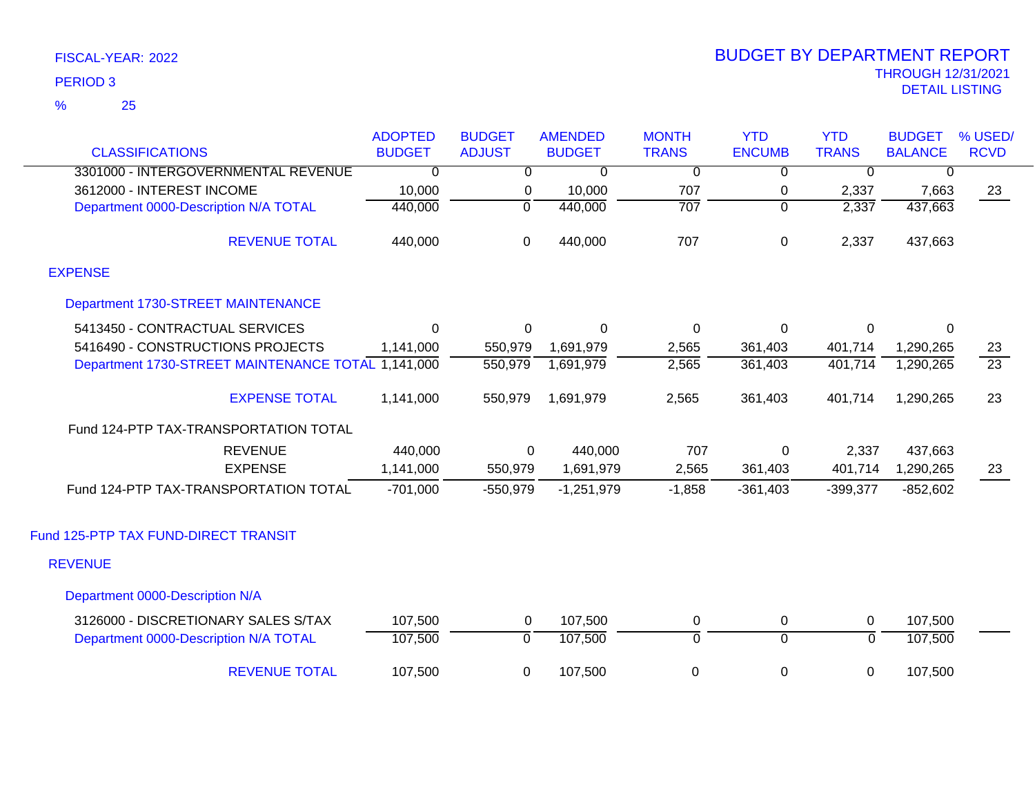|                                                    | <b>ADOPTED</b> | <b>BUDGET</b>  | <b>AMENDED</b> | <b>MONTH</b>   | <b>YTD</b>     | <b>YTD</b>     | <b>BUDGET</b>  | % USED/         |
|----------------------------------------------------|----------------|----------------|----------------|----------------|----------------|----------------|----------------|-----------------|
| <b>CLASSIFICATIONS</b>                             | <b>BUDGET</b>  | <b>ADJUST</b>  | <b>BUDGET</b>  | <b>TRANS</b>   | <b>ENCUMB</b>  | <b>TRANS</b>   | <b>BALANCE</b> | <b>RCVD</b>     |
| 3301000 - INTERGOVERNMENTAL REVENUE                | $\overline{0}$ | $\overline{0}$ | $\overline{0}$ | $\overline{0}$ | $\overline{0}$ | $\overline{0}$ | $\overline{0}$ |                 |
| 3612000 - INTEREST INCOME                          | 10,000         | 0              | 10,000         | 707            | 0              | 2,337          | 7,663          | 23              |
| Department 0000-Description N/A TOTAL              | 440,000        | $\overline{0}$ | 440,000        | 707            | $\overline{0}$ | 2,337          | 437,663        |                 |
| <b>REVENUE TOTAL</b>                               | 440,000        | $\mathbf 0$    | 440,000        | 707            | $\pmb{0}$      | 2,337          | 437,663        |                 |
| <b>EXPENSE</b>                                     |                |                |                |                |                |                |                |                 |
| Department 1730-STREET MAINTENANCE                 |                |                |                |                |                |                |                |                 |
| 5413450 - CONTRACTUAL SERVICES                     | $\mathbf 0$    | 0              | $\mathbf 0$    | $\overline{0}$ | $\mathbf 0$    | 0              | 0              |                 |
| 5416490 - CONSTRUCTIONS PROJECTS                   | 1,141,000      | 550,979        | 1,691,979      | 2,565          | 361,403        | 401,714        | 1,290,265      | 23              |
| Department 1730-STREET MAINTENANCE TOTAL 1,141,000 |                | 550,979        | 1,691,979      | 2,565          | 361,403        | 401,714        | 1,290,265      | $\overline{23}$ |
| <b>EXPENSE TOTAL</b>                               | 1,141,000      | 550,979        | 1,691,979      | 2,565          | 361,403        | 401,714        | 1,290,265      | 23              |
| Fund 124-PTP TAX-TRANSPORTATION TOTAL              |                |                |                |                |                |                |                |                 |
| <b>REVENUE</b>                                     | 440,000        | $\Omega$       | 440,000        | 707            | $\mathbf 0$    | 2,337          | 437,663        |                 |
| <b>EXPENSE</b>                                     | 1,141,000      | 550,979        | 1,691,979      | 2,565          | 361,403        | 401,714        | 1,290,265      | 23              |
| Fund 124-PTP TAX-TRANSPORTATION TOTAL              | $-701,000$     | $-550,979$     | $-1,251,979$   | $-1,858$       | $-361,403$     | $-399,377$     | $-852,602$     |                 |
| Fund 125-PTP TAX FUND-DIRECT TRANSIT               |                |                |                |                |                |                |                |                 |
| <b>REVENUE</b>                                     |                |                |                |                |                |                |                |                 |
| Department 0000-Description N/A                    |                |                |                |                |                |                |                |                 |
| 3126000 - DISCRETIONARY SALES S/TAX                | 107,500        | 0              | 107,500        | 0              | 0              | 0              | 107,500        |                 |
| Department 0000-Description N/A TOTAL              | 107,500        | $\mathbf 0$    | 107,500        | $\overline{0}$ | $\overline{0}$ | $\overline{0}$ | 107,500        |                 |
| <b>REVENUE TOTAL</b>                               | 107,500        | 0              | 107,500        | 0              | 0              | $\mathbf 0$    | 107,500        |                 |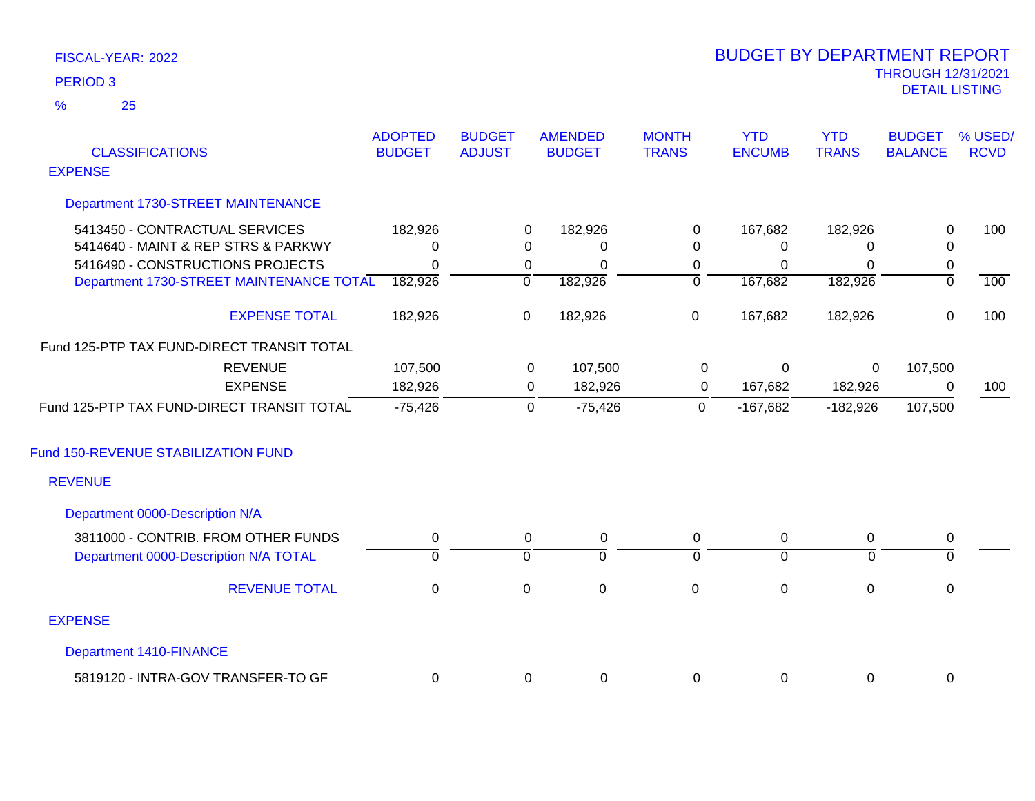25 %

| <b>CLASSIFICATIONS</b>                     | <b>ADOPTED</b><br><b>BUDGET</b> | <b>BUDGET</b><br><b>ADJUST</b> | <b>AMENDED</b><br><b>BUDGET</b> | <b>MONTH</b><br><b>TRANS</b> | <b>YTD</b><br><b>ENCUMB</b> | <b>YTD</b><br><b>TRANS</b> | <b>BUDGET</b><br><b>BALANCE</b> | % USED/<br><b>RCVD</b> |
|--------------------------------------------|---------------------------------|--------------------------------|---------------------------------|------------------------------|-----------------------------|----------------------------|---------------------------------|------------------------|
| <b>EXPENSE</b>                             |                                 |                                |                                 |                              |                             |                            |                                 |                        |
| Department 1730-STREET MAINTENANCE         |                                 |                                |                                 |                              |                             |                            |                                 |                        |
| 5413450 - CONTRACTUAL SERVICES             | 182,926                         |                                | 182,926<br>$\mathbf 0$          | 0                            | 167,682                     | 182,926                    | $\mathbf 0$                     | 100                    |
| 5414640 - MAINT & REP STRS & PARKWY        | $\mathbf{0}$                    |                                | $\Omega$<br>0                   | $\Omega$                     | 0                           | 0                          | $\mathbf 0$                     |                        |
| 5416490 - CONSTRUCTIONS PROJECTS           | $\mathbf{0}$                    |                                | 0<br>$\Omega$                   | 0                            | 0                           | $\Omega$                   | 0                               |                        |
| Department 1730-STREET MAINTENANCE TOTAL   | 182,926                         | $\overline{0}$                 | 182,926                         | ō                            | 167,682                     | 182,926                    | $\overline{0}$                  | 100                    |
| <b>EXPENSE TOTAL</b>                       | 182,926                         | 0                              | 182,926                         | $\mathsf 0$                  | 167,682                     | 182,926                    | $\mathsf 0$                     | 100                    |
| Fund 125-PTP TAX FUND-DIRECT TRANSIT TOTAL |                                 |                                |                                 |                              |                             |                            |                                 |                        |
| <b>REVENUE</b>                             | 107,500                         |                                | 107,500<br>0                    | 0                            | 0                           | $\mathbf 0$                | 107,500                         |                        |
| <b>EXPENSE</b>                             | 182,926                         |                                | 182,926<br>0                    | 0                            | 167,682                     | 182,926                    | 0                               | 100                    |
| Fund 125-PTP TAX FUND-DIRECT TRANSIT TOTAL | $-75,426$                       |                                | $-75,426$<br>0                  | $\mathbf 0$                  | $-167,682$                  | $-182,926$                 | 107,500                         |                        |
| Fund 150-REVENUE STABILIZATION FUND        |                                 |                                |                                 |                              |                             |                            |                                 |                        |
| <b>REVENUE</b>                             |                                 |                                |                                 |                              |                             |                            |                                 |                        |
| Department 0000-Description N/A            |                                 |                                |                                 |                              |                             |                            |                                 |                        |
| 3811000 - CONTRIB. FROM OTHER FUNDS        | 0                               |                                | $\mathbf 0$<br>0                | 0                            | 0                           | 0                          | 0                               |                        |
| Department 0000-Description N/A TOTAL      | $\mathbf 0$                     | $\overline{0}$                 | $\overline{0}$                  | $\overline{0}$               | $\overline{0}$              | $\Omega$                   | $\mathbf 0$                     |                        |
| <b>REVENUE TOTAL</b>                       | $\mathbf 0$                     | $\boldsymbol{0}$               | $\pmb{0}$                       | $\mathbf 0$                  | $\boldsymbol{0}$            | $\mathbf 0$                | $\mathsf 0$                     |                        |
| <b>EXPENSE</b>                             |                                 |                                |                                 |                              |                             |                            |                                 |                        |
| <b>Department 1410-FINANCE</b>             |                                 |                                |                                 |                              |                             |                            |                                 |                        |
| 5819120 - INTRA-GOV TRANSFER-TO GF         | 0                               |                                | 0<br>0                          | 0                            | $\mathbf 0$                 | 0                          | 0                               |                        |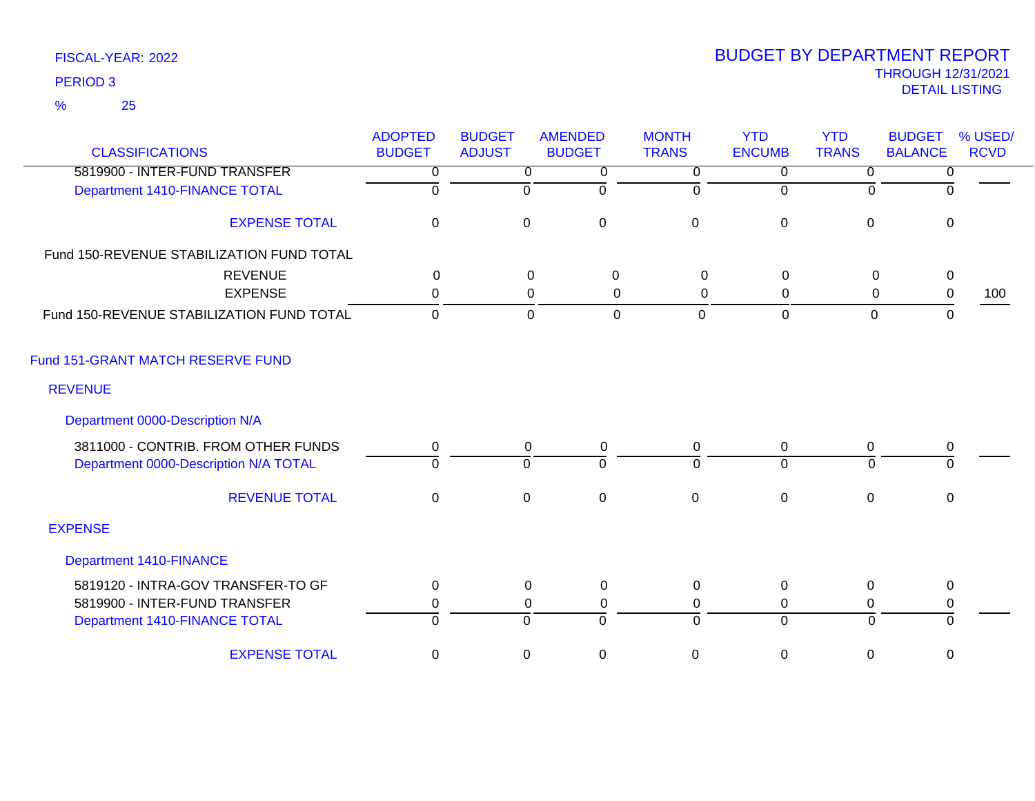### 25 %

| <b>CLASSIFICATIONS</b>                    | <b>ADOPTED</b><br><b>BUDGET</b> | <b>BUDGET</b><br><b>ADJUST</b> | <b>AMENDED</b><br><b>BUDGET</b> | <b>MONTH</b><br><b>TRANS</b> | <b>YTD</b><br><b>ENCUMB</b> | <b>YTD</b><br><b>TRANS</b> | <b>BUDGET</b><br><b>BALANCE</b> | % USED/<br><b>RCVD</b> |
|-------------------------------------------|---------------------------------|--------------------------------|---------------------------------|------------------------------|-----------------------------|----------------------------|---------------------------------|------------------------|
| 5819900 - INTER-FUND TRANSFER             | $\overline{0}$                  | $\overline{0}$                 | $\overline{0}$                  | $\overline{0}$               | $\overline{0}$              | $\overline{0}$             | $\overline{0}$                  |                        |
| Department 1410-FINANCE TOTAL             | $\overline{0}$                  | $\Omega$                       | $\Omega$                        | $\mathbf{0}$                 | $\Omega$                    | $\Omega$                   | $\Omega$                        |                        |
| <b>EXPENSE TOTAL</b>                      | 0                               | $\mathbf 0$                    | $\mathbf 0$                     | $\mathbf 0$                  | $\boldsymbol{0}$            | $\boldsymbol{0}$           | $\mathbf 0$                     |                        |
| Fund 150-REVENUE STABILIZATION FUND TOTAL |                                 |                                |                                 |                              |                             |                            |                                 |                        |
| <b>REVENUE</b>                            | $\mathbf{0}$                    |                                | 0<br>$\mathbf 0$                | 0                            | 0                           | 0                          | $\mathbf 0$                     |                        |
| <b>EXPENSE</b>                            | 0                               |                                | 0<br>0                          | 0                            | $\Omega$                    | 0                          | $\mathbf 0$                     | 100                    |
| Fund 150-REVENUE STABILIZATION FUND TOTAL | $\mathbf 0$                     |                                | $\overline{0}$<br>$\mathbf 0$   | $\mathbf 0$                  | $\mathbf 0$                 | $\mathbf 0$                | $\mathbf{0}$                    |                        |
| Fund 151-GRANT MATCH RESERVE FUND         |                                 |                                |                                 |                              |                             |                            |                                 |                        |
| <b>REVENUE</b>                            |                                 |                                |                                 |                              |                             |                            |                                 |                        |
| Department 0000-Description N/A           |                                 |                                |                                 |                              |                             |                            |                                 |                        |
| 3811000 - CONTRIB. FROM OTHER FUNDS       | 0                               | $\mathbf 0$                    | $\pmb{0}$                       | $\mathbf 0$                  | $\boldsymbol{0}$            | $\boldsymbol{0}$           | $\pmb{0}$                       |                        |
| Department 0000-Description N/A TOTAL     | $\Omega$                        | $\Omega$                       | $\Omega$                        | $\Omega$                     | $\Omega$                    | $\Omega$                   | $\Omega$                        |                        |
| <b>REVENUE TOTAL</b>                      | $\pmb{0}$                       | $\mathbf 0$                    | $\mathbf 0$                     | $\mathsf{O}\xspace$          | $\pmb{0}$                   | $\pmb{0}$                  | $\mathbf 0$                     |                        |
| <b>EXPENSE</b>                            |                                 |                                |                                 |                              |                             |                            |                                 |                        |
| <b>Department 1410-FINANCE</b>            |                                 |                                |                                 |                              |                             |                            |                                 |                        |
| 5819120 - INTRA-GOV TRANSFER-TO GF        | $\Omega$                        | $\Omega$                       | 0                               | 0                            | 0                           | $\Omega$                   | 0                               |                        |
| 5819900 - INTER-FUND TRANSFER             | 0                               | 0                              | $\mathbf 0$                     | $\mathbf 0$                  | 0                           | $\mathbf 0$                | $\mathbf 0$                     |                        |
| Department 1410-FINANCE TOTAL             | $\Omega$                        | $\overline{0}$                 | $\Omega$                        | $\overline{0}$               | $\Omega$                    | $\overline{0}$             | $\overline{0}$                  |                        |
| <b>EXPENSE TOTAL</b>                      | $\mathbf 0$                     | $\mathbf 0$                    | $\mathbf 0$                     | 0                            | $\boldsymbol{0}$            | $\boldsymbol{0}$           | $\mathbf 0$                     |                        |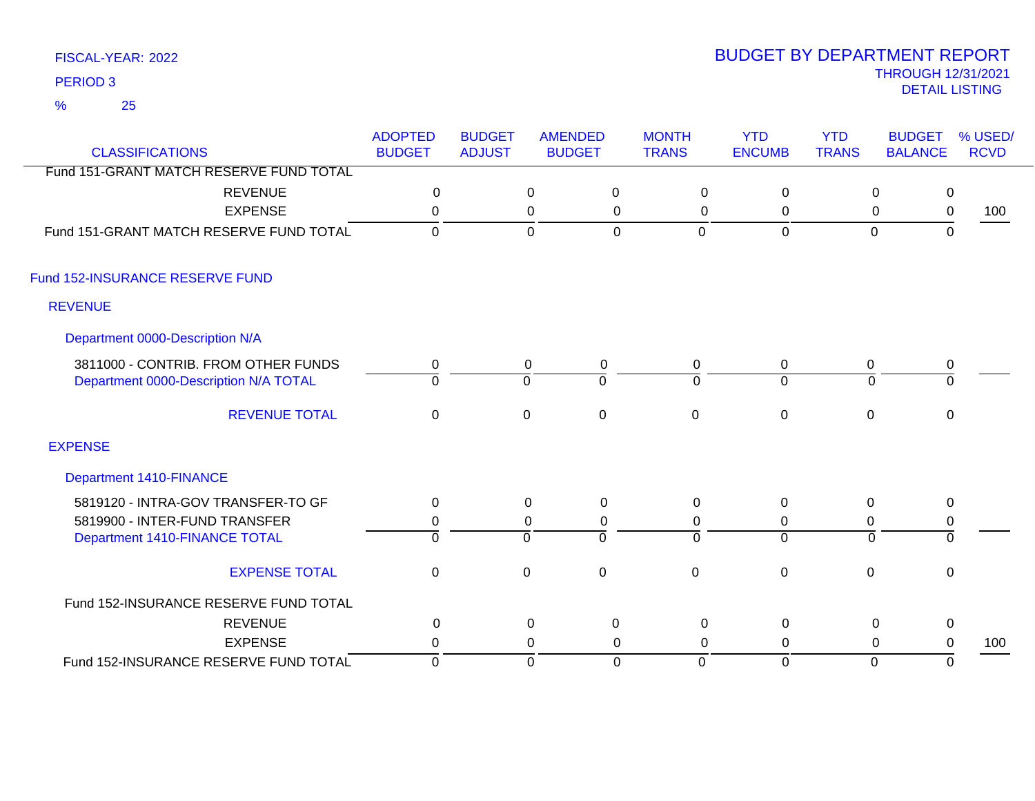25 %

| <b>CLASSIFICATIONS</b>                  | <b>ADOPTED</b><br><b>BUDGET</b> | <b>BUDGET</b><br><b>ADJUST</b> | <b>AMENDED</b><br><b>BUDGET</b> | <b>MONTH</b><br><b>TRANS</b> | <b>YTD</b><br><b>ENCUMB</b> | <b>YTD</b><br><b>TRANS</b> | <b>BUDGET</b><br><b>BALANCE</b> | % USED/<br><b>RCVD</b> |
|-----------------------------------------|---------------------------------|--------------------------------|---------------------------------|------------------------------|-----------------------------|----------------------------|---------------------------------|------------------------|
| Fund 151-GRANT MATCH RESERVE FUND TOTAL |                                 |                                |                                 |                              |                             |                            |                                 |                        |
| <b>REVENUE</b>                          | $\mathbf 0$                     |                                | $\mathbf 0$<br>$\boldsymbol{0}$ | $\mathbf 0$                  | $\mathbf 0$                 | $\mathbf 0$                | $\mathsf 0$                     |                        |
| <b>EXPENSE</b>                          | $\mathbf 0$                     |                                | $\pmb{0}$<br>$\mathbf 0$        | $\mathbf 0$                  | $\mathsf 0$                 | $\mathbf 0$                | $\pmb{0}$                       | 100                    |
| Fund 151-GRANT MATCH RESERVE FUND TOTAL | $\Omega$                        |                                | $\mathbf 0$<br>$\mathbf 0$      | 0                            | $\mathbf 0$                 | $\mathbf 0$                | $\mathbf{0}$                    |                        |
| Fund 152-INSURANCE RESERVE FUND         |                                 |                                |                                 |                              |                             |                            |                                 |                        |
| <b>REVENUE</b>                          |                                 |                                |                                 |                              |                             |                            |                                 |                        |
| Department 0000-Description N/A         |                                 |                                |                                 |                              |                             |                            |                                 |                        |
| 3811000 - CONTRIB. FROM OTHER FUNDS     | 0                               | $\mathbf 0$                    | $\mathbf 0$                     | $\mathbf 0$                  | $\mathbf 0$                 | 0                          | $\pmb{0}$                       |                        |
| Department 0000-Description N/A TOTAL   | $\Omega$                        | $\Omega$                       | $\Omega$                        | $\Omega$                     | $\Omega$                    | $\Omega$                   | $\Omega$                        |                        |
| <b>REVENUE TOTAL</b>                    | $\mathbf 0$                     | $\pmb{0}$                      | $\pmb{0}$                       | $\mathbf 0$                  | $\pmb{0}$                   | $\pmb{0}$                  | $\pmb{0}$                       |                        |
| <b>EXPENSE</b>                          |                                 |                                |                                 |                              |                             |                            |                                 |                        |
| <b>Department 1410-FINANCE</b>          |                                 |                                |                                 |                              |                             |                            |                                 |                        |
| 5819120 - INTRA-GOV TRANSFER-TO GF      | 0                               | $\mathbf 0$                    | $\mathbf 0$                     | $\mathbf 0$                  | $\mathbf 0$                 | $\boldsymbol{0}$           | $\mathbf 0$                     |                        |
| 5819900 - INTER-FUND TRANSFER           | 0                               | 0                              | $\mathbf 0$                     | 0                            | 0                           | $\mathbf 0$                | $\pmb{0}$                       |                        |
| Department 1410-FINANCE TOTAL           | $\Omega$                        | $\Omega$                       | $\Omega$                        | $\Omega$                     | $\Omega$                    | $\Omega$                   | $\mathbf 0$                     |                        |
| <b>EXPENSE TOTAL</b>                    | $\mathbf 0$                     | $\mathbf 0$                    | $\mathbf 0$                     | $\mathbf 0$                  | $\mathbf 0$                 | $\mathbf 0$                | 0                               |                        |
| Fund 152-INSURANCE RESERVE FUND TOTAL   |                                 |                                |                                 |                              |                             |                            |                                 |                        |
| <b>REVENUE</b>                          | 0                               |                                | 0<br>0                          | 0                            | $\mathbf 0$                 | $\mathbf 0$                | $\mathbf 0$                     |                        |
| <b>EXPENSE</b>                          | $\mathbf 0$                     |                                | 0<br>0                          | $\mathbf 0$                  | 0                           | 0                          | 0                               | 100                    |
| Fund 152-INSURANCE RESERVE FUND TOTAL   | $\mathbf 0$                     |                                | $\mathbf 0$<br>$\mathbf 0$      | $\Omega$                     | $\Omega$                    | $\mathbf{0}$               | $\mathbf 0$                     |                        |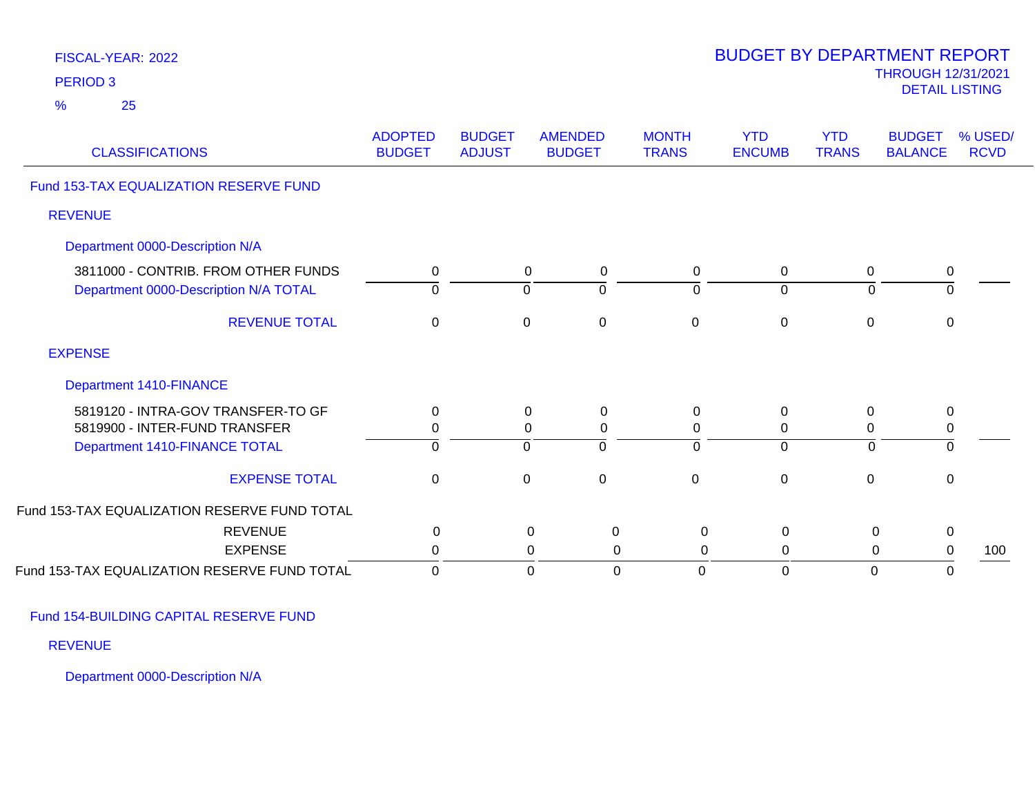| FISCAL-YEAR: 2022<br><b>PERIOD 3</b><br>$\frac{9}{6}$<br>25                                          |                                 |                                |                                                        |                              | <b>BUDGET BY DEPARTMENT REPORT</b>   |                               | <b>THROUGH 12/31/2021</b><br><b>DETAIL LISTING</b> |                        |
|------------------------------------------------------------------------------------------------------|---------------------------------|--------------------------------|--------------------------------------------------------|------------------------------|--------------------------------------|-------------------------------|----------------------------------------------------|------------------------|
| <b>CLASSIFICATIONS</b>                                                                               | <b>ADOPTED</b><br><b>BUDGET</b> | <b>BUDGET</b><br><b>ADJUST</b> | <b>AMENDED</b><br><b>BUDGET</b>                        | <b>MONTH</b><br><b>TRANS</b> | <b>YTD</b><br><b>ENCUMB</b>          | <b>YTD</b><br><b>TRANS</b>    | <b>BUDGET</b><br><b>BALANCE</b>                    | % USED/<br><b>RCVD</b> |
| Fund 153-TAX EQUALIZATION RESERVE FUND                                                               |                                 |                                |                                                        |                              |                                      |                               |                                                    |                        |
| <b>REVENUE</b>                                                                                       |                                 |                                |                                                        |                              |                                      |                               |                                                    |                        |
| Department 0000-Description N/A                                                                      |                                 |                                |                                                        |                              |                                      |                               |                                                    |                        |
| 3811000 - CONTRIB. FROM OTHER FUNDS<br>Department 0000-Description N/A TOTAL                         | $\pmb{0}$<br>$\mathbf 0$        |                                | 0<br>0<br>$\overline{0}$<br>$\overline{0}$             | $\mathbf 0$<br>$\mathbf 0$   | $\mathbf 0$<br>$\mathbf 0$           | $\mathbf 0$<br>$\mathbf 0$    | 0<br>$\overline{0}$                                |                        |
| <b>REVENUE TOTAL</b>                                                                                 | $\pmb{0}$                       |                                | $\mathbf 0$<br>$\boldsymbol{0}$                        | $\mathbf 0$                  | $\pmb{0}$                            | $\pmb{0}$                     | $\pmb{0}$                                          |                        |
| <b>EXPENSE</b>                                                                                       |                                 |                                |                                                        |                              |                                      |                               |                                                    |                        |
| Department 1410-FINANCE                                                                              |                                 |                                |                                                        |                              |                                      |                               |                                                    |                        |
| 5819120 - INTRA-GOV TRANSFER-TO GF<br>5819900 - INTER-FUND TRANSFER<br>Department 1410-FINANCE TOTAL | 0<br>$\mathbf 0$<br>$\mathbf 0$ |                                | 0<br>0<br>0<br>$\pmb{0}$<br>$\overline{0}$<br>$\Omega$ | 0<br>$\mathbf 0$<br>$\Omega$ | 0<br>$\boldsymbol{0}$<br>$\mathbf 0$ | 0<br>$\pmb{0}$<br>$\mathbf 0$ | 0<br>$\pmb{0}$<br>$\mathbf 0$                      |                        |
| <b>EXPENSE TOTAL</b>                                                                                 | $\pmb{0}$                       |                                | $\boldsymbol{0}$<br>0                                  | $\mathbf 0$                  | $\pmb{0}$                            | $\pmb{0}$                     | $\pmb{0}$                                          |                        |
| Fund 153-TAX EQUALIZATION RESERVE FUND TOTAL                                                         |                                 |                                |                                                        |                              |                                      |                               |                                                    |                        |
| <b>REVENUE</b>                                                                                       | $\pmb{0}$                       |                                | $\mathbf 0$<br>0                                       | $\mathsf 0$                  | $\mathbf 0$                          | $\mathbf 0$                   | 0                                                  |                        |
| <b>EXPENSE</b>                                                                                       | $\pmb{0}$                       |                                | $\pmb{0}$<br>$\mathbf 0$                               | $\mathbf 0$                  | $\mathbf 0$                          | $\pmb{0}$                     | $\boldsymbol{0}$                                   | 100                    |
| Fund 153-TAX EQUALIZATION RESERVE FUND TOTAL                                                         | $\mathbf 0$                     |                                | $\mathbf 0$<br>$\mathbf 0$                             | $\Omega$                     | $\mathbf 0$                          | $\mathbf 0$                   | $\mathbf 0$                                        |                        |

Fund 154-BUILDING CAPITAL RESERVE FUND

REVENUE

Department 0000-Description N/A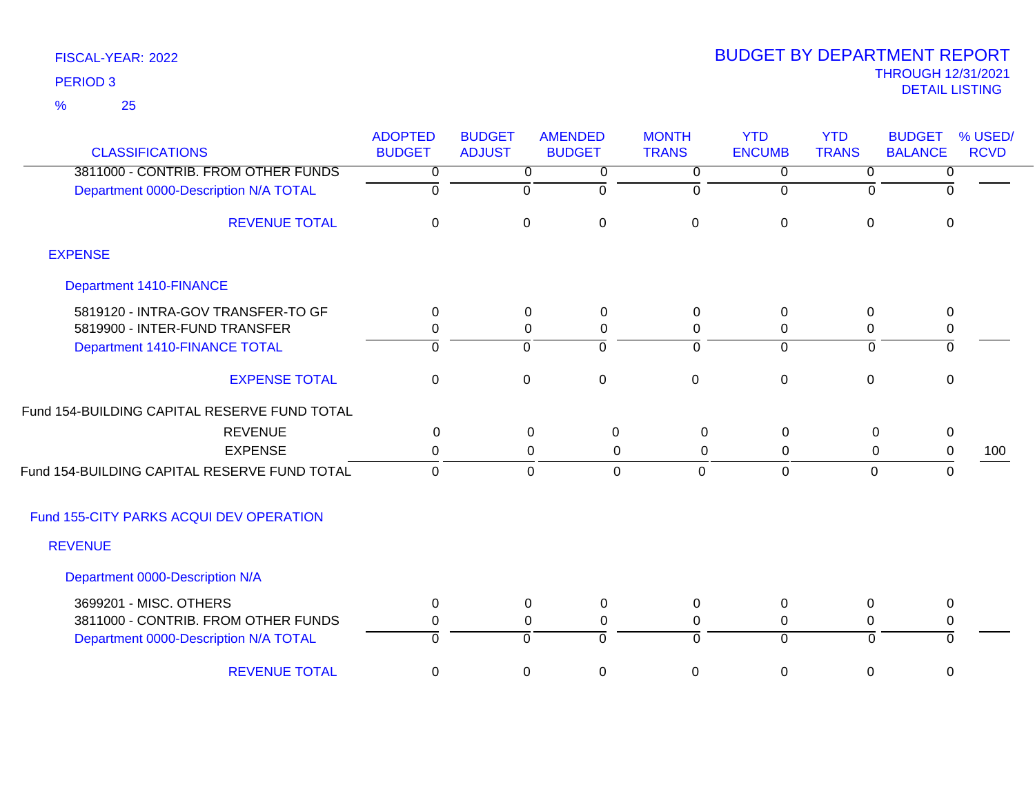25 %

| <b>CLASSIFICATIONS</b>                       | <b>ADOPTED</b><br><b>BUDGET</b> | <b>BUDGET</b><br><b>ADJUST</b> | <b>AMENDED</b><br><b>BUDGET</b> | <b>MONTH</b><br><b>TRANS</b> | <b>YTD</b><br><b>ENCUMB</b> | <b>YTD</b><br><b>TRANS</b> | <b>BUDGET</b><br><b>BALANCE</b> | % USED/<br><b>RCVD</b> |
|----------------------------------------------|---------------------------------|--------------------------------|---------------------------------|------------------------------|-----------------------------|----------------------------|---------------------------------|------------------------|
| 3811000 - CONTRIB. FROM OTHER FUNDS          | 0                               | 0                              | 0                               | 0                            | 0                           | $\overline{0}$             | 0                               |                        |
| Department 0000-Description N/A TOTAL        | $\overline{0}$                  | 0                              | $\overline{0}$                  | $\Omega$                     | $\mathbf 0$                 | 0                          | $\Omega$                        |                        |
| <b>REVENUE TOTAL</b>                         | $\Omega$                        | $\mathbf 0$                    | $\mathbf 0$                     | $\mathbf 0$                  | $\mathbf 0$                 | $\Omega$                   | $\Omega$                        |                        |
| <b>EXPENSE</b>                               |                                 |                                |                                 |                              |                             |                            |                                 |                        |
| <b>Department 1410-FINANCE</b>               |                                 |                                |                                 |                              |                             |                            |                                 |                        |
| 5819120 - INTRA-GOV TRANSFER-TO GF           | 0                               | 0                              | $\mathbf 0$                     | 0                            | 0                           | 0                          | 0                               |                        |
| 5819900 - INTER-FUND TRANSFER                | 0                               | 0                              | $\mathbf 0$                     | 0                            | 0                           | 0                          | 0                               |                        |
| Department 1410-FINANCE TOTAL                | $\Omega$                        | $\Omega$                       | $\Omega$                        | $\Omega$                     | $\mathbf 0$                 | $\Omega$                   | 0                               |                        |
| <b>EXPENSE TOTAL</b>                         | 0                               | $\mathbf 0$                    | $\mathbf 0$                     | $\mathbf 0$                  | $\pmb{0}$                   | $\mathbf 0$                | $\mathbf 0$                     |                        |
| Fund 154-BUILDING CAPITAL RESERVE FUND TOTAL |                                 |                                |                                 |                              |                             |                            |                                 |                        |
| <b>REVENUE</b>                               | 0                               |                                | $\mathbf 0$<br>$\Omega$         | 0                            | $\mathbf{0}$                | $\mathbf 0$                | 0                               |                        |
| <b>EXPENSE</b>                               | $\mathbf 0$                     |                                | $\mathbf 0$<br>$\mathbf 0$      | 0                            | 0                           | $\mathbf 0$                | $\,0\,$                         | 100                    |
| Fund 154-BUILDING CAPITAL RESERVE FUND TOTAL | $\mathbf 0$                     |                                | $\mathbf 0$<br>$\Omega$         | $\mathbf 0$                  | $\Omega$                    | $\mathbf 0$                | 0                               |                        |
| Fund 155-CITY PARKS ACQUI DEV OPERATION      |                                 |                                |                                 |                              |                             |                            |                                 |                        |
| <b>REVENUE</b>                               |                                 |                                |                                 |                              |                             |                            |                                 |                        |
| Department 0000-Description N/A              |                                 |                                |                                 |                              |                             |                            |                                 |                        |
| 3699201 - MISC. OTHERS                       | 0                               | 0                              | $\mathbf 0$                     | 0                            | 0                           | 0                          | 0                               |                        |
| 3811000 - CONTRIB. FROM OTHER FUNDS          | 0                               | 0                              | $\mathbf 0$                     | 0                            | $\pmb{0}$                   | 0                          | 0                               |                        |
| Department 0000-Description N/A TOTAL        | $\overline{0}$                  | 0                              | $\overline{0}$                  | $\Omega$                     | $\overline{0}$              | $\mathbf 0$                | $\mathbf 0$                     |                        |
| <b>REVENUE TOTAL</b>                         | 0                               | 0                              | 0                               | $\mathbf 0$                  | 0                           | $\mathbf 0$                | 0                               |                        |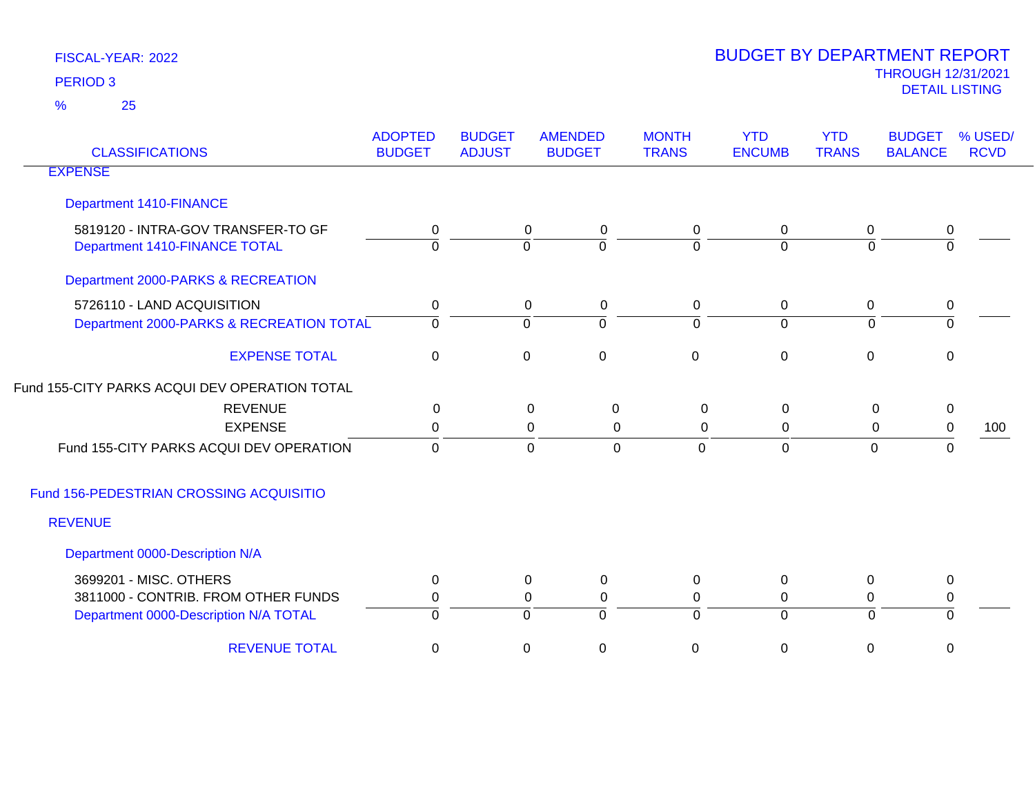25 %

| <b>CLASSIFICATIONS</b>                                              | <b>ADOPTED</b><br><b>BUDGET</b> | <b>BUDGET</b><br><b>ADJUST</b> | <b>AMENDED</b><br><b>BUDGET</b>   | <b>MONTH</b><br><b>TRANS</b> | <b>YTD</b><br><b>ENCUMB</b> | <b>YTD</b><br><b>TRANS</b> | <b>BUDGET</b><br><b>BALANCE</b> | % USED/<br><b>RCVD</b> |
|---------------------------------------------------------------------|---------------------------------|--------------------------------|-----------------------------------|------------------------------|-----------------------------|----------------------------|---------------------------------|------------------------|
| <b>EXPENSE</b>                                                      |                                 |                                |                                   |                              |                             |                            |                                 |                        |
| <b>Department 1410-FINANCE</b>                                      |                                 |                                |                                   |                              |                             |                            |                                 |                        |
| 5819120 - INTRA-GOV TRANSFER-TO GF<br>Department 1410-FINANCE TOTAL | 0<br>0                          |                                | $\mathbf 0$<br>0<br>$\Omega$<br>0 | 0<br>0                       | 0<br>$\Omega$               | $\mathbf 0$<br>$\Omega$    | $\pmb{0}$<br>$\Omega$           |                        |
| Department 2000-PARKS & RECREATION                                  |                                 |                                |                                   |                              |                             |                            |                                 |                        |
| 5726110 - LAND ACQUISITION                                          | 0                               |                                | 0<br>0                            | $\mathbf 0$                  | 0                           | $\mathbf 0$                | 0                               |                        |
| Department 2000-PARKS & RECREATION TOTAL                            | 0                               |                                | $\overline{0}$<br>0               | 0                            | $\overline{0}$              | 0                          | $\Omega$                        |                        |
| <b>EXPENSE TOTAL</b>                                                | $\mathbf 0$                     | $\mathbf 0$                    | $\mathbf 0$                       | $\mathbf 0$                  | $\mathbf 0$                 | $\mathbf 0$                | $\mathbf 0$                     |                        |
| Fund 155-CITY PARKS ACQUI DEV OPERATION TOTAL                       |                                 |                                |                                   |                              |                             |                            |                                 |                        |
| <b>REVENUE</b>                                                      | 0                               |                                | $\boldsymbol{0}$<br>0             | $\mathbf 0$                  | 0                           | 0                          | $\pmb{0}$                       |                        |
| <b>EXPENSE</b>                                                      | 0                               |                                | 0<br>0                            | 0                            | 0                           | 0                          | $\pmb{0}$                       | 100                    |
| Fund 155-CITY PARKS ACQUI DEV OPERATION                             | $\overline{0}$                  |                                | $\overline{0}$<br>$\overline{0}$  | $\mathbf 0$                  | $\mathbf 0$                 | $\overline{0}$             | $\Omega$                        |                        |
| Fund 156-PEDESTRIAN CROSSING ACQUISITIO                             |                                 |                                |                                   |                              |                             |                            |                                 |                        |
| <b>REVENUE</b>                                                      |                                 |                                |                                   |                              |                             |                            |                                 |                        |
| Department 0000-Description N/A                                     |                                 |                                |                                   |                              |                             |                            |                                 |                        |
| 3699201 - MISC. OTHERS                                              | 0                               |                                | $\mathbf 0$<br>0                  | $\mathbf{0}$                 | 0                           | 0                          | $\mathbf 0$                     |                        |
| 3811000 - CONTRIB. FROM OTHER FUNDS                                 | 0                               |                                | 0<br>0                            | 0                            | 0                           | 0                          | $\pmb{0}$                       |                        |
| Department 0000-Description N/A TOTAL                               | $\Omega$                        |                                | $\mathbf 0$<br>$\Omega$           | $\Omega$                     | $\overline{0}$              | $\overline{0}$             | $\Omega$                        |                        |
| <b>REVENUE TOTAL</b>                                                | $\mathbf 0$                     |                                | $\mathbf 0$<br>0                  | 0                            | $\mathbf 0$                 | 0                          | $\mathbf 0$                     |                        |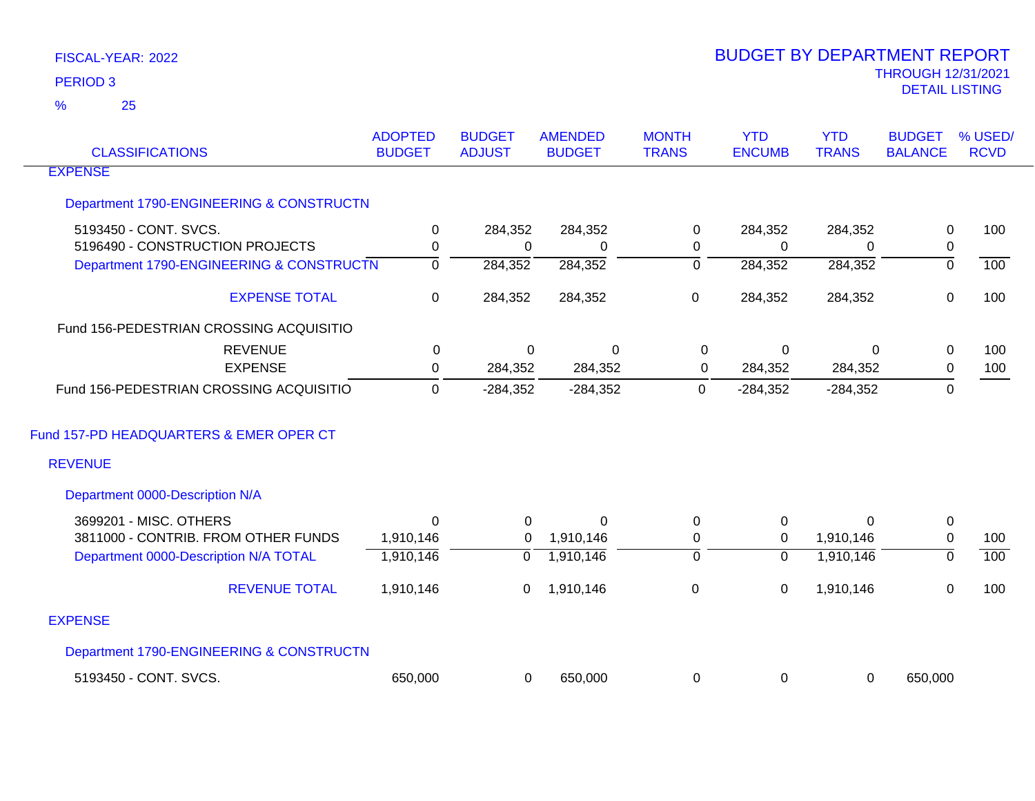25 %

| <b>CLASSIFICATIONS</b>                   | <b>ADOPTED</b><br><b>BUDGET</b> | <b>BUDGET</b><br><b>ADJUST</b> | <b>AMENDED</b><br><b>BUDGET</b> | <b>MONTH</b><br><b>TRANS</b> | <b>YTD</b><br><b>ENCUMB</b> | <b>YTD</b><br><b>TRANS</b> | <b>BUDGET</b><br><b>BALANCE</b> | % USED/<br><b>RCVD</b> |
|------------------------------------------|---------------------------------|--------------------------------|---------------------------------|------------------------------|-----------------------------|----------------------------|---------------------------------|------------------------|
| <b>EXPENSE</b>                           |                                 |                                |                                 |                              |                             |                            |                                 |                        |
| Department 1790-ENGINEERING & CONSTRUCTN |                                 |                                |                                 |                              |                             |                            |                                 |                        |
| 5193450 - CONT. SVCS.                    | $\mathbf 0$                     | 284,352                        | 284,352                         | 0                            | 284,352                     | 284,352                    | $\mathsf 0$                     | 100                    |
| 5196490 - CONSTRUCTION PROJECTS          | $\mathbf 0$                     | 0                              | 0                               | 0                            | 0                           | $\Omega$                   | 0                               |                        |
| Department 1790-ENGINEERING & CONSTRUCTN | $\overline{0}$                  | 284,352                        | 284,352                         | ō                            | 284,352                     | 284,352                    | $\overline{0}$                  | 100                    |
| <b>EXPENSE TOTAL</b>                     | $\mathbf 0$                     | 284,352                        | 284,352                         | 0                            | 284,352                     | 284,352                    | $\mathbf 0$                     | 100                    |
| Fund 156-PEDESTRIAN CROSSING ACQUISITIO  |                                 |                                |                                 |                              |                             |                            |                                 |                        |
| <b>REVENUE</b>                           | 0                               | 0                              | $\mathbf 0$                     | $\mathbf 0$                  | $\mathbf 0$                 | $\mathbf 0$                | $\mathbf 0$                     | 100                    |
| <b>EXPENSE</b>                           | $\mathbf{0}$                    | 284,352                        | 284,352                         | $\mathbf 0$                  | 284,352                     | 284,352                    | $\mathsf 0$                     | 100                    |
| Fund 156-PEDESTRIAN CROSSING ACQUISITIO  | $\mathbf{0}$                    | $-284,352$                     | $-284,352$                      | 0                            | $-284,352$                  | $-284,352$                 | 0                               |                        |
| Fund 157-PD HEADQUARTERS & EMER OPER CT  |                                 |                                |                                 |                              |                             |                            |                                 |                        |
| <b>REVENUE</b>                           |                                 |                                |                                 |                              |                             |                            |                                 |                        |
| Department 0000-Description N/A          |                                 |                                |                                 |                              |                             |                            |                                 |                        |
| 3699201 - MISC. OTHERS                   | $\Omega$                        | 0                              | $\Omega$                        | 0                            | $\mathbf 0$                 | $\Omega$                   | $\mathbf 0$                     |                        |
| 3811000 - CONTRIB. FROM OTHER FUNDS      | 1,910,146                       | 0                              | 1,910,146                       | 0                            | 0                           | 1,910,146                  | $\mathbf 0$                     | 100                    |
| Department 0000-Description N/A TOTAL    | 1,910,146                       | $\overline{0}$                 | 1,910,146                       | $\overline{0}$               | $\mathbf 0$                 | 1,910,146                  | $\overline{0}$                  | 100                    |
| <b>REVENUE TOTAL</b>                     | 1,910,146                       | 0                              | 1,910,146                       | $\boldsymbol{0}$             | $\mathbf 0$                 | 1,910,146                  | $\mathbf 0$                     | 100                    |
| <b>EXPENSE</b>                           |                                 |                                |                                 |                              |                             |                            |                                 |                        |
| Department 1790-ENGINEERING & CONSTRUCTN |                                 |                                |                                 |                              |                             |                            |                                 |                        |
| 5193450 - CONT. SVCS.                    | 650,000                         | 0                              | 650,000                         | 0                            | 0                           | 0                          | 650,000                         |                        |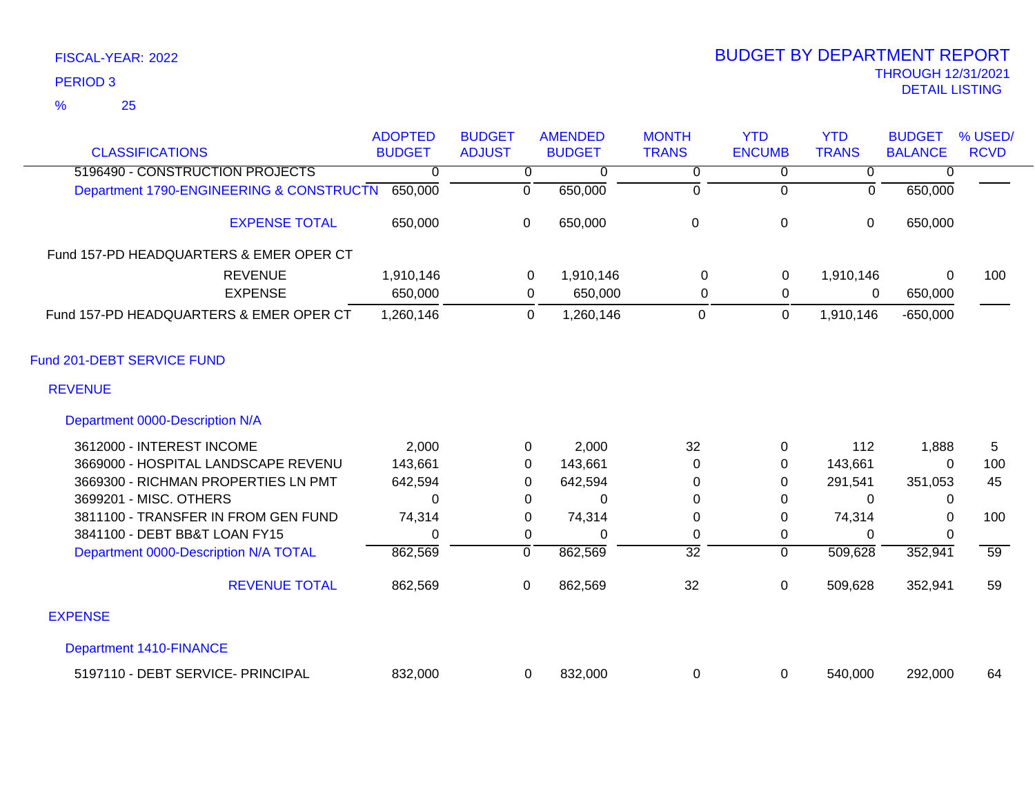### 25 %

### THROUGH 12/31/2021 DETAIL LISTING PERIOD <sup>3</sup> BUDGET BY DEPARTMENT REPORT

| <b>CLASSIFICATIONS</b>                       | <b>ADOPTED</b><br><b>BUDGET</b> | <b>BUDGET</b><br><b>ADJUST</b> | <b>AMENDED</b><br><b>BUDGET</b> | <b>MONTH</b><br><b>TRANS</b> | <b>YTD</b><br><b>ENCUMB</b> | <b>YTD</b><br><b>TRANS</b> | <b>BUDGET</b><br><b>BALANCE</b> | % USED/<br><b>RCVD</b> |
|----------------------------------------------|---------------------------------|--------------------------------|---------------------------------|------------------------------|-----------------------------|----------------------------|---------------------------------|------------------------|
| 5196490 - CONSTRUCTION PROJECTS              | 0                               | 0                              | 0                               | 0                            | 0                           | 0                          | 0                               |                        |
| Department 1790-ENGINEERING & CONSTRUCTN     | 650,000                         | $\Omega$                       | 650,000                         | $\overline{0}$               | $\Omega$                    | $\Omega$                   | 650,000                         |                        |
| <b>EXPENSE TOTAL</b>                         | 650,000                         | 0                              | 650,000                         | $\boldsymbol{0}$             | 0                           | $\mathbf 0$                | 650,000                         |                        |
| Fund 157-PD HEADQUARTERS & EMER OPER CT      |                                 |                                |                                 |                              |                             |                            |                                 |                        |
| <b>REVENUE</b>                               | 1,910,146                       | 0                              | 1,910,146                       | $\Omega$                     | 0                           | 1,910,146                  | $\Omega$                        | 100                    |
| <b>EXPENSE</b>                               | 650,000                         | $\Omega$                       | 650,000                         | 0                            | 0                           | $\Omega$                   | 650,000                         |                        |
| Fund 157-PD HEADQUARTERS & EMER OPER CT      | 1,260,146                       | $\Omega$                       | 1,260,146                       | $\mathbf 0$                  | 0                           | 1,910,146                  | $-650,000$                      |                        |
| Fund 201-DEBT SERVICE FUND<br><b>REVENUE</b> |                                 |                                |                                 |                              |                             |                            |                                 |                        |
| Department 0000-Description N/A              |                                 |                                |                                 |                              |                             |                            |                                 |                        |
| 3612000 - INTEREST INCOME                    | 2,000                           | $\Omega$                       | 2,000                           | 32                           | 0                           | 112                        | 1,888                           | 5                      |
| 3669000 - HOSPITAL LANDSCAPE REVENU          | 143,661                         | 0                              | 143,661                         | 0                            | 0                           | 143,661                    | 0                               | 100                    |
| 3669300 - RICHMAN PROPERTIES LN PMT          | 642,594                         | 0                              | 642,594                         | 0                            | 0                           | 291,541                    | 351,053                         | 45                     |
| 3699201 - MISC. OTHERS                       | 0                               | 0                              | 0                               | 0                            | 0                           | $\Omega$                   | 0                               |                        |
| 3811100 - TRANSFER IN FROM GEN FUND          | 74,314                          | 0                              | 74,314                          | 0                            | 0                           | 74,314                     | 0                               | 100                    |
| 3841100 - DEBT BB&T LOAN FY15                | 0                               | 0                              | 0                               | 0                            | 0                           | $\Omega$                   | ∩                               |                        |
| Department 0000-Description N/A TOTAL        | 862,569                         | $\overline{0}$                 | 862,569                         | $\overline{32}$              | $\mathbf 0$                 | 509,628                    | 352,941                         | 59                     |
| <b>REVENUE TOTAL</b>                         | 862,569                         | $\pmb{0}$                      | 862,569                         | 32                           | 0                           | 509,628                    | 352,941                         | 59                     |

### EXPENSE

Department 1410-FINANCE

| 5197110 - DEBT SERVICE- PRINCIPAL | 832,000 | 832,000 |  | 540.000 | 292,000 | 64 |
|-----------------------------------|---------|---------|--|---------|---------|----|
|                                   |         |         |  |         |         |    |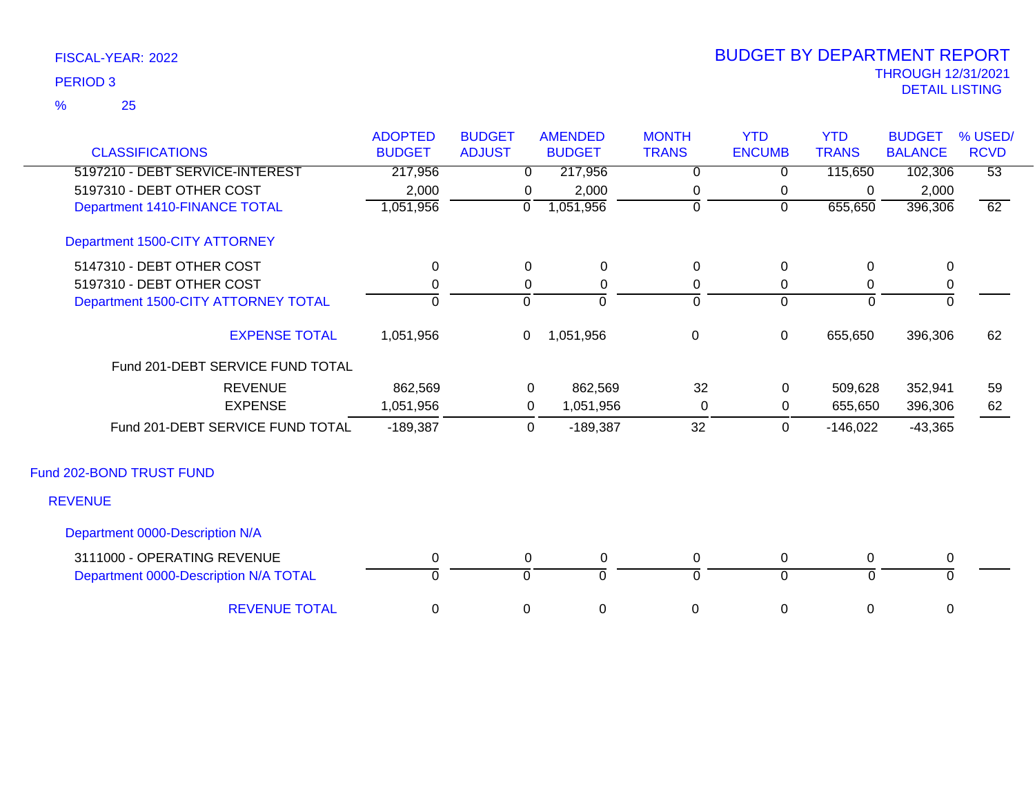25 %

|                                       | <b>ADOPTED</b> | <b>BUDGET</b> | <b>AMENDED</b> | <b>MONTH</b> | <b>YTD</b>     | <b>YTD</b>   | <b>BUDGET</b>  | % USED/         |
|---------------------------------------|----------------|---------------|----------------|--------------|----------------|--------------|----------------|-----------------|
| <b>CLASSIFICATIONS</b>                | <b>BUDGET</b>  | <b>ADJUST</b> | <b>BUDGET</b>  | <b>TRANS</b> | <b>ENCUMB</b>  | <b>TRANS</b> | <b>BALANCE</b> | <b>RCVD</b>     |
| 5197210 - DEBT SERVICE-INTEREST       | 217,956        | $\Omega$      | 217,956        | $\Omega$     | $\Omega$       | 115,650      | 102,306        | $\overline{53}$ |
| 5197310 - DEBT OTHER COST             | 2,000          | 0             | 2,000          | 0            | 0              | 0            | 2,000          |                 |
| Department 1410-FINANCE TOTAL         | 1,051,956      | $\mathbf 0$   | 1,051,956      | $\Omega$     | $\overline{0}$ | 655,650      | 396,306        | 62              |
| Department 1500-CITY ATTORNEY         |                |               |                |              |                |              |                |                 |
| 5147310 - DEBT OTHER COST             | 0              | $\mathbf 0$   | $\mathbf 0$    | 0            | $\mathbf 0$    | 0            | $\mathbf 0$    |                 |
| 5197310 - DEBT OTHER COST             | ი              | 0             | 0              | 0            | 0              | 0            | 0              |                 |
| Department 1500-CITY ATTORNEY TOTAL   | $\Omega$       | $\Omega$      | $\Omega$       | $\Omega$     | $\overline{0}$ | $\Omega$     | $\Omega$       |                 |
| <b>EXPENSE TOTAL</b>                  | 1,051,956      | $\mathbf 0$   | 1,051,956      | $\pmb{0}$    | $\mathbf 0$    | 655,650      | 396,306        | 62              |
| Fund 201-DEBT SERVICE FUND TOTAL      |                |               |                |              |                |              |                |                 |
| <b>REVENUE</b>                        | 862,569        | $\mathbf 0$   | 862,569        | 32           | 0              | 509,628      | 352,941        | 59              |
| <b>EXPENSE</b>                        | 1,051,956      | 0             | 1,051,956      | $\mathbf{0}$ | 0              | 655,650      | 396,306        | 62              |
| Fund 201-DEBT SERVICE FUND TOTAL      | $-189,387$     | 0             | $-189,387$     | 32           | $\mathbf 0$    | $-146,022$   | $-43,365$      |                 |
| Fund 202-BOND TRUST FUND              |                |               |                |              |                |              |                |                 |
| <b>REVENUE</b>                        |                |               |                |              |                |              |                |                 |
| Department 0000-Description N/A       |                |               |                |              |                |              |                |                 |
| 3111000 - OPERATING REVENUE           | 0              | 0             | 0              | 0            | 0              | 0            | 0              |                 |
| Department 0000-Description N/A TOTAL | 0              | $\Omega$      | $\overline{0}$ | $\Omega$     | $\overline{0}$ | $\Omega$     | 0              |                 |
| <b>REVENUE TOTAL</b>                  | 0              | 0             | 0              | 0            | 0              | 0            | 0              |                 |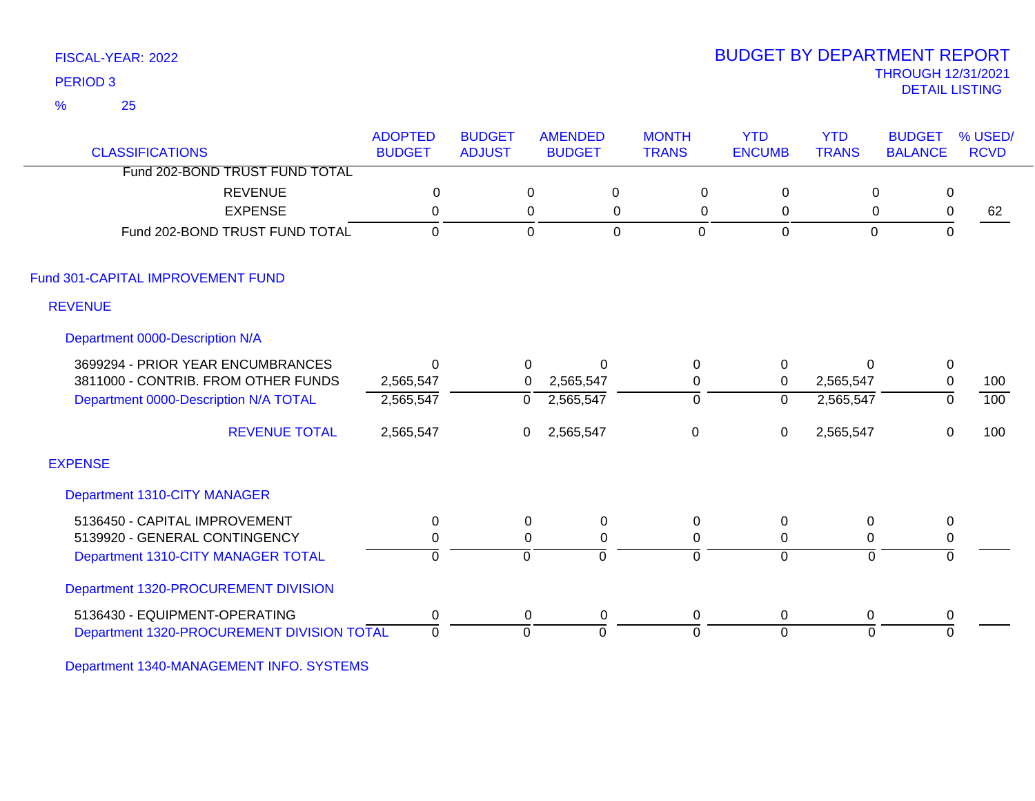25 %

### THROUGH 12/31/2021 DETAIL LISTING PERIOD <sup>3</sup> BUDGET BY DEPARTMENT REPORT

| <b>CLASSIFICATIONS</b>                     | <b>ADOPTED</b><br><b>BUDGET</b> | <b>BUDGET</b><br><b>ADJUST</b> | <b>AMENDED</b><br><b>BUDGET</b> |             | <b>MONTH</b><br><b>TRANS</b> | <b>YTD</b><br><b>ENCUMB</b> | <b>YTD</b><br><b>TRANS</b> | <b>BUDGET</b><br><b>BALANCE</b> | % USED/<br><b>RCVD</b> |
|--------------------------------------------|---------------------------------|--------------------------------|---------------------------------|-------------|------------------------------|-----------------------------|----------------------------|---------------------------------|------------------------|
| Fund 202-BOND TRUST FUND TOTAL             |                                 |                                |                                 |             |                              |                             |                            |                                 |                        |
| <b>REVENUE</b>                             | $\mathbf 0$                     |                                | 0                               | $\pmb{0}$   | 0                            | 0                           | $\mathbf 0$                | 0                               |                        |
| <b>EXPENSE</b>                             | $\mathbf{0}$                    | 0                              |                                 | $\mathbf 0$ | 0                            | 0                           | $\mathbf 0$                | $\pmb{0}$                       | 62                     |
| Fund 202-BOND TRUST FUND TOTAL             | $\Omega$                        | $\mathbf 0$                    |                                 | $\mathbf 0$ | $\Omega$                     | $\mathbf 0$                 | $\mathbf 0$                | $\Omega$                        |                        |
| Fund 301-CAPITAL IMPROVEMENT FUND          |                                 |                                |                                 |             |                              |                             |                            |                                 |                        |
| <b>REVENUE</b>                             |                                 |                                |                                 |             |                              |                             |                            |                                 |                        |
| Department 0000-Description N/A            |                                 |                                |                                 |             |                              |                             |                            |                                 |                        |
| 3699294 - PRIOR YEAR ENCUMBRANCES          | $\mathbf{0}$                    | 0                              | $\Omega$                        |             | 0                            | $\mathbf 0$                 | $\Omega$                   | 0                               |                        |
| 3811000 - CONTRIB. FROM OTHER FUNDS        | 2,565,547                       | 0                              | 2,565,547                       |             | 0                            | 0                           | 2,565,547                  | $\pmb{0}$                       | 100                    |
| Department 0000-Description N/A TOTAL      | 2,565,547                       | 0                              | 2,565,547                       |             | $\overline{0}$               | $\overline{0}$              | 2,565,547                  | 0                               | 100                    |
| <b>REVENUE TOTAL</b>                       | 2,565,547                       | 0                              | 2,565,547                       |             | $\mathbf 0$                  | 0                           | 2,565,547                  | $\mathbf 0$                     | 100                    |
| <b>EXPENSE</b>                             |                                 |                                |                                 |             |                              |                             |                            |                                 |                        |
| Department 1310-CITY MANAGER               |                                 |                                |                                 |             |                              |                             |                            |                                 |                        |
| 5136450 - CAPITAL IMPROVEMENT              | $\mathbf{0}$                    | $\Omega$                       | $\mathbf 0$                     |             | 0                            | $\mathbf 0$                 | 0                          | $\mathbf 0$                     |                        |
| 5139920 - GENERAL CONTINGENCY              | $\mathbf{0}$                    | 0                              | $\mathbf 0$                     |             | 0                            | 0                           | 0                          | $\pmb{0}$                       |                        |
| Department 1310-CITY MANAGER TOTAL         | $\Omega$                        | $\Omega$                       | $\Omega$                        |             | $\Omega$                     | $\Omega$                    | $\Omega$                   | $\Omega$                        |                        |
| Department 1320-PROCUREMENT DIVISION       |                                 |                                |                                 |             |                              |                             |                            |                                 |                        |
| 5136430 - EQUIPMENT-OPERATING              | $\mathbf 0$                     | $\Omega$                       | 0                               |             | $\Omega$                     | 0                           | $\Omega$                   | 0                               |                        |
| Department 1320-PROCUREMENT DIVISION TOTAL | $\mathbf 0$                     | $\mathbf 0$                    | $\overline{0}$                  |             | $\Omega$                     | $\Omega$                    | $\mathbf 0$                | $\mathbf 0$                     |                        |

Department 1340-MANAGEMENT INFO. SYSTEMS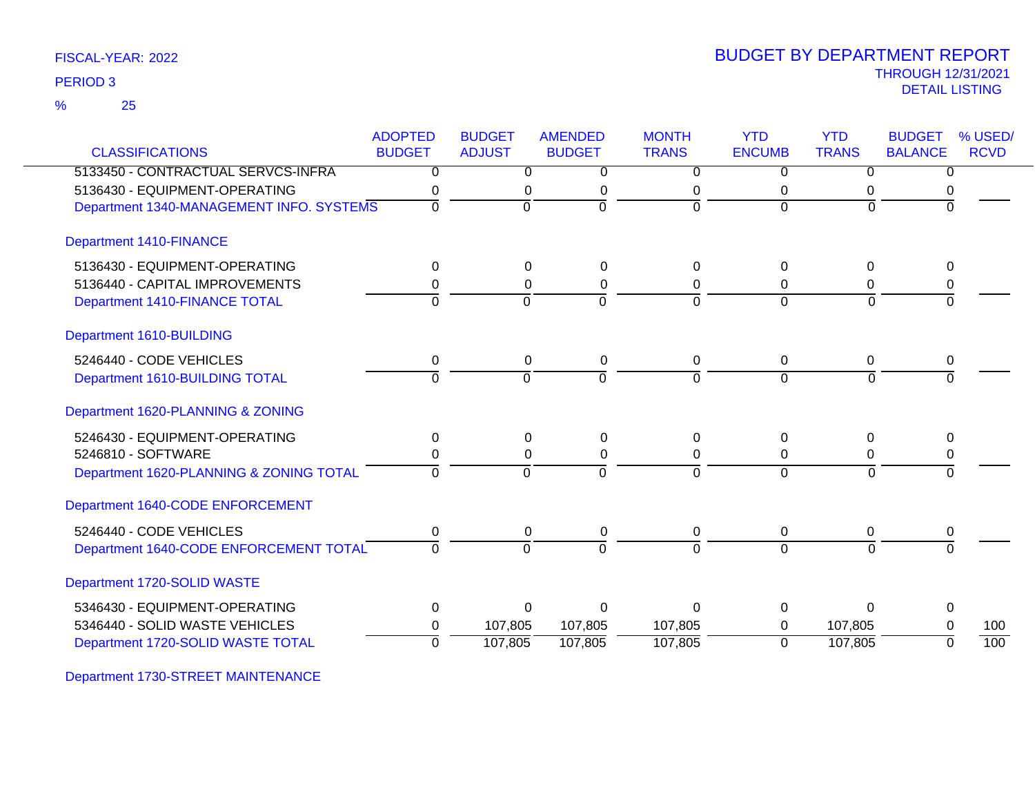| FISCAL-YEAR: 2022 |  |
|-------------------|--|
|-------------------|--|

25 %

| <b>CLASSIFICATIONS</b>                   | <b>ADOPTED</b><br><b>BUDGET</b> | <b>BUDGET</b><br><b>ADJUST</b> | <b>AMENDED</b><br><b>BUDGET</b> | <b>MONTH</b><br><b>TRANS</b> | <b>YTD</b><br><b>ENCUMB</b> | <b>YTD</b><br><b>TRANS</b> | <b>BUDGET</b><br><b>BALANCE</b> | % USED/<br><b>RCVD</b> |
|------------------------------------------|---------------------------------|--------------------------------|---------------------------------|------------------------------|-----------------------------|----------------------------|---------------------------------|------------------------|
| 5133450 - CONTRACTUAL SERVCS-INFRA       | $\Omega$                        | 0                              | 0                               | 0                            | 0                           | 0                          | 0                               |                        |
| 5136430 - EQUIPMENT-OPERATING            | 0                               | 0                              | 0                               | 0                            | 0                           | 0                          | 0                               |                        |
| Department 1340-MANAGEMENT INFO. SYSTEMS | $\Omega$                        | $\Omega$                       | $\Omega$                        | $\Omega$                     | $\Omega$                    | $\Omega$                   | $\Omega$                        |                        |
| <b>Department 1410-FINANCE</b>           |                                 |                                |                                 |                              |                             |                            |                                 |                        |
| 5136430 - EQUIPMENT-OPERATING            | $\Omega$                        | $\Omega$                       | $\Omega$                        | $\Omega$                     | $\Omega$                    | $\mathbf{0}$               | 0                               |                        |
| 5136440 - CAPITAL IMPROVEMENTS           | 0                               | 0                              | $\pmb{0}$                       | $\mathbf 0$                  | $\mathbf 0$                 | 0                          | 0                               |                        |
| Department 1410-FINANCE TOTAL            | $\Omega$                        | $\Omega$                       | $\Omega$                        | $\Omega$                     | $\overline{0}$              | $\Omega$                   | $\Omega$                        |                        |
| Department 1610-BUILDING                 |                                 |                                |                                 |                              |                             |                            |                                 |                        |
| 5246440 - CODE VEHICLES                  | 0                               | 0                              | $\pmb{0}$                       | 0                            | 0                           | 0                          | 0                               |                        |
| Department 1610-BUILDING TOTAL           | $\mathbf 0$                     | $\mathbf 0$                    | $\Omega$                        | $\mathbf 0$                  | $\mathbf 0$                 | $\Omega$                   | $\Omega$                        |                        |
| Department 1620-PLANNING & ZONING        |                                 |                                |                                 |                              |                             |                            |                                 |                        |
| 5246430 - EQUIPMENT-OPERATING            | $\Omega$                        | $\Omega$                       | 0                               | $\Omega$                     | 0                           | $\mathbf 0$                | $\Omega$                        |                        |
| 5246810 - SOFTWARE                       | 0                               | 0                              | $\pmb{0}$                       | $\Omega$                     | 0                           | 0                          | 0                               |                        |
| Department 1620-PLANNING & ZONING TOTAL  | $\Omega$                        | $\mathbf 0$                    | $\Omega$                        | $\Omega$                     | $\Omega$                    | $\Omega$                   | 0                               |                        |
| Department 1640-CODE ENFORCEMENT         |                                 |                                |                                 |                              |                             |                            |                                 |                        |
| 5246440 - CODE VEHICLES                  | 0                               | $\mathbf 0$                    | 0                               | 0                            | $\mathbf 0$                 | 0                          | 0                               |                        |
| Department 1640-CODE ENFORCEMENT TOTAL   | $\Omega$                        | $\mathbf 0$                    | $\Omega$                        | $\Omega$                     | $\overline{0}$              | $\Omega$                   | $\Omega$                        |                        |
| Department 1720-SOLID WASTE              |                                 |                                |                                 |                              |                             |                            |                                 |                        |
| 5346430 - EQUIPMENT-OPERATING            | $\Omega$                        | $\Omega$                       | $\Omega$                        | $\Omega$                     | $\Omega$                    | $\Omega$                   | $\Omega$                        |                        |
| 5346440 - SOLID WASTE VEHICLES           | 0                               | 107,805                        | 107,805                         | 107,805                      | $\Omega$                    | 107,805                    | 0                               | 100                    |
| Department 1720-SOLID WASTE TOTAL        | $\Omega$                        | 107,805                        | 107,805                         | 107,805                      | $\Omega$                    | 107,805                    | $\Omega$                        | 100                    |

Department 1730-STREET MAINTENANCE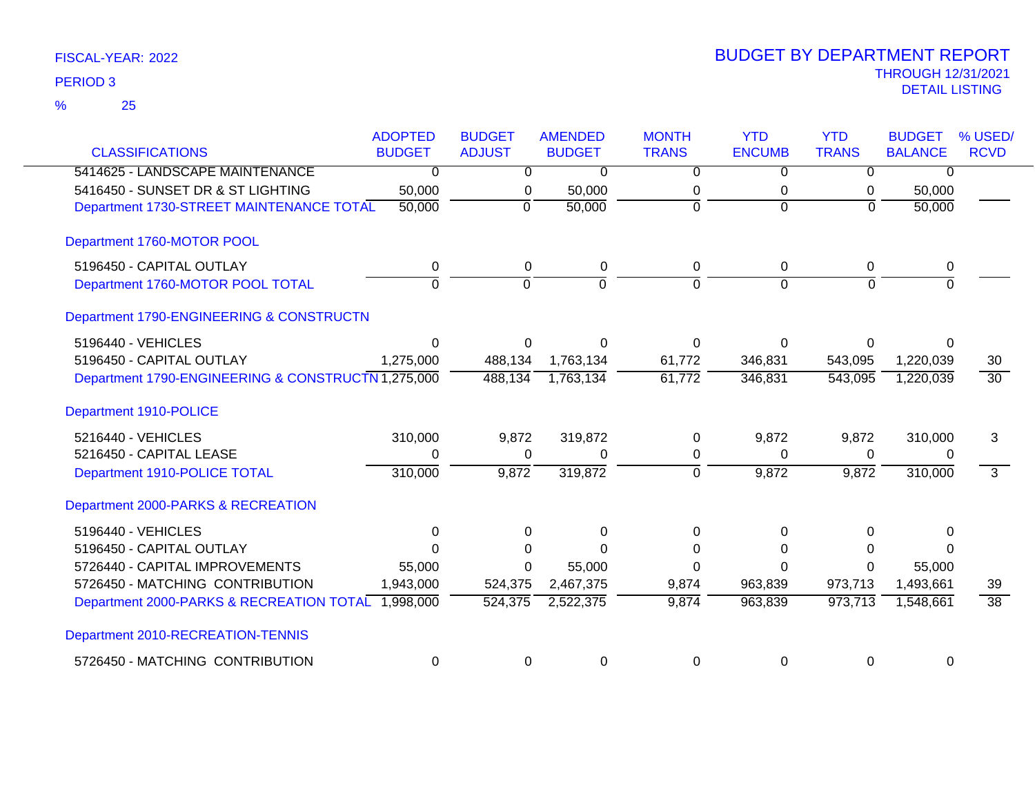| FISCAL-YEAR: 2022 |  |
|-------------------|--|
|-------------------|--|

| <b>CLASSIFICATIONS</b>                             | <b>ADOPTED</b><br><b>BUDGET</b> | <b>BUDGET</b><br><b>ADJUST</b> | <b>AMENDED</b><br><b>BUDGET</b> | <b>MONTH</b><br><b>TRANS</b> | <b>YTD</b><br><b>ENCUMB</b> | <b>YTD</b><br><b>TRANS</b> | <b>BUDGET</b><br><b>BALANCE</b> | % USED/<br><b>RCVD</b> |
|----------------------------------------------------|---------------------------------|--------------------------------|---------------------------------|------------------------------|-----------------------------|----------------------------|---------------------------------|------------------------|
| 5414625 - LANDSCAPE MAINTENANCE                    | $\overline{0}$                  | $\overline{0}$                 | $\overline{0}$                  | $\overline{0}$               | $\overline{0}$              | $\Omega$                   | $\Omega$                        |                        |
| 5416450 - SUNSET DR & ST LIGHTING                  | 50,000                          | 0                              | 50,000                          | 0                            | 0                           | 0                          | 50,000                          |                        |
| Department 1730-STREET MAINTENANCE TOTAL           | 50,000                          | $\Omega$                       | 50,000                          | $\Omega$                     | $\Omega$                    | $\Omega$                   | 50,000                          |                        |
| Department 1760-MOTOR POOL                         |                                 |                                |                                 |                              |                             |                            |                                 |                        |
| 5196450 - CAPITAL OUTLAY                           |                                 |                                |                                 | 0                            | 0                           |                            |                                 |                        |
| Department 1760-MOTOR POOL TOTAL                   | 0<br>$\overline{0}$             | 0<br>ō                         | 0<br>$\mathbf 0$                | $\mathbf 0$                  | $\Omega$                    | 0<br>$\Omega$              | 0<br>$\Omega$                   |                        |
| Department 1790-ENGINEERING & CONSTRUCTN           |                                 |                                |                                 |                              |                             |                            |                                 |                        |
| 5196440 - VEHICLES                                 | $\Omega$                        | 0                              | $\Omega$                        | $\Omega$                     | $\Omega$                    | 0                          | 0                               |                        |
| 5196450 - CAPITAL OUTLAY                           | 1,275,000                       | 488,134                        | 1,763,134                       | 61,772                       | 346,831                     | 543,095                    | 1,220,039                       | 30                     |
| Department 1790-ENGINEERING & CONSTRUCTN 1,275,000 |                                 | 488,134                        | 1,763,134                       | 61,772                       | 346,831                     | 543,095                    | 1,220,039                       | $\overline{30}$        |
| Department 1910-POLICE                             |                                 |                                |                                 |                              |                             |                            |                                 |                        |
| 5216440 - VEHICLES                                 | 310,000                         | 9,872                          | 319,872                         | $\Omega$                     | 9,872                       | 9,872                      | 310,000                         | 3                      |
| 5216450 - CAPITAL LEASE                            | 0                               | 0                              | 0                               | 0                            | $\Omega$                    | 0                          | 0                               |                        |
| Department 1910-POLICE TOTAL                       | 310,000                         | 9,872                          | 319,872                         | $\mathbf 0$                  | 9,872                       | 9,872                      | 310,000                         | $\overline{3}$         |
| Department 2000-PARKS & RECREATION                 |                                 |                                |                                 |                              |                             |                            |                                 |                        |
| 5196440 - VEHICLES                                 | 0                               | $\Omega$                       | 0                               | $\Omega$                     | 0                           | $\Omega$                   | 0                               |                        |
| 5196450 - CAPITAL OUTLAY                           | $\Omega$                        |                                | $\Omega$                        | $\Omega$                     | O                           | 0                          |                                 |                        |
| 5726440 - CAPITAL IMPROVEMENTS                     | 55,000                          | $\Omega$                       | 55,000                          | $\Omega$                     | $\Omega$                    | 0                          | 55,000                          |                        |
| 5726450 - MATCHING CONTRIBUTION                    | 1,943,000                       | 524,375                        | 2,467,375                       | 9,874                        | 963,839                     | 973,713                    | 1,493,661                       | 39                     |
| Department 2000-PARKS & RECREATION TOTAL 1,998,000 |                                 | 524,375                        | 2,522,375                       | 9,874                        | 963,839                     | 973,713                    | 1,548,661                       | $\overline{38}$        |
| Department 2010-RECREATION-TENNIS                  |                                 |                                |                                 |                              |                             |                            |                                 |                        |
| 5726450 - MATCHING CONTRIBUTION                    | $\mathbf 0$                     | 0                              | 0                               | $\Omega$                     | $\Omega$                    | $\Omega$                   | 0                               |                        |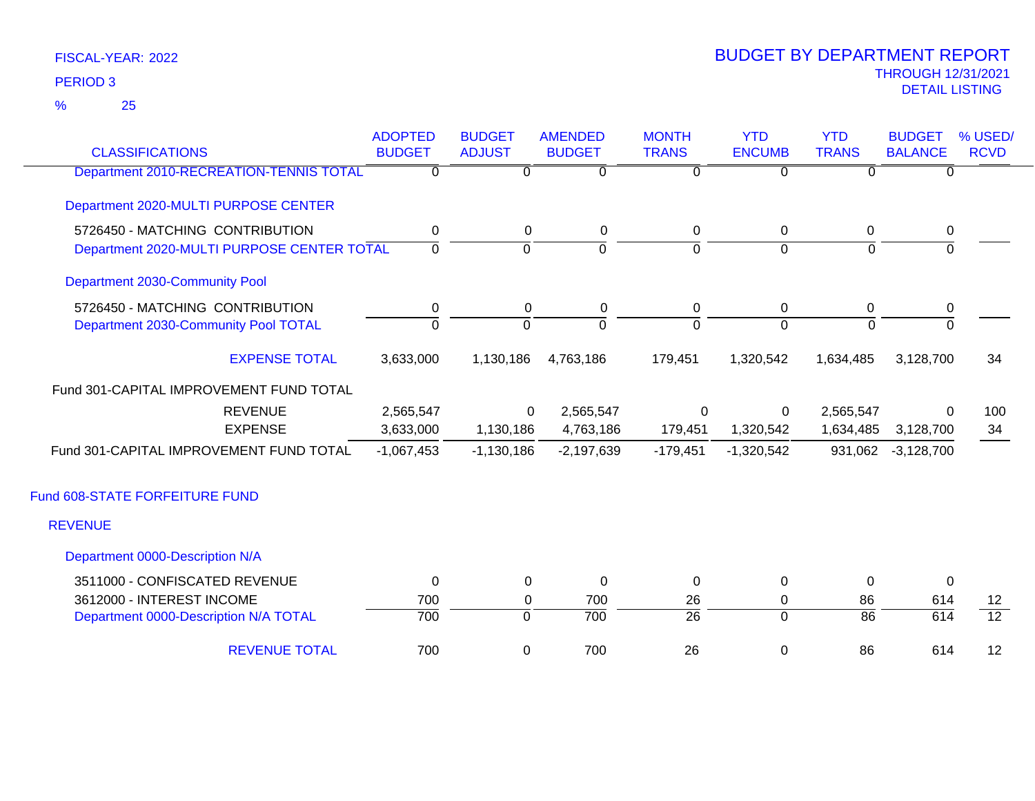25 %

| <b>CLASSIFICATIONS</b>                     | <b>ADOPTED</b><br><b>BUDGET</b> | <b>BUDGET</b><br><b>ADJUST</b> | <b>AMENDED</b><br><b>BUDGET</b> | <b>MONTH</b><br><b>TRANS</b> | <b>YTD</b><br><b>ENCUMB</b> | <b>YTD</b><br><b>TRANS</b> | <b>BUDGET</b><br><b>BALANCE</b> | % USED/<br><b>RCVD</b> |
|--------------------------------------------|---------------------------------|--------------------------------|---------------------------------|------------------------------|-----------------------------|----------------------------|---------------------------------|------------------------|
| Department 2010-RECREATION-TENNIS TOTAL    | $\overline{0}$                  | $\overline{0}$                 | $\overline{0}$                  | $\overline{0}$               | $\overline{0}$              | $\overline{0}$             | $\overline{0}$                  |                        |
| Department 2020-MULTI PURPOSE CENTER       |                                 |                                |                                 |                              |                             |                            |                                 |                        |
| 5726450 - MATCHING CONTRIBUTION            | $\mathbf 0$                     | $\mathbf 0$                    | $\mathbf 0$                     | $\mathbf 0$                  | $\mathbf 0$                 | $\mathbf 0$                | $\pmb{0}$                       |                        |
| Department 2020-MULTI PURPOSE CENTER TOTAL | $\mathbf{0}$                    | $\Omega$                       | $\Omega$                        | $\Omega$                     | $\overline{0}$              | $\Omega$                   | $\Omega$                        |                        |
| Department 2030-Community Pool             |                                 |                                |                                 |                              |                             |                            |                                 |                        |
| 5726450 - MATCHING CONTRIBUTION            | 0                               | 0                              | 0                               | 0                            | 0                           | 0                          | 0                               |                        |
| Department 2030-Community Pool TOTAL       | $\Omega$                        | $\mathbf 0$                    | $\overline{0}$                  | $\overline{0}$               | $\Omega$                    | $\Omega$                   | $\Omega$                        |                        |
| <b>EXPENSE TOTAL</b>                       | 3,633,000                       | 1,130,186                      | 4,763,186                       | 179,451                      | 1,320,542                   | 1,634,485                  | 3,128,700                       | 34                     |
| Fund 301-CAPITAL IMPROVEMENT FUND TOTAL    |                                 |                                |                                 |                              |                             |                            |                                 |                        |
| <b>REVENUE</b>                             | 2,565,547                       | $\Omega$                       | 2,565,547                       | $\mathbf 0$                  | 0                           | 2,565,547                  | $\Omega$                        | 100                    |
| <b>EXPENSE</b>                             | 3,633,000                       | 1,130,186                      | 4,763,186                       | 179,451                      | 1,320,542                   | 1,634,485                  | 3,128,700                       | 34                     |
| Fund 301-CAPITAL IMPROVEMENT FUND TOTAL    | $-1,067,453$                    | $-1,130,186$                   | $-2,197,639$                    | $-179,451$                   | $-1,320,542$                | 931,062                    | $-3,128,700$                    |                        |
| Fund 608-STATE FORFEITURE FUND             |                                 |                                |                                 |                              |                             |                            |                                 |                        |
| <b>REVENUE</b>                             |                                 |                                |                                 |                              |                             |                            |                                 |                        |
| Department 0000-Description N/A            |                                 |                                |                                 |                              |                             |                            |                                 |                        |
| 3511000 - CONFISCATED REVENUE              | 0                               | 0                              | $\mathbf 0$                     | 0                            | 0                           | $\mathbf 0$                | 0                               |                        |
| 3612000 - INTEREST INCOME                  | 700                             | 0                              | 700                             | 26                           | 0                           | 86                         | 614                             | $12 \overline{ }$      |
| Department 0000-Description N/A TOTAL      | 700                             | $\overline{0}$                 | $\overline{700}$                | $\overline{26}$              | $\overline{0}$              | $\overline{86}$            | 614                             | $\overline{12}$        |
| <b>REVENUE TOTAL</b>                       | 700                             | 0                              | 700                             | 26                           | $\mathbf 0$                 | 86                         | 614                             | 12                     |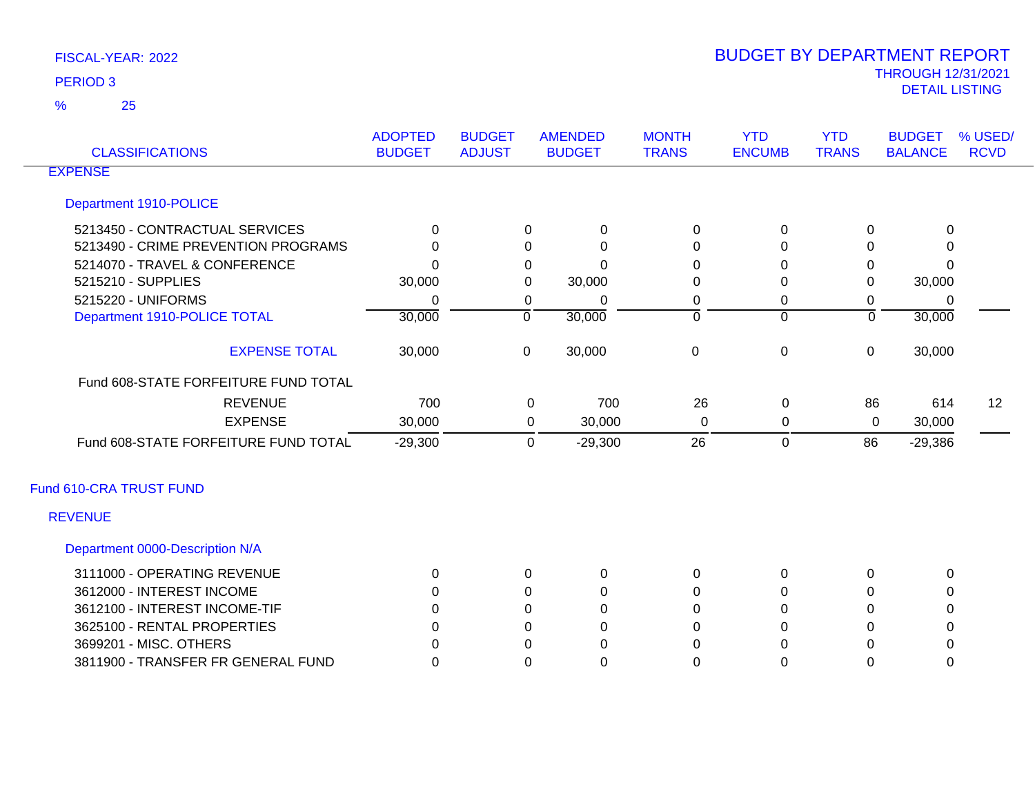25 %

| <b>CLASSIFICATIONS</b>               | <b>ADOPTED</b><br><b>BUDGET</b> | <b>BUDGET</b><br><b>ADJUST</b> | <b>AMENDED</b><br><b>BUDGET</b> |           | <b>MONTH</b><br><b>TRANS</b> | <b>YTD</b><br><b>ENCUMB</b> | <b>YTD</b><br><b>TRANS</b> | <b>BUDGET</b><br><b>BALANCE</b> | % USED/<br><b>RCVD</b> |
|--------------------------------------|---------------------------------|--------------------------------|---------------------------------|-----------|------------------------------|-----------------------------|----------------------------|---------------------------------|------------------------|
| <b>EXPENSE</b>                       |                                 |                                |                                 |           |                              |                             |                            |                                 |                        |
| Department 1910-POLICE               |                                 |                                |                                 |           |                              |                             |                            |                                 |                        |
| 5213450 - CONTRACTUAL SERVICES       | 0                               |                                | 0                               | 0         | 0                            | 0                           | $\Omega$                   | $\Omega$                        |                        |
| 5213490 - CRIME PREVENTION PROGRAMS  | 0                               |                                | 0                               | $\Omega$  | 0                            | 0                           | 0                          | 0                               |                        |
| 5214070 - TRAVEL & CONFERENCE        | 0                               |                                | 0                               | ∩         | 0                            | 0                           | 0                          | O                               |                        |
| 5215210 - SUPPLIES                   | 30,000                          |                                | 0                               | 30,000    | 0                            | 0                           | 0                          | 30,000                          |                        |
| 5215220 - UNIFORMS                   | 0                               |                                | 0                               | 0         | 0                            | 0                           | 0                          | 0                               |                        |
| Department 1910-POLICE TOTAL         | 30,000                          |                                | $\mathbf 0$                     | 30,000    | $\overline{0}$               | $\overline{0}$              | $\mathbf 0$                | 30,000                          |                        |
| <b>EXPENSE TOTAL</b>                 | 30,000                          |                                | $\overline{0}$                  | 30,000    | $\mathbf 0$                  | $\boldsymbol{0}$            | $\mathbf 0$                | 30,000                          |                        |
| Fund 608-STATE FORFEITURE FUND TOTAL |                                 |                                |                                 |           |                              |                             |                            |                                 |                        |
| <b>REVENUE</b>                       | 700                             |                                | 0                               | 700       | 26                           | 0                           | 86                         | 614                             | 12                     |
| <b>EXPENSE</b>                       | 30,000                          |                                | 0                               | 30,000    | 0                            | 0                           | 0                          | 30,000                          |                        |
| Fund 608-STATE FORFEITURE FUND TOTAL | $-29,300$                       |                                | $\mathbf 0$                     | $-29,300$ | 26                           | $\mathbf 0$                 | 86                         | $-29,386$                       |                        |
| Fund 610-CRA TRUST FUND              |                                 |                                |                                 |           |                              |                             |                            |                                 |                        |
| <b>REVENUE</b>                       |                                 |                                |                                 |           |                              |                             |                            |                                 |                        |
| Department 0000-Description N/A      |                                 |                                |                                 |           |                              |                             |                            |                                 |                        |
| 3111000 - OPERATING REVENUE          | 0                               |                                | 0                               | 0         | $\pmb{0}$                    | 0                           | 0                          | $\mathbf 0$                     |                        |
| 3612000 - INTEREST INCOME            | 0                               |                                | 0                               | 0         | 0                            | 0                           | $\Omega$                   | 0                               |                        |
| 3612100 - INTEREST INCOME-TIF        |                                 |                                | 0                               | 0         | 0                            | 0                           | 0                          | 0                               |                        |
| 3625100 - RENTAL PROPERTIES          | 0                               |                                | 0                               | 0         | 0                            | 0                           | $\Omega$                   | 0                               |                        |
| 3699201 - MISC. OTHERS               |                                 |                                | 0                               | $\Omega$  | U                            | 0                           | $\Omega$                   | 0                               |                        |
| 3811900 - TRANSFER FR GENERAL FUND   | 0                               |                                | 0                               | $\Omega$  | 0                            | $\Omega$                    | 0                          | 0                               |                        |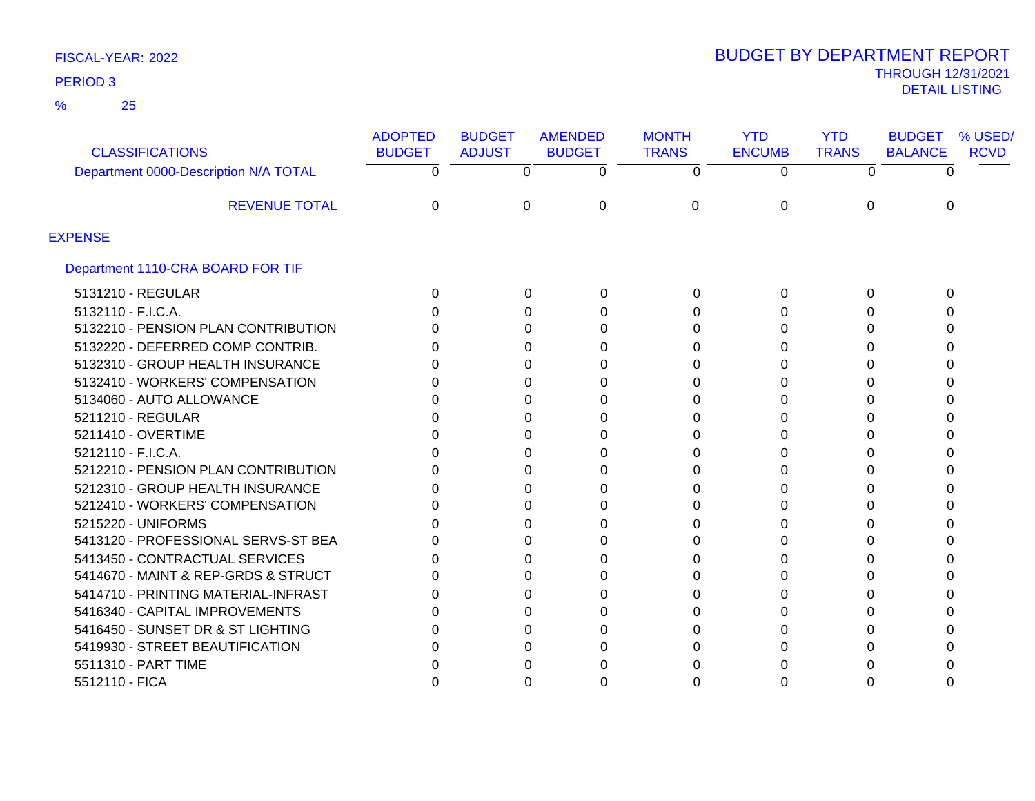25 %

| <b>CLASSIFICATIONS</b>                | <b>ADOPTED</b><br><b>BUDGET</b> | <b>BUDGET</b><br><b>ADJUST</b> | <b>AMENDED</b><br><b>BUDGET</b> | <b>MONTH</b><br><b>TRANS</b> | <b>YTD</b><br><b>ENCUMB</b> | <b>YTD</b><br><b>TRANS</b> | <b>BUDGET</b><br><b>BALANCE</b> | % USED/<br><b>RCVD</b> |
|---------------------------------------|---------------------------------|--------------------------------|---------------------------------|------------------------------|-----------------------------|----------------------------|---------------------------------|------------------------|
| Department 0000-Description N/A TOTAL | 0                               | $\mathbf{0}$                   | 0                               | $\Omega$                     | 0                           | $\Omega$                   |                                 |                        |
| <b>REVENUE TOTAL</b>                  | 0                               | 0                              | $\Omega$                        | 0                            | 0                           | $\Omega$                   | $\Omega$                        |                        |
| <b>EXPENSE</b>                        |                                 |                                |                                 |                              |                             |                            |                                 |                        |
| Department 1110-CRA BOARD FOR TIF     |                                 |                                |                                 |                              |                             |                            |                                 |                        |
| 5131210 - REGULAR                     | 0                               | 0                              | 0                               | 0                            | 0                           | 0                          | 0                               |                        |
| 5132110 - F.I.C.A.                    | n                               | 0                              | 0                               | 0                            | 0                           |                            | 0                               |                        |
| 5132210 - PENSION PLAN CONTRIBUTION   |                                 | 0                              | 0                               | 0                            | 0                           | n                          |                                 |                        |
| 5132220 - DEFERRED COMP CONTRIB.      |                                 | 0                              | 0                               | 0                            | 0                           | O                          |                                 |                        |
| 5132310 - GROUP HEALTH INSURANCE      | O                               | 0                              | 0                               | 0                            | 0                           |                            |                                 |                        |
| 5132410 - WORKERS' COMPENSATION       |                                 | 0                              | 0                               | 0                            | 0                           |                            |                                 |                        |
| 5134060 - AUTO ALLOWANCE              |                                 | 0                              | 0                               | O                            | 0                           | O                          |                                 |                        |
| 5211210 - REGULAR                     |                                 | 0                              | 0                               | U                            | 0                           |                            |                                 |                        |
| 5211410 - OVERTIME                    |                                 | 0                              | 0                               | 0                            | 0                           |                            |                                 |                        |
| 5212110 - F.I.C.A.                    | U                               | 0                              | 0                               | 0                            | 0                           | ∩                          |                                 |                        |
| 5212210 - PENSION PLAN CONTRIBUTION   | n                               | 0                              | 0                               | 0                            | 0                           |                            |                                 |                        |
| 5212310 - GROUP HEALTH INSURANCE      |                                 | 0                              | 0                               | 0                            | 0                           | $\Box$                     |                                 |                        |
| 5212410 - WORKERS' COMPENSATION       |                                 | 0                              | 0                               | U                            | 0                           |                            |                                 |                        |
| 5215220 - UNIFORMS                    |                                 | 0                              | 0                               | 0                            | 0                           |                            |                                 |                        |
| 5413120 - PROFESSIONAL SERVS-ST BEA   |                                 | 0                              | 0                               | 0                            | 0                           | O                          |                                 |                        |
| 5413450 - CONTRACTUAL SERVICES        | O                               | 0                              | 0                               | 0                            | 0                           |                            |                                 |                        |
| 5414670 - MAINT & REP-GRDS & STRUCT   | O                               | 0                              | 0                               | U                            | 0                           | O                          |                                 |                        |
| 5414710 - PRINTING MATERIAL-INFRAST   |                                 | 0                              | 0                               |                              | 0                           | n                          |                                 |                        |
| 5416340 - CAPITAL IMPROVEMENTS        |                                 | 0                              | 0                               | 0                            | 0                           |                            |                                 |                        |
| 5416450 - SUNSET DR & ST LIGHTING     |                                 | 0                              | 0                               |                              | 0                           |                            |                                 |                        |
| 5419930 - STREET BEAUTIFICATION       |                                 | 0                              | 0                               |                              | 0                           |                            |                                 |                        |
| 5511310 - PART TIME                   |                                 | 0                              | O                               |                              | O                           |                            |                                 |                        |
| 5512110 - FICA                        |                                 | 0                              | 0                               |                              | 0                           |                            |                                 |                        |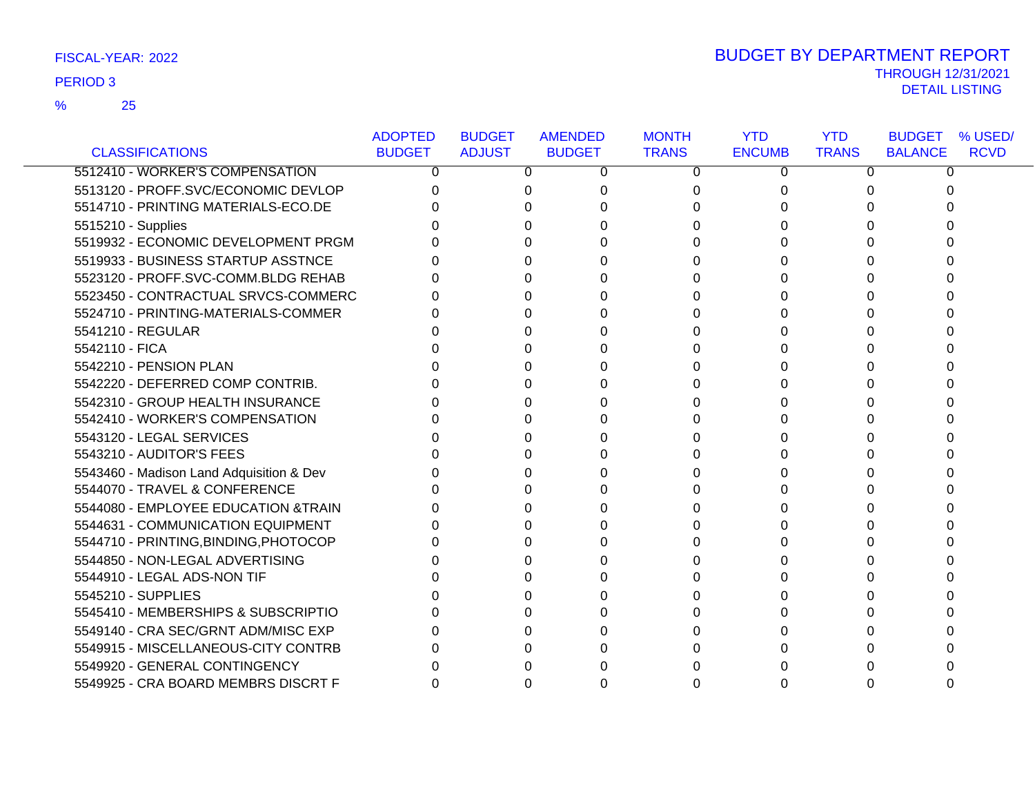### 25 %

|                                          | <b>ADOPTED</b> | <b>BUDGET</b> | <b>AMENDED</b> | <b>MONTH</b> | <b>YTD</b>    | <b>YTD</b>   | <b>BUDGET</b><br>% USED/      |
|------------------------------------------|----------------|---------------|----------------|--------------|---------------|--------------|-------------------------------|
| <b>CLASSIFICATIONS</b>                   | <b>BUDGET</b>  | <b>ADJUST</b> | <b>BUDGET</b>  | <b>TRANS</b> | <b>ENCUMB</b> | <b>TRANS</b> | <b>RCVD</b><br><b>BALANCE</b> |
| 5512410 - WORKER'S COMPENSATION          | 0              | 0             | 0              | 0            | 0             | 0            | 0                             |
| 5513120 - PROFF.SVC/ECONOMIC DEVLOP      |                | 0             |                | 0            | 0             |              |                               |
| 5514710 - PRINTING MATERIALS-ECO.DE      |                | U             |                | 0            |               |              |                               |
| 5515210 - Supplies                       |                |               |                |              |               |              |                               |
| 5519932 - ECONOMIC DEVELOPMENT PRGM      |                | 0             |                |              |               |              |                               |
| 5519933 - BUSINESS STARTUP ASSTNCE       |                | 0             |                | 0            | U             |              | O                             |
| 5523120 - PROFF.SVC-COMM.BLDG REHAB      |                | U             |                | 0            | U             |              |                               |
| 5523450 - CONTRACTUAL SRVCS-COMMERC      |                | 0             |                | 0            |               |              |                               |
| 5524710 - PRINTING-MATERIALS-COMMER      |                | n.            |                | 0            |               |              |                               |
| 5541210 - REGULAR                        |                |               |                | 0            |               |              |                               |
| 5542110 - FICA                           |                |               |                | 0            |               |              |                               |
| 5542210 - PENSION PLAN                   |                |               |                | 0            |               |              |                               |
| 5542220 - DEFERRED COMP CONTRIB.         |                |               |                | 0            |               |              |                               |
| 5542310 - GROUP HEALTH INSURANCE         |                |               |                | 0            | O             |              |                               |
| 5542410 - WORKER'S COMPENSATION          |                |               |                | 0            |               |              |                               |
| 5543120 - LEGAL SERVICES                 |                |               |                | 0            |               |              |                               |
| 5543210 - AUDITOR'S FEES                 |                | ∩             | U              | 0            | U             | U            |                               |
| 5543460 - Madison Land Adquisition & Dev |                |               |                | 0            |               |              |                               |
| 5544070 - TRAVEL & CONFERENCE            |                |               |                | 0            |               |              |                               |
| 5544080 - EMPLOYEE EDUCATION &TRAIN      |                | 0             |                | 0            |               |              |                               |
| 5544631 - COMMUNICATION EQUIPMENT        |                |               |                | U            |               |              |                               |
| 5544710 - PRINTING, BINDING, PHOTOCOP    |                | 0             |                | 0            |               |              |                               |
| 5544850 - NON-LEGAL ADVERTISING          |                | U             |                | 0            | 0             |              |                               |
| 5544910 - LEGAL ADS-NON TIF              |                |               |                | 0            |               |              |                               |
| 5545210 - SUPPLIES                       |                |               |                | 0            |               |              |                               |
| 5545410 - MEMBERSHIPS & SUBSCRIPTIO      |                |               |                |              |               |              |                               |
| 5549140 - CRA SEC/GRNT ADM/MISC EXP      |                |               |                |              |               |              |                               |
| 5549915 - MISCELLANEOUS-CITY CONTRB      |                |               |                | 0            |               |              |                               |
| 5549920 - GENERAL CONTINGENCY            |                |               |                |              |               |              |                               |
| 5549925 - CRA BOARD MEMBRS DISCRT F      |                | 0             |                | 0            | 0             | 0            | 0                             |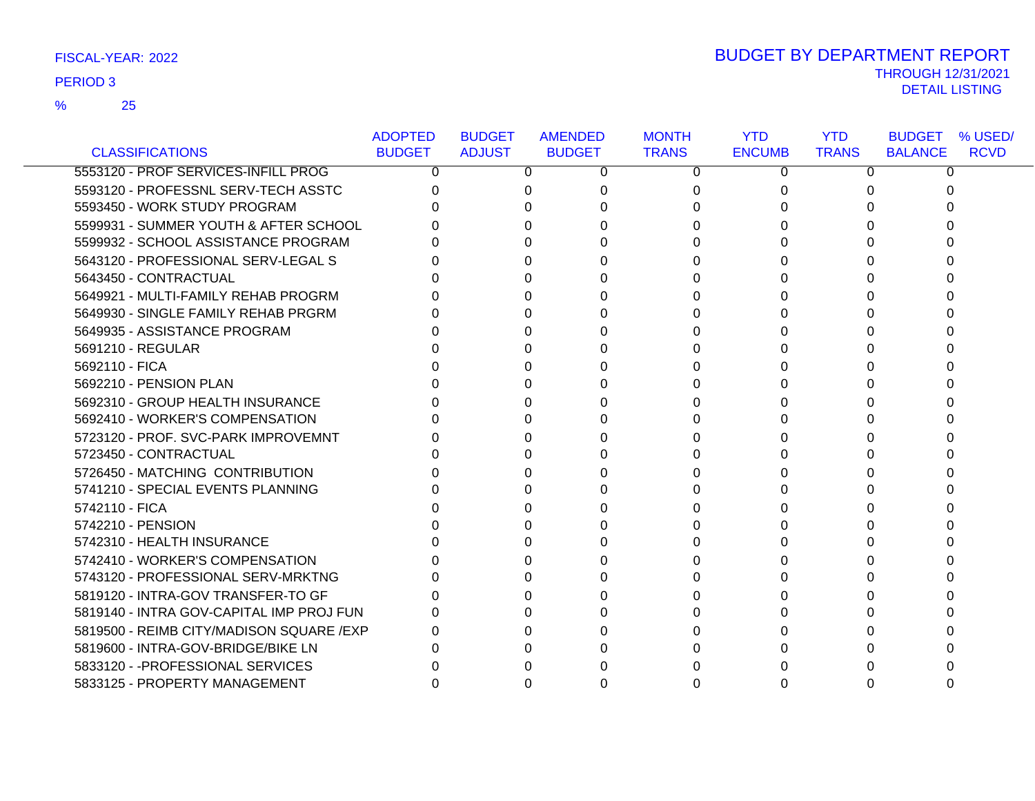### 25 %

|                                           | <b>ADOPTED</b> | <b>BUDGET</b> | <b>AMENDED</b> | <b>MONTH</b> | <b>YTD</b>    | <b>YTD</b>   | <b>BUDGET % USED/</b>         |
|-------------------------------------------|----------------|---------------|----------------|--------------|---------------|--------------|-------------------------------|
| <b>CLASSIFICATIONS</b>                    | <b>BUDGET</b>  | <b>ADJUST</b> | <b>BUDGET</b>  | <b>TRANS</b> | <b>ENCUMB</b> | <b>TRANS</b> | <b>RCVD</b><br><b>BALANCE</b> |
| 5553120 - PROF SERVICES-INFILL PROG       | 0              | 0             | 0              | 0            | 0             | 0            | 0                             |
| 5593120 - PROFESSNL SERV-TECH ASSTC       |                | 0             | 0              | 0            | O             |              | 0                             |
| 5593450 - WORK STUDY PROGRAM              |                | 0             |                | 0            |               |              | n                             |
| 5599931 - SUMMER YOUTH & AFTER SCHOOL     |                | 0             |                |              |               |              |                               |
| 5599932 - SCHOOL ASSISTANCE PROGRAM       |                | 0             |                | 0            |               |              |                               |
| 5643120 - PROFESSIONAL SERV-LEGAL S       |                | 0             |                | 0            |               |              |                               |
| 5643450 - CONTRACTUAL                     |                | 0             |                | 0            |               |              |                               |
| 5649921 - MULTI-FAMILY REHAB PROGRM       |                | 0             |                | 0            |               |              |                               |
| 5649930 - SINGLE FAMILY REHAB PRGRM       |                | U             |                |              |               |              |                               |
| 5649935 - ASSISTANCE PROGRAM              |                | 0             |                | 0            |               |              |                               |
| 5691210 - REGULAR                         |                | 0             |                | 0            |               |              |                               |
| 5692110 - FICA                            |                | 0             |                | 0            |               |              |                               |
| 5692210 - PENSION PLAN                    |                | 0             |                | 0            |               |              |                               |
| 5692310 - GROUP HEALTH INSURANCE          |                | <sup>0</sup>  |                | 0            |               |              |                               |
| 5692410 - WORKER'S COMPENSATION           |                | 0             |                | 0            |               |              |                               |
| 5723120 - PROF. SVC-PARK IMPROVEMNT       |                | 0             |                | 0            |               |              |                               |
| 5723450 - CONTRACTUAL                     |                | 0             | U              | 0            | O             |              | U                             |
| 5726450 - MATCHING CONTRIBUTION           |                | 0             |                | 0            |               |              |                               |
| 5741210 - SPECIAL EVENTS PLANNING         |                | 0             |                | 0            |               |              |                               |
| 5742110 - FICA                            |                | U             |                |              |               |              |                               |
| 5742210 - PENSION                         |                | U             |                | 0            |               |              |                               |
| 5742310 - HEALTH INSURANCE                |                | 0             |                | 0            |               |              |                               |
| 5742410 - WORKER'S COMPENSATION           |                | 0             |                | 0            |               |              |                               |
| 5743120 - PROFESSIONAL SERV-MRKTNG        |                | 0             |                | 0            |               |              |                               |
| 5819120 - INTRA-GOV TRANSFER-TO GF        |                | 0             |                | 0            |               |              |                               |
| 5819140 - INTRA GOV-CAPITAL IMP PROJ FUN  |                | 0             |                | 0            |               |              |                               |
| 5819500 - REIMB CITY/MADISON SQUARE / EXP |                | 0             |                |              |               |              |                               |
| 5819600 - INTRA-GOV-BRIDGE/BIKE LN        |                | U             |                | 0            |               |              |                               |
| 5833120 - - PROFESSIONAL SERVICES         |                |               |                |              |               |              |                               |
| 5833125 - PROPERTY MANAGEMENT             | 0              | 0             |                | 0            |               |              |                               |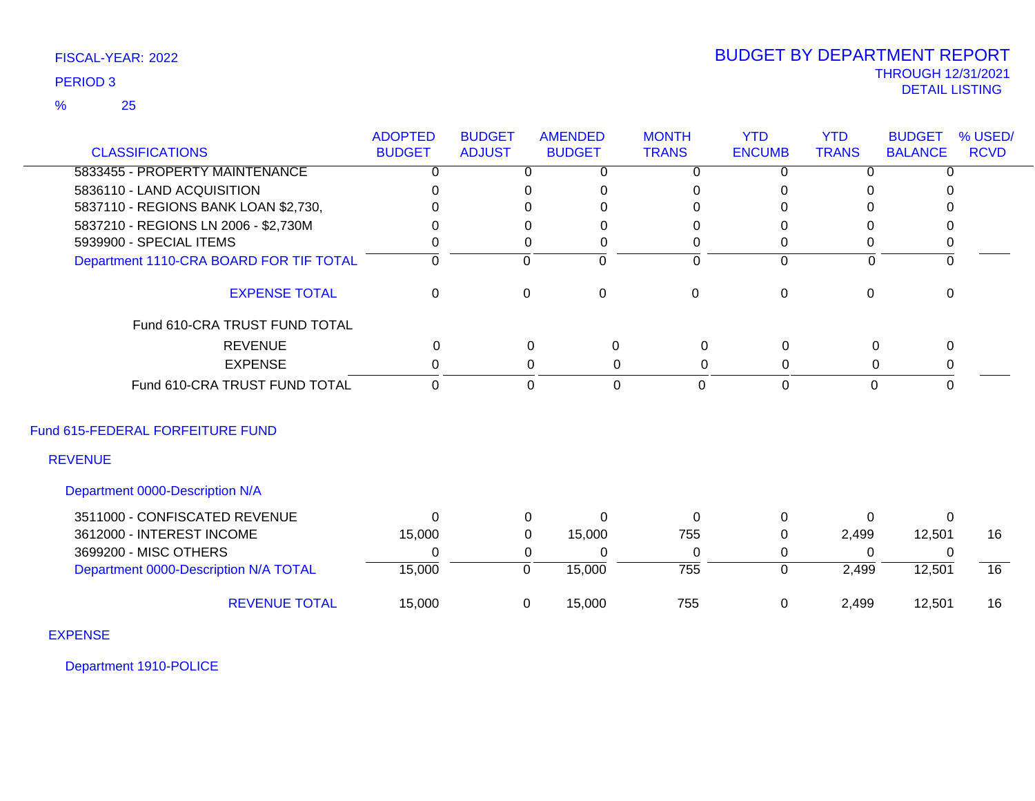### 25 %

# THROUGH 12/31/2021 DETAIL LISTING PERIOD <sup>3</sup> BUDGET BY DEPARTMENT REPORT

|                                         | <b>ADOPTED</b><br><b>BUDGET</b> | <b>BUDGET</b><br><b>ADJUST</b> | <b>AMENDED</b><br><b>BUDGET</b> | <b>MONTH</b><br><b>TRANS</b> | <b>YTD</b><br><b>ENCUMB</b> | <b>YTD</b><br><b>TRANS</b> | <b>BUDGET</b><br><b>BALANCE</b> | % USED/<br><b>RCVD</b> |
|-----------------------------------------|---------------------------------|--------------------------------|---------------------------------|------------------------------|-----------------------------|----------------------------|---------------------------------|------------------------|
| <b>CLASSIFICATIONS</b>                  |                                 |                                |                                 |                              |                             |                            |                                 |                        |
| 5833455 - PROPERTY MAINTENANCE          | 0                               | $\Omega$                       | 0                               | 0                            | $\Omega$                    | $\Omega$                   | <sup>n</sup>                    |                        |
| 5836110 - LAND ACQUISITION              | $\Omega$                        | $\Omega$                       | 0                               | 0                            | $\mathbf{0}$                | 0                          |                                 |                        |
| 5837110 - REGIONS BANK LOAN \$2,730,    |                                 | 0                              | 0                               | $\Omega$                     | $\Omega$                    | 0                          |                                 |                        |
| 5837210 - REGIONS LN 2006 - \$2,730M    | n                               | $\Omega$                       | 0                               | $\Omega$                     | $\Omega$                    | 0                          | 0                               |                        |
| 5939900 - SPECIAL ITEMS                 | 0                               | $\Omega$                       | 0                               | 0                            | $\mathbf{0}$                | 0                          | 0                               |                        |
| Department 1110-CRA BOARD FOR TIF TOTAL | $\Omega$                        | $\Omega$                       | $\Omega$                        | $\Omega$                     | $\Omega$                    | $\mathbf{0}$               | $\Omega$                        |                        |
| <b>EXPENSE TOTAL</b>                    | 0                               | $\mathbf 0$                    | $\mathsf 0$                     | $\mathbf 0$                  | $\boldsymbol{0}$            | $\mathbf 0$                | $\Omega$                        |                        |
| Fund 610-CRA TRUST FUND TOTAL           |                                 |                                |                                 |                              |                             |                            |                                 |                        |
| <b>REVENUE</b>                          | $\mathbf 0$                     |                                | $\mathbf 0$                     | $\mathbf 0$<br>$\mathbf 0$   | $\mathbf 0$                 | $\pmb{0}$                  | 0                               |                        |
| <b>EXPENSE</b>                          | 0                               |                                | 0                               | $\Omega$<br>$\Omega$         | $\Omega$                    | 0                          | 0                               |                        |
| Fund 610-CRA TRUST FUND TOTAL           | $\overline{0}$                  |                                | $\mathbf 0$                     | $\mathbf 0$<br>$\Omega$      | $\mathbf 0$                 | $\mathbf 0$                | $\Omega$                        |                        |
| Fund 615-FEDERAL FORFEITURE FUND        |                                 |                                |                                 |                              |                             |                            |                                 |                        |
| <b>REVENUE</b>                          |                                 |                                |                                 |                              |                             |                            |                                 |                        |
| Department 0000-Description N/A         |                                 |                                |                                 |                              |                             |                            |                                 |                        |
| 3511000 - CONFISCATED REVENUE           | $\Omega$                        | $\Omega$                       | $\Omega$                        | $\Omega$                     | $\mathbf{0}$                | $\Omega$                   | $\Omega$                        |                        |
| 3612000 - INTEREST INCOME               | 15,000                          | $\mathbf{0}$                   | 15,000                          | 755                          | $\mathbf{0}$                | 2,499                      | 12,501                          | 16                     |
| 3699200 - MISC OTHERS                   | 0                               | 0                              | 0                               | 0                            | 0                           | 0                          | $\overline{0}$                  |                        |
| Department 0000-Description N/A TOTAL   | 15,000                          | $\overline{0}$                 | 15,000                          | $\overline{755}$             | $\Omega$                    | 2,499                      | 12,501                          | 16                     |
| <b>REVENUE TOTAL</b>                    | 15,000                          | 0                              | 15,000                          | 755                          | $\mathbf 0$                 | 2,499                      | 12,501                          | 16                     |
| <b>EXPENSE</b>                          |                                 |                                |                                 |                              |                             |                            |                                 |                        |

Department 1910-POLICE